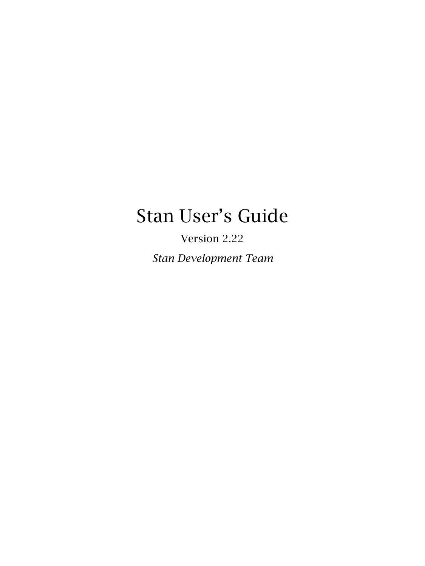# <span id="page-0-0"></span>Stan User's Guide

Version 2.22

*Stan Development Team*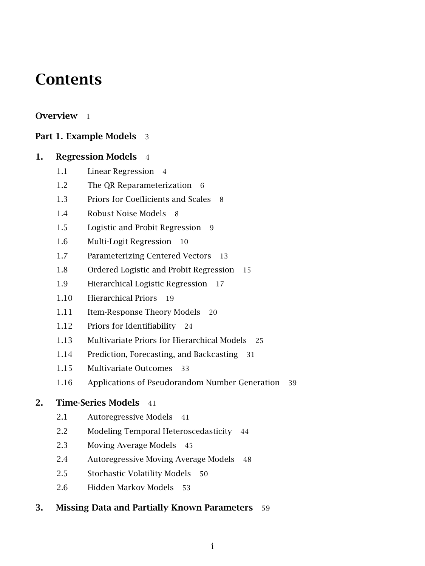# **Contents**

### [Overview](#page-7-0) 1

### [Part 1. Example Models](#page-9-0) 3

### [1. Regression Models](#page-10-0) 4

- [1.1 Linear Regression](#page-10-1) 4
- [1.2 The QR Reparameterization](#page-12-0) 6
- [1.3 Priors for Coefficients and Scales](#page-14-0) 8
- [1.4 Robust Noise Models](#page-14-1) 8
- [1.5 Logistic and Probit Regression](#page-15-0) 9
- [1.6 Multi-Logit Regression](#page-16-0) 10
- [1.7 Parameterizing Centered Vectors](#page-19-0) 13
- [1.8 Ordered Logistic and Probit Regression](#page-21-0) 15
- [1.9 Hierarchical Logistic Regression](#page-23-0) 17
- [1.10 Hierarchical Priors](#page-25-0) 19
- [1.11 Item-Response Theory Models](#page-26-0) 20
- [1.12 Priors for Identifiability](#page-30-0) 24
- [1.13 Multivariate Priors for Hierarchical Models](#page-30-1) 25
- [1.14 Prediction, Forecasting, and Backcasting](#page-37-0) 31
- [1.15 Multivariate Outcomes](#page-39-0) 33
- [1.16 Applications of Pseudorandom Number Generation](#page-45-0) 39

### [2. Time-Series Models](#page-47-0) 41

- [2.1 Autoregressive Models](#page-47-1) 41
- [2.2 Modeling Temporal Heteroscedasticity](#page-50-0) 44
- [2.3 Moving Average Models](#page-51-0) 45
- [2.4 Autoregressive Moving Average Models](#page-54-0) 48
- [2.5 Stochastic Volatility Models](#page-56-0) 50
- [2.6 Hidden Markov Models](#page-58-0) 53

### [3. Missing Data and Partially Known Parameters](#page-65-0) 59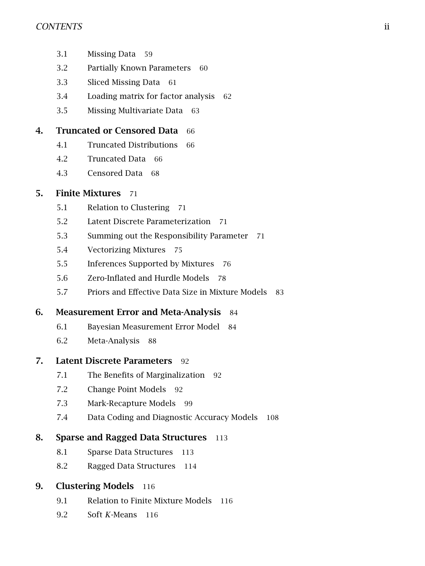- [3.1 Missing Data](#page-65-1) 59
- [3.2 Partially Known Parameters](#page-66-0) 60
- [3.3 Sliced Missing Data](#page-67-0) 61
- [3.4 Loading matrix for factor analysis](#page-68-0) 62
- [3.5 Missing Multivariate Data](#page-69-0) 63

### [4. Truncated or Censored Data](#page-72-0) 66

- [4.1 Truncated Distributions](#page-72-1) 66
- [4.2 Truncated Data](#page-72-2) 66
- [4.3 Censored Data](#page-74-0) 68

### [5. Finite Mixtures](#page-77-0) 71

- [5.1 Relation to Clustering](#page-77-1) 71
- [5.2 Latent Discrete Parameterization](#page-77-2) 71
- [5.3 Summing out the Responsibility Parameter](#page-77-3) 71
- [5.4 Vectorizing Mixtures](#page-81-0) 75
- [5.5 Inferences Supported by Mixtures](#page-82-0) 76
- [5.6 Zero-Inflated and Hurdle Models](#page-84-0) 78
- [5.7 Priors and Effective Data Size in Mixture Models](#page-89-0) 83

### [6. Measurement Error and Meta-Analysis](#page-90-0) 84

- [6.1 Bayesian Measurement Error Model](#page-90-1) 84
- [6.2 Meta-Analysis](#page-94-0) 88

### [7. Latent Discrete Parameters](#page-98-0) 92

- [7.1 The Benefits of Marginalization](#page-98-1) 92
- [7.2 Change Point Models](#page-98-2) 92
- [7.3 Mark-Recapture Models](#page-105-0) 99
- [7.4 Data Coding and Diagnostic Accuracy Models](#page-114-0) 108

### [8. Sparse and Ragged Data Structures](#page-119-0) 113

- [8.1 Sparse Data Structures](#page-119-1) 113
- [8.2 Ragged Data Structures](#page-120-0) 114

### [9. Clustering Models](#page-122-0) 116

- [9.1 Relation to Finite Mixture Models](#page-122-1) 116
- [9.2 Soft](#page-122-2) *K*-Means 116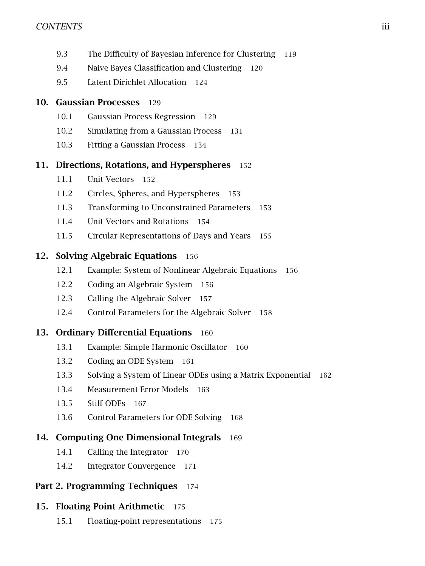- [9.3 The Difficulty of Bayesian Inference for Clustering](#page-125-0) 119
- [9.4 Naive Bayes Classification and Clustering](#page-125-1) 120
- [9.5 Latent Dirichlet Allocation](#page-130-0) 124

### [10. Gaussian Processes](#page-135-0) 129

- [10.1 Gaussian Process Regression](#page-135-1) 129
- [10.2 Simulating from a Gaussian Process](#page-137-0) 131
- [10.3 Fitting a Gaussian Process](#page-140-0) 134

### [11. Directions, Rotations, and Hyperspheres](#page-158-0) 152

- [11.1 Unit Vectors](#page-158-1) 152
- [11.2 Circles, Spheres, and Hyperspheres](#page-159-0) 153
- [11.3 Transforming to Unconstrained Parameters](#page-159-1) 153
- [11.4 Unit Vectors and Rotations](#page-160-0) 154
- [11.5 Circular Representations of Days and Years](#page-161-0) 155

### [12. Solving Algebraic Equations](#page-162-0) 156

- [12.1 Example: System of Nonlinear Algebraic Equations](#page-162-1) 156
- [12.2 Coding an Algebraic System](#page-162-2) 156
- [12.3 Calling the Algebraic Solver](#page-163-0) 157
- [12.4 Control Parameters for the Algebraic Solver](#page-164-0) 158

### [13. Ordinary Differential Equations](#page-166-0) 160

- [13.1 Example: Simple Harmonic Oscillator](#page-166-1) 160
- [13.2 Coding an ODE System](#page-166-2) 161
- [13.3 Solving a System of Linear ODEs using a Matrix Exponential](#page-168-0) 162
- [13.4 Measurement Error Models](#page-169-0) 163
- [13.5 Stiff ODEs](#page-173-0) 167
- [13.6 Control Parameters for ODE Solving](#page-174-0) 168

### [14. Computing One Dimensional Integrals](#page-175-0) 169

- [14.1 Calling the Integrator](#page-176-0) 170
- [14.2 Integrator Convergence](#page-177-0) 171

### [Part 2. Programming Techniques](#page-180-0) 174

### [15. Floating Point Arithmetic](#page-181-0) 175

[15.1 Floating-point representations](#page-181-1) 175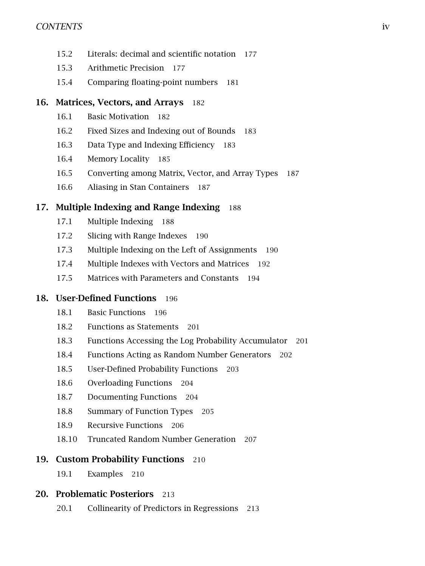- [15.2 Literals: decimal and scientific notation](#page-183-0) 177
- [15.3 Arithmetic Precision](#page-183-1) 177
- [15.4 Comparing floating-point numbers](#page-186-0) 181

### [16. Matrices, Vectors, and Arrays](#page-188-0) 182

- [16.1 Basic Motivation](#page-188-1) 182
- [16.2 Fixed Sizes and Indexing out of Bounds](#page-188-2) 183
- [16.3 Data Type and Indexing Efficiency](#page-189-0) 183
- [16.4 Memory Locality](#page-191-0) 185
- [16.5 Converting among Matrix, Vector, and Array Types](#page-192-0) 187
- [16.6 Aliasing in Stan Containers](#page-193-0) 187

### [17. Multiple Indexing and Range Indexing](#page-194-0) 188

- [17.1 Multiple Indexing](#page-194-1) 188
- [17.2 Slicing with Range Indexes](#page-196-0) 190
- [17.3 Multiple Indexing on the Left of Assignments](#page-196-1) 190
- [17.4 Multiple Indexes with Vectors and Matrices](#page-198-0) 192
- [17.5 Matrices with Parameters and Constants](#page-200-0) 194

### [18. User-Defined Functions](#page-202-0) 196

- [18.1 Basic Functions](#page-202-1) 196
- [18.2 Functions as Statements](#page-207-0) 201
- [18.3 Functions Accessing the Log Probability Accumulator](#page-207-1) 201
- [18.4 Functions Acting as Random Number Generators](#page-208-0) 202
- [18.5 User-Defined Probability Functions](#page-209-0) 203
- [18.6 Overloading Functions](#page-210-0) 204
- [18.7 Documenting Functions](#page-210-1) 204
- [18.8 Summary of Function Types](#page-211-0) 205
- [18.9 Recursive Functions](#page-212-0) 206
- [18.10 Truncated Random Number Generation](#page-212-1) 207

### [19. Custom Probability Functions](#page-216-0) 210

[19.1 Examples](#page-216-1) 210

### [20. Problematic Posteriors](#page-219-0) 213

[20.1 Collinearity of Predictors in Regressions](#page-219-1) 213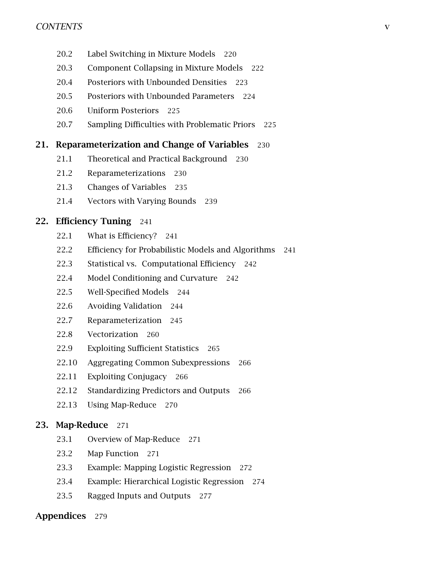- [20.2 Label Switching in Mixture Models](#page-226-0) 220
- [20.3 Component Collapsing in Mixture Models](#page-228-0) 222
- [20.4 Posteriors with Unbounded Densities](#page-229-0) 223
- [20.5 Posteriors with Unbounded Parameters](#page-230-0) 224
- [20.6 Uniform Posteriors](#page-230-1) 225
- [20.7 Sampling Difficulties with Problematic Priors](#page-231-0) 225

### [21. Reparameterization and Change of Variables](#page-236-0) 230

- [21.1 Theoretical and Practical Background](#page-236-1) 230
- [21.2 Reparameterizations](#page-236-2) 230
- [21.3 Changes of Variables](#page-241-0) 235
- [21.4 Vectors with Varying Bounds](#page-245-0) 239

### [22. Efficiency Tuning](#page-247-0) 241

- [22.1 What is Efficiency?](#page-247-1) 241
- [22.2 Efficiency for Probabilistic Models and Algorithms](#page-247-2) 241
- [22.3 Statistical vs. Computational Efficiency](#page-248-0) 242
- [22.4 Model Conditioning and Curvature](#page-248-1) 242
- [22.5 Well-Specified Models](#page-250-0) 244
- [22.6 Avoiding Validation](#page-250-1) 244
- [22.7 Reparameterization](#page-251-0) 245
- [22.8 Vectorization](#page-266-0) 260
- [22.9 Exploiting Sufficient Statistics](#page-270-0) 265
- [22.10 Aggregating Common Subexpressions](#page-272-0) 266
- [22.11 Exploiting Conjugacy](#page-272-1) 266
- [22.12 Standardizing Predictors and Outputs](#page-272-2) 266
- [22.13 Using Map-Reduce](#page-276-0) 270

#### [23. Map-Reduce](#page-277-0) 271

- [23.1 Overview of Map-Reduce](#page-277-1) 271
- [23.2 Map Function](#page-277-2) 271
- [23.3 Example: Mapping Logistic Regression](#page-278-0) 272
- [23.4 Example: Hierarchical Logistic Regression](#page-280-0) 274
- [23.5 Ragged Inputs and Outputs](#page-283-0) 277

#### [Appendices](#page-285-0) 279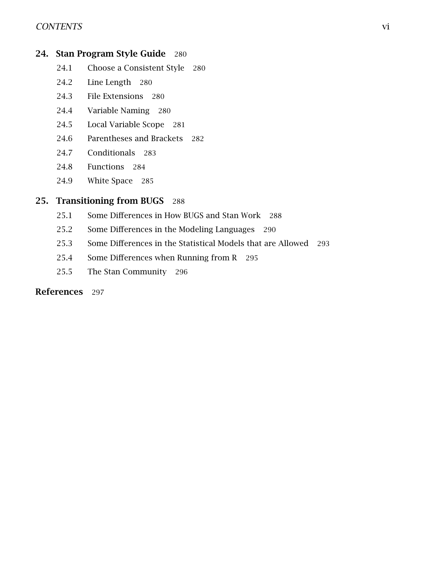### CONTENTS vi

### [24. Stan Program Style Guide](#page-286-0) 280

- [24.1 Choose a Consistent Style](#page-286-1) 280
- [24.2 Line Length](#page-286-2) 280
- [24.3 File Extensions](#page-286-3) 280
- [24.4 Variable Naming](#page-286-4) 280
- [24.5 Local Variable Scope](#page-287-0) 281
- [24.6 Parentheses and Brackets](#page-288-0) 282
- [24.7 Conditionals](#page-289-0) 283
- [24.8 Functions](#page-290-0) 284
- [24.9 White Space](#page-291-0) 285

### [25. Transitioning from BUGS](#page-294-0) 288

- [25.1 Some Differences in How BUGS and Stan Work](#page-294-1) 288
- [25.2 Some Differences in the Modeling Languages](#page-296-0) 290
- [25.3 Some Differences in the Statistical Models that are Allowed](#page-299-0) 293
- [25.4 Some Differences when Running from R](#page-301-0) 295
- [25.5 The Stan Community](#page-302-0) 296

#### [References](#page-303-0) 297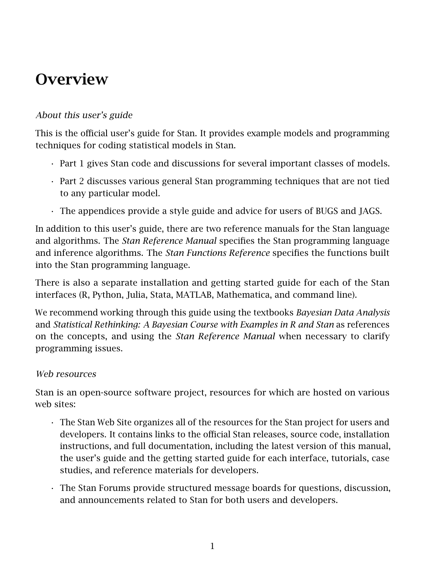# <span id="page-7-0"></span>**Overview**

### About this user's guide

This is the official user's guide for Stan. It provides example models and programming techniques for coding statistical models in Stan.

- Part 1 gives Stan code and discussions for several important classes of models.
- Part 2 discusses various general Stan programming techniques that are not tied to any particular model.
- The appendices provide a style guide and advice for users of BUGS and JAGS.

In addition to this user's guide, there are two reference manuals for the Stan language and algorithms. The *[Stan Reference Manual](https://mc-stan.org/docs/reference-manual/index.html)* specifies the Stan programming language and inference algorithms. The *[Stan Functions Reference](https://mc-stan.org/docs/functions-reference/index.html)* specifies the functions built into the Stan programming language.

There is also a separate installation and getting started guide for each of the Stan interfaces (R, Python, Julia, Stata, MATLAB, Mathematica, and command line).

We recommend working through this guide using the textbooks *Bayesian Data Analysis* and *Statistical Rethinking: A Bayesian Course with Examples in R and Stan* as references on the concepts, and using the *[Stan Reference Manual](https://mc-stan.org/docs/reference-manual/index.html)* when necessary to clarify programming issues.

### Web resources

Stan is an open-source software project, resources for which are hosted on various web sites:

- The [Stan Web Site](https://mc-stan.org/) organizes all of the resources for the Stan project for users and developers. It contains links to the official Stan releases, source code, installation instructions, and full documentation, including the latest version of this manual, the user's guide and the getting started guide for each interface, tutorials, case studies, and reference materials for developers.
- The [Stan Forums](https://discourse.mc-stan.org) provide structured message boards for questions, discussion, and announcements related to Stan for both users and developers.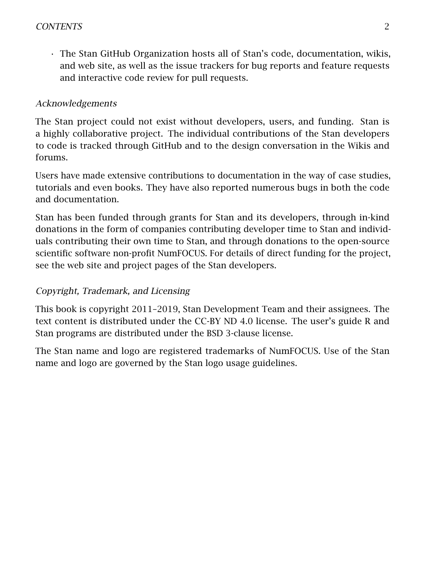• The [Stan GitHub Organization](https://github.com/stan-dev) hosts all of Stan's code, documentation, wikis, and web site, as well as the issue trackers for bug reports and feature requests and interactive code review for pull requests.

### Acknowledgements

The Stan project could not exist without developers, users, and funding. Stan is a highly collaborative project. The individual contributions of the Stan developers to code is tracked through GitHub and to the design conversation in the Wikis and forums.

Users have made extensive contributions to documentation in the way of case studies, tutorials and even books. They have also reported numerous bugs in both the code and documentation.

Stan has been funded through grants for Stan and its developers, through in-kind donations in the form of companies contributing developer time to Stan and individuals contributing their own time to Stan, and through donations to the open-source scientific software non-profit NumFOCUS. For details of direct funding for the project, see the web site and project pages of the Stan developers.

### Copyright, Trademark, and Licensing

This book is copyright 2011–2019, Stan Development Team and their assignees. The text content is distributed under the [CC-BY ND 4.0 license.](https://creativecommons.org/licenses/by-nd/4.0/legalcode) The user's guide R and Stan programs are distributed under the [BSD 3-clause license.](https://opensource.org/licenses/BSD-3-Clause)

The Stan name and logo are registered trademarks of NumFOCUS. Use of the Stan name and logo are governed by the [Stan logo usage guidelines.](https://mc-stan.org/about/logo/)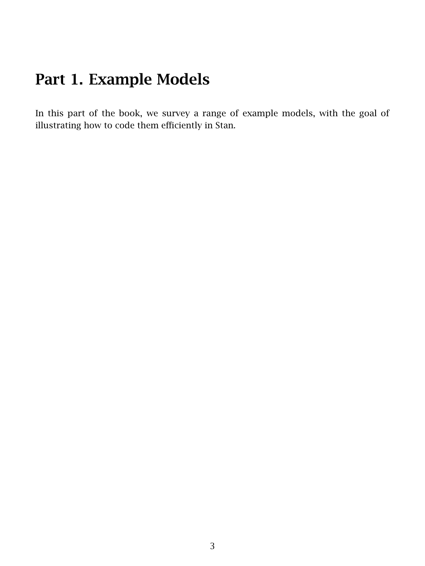# <span id="page-9-0"></span>Part 1. Example Models

In this part of the book, we survey a range of example models, with the goal of illustrating how to code them efficiently in Stan.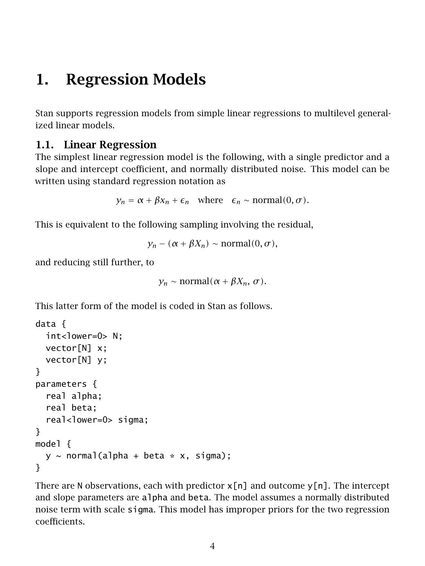# <span id="page-10-0"></span>1. Regression Models

Stan supports regression models from simple linear regressions to multilevel generalized linear models.

## <span id="page-10-1"></span>1.1. Linear Regression

The simplest linear regression model is the following, with a single predictor and a slope and intercept coefficient, and normally distributed noise. This model can be written using standard regression notation as

```
y_n = \alpha + \beta x_n + \epsilon_n where \epsilon_n \sim \text{normal}(0, \sigma).
```
This is equivalent to the following sampling involving the residual,

 $y_n - (\alpha + \beta X_n) \sim \text{normal}(0, \sigma)$ ,

and reducing still further, to

```
y<sub>n</sub> ∼ normal(\alpha + \beta X_n, \sigma).
```
This latter form of the model is coded in Stan as follows.

```
data {
  int<lower=0> N:
  vector[N] x;
  vector[N] y;
}
parameters {
  real alpha;
  real beta;
  real<lower=0> sigma;
}
model {
  y \sim normal(alpha + beta * x, sigma);
}
```
<span id="page-10-2"></span>There are N observations, each with predictor  $x[n]$  and outcome  $y[n]$ . The intercept and slope parameters are alpha and beta. The model assumes a normally distributed noise term with scale sigma. This model has improper priors for the two regression coefficients.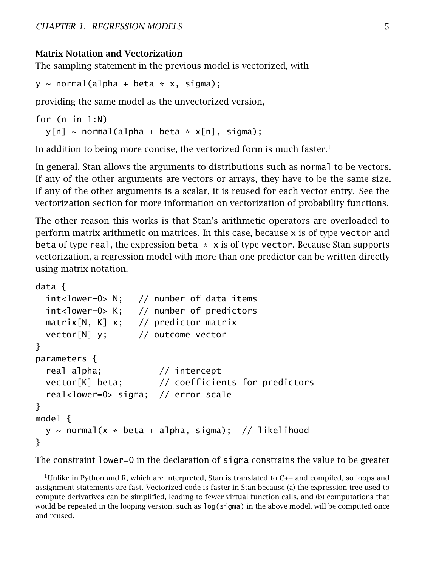### Matrix Notation and Vectorization

The sampling statement in the previous model is vectorized, with

 $y \sim$  normal(alpha + beta \* x, sigma);

providing the same model as the unvectorized version,

```
for (n in 1:N)
  y[n] \sim \text{normal}(a]pha + beta * x[n], sigma);
```
In addition to being more concise, the vectorized form is much faster.<sup>[1](#page-11-0)</sup>

In general, Stan allows the arguments to distributions such as normal to be vectors. If any of the other arguments are vectors or arrays, they have to be the same size. If any of the other arguments is a scalar, it is reused for each vector entry. See [the](#page-10-2) [vectorization section](#page-10-2) for more information on vectorization of probability functions.

The other reason this works is that Stan's arithmetic operators are overloaded to perform matrix arithmetic on matrices. In this case, because x is of type vector and beta of type real, the expression beta  $* x$  is of type vector. Because Stan supports vectorization, a regression model with more than one predictor can be written directly using matrix notation.

```
data {
 int<lower=0> N; // number of data items
 int<lower=0> K; // number of predictors
 matrix[N, K] x; // predictor matrixvector[N] y; // outcome vector
}
parameters {
 real alpha; // intercept
 vector[K] beta; // coefficients for predictors
 real<lower=0> sigma; // error scale
}
model {
 y \sim normal(x * beta + alpha, sigma); // likelihood
}
```
The constraint lower=0 in the declaration of sigma constrains the value to be greater

<span id="page-11-0"></span><sup>&</sup>lt;sup>1</sup>Unlike in Python and R, which are interpreted, Stan is translated to  $C_{++}$  and compiled, so loops and assignment statements are fast. Vectorized code is faster in Stan because (a) the expression tree used to compute derivatives can be simplified, leading to fewer virtual function calls, and (b) computations that would be repeated in the looping version, such as log(sigma) in the above model, will be computed once and reused.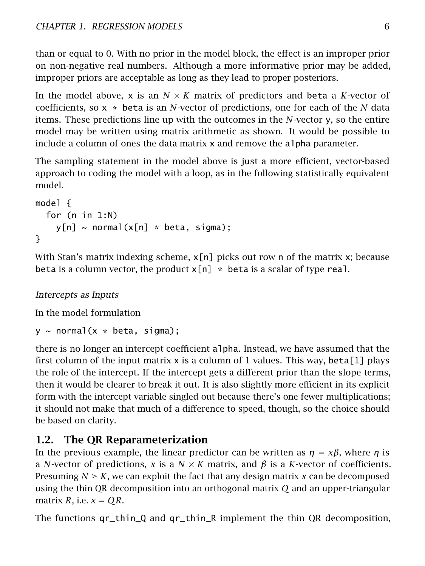than or equal to 0. With no prior in the model block, the effect is an improper prior on non-negative real numbers. Although a more informative prior may be added, improper priors are acceptable as long as they lead to proper posteriors.

In the model above, x is an  $N \times K$  matrix of predictors and beta a *K*-vector of coefficients, so x \* beta is an *N*-vector of predictions, one for each of the *N* data items. These predictions line up with the outcomes in the *N*-vector y, so the entire model may be written using matrix arithmetic as shown. It would be possible to include a column of ones the data matrix x and remove the alpha parameter.

The sampling statement in the model above is just a more efficient, vector-based approach to coding the model with a loop, as in the following statistically equivalent model.

```
model {
  for (n in 1:N)
    y[n] \sim normal(x[n] * beta, sigma);
}
```
With Stan's matrix indexing scheme,  $x[n]$  picks out row n of the matrix x; because beta is a column vector, the product  $x[n]$  \* beta is a scalar of type real.

Intercepts as Inputs

In the model formulation

 $y \sim$  normal(x  $*$  beta, sigma);

there is no longer an intercept coefficient alpha. Instead, we have assumed that the first column of the input matrix  $x$  is a column of 1 values. This way, beta[1] plays the role of the intercept. If the intercept gets a different prior than the slope terms, then it would be clearer to break it out. It is also slightly more efficient in its explicit form with the intercept variable singled out because there's one fewer multiplications; it should not make that much of a difference to speed, though, so the choice should be based on clarity.

# <span id="page-12-0"></span>1.2. The QR Reparameterization

In the previous example, the linear predictor can be written as  $\eta = x\beta$ , where  $\eta$  is a *N*-vector of predictions, *x* is a *N* × *K* matrix, and *β* is a *K*-vector of coefficients. Presuming  $N \geq K$ , we can exploit the fact that any design matrix x can be decomposed using the thin QR decomposition into an orthogonal matrix *Q* and an upper-triangular matrix *R*, i.e.  $x = QR$ .

The functions qr\_thin\_Q and qr\_thin\_R implement the thin QR decomposition,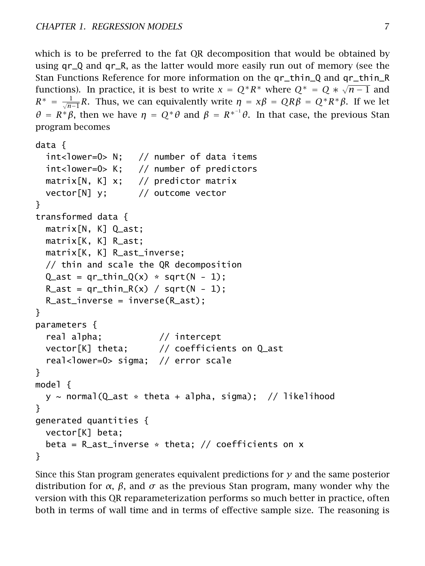```
which is to be preferred to the fat QR decomposition that would be obtained by
using qr_Q and qr_R, as the latter would more easily run out of memory (see the
Stan Functions Reference for more information on the qr_thin_Q and qr_thin_R
√
functions). In practice, it is best to write x = Q^*R^* where Q^* = Q * \sqrt{n-1} and
R<sup>*</sup> = \frac{1}{\sqrt{n-1}}R. Thus, we can equivalently write η = xβ = QRβ = Q<sup>*</sup>R<sup>*</sup>β. If we let
θ = R<sup>*</sup>β, then we have η = Q<sup>*</sup>θ and β = R<sup>*−1</sup>θ. In that case, the previous Stan
program becomes
```

```
data {
 int<lower=0> N; // number of data items
 int<lower=0> K; // number of predictors
 matrix[N, K] x; // predictor matrix
 vector[N] y; // outcome vector
}
transformed data {
 matrix[N, K] Q_ast;
 matrix[K, K] R_ast;
 matrix[K, K] R_ast_inverse;
 // thin and scale the QR decomposition
 Q_ast = qr_thin_Q(x) * sqrt(N - 1);
 R_{a}st = qr_thin_R(x) / sqrt(N - 1);
 R_ast_inverse = inverse(R_ast);
}
parameters {
 real alpha; // intercept
 vector[K] theta; // coefficients on Q_ast
 real<lower=0> sigma; // error scale
}
model {
 y \sim normal(Q_ast * theta + alpha, sigma); // likelihood
}
generated quantities {
 vector[K] beta;
 beta = R_ast_inverse * theta; // coefficients on x
}
```
Since this Stan program generates equivalent predictions for *y* and the same posterior distribution for *α*, *β*, and *σ* as the previous Stan program, many wonder why the version with this QR reparameterization performs so much better in practice, often both in terms of wall time and in terms of effective sample size. The reasoning is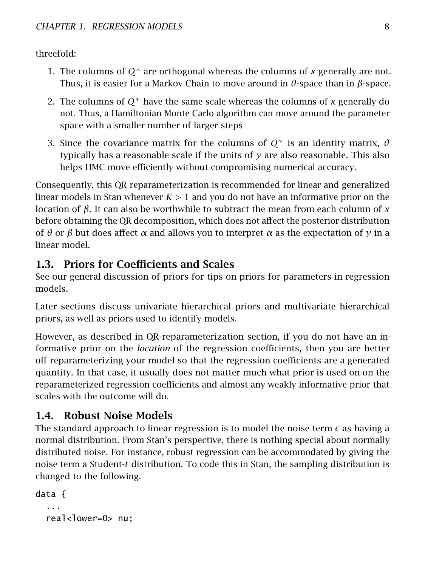threefold:

- 1. The columns of *Q*<sup>∗</sup> are orthogonal whereas the columns of *x* generally are not. Thus, it is easier for a Markov Chain to move around in *θ*-space than in *β*-space.
- 2. The columns of *Q*<sup>∗</sup> have the same scale whereas the columns of *x* generally do not. Thus, a Hamiltonian Monte Carlo algorithm can move around the parameter space with a smaller number of larger steps
- 3. Since the covariance matrix for the columns of *Q*<sup>∗</sup> is an identity matrix, *θ* typically has a reasonable scale if the units of  $y$  are also reasonable. This also helps HMC move efficiently without compromising numerical accuracy.

Consequently, this QR reparameterization is recommended for linear and generalized linear models in Stan whenever *K >* 1 and you do not have an informative prior on the location of *β*. It can also be worthwhile to subtract the mean from each column of *x* before obtaining the QR decomposition, which does not affect the posterior distribution of *θ* or *β* but does affect *α* and allows you to interpret *α* as the expectation of *y* in a linear model.

# <span id="page-14-0"></span>1.3. Priors for Coefficients and Scales

See our [general discussion of priors](https://github.com/stan-dev/stan/wiki/Prior-Choice-Recommendations) for tips on priors for parameters in regression models.

Later sections discuss [univariate hierarchical priors](#page-25-0) and [multivariate hierarchical](#page-30-1) [priors,](#page-30-1) as well as [priors used to identify models.](#page-30-0)

However, as described in [QR-reparameterization section,](#page-12-0) if you do not have an informative prior on the *location* of the regression coefficients, then you are better off reparameterizing your model so that the regression coefficients are a generated quantity. In that case, it usually does not matter much what prior is used on on the reparameterized regression coefficients and almost any weakly informative prior that scales with the outcome will do.

# <span id="page-14-1"></span>1.4. Robust Noise Models

The standard approach to linear regression is to model the noise term  $\epsilon$  as having a normal distribution. From Stan's perspective, there is nothing special about normally distributed noise. For instance, robust regression can be accommodated by giving the noise term a Student-*t* distribution. To code this in Stan, the sampling distribution is changed to the following.

```
data {
  ...
  real<lower=0> nu:
```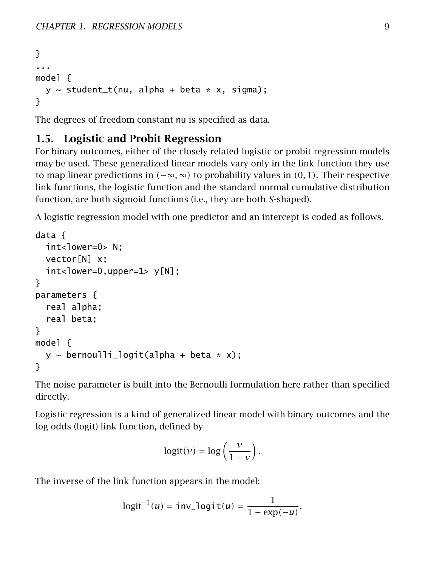```
}
...
model {
  y \sim student_t(nu, alpha + beta * x, sigma);
}
```
The degrees of freedom constant nu is specified as data.

# <span id="page-15-0"></span>1.5. Logistic and Probit Regression

For binary outcomes, either of the closely related logistic or probit regression models may be used. These generalized linear models vary only in the link function they use to map linear predictions in  $(-\infty, \infty)$  to probability values in  $(0, 1)$ . Their respective link functions, the logistic function and the standard normal cumulative distribution function, are both sigmoid functions (i.e., they are both *S*-shaped).

A logistic regression model with one predictor and an intercept is coded as follows.

```
data {
  int <lower=0> N:
  vector[N] x;
  int <lower=0,upper=1> y[N];
}
parameters {
  real alpha;
  real beta;
}
model {
  y \sim bernoulli_logit(alpha + beta * x);
}
```
The noise parameter is built into the Bernoulli formulation here rather than specified directly.

Logistic regression is a kind of generalized linear model with binary outcomes and the log odds (logit) link function, defined by

$$
logit(v) = log\left(\frac{v}{1-v}\right).
$$

The inverse of the link function appears in the model:

$$
logit^{-1}(u) = inv\_logit(u) = \frac{1}{1 + exp(-u)}.
$$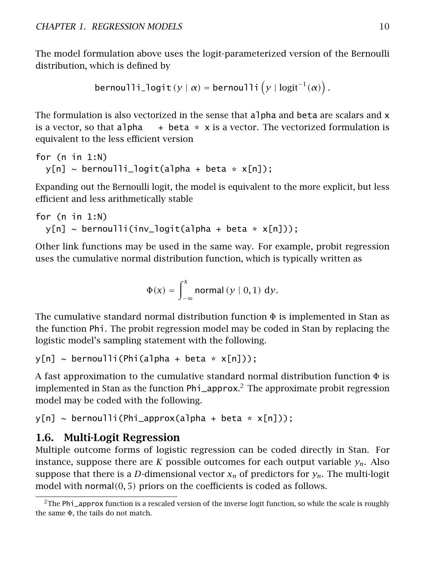The model formulation above uses the logit-parameterized version of the Bernoulli distribution, which is defined by

```
bernoulli_logit(y | \alpha) = bernoulli(y | logit^{-1}(\alpha)).
```
The formulation is also vectorized in the sense that alpha and beta are scalars and x is a vector, so that alpha  $+$  beta  $*$  x is a vector. The vectorized formulation is equivalent to the less efficient version

```
for (n in 1:N)
  y[n] \sim bernoulli_logit(alpha + beta * x[n]);
```
Expanding out the Bernoulli logit, the model is equivalent to the more explicit, but less efficient and less arithmetically stable

```
for (n in 1:N)
 y[n] \sim bernoulli(inv_logit(alpha + beta * x[n]));
```
Other link functions may be used in the same way. For example, probit regression uses the cumulative normal distribution function, which is typically written as

$$
\Phi(x) = \int_{-\infty}^{x} \text{normal}(y \mid 0, 1) \, dy.
$$

The cumulative standard normal distribution function  $\Phi$  is implemented in Stan as the function Phi. The probit regression model may be coded in Stan by replacing the logistic model's sampling statement with the following.

 $y[n] \sim$  bernoulli(Phi(alpha + beta \*  $x[n])$ );

A fast approximation to the cumulative standard normal distribution function  $\Phi$  is implemented in Stan as the function Phi\_approx. [2](#page-16-1) The approximate probit regression model may be coded with the following.

```
y[n] \sim bernoulli(Phi_approx(alpha + beta * x[n]));
```
# 1.6. Multi-Logit Regression

Multiple outcome forms of logistic regression can be coded directly in Stan. For instance, suppose there are *K* possible outcomes for each output variable  $y_n$ . Also suppose that there is a *D*-dimensional vector  $x_n$  of predictors for  $y_n$ . The multi-logit model with normal*(*0*,* 5*)* priors on the coefficients is coded as follows.

<span id="page-16-1"></span> $2$ The Phi<sub>lapprox</sub> function is a rescaled version of the inverse logit function, so while the scale is roughly the same Φ, the tails do not match.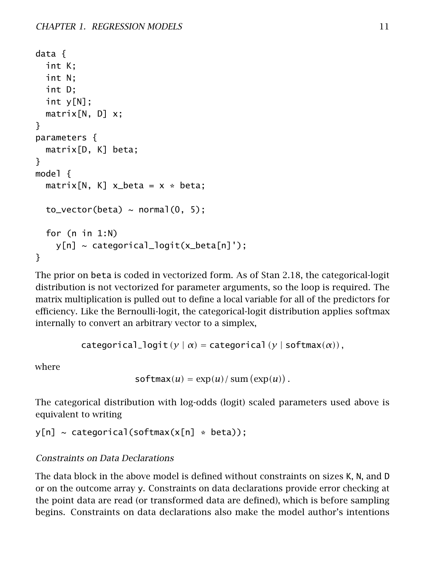```
data {
  int K;
  int N;
  int D;
  int y[N];
  matrix[N, D] x;
}
parameters {
  matrix[D, K] beta;
}
model {
  matrix[N, K] \times beta = x * beta;to\_vector(beta) \sim normal(0, 5);
  for (n in 1:N)
    y[n] \sim categorical\_logit(x_beta[n]');
}
```
The prior on beta is coded in vectorized form. As of Stan 2.18, the categorical-logit distribution is not vectorized for parameter arguments, so the loop is required. The matrix multiplication is pulled out to define a local variable for all of the predictors for efficiency. Like the Bernoulli-logit, the categorical-logit distribution applies softmax internally to convert an arbitrary vector to a simplex,

```
categorical_logit (y | \alpha) = categorical (y | \text{softmax}(\alpha)),
```
where

```
softmax(u) = exp(u)/sum(exp(u)).
```
The categorical distribution with log-odds (logit) scaled parameters used above is equivalent to writing

```
y[n] \sim \text{categorical}(\text{softmax}(x[n] * \text{beta}));
```
# Constraints on Data Declarations

The data block in the above model is defined without constraints on sizes K, N, and D or on the outcome array y. Constraints on data declarations provide error checking at the point data are read (or transformed data are defined), which is before sampling begins. Constraints on data declarations also make the model author's intentions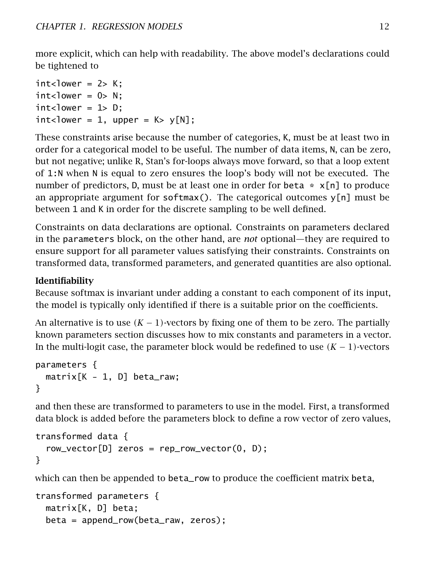more explicit, which can help with readability. The above model's declarations could be tightened to

```
int <lower = 2> K;
int < lower = 0> N;
int < lower = 1> D;
int<lower = 1, upper = K > y[N];
```
These constraints arise because the number of categories, K, must be at least two in order for a categorical model to be useful. The number of data items, N, can be zero, but not negative; unlike R, Stan's for-loops always move forward, so that a loop extent of 1:N when N is equal to zero ensures the loop's body will not be executed. The number of predictors, D, must be at least one in order for beta  $* x[n]$  to produce an appropriate argument for softmax(). The categorical outcomes  $y[n]$  must be between 1 and K in order for the discrete sampling to be well defined.

Constraints on data declarations are optional. Constraints on parameters declared in the parameters block, on the other hand, are *not* optional—they are required to ensure support for all parameter values satisfying their constraints. Constraints on transformed data, transformed parameters, and generated quantities are also optional.

# Identifiability

Because softmax is invariant under adding a constant to each component of its input, the model is typically only identified if there is a suitable prior on the coefficients.

An alternative is to use  $(K-1)$ -vectors by fixing one of them to be zero. The [partially](#page-66-0) [known parameters section](#page-66-0) discusses how to mix constants and parameters in a vector. In the multi-logit case, the parameter block would be redefined to use *(K* − 1*)*-vectors

```
parameters {
 matrix[K - 1, D] beta_raw;}
```
and then these are transformed to parameters to use in the model. First, a transformed data block is added before the parameters block to define a row vector of zero values,

```
transformed data {
  row\_vector[D] zeros = rep_row_vector(0, D);
}
```
which can then be appended to beta\_row to produce the coefficient matrix beta,

```
transformed parameters {
 matrix[K, D] beta;
 beta = append_row(beta_raw, zeros);
```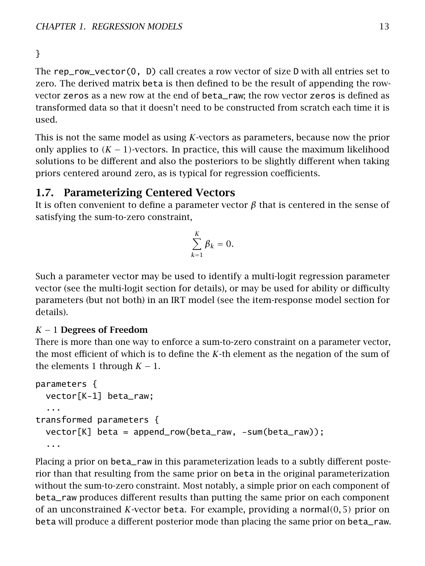# }

The rep\_row\_vector(0, D) call creates a row vector of size D with all entries set to zero. The derived matrix beta is then defined to be the result of appending the rowvector zeros as a new row at the end of beta\_raw; the row vector zeros is defined as transformed data so that it doesn't need to be constructed from scratch each time it is used.

This is not the same model as using *K*-vectors as parameters, because now the prior only applies to  $(K - 1)$ -vectors. In practice, this will cause the maximum likelihood solutions to be different and also the posteriors to be slightly different when taking priors centered around zero, as is typical for regression coefficients.

# <span id="page-19-0"></span>1.7. Parameterizing Centered Vectors

It is often convenient to define a parameter vector  $\beta$  that is centered in the sense of satisfying the sum-to-zero constraint,

$$
\sum_{k=1}^K \beta_k = 0.
$$

Such a parameter vector may be used to identify a multi-logit regression parameter vector (see the [multi-logit section](#page-16-0) for details), or may be used for ability or difficulty parameters (but not both) in an IRT model (see the [item-response model section](item-response-models.section) for details).

### *K* − 1 Degrees of Freedom

There is more than one way to enforce a sum-to-zero constraint on a parameter vector, the most efficient of which is to define the *K*-th element as the negation of the sum of the elements 1 through  $K - 1$ .

```
parameters {
 vector[K-1] beta_raw;
  ...
transformed parameters {
 vector[K] beta = append_row(beta_raw, -sum(beta_raw));
  ...
```
Placing a prior on beta\_raw in this parameterization leads to a subtly different posterior than that resulting from the same prior on beta in the original parameterization without the sum-to-zero constraint. Most notably, a simple prior on each component of beta\_raw produces different results than putting the same prior on each component of an unconstrained *K*-vector beta. For example, providing a normal*(*0*,* 5*)* prior on beta will produce a different posterior mode than placing the same prior on beta\_raw.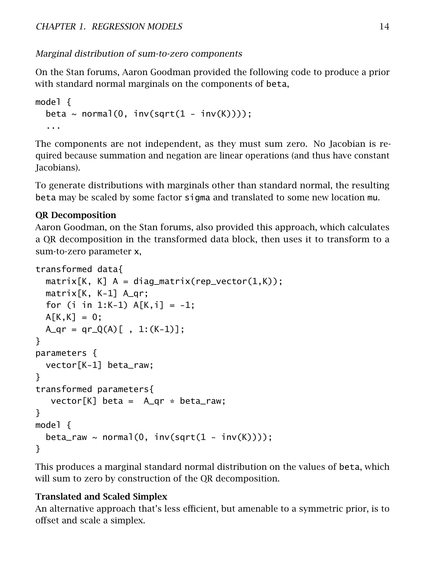# Marginal distribution of sum-to-zero components

On the Stan forums, Aaron Goodman provided the following code to produce a prior with standard normal marginals on the components of beta,

```
model {
  beta \sim normal(0, inv(sqrt(1 - inv(K))));
  ...
```
The components are not independent, as they must sum zero. No Jacobian is required because summation and negation are linear operations (and thus have constant Jacobians).

To generate distributions with marginals other than standard normal, the resulting beta may be scaled by some factor sigma and translated to some new location mu.

# QR Decomposition

Aaron Goodman, on the Stan forums, also provided this approach, which calculates a QR decomposition in the transformed data block, then uses it to transform to a sum-to-zero parameter x,

```
transformed data{
 matrix[K, K] A = diag_matrix(rep_vector(1,K));
 matrix[K, K-1] A_qr;
 for (i in 1:K-1) A[K, i] = -1;
 A[K,K] = 0;A_qr = qr_Q(A)[, 1:(K-1)];
}
parameters {
 vector[K-1] beta_raw;
}
transformed parameters{
  vector[K] beta = A_qr * beta_raw;
}
model {
 beta_raw ~ normal(0, inv(sqrt(1 - inv(K))));
}
```
This produces a marginal standard normal distribution on the values of beta, which will sum to zero by construction of the QR decomposition.

# Translated and Scaled Simplex

An alternative approach that's less efficient, but amenable to a symmetric prior, is to offset and scale a simplex.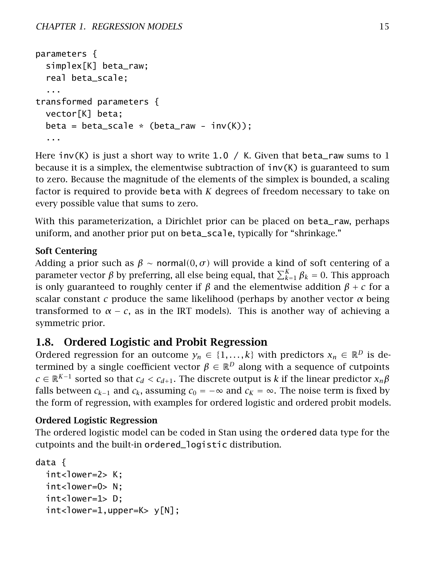```
parameters {
  simplex[K] beta_raw;
  real beta_scale;
  ...
transformed parameters {
 vector[K] beta;
 beta = beta_scale * (beta_raw - inv(K));
  ...
```
Here inv(K) is just a short way to write 1.0 / K. Given that beta\_raw sums to 1 because it is a simplex, the elementwise subtraction of  $inv(K)$  is guaranteed to sum to zero. Because the magnitude of the elements of the simplex is bounded, a scaling factor is required to provide beta with *K* degrees of freedom necessary to take on every possible value that sums to zero.

With this parameterization, a Dirichlet prior can be placed on beta\_raw, perhaps uniform, and another prior put on beta\_scale, typically for "shrinkage."

## Soft Centering

Adding a prior such as  $\beta \sim$  normal $(0, \sigma)$  will provide a kind of soft centering of a parameter vector  $\beta$  by preferring, all else being equal, that  $\sum_{k=1}^K \beta_k = 0.$  This approach is only guaranteed to roughly center if  $\beta$  and the elementwise addition  $\beta + c$  for a scalar constant *c* produce the same likelihood (perhaps by another vector  $\alpha$  being transformed to  $\alpha - c$ , as in the IRT models). This is another way of achieving a symmetric prior.

# <span id="page-21-0"></span>1.8. Ordered Logistic and Probit Regression

Ordered regression for an outcome  $y_n \in \{1, ..., k\}$  with predictors  $x_n \in \mathbb{R}^D$  is determined by a single coefficient vector  $\beta \in \mathbb{R}^D$  along with a sequence of cutpoints *c* ∈  $\mathbb{R}^{K-1}$  sorted so that *c*<sub>*d*</sub> < *c*<sub>*d*+1</sub>. The discrete output is *k* if the linear predictor  $x_n\beta$ falls between  $c_{k-1}$  and  $c_k$ , assuming  $c_0 = -\infty$  and  $c_k = \infty$ . The noise term is fixed by the form of regression, with examples for ordered logistic and ordered probit models.

### Ordered Logistic Regression

The ordered logistic model can be coded in Stan using the ordered data type for the cutpoints and the built-in ordered\_logistic distribution.

```
data {
 int<lower=2> K:
 int<lower=0> N:
 int<lower=1> D:
 int <lower=1,upper=K> y[N];
```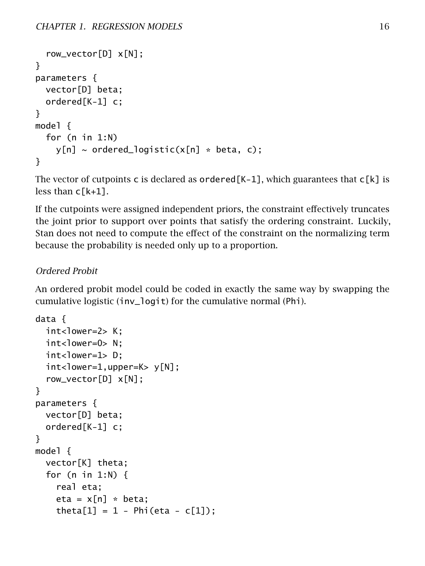```
row_vector[D] x[N];
}
parameters {
  vector[D] beta;
  ordered[K-1] c;
}
model {
  for (n in 1:N)
    y[n] \sim \text{ordered\_logistic}(x[n] \cdot \text{beta}, c);
}
```
The vector of cutpoints c is declared as ordered  $[K-1]$ , which guarantees that  $c[K]$  is less than  $c[k+1]$ .

If the cutpoints were assigned independent priors, the constraint effectively truncates the joint prior to support over points that satisfy the ordering constraint. Luckily, Stan does not need to compute the effect of the constraint on the normalizing term because the probability is needed only up to a proportion.

### Ordered Probit

An ordered probit model could be coded in exactly the same way by swapping the cumulative logistic (inv\_logit) for the cumulative normal (Phi).

```
data {
  int<lower=2> K:
  int<lower=0> N;
  int<lower=1> D;
  int <lower=1,upper=K> y[N];
  row_vector[D] x[N];
}
parameters {
  vector[D] beta;
  ordered[K-1] c;
}
model {
  vector[K] theta;
  for (n in 1:N) {
    real eta;
    eta = x[n] * beta;theta[1] = 1 - Phi(eta - c[1]);
```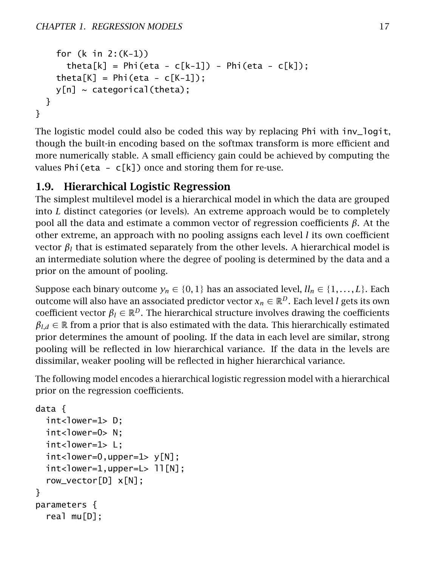```
for (k in 2:(K-1))
      theta[k] = Phi(eta - c[k-1]) - Phi(eta - c[k]);
    theta[K] = Phi(eta - c[K-1]);
    y[n] \sim categorical(theta);
 }
}
```
The logistic model could also be coded this way by replacing Phi with inv\_logit, though the built-in encoding based on the softmax transform is more efficient and more numerically stable. A small efficiency gain could be achieved by computing the values Phi(eta -  $c[k]$ ) once and storing them for re-use.

# <span id="page-23-0"></span>1.9. Hierarchical Logistic Regression

The simplest multilevel model is a hierarchical model in which the data are grouped into *L* distinct categories (or levels). An extreme approach would be to completely pool all the data and estimate a common vector of regression coefficients *β*. At the other extreme, an approach with no pooling assigns each level *l* its own coefficient vector  $β$ <sub>l</sub> that is estimated separately from the other levels. A hierarchical model is an intermediate solution where the degree of pooling is determined by the data and a prior on the amount of pooling.

Suppose each binary outcome  $y_n \in \{0, 1\}$  has an associated level,  $ll_n \in \{1, \ldots, L\}$ . Each outcome will also have an associated predictor vector  $x_n \in \mathbb{R}^D$ . Each level *l* gets its own coefficient vector  $\beta_l \in \mathbb{R}^D$ . The hierarchical structure involves drawing the coefficients  $\beta_{l,d} \in \mathbb{R}$  from a prior that is also estimated with the data. This hierarchically estimated prior determines the amount of pooling. If the data in each level are similar, strong pooling will be reflected in low hierarchical variance. If the data in the levels are dissimilar, weaker pooling will be reflected in higher hierarchical variance.

The following model encodes a hierarchical logistic regression model with a hierarchical prior on the regression coefficients.

```
data {
 int<lower=1> D:
 int<lower=0> N;
 int<lower=1> L;
 int <lower=0,upper=1> y[N];
 int <lower=1,upper=L> 11[N];
  row_vector[D] x[N];
}
parameters {
  real mu[D];
```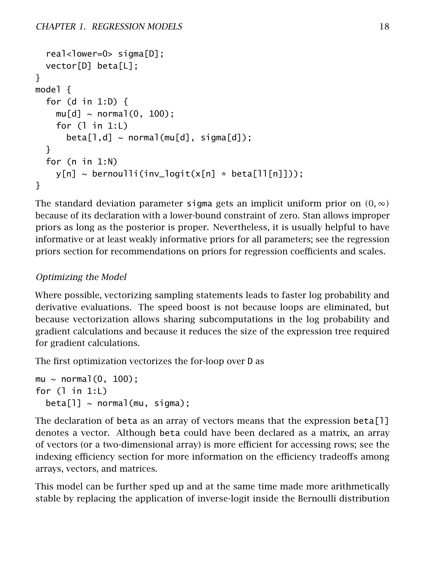```
real<lower=0> sigma[D];
  vector[D] beta[L];
}
model {
  for (d in 1:D) {
    mu[d] \sim normal(0, 100);
    for (l in 1:L)
      beta[1,d] \sim normal(mu[d], signal[d]);
  }
  for (n in 1:N)
    y[n] \sim bernoulli(inv_logit(x[n] * beta[ll[n]]));
}
```
The standard deviation parameter sigma gets an implicit uniform prior on  $(0, \infty)$ because of its declaration with a lower-bound constraint of zero. Stan allows improper priors as long as the posterior is proper. Nevertheless, it is usually helpful to have informative or at least weakly informative priors for all parameters; see the [regression](#page-14-0) [priors section](#page-14-0) for recommendations on priors for regression coefficients and scales.

# Optimizing the Model

Where possible, vectorizing sampling statements leads to faster log probability and derivative evaluations. The speed boost is not because loops are eliminated, but because vectorization allows sharing subcomputations in the log probability and gradient calculations and because it reduces the size of the expression tree required for gradient calculations.

The first optimization vectorizes the for-loop over D as

```
mu \sim normal(0, 100);
for (l in 1:L)
  beta[1] \sim normal(mu, sigma);
```
The declaration of beta as an array of vectors means that the expression beta[l] denotes a vector. Although beta could have been declared as a matrix, an array of vectors (or a two-dimensional array) is more efficient for accessing rows; see the [indexing efficiency section](#page-189-0) for more information on the efficiency tradeoffs among arrays, vectors, and matrices.

This model can be further sped up and at the same time made more arithmetically stable by replacing the application of inverse-logit inside the Bernoulli distribution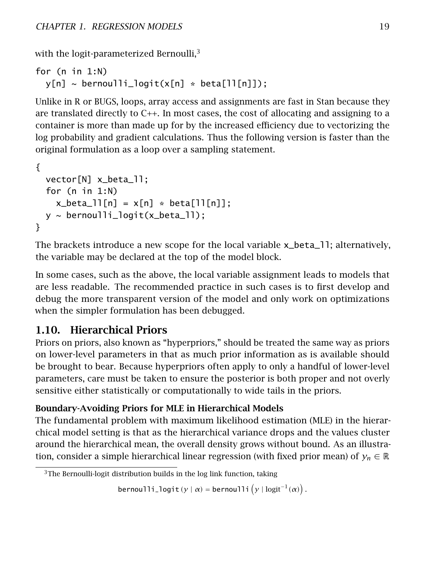with the logit-parameterized Bernoulli,<sup>[3](#page-25-1)</sup>

```
for (n in 1:N)
  y[n] \sim bernoulli_logit(x[n] * beta[ll[n]]);
```
Unlike in R or BUGS, loops, array access and assignments are fast in Stan because they are translated directly to  $C_{++}$ . In most cases, the cost of allocating and assigning to a container is more than made up for by the increased efficiency due to vectorizing the log probability and gradient calculations. Thus the following version is faster than the original formulation as a loop over a sampling statement.

```
{
 vector[N] x_beta_ll;
 for (n in 1:N)
    x_beta_1[n] = x[n] * beta[11[n];y \sim bernoulli_logit(x_beta_ll);
}
```
The brackets introduce a new scope for the local variable x\_beta\_ll; alternatively, the variable may be declared at the top of the model block.

In some cases, such as the above, the local variable assignment leads to models that are less readable. The recommended practice in such cases is to first develop and debug the more transparent version of the model and only work on optimizations when the simpler formulation has been debugged.

# <span id="page-25-0"></span>1.10. Hierarchical Priors

Priors on priors, also known as "hyperpriors," should be treated the same way as priors on lower-level parameters in that as much prior information as is available should be brought to bear. Because hyperpriors often apply to only a handful of lower-level parameters, care must be taken to ensure the posterior is both proper and not overly sensitive either statistically or computationally to wide tails in the priors.

# Boundary-Avoiding Priors for MLE in Hierarchical Models

The fundamental problem with maximum likelihood estimation (MLE) in the hierarchical model setting is that as the hierarchical variance drops and the values cluster around the hierarchical mean, the overall density grows without bound. As an illustration, consider a simple hierarchical linear regression (with fixed prior mean) of  $y_n \in \mathbb{R}$ 

bernoulli\_logit( $y | \alpha$ ) = bernoulli $(y | logit^{-1}(\alpha))$ .

<span id="page-25-1"></span> $3$ The Bernoulli-logit distribution builds in the log link function, taking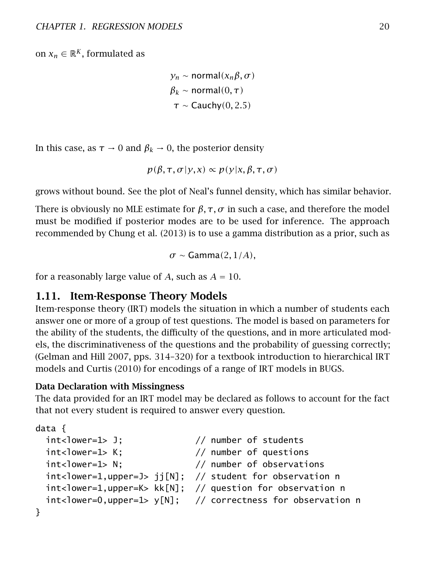on  $x_n \in \mathbb{R}^K$ , formulated as

```
yn ∼ normal(xnβ, σ )
β_k ∼ normal(0, τ)τ ∼ Cauchy(0, 2.5)
```
In this case, as  $\tau \to 0$  and  $\beta_k \to 0$ , the posterior density

$$
p(\beta, \tau, \sigma | y, x) \propto p(y | x, \beta, \tau, \sigma)
$$

grows without bound. See the [plot of Neal's funnel density,](#page-0-0) which has similar behavior.

There is obviously no MLE estimate for  $\beta$ ,  $\tau$ ,  $\sigma$  in such a case, and therefore the model must be modified if posterior modes are to be used for inference. The approach recommended by Chung et al. [\(2013\)](#page-303-1) is to use a gamma distribution as a prior, such as

*σ* ∼ Gamma*(*2*,* 1*/A),*

<span id="page-26-0"></span>for a reasonably large value of A, such as  $A = 10$ .

### 1.11. Item-Response Theory Models

Item-response theory (IRT) models the situation in which a number of students each answer one or more of a group of test questions. The model is based on parameters for the ability of the students, the difficulty of the questions, and in more articulated models, the discriminativeness of the questions and the probability of guessing correctly; (Gelman and Hill [2007,](#page-304-0) pps. 314–320) for a textbook introduction to hierarchical IRT models and Curtis [\(2010\)](#page-304-1) for encodings of a range of IRT models in BUGS.

### Data Declaration with Missingness

The data provided for an IRT model may be declared as follows to account for the fact that not every student is required to answer every question.

```
data {
 int<lower=1> J; // number of students
 int<lower=1> K; // number of questions
 int<lower=1> N; // number of observations
 int<lower=1,upper=J> jj[N]; // student for observation n
 int<lower=1,upper=K> kk[N]; // question for observation n
 int<lower=0,upper=1> y[N]; // correctness for observation n
}
```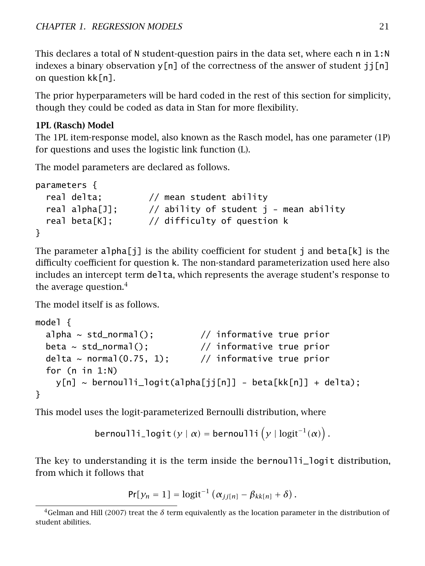This declares a total of N student-question pairs in the data set, where each n in 1:N indexes a binary observation  $y[n]$  of the correctness of the answer of student  $j[n]$ on question kk[n].

The prior hyperparameters will be hard coded in the rest of this section for simplicity, though they could be coded as data in Stan for more flexibility.

### 1PL (Rasch) Model

The 1PL item-response model, also known as the Rasch model, has one parameter (1P) for questions and uses the logistic link function (L).

The model parameters are declared as follows.

```
parameters {
 real delta; // mean student ability
 real alpha[J]; \frac{1}{2} // ability of student j - mean ability
 real beta[K]; // difficulty of question k
}
```
The parameter alpha $[j]$  is the ability coefficient for student j and beta[k] is the difficulty coefficient for question k. The non-standard parameterization used here also includes an intercept term delta, which represents the average student's response to the average question.<sup>[4](#page-27-0)</sup>

The model itself is as follows.

```
model {
  alpha \sim std_normal(); \frac{1}{2} // informative true prior
  beta \sim std_normal(); \frac{1}{2} informative true prior
  delta ~ normal(0.75, 1); // informative true prior
  for (n in 1:N)
    y[n] ~ bernoulli_logit(alpha[jj[n]] - beta[kk[n]] + delta);
}
```
This model uses the logit-parameterized Bernoulli distribution, where

```
bernoulli_logit(y | \alpha) = bernoulli(y | \text{logit}^{-1}(\alpha)).
```
The key to understanding it is the term inside the bernoulli\_logit distribution, from which it follows that

$$
Pr[y_n = 1] = logit^{-1} (\alpha_{jj[n]} - \beta_{kk[n]} + \delta).
$$

<span id="page-27-0"></span><sup>&</sup>lt;sup>4</sup>Gelman and Hill [\(2007\)](#page-304-0) treat the *δ* term equivalently as the location parameter in the distribution of student abilities.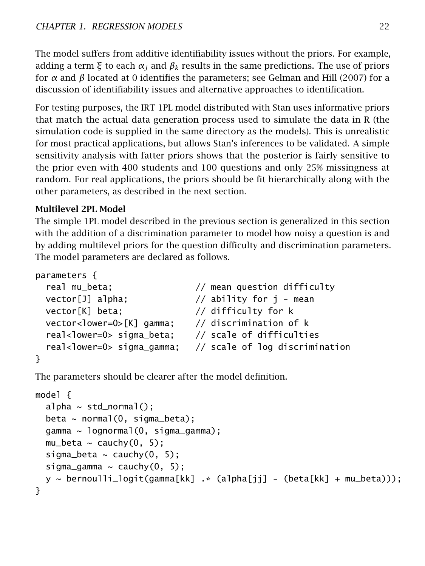The model suffers from additive identifiability issues without the priors. For example, adding a term *ξ* to each *α<sup>j</sup>* and *β<sup>k</sup>* results in the same predictions. The use of priors for *α* and *β* located at 0 identifies the parameters; see Gelman and Hill [\(2007\)](#page-304-0) for a discussion of identifiability issues and alternative approaches to identification.

For testing purposes, the IRT 1PL model distributed with Stan uses informative priors that match the actual data generation process used to simulate the data in R (the simulation code is supplied in the same directory as the models). This is unrealistic for most practical applications, but allows Stan's inferences to be validated. A simple sensitivity analysis with fatter priors shows that the posterior is fairly sensitive to the prior even with 400 students and 100 questions and only 25% missingness at random. For real applications, the priors should be fit hierarchically along with the other parameters, as described in the next section.

## Multilevel 2PL Model

The simple 1PL model described in the previous section is generalized in this section with the addition of a discrimination parameter to model how noisy a question is and by adding multilevel priors for the question difficulty and discrimination parameters. The model parameters are declared as follows.

```
parameters {
 real mu_beta; // mean question difficulty
 vector[j] alpha; // ability for j - mean
 vector[K] beta; // difficulty for k
 vector<lower=0>[K] gamma; // discrimination of k
 real<lower=0> sigma_beta; // scale of difficulties
 real<lower=0> sigma_gamma; // scale of log discrimination
}
```
The parameters should be clearer after the model definition.

```
model {
  alpha \sim std_normal();
  beta ~ ~ ~ normal(0, sigma_beta);
  gamma ~ lognormal(0, sigma_gamma);
  mu_beta \sim cauchy(0, 5);
  sigma_beta \sim cauchy(0, 5);
  sigma_gamma \sim cauchy(0, 5);
  y \sim bernoulli_logit(gamma[kk] \cdot (alpha[jj] - (beta[kk] + mu_beta)));
}
```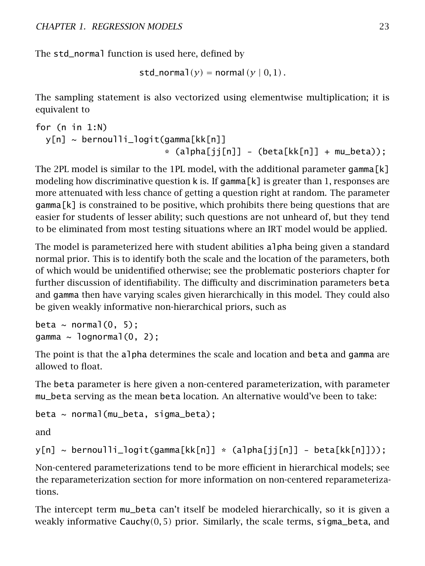The std\_normal function is used here, defined by

```
std\_normal(y) = normal(y | 0, 1).
```
The sampling statement is also vectorized using elementwise multiplication; it is equivalent to

```
for (n in 1:N)
 y[n] ~ bernoulli_logit(gamma[kk[n]]
                         * (alpha[ji[n]] - (beta[kk[n]] + mu_beta));
```
The 2PL model is similar to the 1PL model, with the additional parameter gamma  $\lceil k \rceil$ modeling how discriminative question k is. If gamma  $[k]$  is greater than 1, responses are more attenuated with less chance of getting a question right at random. The parameter gamma[k] is constrained to be positive, which prohibits there being questions that are easier for students of lesser ability; such questions are not unheard of, but they tend to be eliminated from most testing situations where an IRT model would be applied.

The model is parameterized here with student abilities alpha being given a standard normal prior. This is to identify both the scale and the location of the parameters, both of which would be unidentified otherwise; see the [problematic posteriors chapter](#page-218-0) for further discussion of identifiability. The difficulty and discrimination parameters beta and gamma then have varying scales given hierarchically in this model. They could also be given weakly informative non-hierarchical priors, such as

```
beta \sim normal(0, 5);
gamma \sim lognormal(0, 2);
```
The point is that the alpha determines the scale and location and beta and gamma are allowed to float.

The beta parameter is here given a non-centered parameterization, with parameter mu\_beta serving as the mean beta location. An alternative would've been to take:

```
beta ~ normal(mu_beta, sigma_beta);
```
and

```
y[n] ~ bernoulli_logit(gamma[kk[n]] * (alpha[jj[n]] - beta[kk[n]]));
```
Non-centered parameterizations tend to be more efficient in hierarchical models; see the [reparameterization section](#page-251-0) for more information on non-centered reparameterizations.

The intercept term mu\_beta can't itself be modeled hierarchically, so it is given a weakly informative Cauchy*(*0*,* 5*)* prior. Similarly, the scale terms, sigma\_beta, and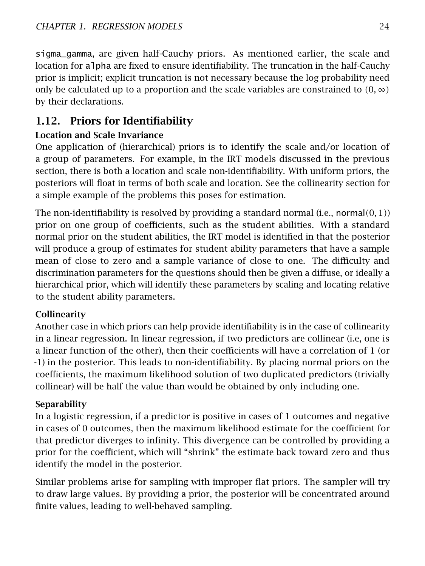sigma\_gamma, are given half-Cauchy priors. As mentioned earlier, the scale and location for alpha are fixed to ensure identifiability. The truncation in the half-Cauchy prior is implicit; explicit truncation is not necessary because the log probability need only be calculated up to a proportion and the scale variables are constrained to  $(0, \infty)$ by their declarations.

# <span id="page-30-0"></span>1.12. Priors for Identifiability

# Location and Scale Invariance

One application of (hierarchical) priors is to identify the scale and/or location of a group of parameters. For example, in the IRT models discussed in the previous section, there is both a location and scale non-identifiability. With uniform priors, the posteriors will float in terms of both scale and location. See the [collinearity section](#page-219-1) for a simple example of the problems this poses for estimation.

The non-identifiability is resolved by providing a standard normal (i.e., normal*(*0*,* 1*)*) prior on one group of coefficients, such as the student abilities. With a standard normal prior on the student abilities, the IRT model is identified in that the posterior will produce a group of estimates for student ability parameters that have a sample mean of close to zero and a sample variance of close to one. The difficulty and discrimination parameters for the questions should then be given a diffuse, or ideally a hierarchical prior, which will identify these parameters by scaling and locating relative to the student ability parameters.

## Collinearity

Another case in which priors can help provide identifiability is in the case of collinearity in a linear regression. In linear regression, if two predictors are collinear (i.e, one is a linear function of the other), then their coefficients will have a correlation of 1 (or -1) in the posterior. This leads to non-identifiability. By placing normal priors on the coefficients, the maximum likelihood solution of two duplicated predictors (trivially collinear) will be half the value than would be obtained by only including one.

## Separability

In a logistic regression, if a predictor is positive in cases of 1 outcomes and negative in cases of 0 outcomes, then the maximum likelihood estimate for the coefficient for that predictor diverges to infinity. This divergence can be controlled by providing a prior for the coefficient, which will "shrink" the estimate back toward zero and thus identify the model in the posterior.

<span id="page-30-1"></span>Similar problems arise for sampling with improper flat priors. The sampler will try to draw large values. By providing a prior, the posterior will be concentrated around finite values, leading to well-behaved sampling.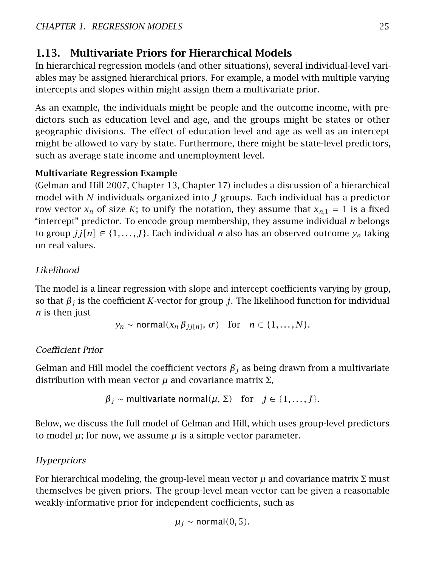# 1.13. Multivariate Priors for Hierarchical Models

In hierarchical regression models (and other situations), several individual-level variables may be assigned hierarchical priors. For example, a model with multiple varying intercepts and slopes within might assign them a multivariate prior.

As an example, the individuals might be people and the outcome income, with predictors such as education level and age, and the groups might be states or other geographic divisions. The effect of education level and age as well as an intercept might be allowed to vary by state. Furthermore, there might be state-level predictors, such as average state income and unemployment level.

# Multivariate Regression Example

(Gelman and Hill [2007,](#page-304-0) Chapter 13, Chapter 17) includes a discussion of a hierarchical model with *N* individuals organized into *J* groups. Each individual has a predictor row vector  $x_n$  of size *K*; to unify the notation, they assume that  $x_{n,1} = 1$  is a fixed "intercept" predictor. To encode group membership, they assume individual *n* belongs to group  $j:[n] \in \{1,\ldots,J\}$ . Each individual *n* also has an observed outcome  $y_n$  taking on real values.

# Likelihood

The model is a linear regression with slope and intercept coefficients varying by group, so that  $\beta$ <sub>*j*</sub> is the coefficient *K*-vector for group *j*. The likelihood function for individual *n* is then just

$$
y_n \sim \text{normal}(x_n \beta_{jj[n]}, \sigma)
$$
 for  $n \in \{1, ..., N\}.$ 

## Coefficient Prior

Gelman and Hill model the coefficient vectors *β<sup>j</sup>* as being drawn from a multivariate distribution with mean vector  $\mu$  and covariance matrix  $\Sigma$ ,

$$
\beta_j \sim
$$
 multivariate normal( $\mu$ ,  $\Sigma$ ) for  $j \in \{1, ..., J\}$ .

Below, we discuss the full model of Gelman and Hill, which uses group-level predictors to model  $\mu$ ; for now, we assume  $\mu$  is a simple vector parameter.

## **Hyperpriors**

For hierarchical modeling, the group-level mean vector  $\mu$  and covariance matrix  $\Sigma$  must themselves be given priors. The group-level mean vector can be given a reasonable weakly-informative prior for independent coefficients, such as

$$
\mu_j \sim \text{normal}(0, 5).
$$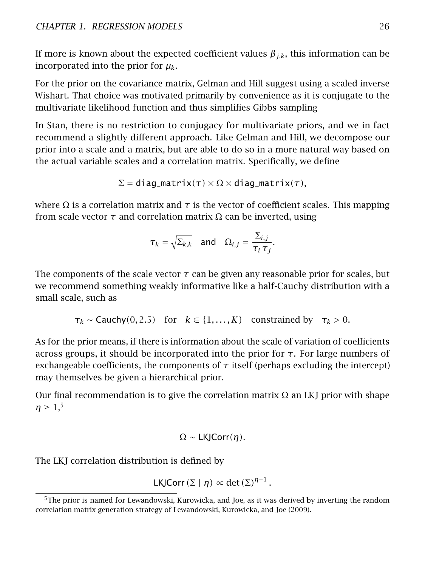If more is known about the expected coefficient values  $\beta_{i,k}$ , this information can be incorporated into the prior for *µk*.

For the prior on the covariance matrix, Gelman and Hill suggest using a scaled inverse Wishart. That choice was motivated primarily by convenience as it is conjugate to the multivariate likelihood function and thus simplifies Gibbs sampling

In Stan, there is no restriction to conjugacy for multivariate priors, and we in fact recommend a slightly different approach. Like Gelman and Hill, we decompose our prior into a scale and a matrix, but are able to do so in a more natural way based on the actual variable scales and a correlation matrix. Specifically, we define

$$
\Sigma = \text{diag\_matrix}(\tau) \times \Omega \times \text{diag\_matrix}(\tau),
$$

where  $\Omega$  is a correlation matrix and  $\tau$  is the vector of coefficient scales. This mapping from scale vector *τ* and correlation matrix Ω can be inverted, using

$$
\tau_k = \sqrt{\Sigma_{k,k}}
$$
 and  $\Omega_{i,j} = \frac{\Sigma_{i,j}}{\tau_i \tau_j}$ .

The components of the scale vector  $\tau$  can be given any reasonable prior for scales, but we recommend something weakly informative like a half-Cauchy distribution with a small scale, such as

$$
\tau_k \sim \text{Cauchy}(0, 2.5)
$$
 for  $k \in \{1, ..., K\}$  constrained by  $\tau_k > 0$ .

As for the prior means, if there is information about the scale of variation of coefficients across groups, it should be incorporated into the prior for *τ*. For large numbers of exchangeable coefficients, the components of  $\tau$  itself (perhaps excluding the intercept) may themselves be given a hierarchical prior.

Our final recommendation is to give the correlation matrix  $\Omega$  an LKJ prior with shape  $\eta \geq 1,$ <sup>[5](#page-32-0)</sup>

$$
\Omega \sim \mathsf{LKJCorr}(\eta).
$$

The LKJ correlation distribution is defined by

$$
LKJCorr(\Sigma | \eta) \propto \det(\Sigma)^{\eta-1}.
$$

<span id="page-32-0"></span><sup>&</sup>lt;sup>5</sup>The prior is named for Lewandowski, Kurowicka, and Joe, as it was derived by inverting the random correlation matrix generation strategy of Lewandowski, Kurowicka, and Joe [\(2009\)](#page-305-0).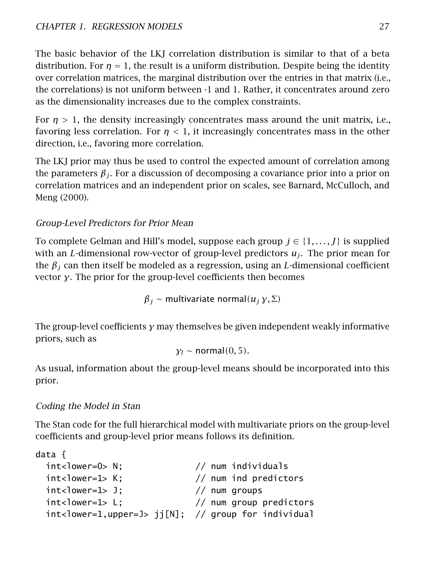The basic behavior of the LKJ correlation distribution is similar to that of a beta distribution. For  $\eta = 1$ , the result is a uniform distribution. Despite being the identity over correlation matrices, the marginal distribution over the entries in that matrix (i.e., the correlations) is not uniform between -1 and 1. Rather, it concentrates around zero as the dimensionality increases due to the complex constraints.

For  $n > 1$ , the density increasingly concentrates mass around the unit matrix, i.e., favoring less correlation. For *η <* 1, it increasingly concentrates mass in the other direction, i.e., favoring more correlation.

The LKJ prior may thus be used to control the expected amount of correlation among the parameters  $\beta_i$ . For a discussion of decomposing a covariance prior into a prior on correlation matrices and an independent prior on scales, see Barnard, McCulloch, and Meng [\(2000\)](#page-303-2).

# Group-Level Predictors for Prior Mean

To complete Gelman and Hill's model, suppose each group  $j \in \{1, \ldots, J\}$  is supplied with an *L*-dimensional row-vector of group-level predictors  $u_j$ . The prior mean for the *β<sup>j</sup>* can then itself be modeled as a regression, using an *L*-dimensional coefficient vector *γ*. The prior for the group-level coefficients then becomes

 $β$ <sup>*j*</sup> ∼ multivariate normal(*uj γ*, Σ)

The group-level coefficients *γ* may themselves be given independent weakly informative priors, such as

```
γl ∼ normal(0, 5).
```
As usual, information about the group-level means should be incorporated into this prior.

## Coding the Model in Stan

The Stan code for the full hierarchical model with multivariate priors on the group-level coefficients and group-level prior means follows its definition.

```
data {
 int<lower=0> N; // num individuals
 int<lower=1> K; // num ind predictors
 int<lower=1> J; // num groupsint<lower=1> L; // num group predictors
 int<lower=1,upper=J> jj[N]; // group for individual
```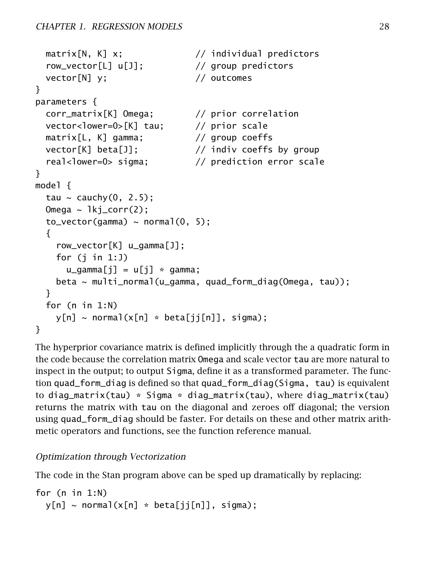```
matrix[N, K] x; // individual predictors
  row_vector[L] u[J]; // group predictors
 vector[N] y; // outcomes
}
parameters {
 corr_matrix[K] Omega; // prior correlation
 vector<lower=0>[K] tau; // prior scale
 matrix[L, K] gamma; // group coeffs
 vector[K] beta[J]; // indiv coeffs by group
  real<lower=0> sigma; \frac{1}{2} prediction error scale
}
model {
 tau ~ cauchy(0, 2.5);
 Omega \sim 1kj_corr(2);
 to\_vector(qamma) \sim normal(0, 5);
  {
    row_vector[K] u_gamma[J];
   for (j in 1:J)
     u_qamma[j] = u[j] * gamma;
   beta ~ multi_normal(u_gamma, quad_form_diag(Omega, tau));
 }
 for (n in 1:N)
   y[n] \sim \text{normal}(x[n] * \text{beta}[jj[n]], \text{sigma});
}
```
The hyperprior covariance matrix is defined implicitly through the a quadratic form in the code because the correlation matrix Omega and scale vector tau are more natural to inspect in the output; to output Sigma, define it as a transformed parameter. The function quad\_form\_diag is defined so that quad\_form\_diag(Sigma, tau) is equivalent to diag\_matrix(tau) \* Sigma \* diag\_matrix(tau), where diag\_matrix(tau) returns the matrix with tau on the diagonal and zeroes off diagonal; the version using quad\_form\_diag should be faster. For details on these and other matrix arithmetic operators and functions, see the function reference manual.

## Optimization through Vectorization

The code in the Stan program above can be sped up dramatically by replacing:

for (n in 1:N)  $y[n] \sim normal(x[n] * beta[jj[n]], sigma);$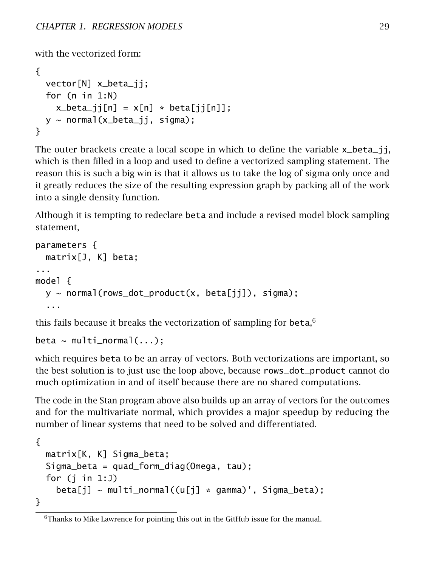with the vectorized form:

```
{
  vector[N] x_beta_jj;
  for (n in 1:N)
    x_beta_j[i[n] = x[n] * beta[j[i[n]];y \sim normal(x_beta_ii, sigma);
}
```
The outer brackets create a local scope in which to define the variable x\_beta\_jj, which is then filled in a loop and used to define a vectorized sampling statement. The reason this is such a big win is that it allows us to take the log of sigma only once and it greatly reduces the size of the resulting expression graph by packing all of the work into a single density function.

Although it is tempting to redeclare beta and include a revised model block sampling statement,

```
parameters {
  matrix[J, K] beta;
...
model {
  y \sim normal(rows_dot_product(x, beta[jj]), sigma);
  ...
```
this fails because it breaks the vectorization of sampling for beta,  $6$ 

```
beta \sim multi_normal( \ldots );
```
which requires beta to be an array of vectors. Both vectorizations are important, so the best solution is to just use the loop above, because rows\_dot\_product cannot do much optimization in and of itself because there are no shared computations.

The code in the Stan program above also builds up an array of vectors for the outcomes and for the multivariate normal, which provides a major speedup by reducing the number of linear systems that need to be solved and differentiated.

```
{
 matrix[K, K] Sigma_beta;
 Sigma_beta = quad_form_diag(Omega, tau);
 for (j in 1:J)
    beta[i] \sim multi_normal((u[j] * qamma)', Sigma_beta);
}
```
<span id="page-35-0"></span> $6$ Thanks to Mike Lawrence for pointing this out in the GitHub issue for the manual.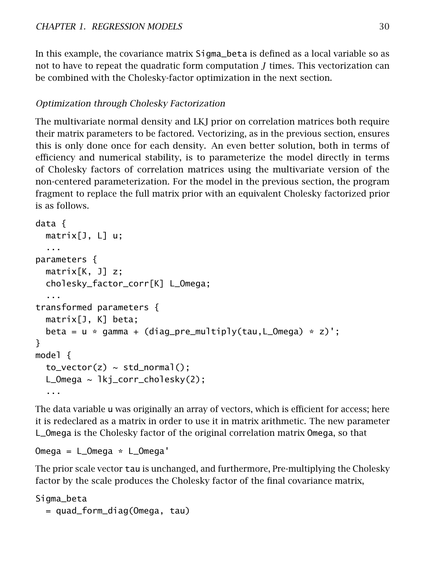In this example, the covariance matrix Sigma\_beta is defined as a local variable so as not to have to repeat the quadratic form computation *J* times. This vectorization can be combined with the Cholesky-factor optimization in the next section.

### Optimization through Cholesky Factorization

The multivariate normal density and LKJ prior on correlation matrices both require their matrix parameters to be factored. Vectorizing, as in the previous section, ensures this is only done once for each density. An even better solution, both in terms of efficiency and numerical stability, is to parameterize the model directly in terms of Cholesky factors of correlation matrices using the multivariate version of the non-centered parameterization. For the model in the previous section, the program fragment to replace the full matrix prior with an equivalent Cholesky factorized prior is as follows.

```
data {
 matrix[J, L] u;
  ...
parameters {
 matrix[K, J] z;
 cholesky_factor_corr[K] L_Omega;
  ...
transformed parameters {
 matrix[J, K] beta;
 beta = u * gamma + (diag_pre_multiply(tau, L_Omega) * z)';
}
model {
 to\_vector(z) \sim std\_normal();
 L_Omega ~ lkj_corr_cholesky(2);
  ...
```
The data variable u was originally an array of vectors, which is efficient for access; here it is redeclared as a matrix in order to use it in matrix arithmetic. The new parameter L\_Omega is the Cholesky factor of the original correlation matrix Omega, so that

```
Omega = L_Omega * L_Omega'
```
The prior scale vector tau is unchanged, and furthermore, Pre-multiplying the Cholesky factor by the scale produces the Cholesky factor of the final covariance matrix,

Sigma\_beta = quad\_form\_diag(Omega, tau)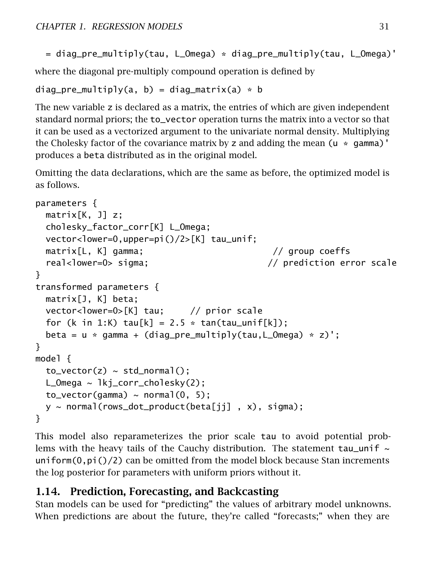= diag\_pre\_multiply(tau, L\_Omega) \* diag\_pre\_multiply(tau, L\_Omega)'

where the diagonal pre-multiply compound operation is defined by

```
diag_pre_multiply(a, b) = diag_matrix(a) * b
```
The new variable z is declared as a matrix, the entries of which are given independent standard normal priors; the to\_vector operation turns the matrix into a vector so that it can be used as a vectorized argument to the univariate normal density. Multiplying the Cholesky factor of the covariance matrix by z and adding the mean  $(u * gamm)$ ' produces a beta distributed as in the original model.

Omitting the data declarations, which are the same as before, the optimized model is as follows.

```
parameters {
 matrix[K, J] z;
 cholesky_factor_corr[K] L_Omega;
 vector<lower=0,upper=pi()/2>[K] tau_unif;
 matrix[L, K] gamma; // group coeffs
 real<lower=0> sigma; \frac{1}{2} // prediction error scale
}
transformed parameters {
 matrix[J, K] beta;
 vector<lower=0>[K] tau; // prior scale
 for (k in 1:K) tau[k] = 2.5 * tan(tau_unif[k]);
 beta = u * gamma + (diag_pre_multiply(tau, L_Omega) * z)';
}
model {
 to\_vector(z) \sim std\_normal();
 L_Omega ~ lkj_corr_cholesky(2);
 to\_vector(gamma) \sim normal(0, 5);
 y ~ normal(rows_dot_product(beta[jj] , x), sigma);
}
```
This model also reparameterizes the prior scale tau to avoid potential problems with the heavy tails of the Cauchy distribution. The statement  $tau$  uniform $(0,pi)$  ()/2) can be omitted from the model block because Stan increments the log posterior for parameters with uniform priors without it.

# 1.14. Prediction, Forecasting, and Backcasting

Stan models can be used for "predicting" the values of arbitrary model unknowns. When predictions are about the future, they're called "forecasts;" when they are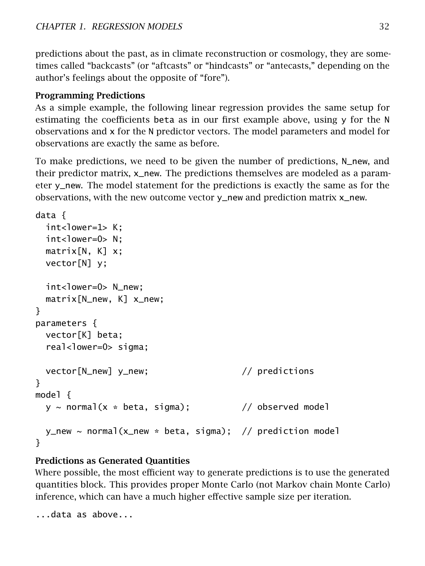predictions about the past, as in climate reconstruction or cosmology, they are sometimes called "backcasts" (or "aftcasts" or "hindcasts" or "antecasts," depending on the author's feelings about the opposite of "fore").

### Programming Predictions

As a simple example, the following linear regression provides the same setup for estimating the coefficients beta as in our first example above, using  $\gamma$  for the N observations and x for the N predictor vectors. The model parameters and model for observations are exactly the same as before.

To make predictions, we need to be given the number of predictions, N\_new, and their predictor matrix, x\_new. The predictions themselves are modeled as a parameter y\_new. The model statement for the predictions is exactly the same as for the observations, with the new outcome vector y\_new and prediction matrix x\_new.

```
data {
  int<lower=1> K:
  int <lower=0> N:
  matrix[N, K] x;vector[N] y;
  int<lower=0> N_new;
  matrix[N_new, K] x_new;
}
parameters {
  vector[K] beta;
  real<lower=0> sigma;
  vector[N_new] y_new; // predictions
}
model {
  y \sim normal(x * beta, sigma); \frac{y}{x} observed model
  y_new \sim normal(x_new * beta, sigma); // prediction model
}
```
### Predictions as Generated Quantities

Where possible, the most efficient way to generate predictions is to use the generated quantities block. This provides proper Monte Carlo (not Markov chain Monte Carlo) inference, which can have a much higher effective sample size per iteration.

...data as above...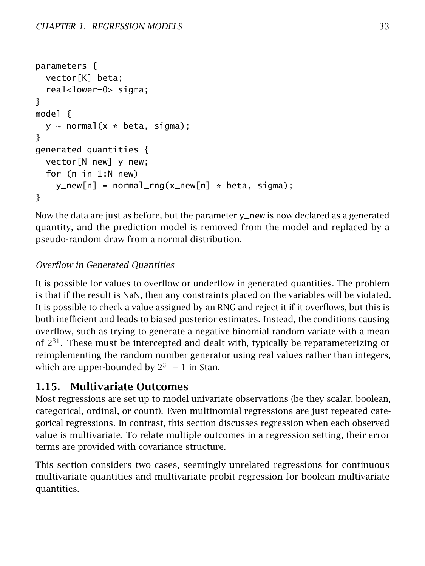```
parameters {
 vector[K] beta;
  real<lower=0> sigma;
}
model {
 y \sim normal(x * beta, sigma);
}
generated quantities {
 vector[N_new] y_new;
 for (n in 1:N_new)
    y_new[n] = normal_rnq(x_new[n] * beta, sigma);}
```
Now the data are just as before, but the parameter  $y$  new is now declared as a generated quantity, and the prediction model is removed from the model and replaced by a pseudo-random draw from a normal distribution.

## Overflow in Generated Quantities

It is possible for values to overflow or underflow in generated quantities. The problem is that if the result is NaN, then any constraints placed on the variables will be violated. It is possible to check a value assigned by an RNG and reject it if it overflows, but this is both inefficient and leads to biased posterior estimates. Instead, the conditions causing overflow, such as trying to generate a negative binomial random variate with a mean of  $2^{31}$ . These must be intercepted and dealt with, typically be reparameterizing or reimplementing the random number generator using real values rather than integers, which are upper-bounded by  $2^{31} - 1$  in Stan.

# 1.15. Multivariate Outcomes

Most regressions are set up to model univariate observations (be they scalar, boolean, categorical, ordinal, or count). Even multinomial regressions are just repeated categorical regressions. In contrast, this section discusses regression when each observed value is multivariate. To relate multiple outcomes in a regression setting, their error terms are provided with covariance structure.

This section considers two cases, seemingly unrelated regressions for continuous multivariate quantities and multivariate probit regression for boolean multivariate quantities.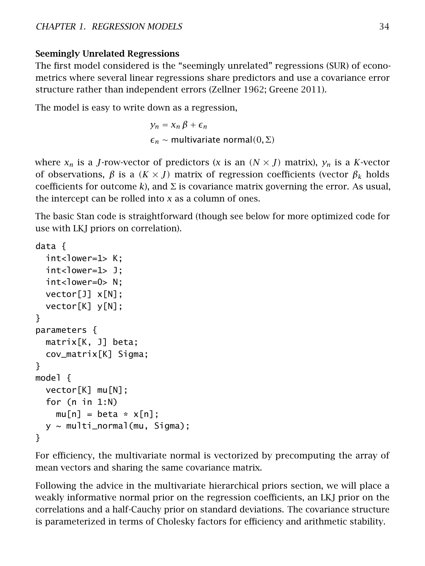### Seemingly Unrelated Regressions

The first model considered is the "seemingly unrelated" regressions (SUR) of econometrics where several linear regressions share predictors and use a covariance error structure rather than independent errors (Zellner [1962;](#page-306-0) Greene [2011\)](#page-304-0).

The model is easy to write down as a regression,

 $y_n = x_n \beta + \epsilon_n$  $\epsilon_n$  ~ multivariate normal $(0, \Sigma)$ 

where  $x_n$  is a *J*-row-vector of predictors (*x* is an  $(N \times J)$  matrix),  $y_n$  is a *K*-vector of observations, *β* is a *(K* × *J)* matrix of regression coefficients (vector *β<sup>k</sup>* holds coefficients for outcome *k*), and  $\Sigma$  is covariance matrix governing the error. As usual, the intercept can be rolled into *x* as a column of ones.

The basic Stan code is straightforward (though see below for more optimized code for use with LKJ priors on correlation).

```
data {
 int<lower=1> K:
 int<lower=1> J;
 int <lower=0> N:
 vector[J] x[N];
 vector[K] y[N];
}
parameters {
 matrix[K, J] beta;
 cov_matrix[K] Sigma;
}
model {
 vector[K] mu[N];
 for (n in 1:N)
   mu[n] = beta * x[n];y \sim multi_normal(mu, Sigma);
}
```
For efficiency, the multivariate normal is vectorized by precomputing the array of mean vectors and sharing the same covariance matrix.

Following the advice in the [multivariate hierarchical priors section,](multivariate-hierarchical-priors.section) we will place a weakly informative normal prior on the regression coefficients, an LKJ prior on the correlations and a half-Cauchy prior on standard deviations. The covariance structure is parameterized in terms of Cholesky factors for efficiency and arithmetic stability.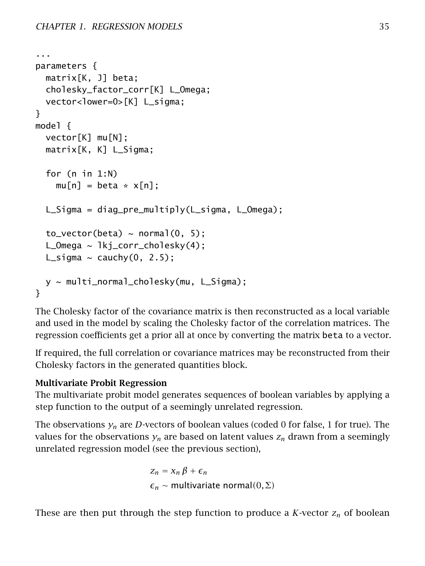```
...
parameters {
 matrix[K, J] beta;
 cholesky_factor_corr[K] L_Omega;
 vector<lower=0>[K] L_sigma;
}
model {
 vector[K] mu[N];
 matrix[K, K] L_Sigma;
 for (n in 1:N)
    mu[n] = beta * x[n];L_Sigma = diag_pre_multiply(L_sigma, L_Omega);
 to\_vector(beta) \sim normal(0, 5);
 L_Omega \sim lkj_corr_cholesky(4);
 L_sigma \sim cauchy(0, 2.5);
 y ~ multi_normal_cholesky(mu, L_Sigma);
}
```
The Cholesky factor of the covariance matrix is then reconstructed as a local variable and used in the model by scaling the Cholesky factor of the correlation matrices. The regression coefficients get a prior all at once by converting the matrix beta to a vector.

If required, the full correlation or covariance matrices may be reconstructed from their Cholesky factors in the generated quantities block.

### Multivariate Probit Regression

The multivariate probit model generates sequences of boolean variables by applying a step function to the output of a seemingly unrelated regression.

The observations  $y_n$  are *D*-vectors of boolean values (coded 0 for false, 1 for true). The values for the observations  $y_n$  are based on latent values  $z_n$  drawn from a seemingly unrelated regression model (see the previous section),

> $Z_n = X_n \beta + \epsilon_n$ *<sup>n</sup>* ∼ multivariate normal*(*0*,*Σ*)*

These are then put through the step function to produce a *K*-vector  $z_n$  of boolean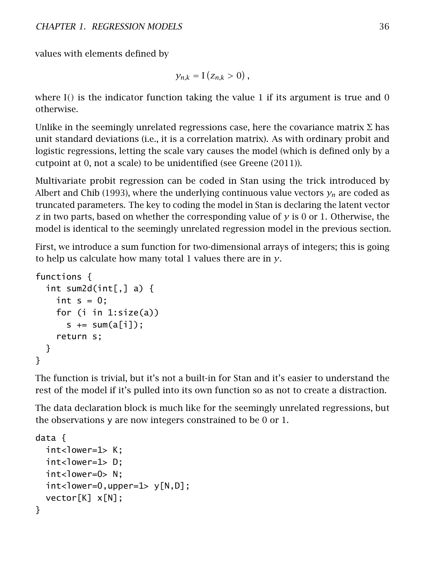values with elements defined by

$$
y_{n,k} = \mathrm{I}\left(z_{n,k} > 0\right),\,
$$

where I*()* is the indicator function taking the value 1 if its argument is true and 0 otherwise.

Unlike in the seemingly unrelated regressions case, here the covariance matrix  $\Sigma$  has unit standard deviations (i.e., it is a correlation matrix). As with ordinary probit and logistic regressions, letting the scale vary causes the model (which is defined only by a cutpoint at 0, not a scale) to be unidentified (see Greene [\(2011\)](#page-304-0)).

Multivariate probit regression can be coded in Stan using the trick introduced by Albert and Chib [\(1993\)](#page-303-0), where the underlying continuous value vectors  $y_n$  are coded as truncated parameters. The key to coding the model in Stan is declaring the latent vector *z* in two parts, based on whether the corresponding value of *y* is 0 or 1. Otherwise, the model is identical to the seemingly unrelated regression model in the previous section.

First, we introduce a sum function for two-dimensional arrays of integers; this is going to help us calculate how many total 1 values there are in *y*.

```
functions {
  int sum2d(int[,] a) {
    int s = 0;
    for (i in 1:size(a))
      s \leftarrow sum(a[i]);
    return s;
  }
}
```
The function is trivial, but it's not a built-in for Stan and it's easier to understand the rest of the model if it's pulled into its own function so as not to create a distraction.

The data declaration block is much like for the seemingly unrelated regressions, but the observations y are now integers constrained to be 0 or 1.

```
data {
  int <lower=1> K;
  int<lower=1> D:
  int<lower=0> N:
  int <lower=0,upper=1> y[N, D];
  vector[K] x[N];
}
```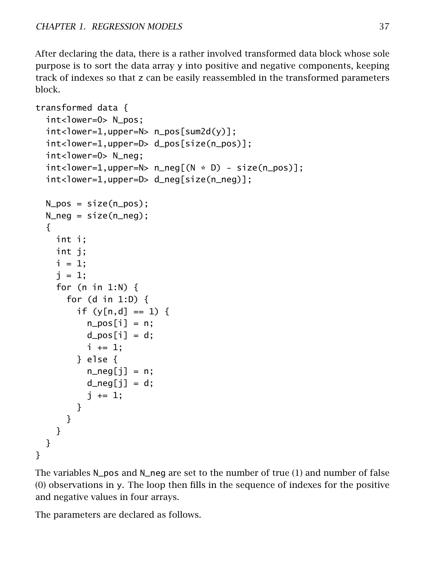After declaring the data, there is a rather involved transformed data block whose sole purpose is to sort the data array y into positive and negative components, keeping track of indexes so that z can be easily reassembled in the transformed parameters block.

```
transformed data {
  int<lower=0> N_pos;
  int <lastrangled n =N> n_pos [sum2d(y)];
  int<lower=1,upper=D> d_pos[size(n_pos)];
  int<lower=0> N_neg;
  int <lower=1,upper=N> n_neq(M * D) - size(n_pos)];
  int<lower=1,upper=D> d_neg[size(n_neg)];
  N_pos = size(n_pos);
  N_neg = size(n_neg);
  {
    int i;
    int j;
    i = 1;
    i = 1:
    for (n in 1:N) {
      for (d in 1:D) {
        if (y[n,d] == 1) {
          n_{\text{pos}}[i] = n;d_{pos}[i] = d;i \neq 1;
        } else {
          n\_neg[i] = n;d_{\text{neg}}[j] = d;j += 1;
        }
      }
    }
  }
}
```
The variables N\_pos and N\_neg are set to the number of true (1) and number of false (0) observations in y. The loop then fills in the sequence of indexes for the positive and negative values in four arrays.

The parameters are declared as follows.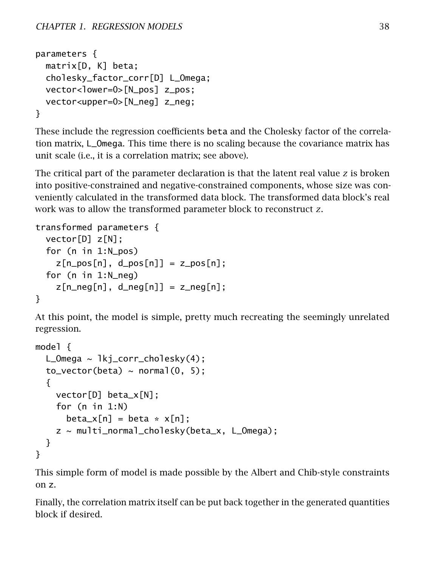```
parameters {
 matrix[D, K] beta;
 cholesky_factor_corr[D] L_Omega;
 vector<lower=0>[N_pos] z_pos;
 vector<upper=0>[N_neg] z_neg;
}
```
These include the regression coefficients beta and the Cholesky factor of the correlation matrix, L\_Omega. This time there is no scaling because the covariance matrix has unit scale (i.e., it is a correlation matrix; see above).

The critical part of the parameter declaration is that the latent real value *z* is broken into positive-constrained and negative-constrained components, whose size was conveniently calculated in the transformed data block. The transformed data block's real work was to allow the transformed parameter block to reconstruct *z*.

```
transformed parameters {
 vector[D] z[N];
 for (n in 1:N_pos)
    z[n_pos[n], d_pos[n]] = z_pos[n];for (n in 1:N_neg)
    z[n\_neg[n], d\_neg[n]] = z\_neg[n];}
```
At this point, the model is simple, pretty much recreating the seemingly unrelated regression.

```
model {
  L_Omega \sim lkj_corr_cholesky(4);
  to\_vector(beta) \sim normal(0, 5);
  {
    vector[D] beta_x[N];
    for (n in 1:N)
      beta_x[n] = beta * x[n];z ~ multi_normal_cholesky(beta_x, L_Omega);
  }
}
```
This simple form of model is made possible by the Albert and Chib-style constraints on z.

Finally, the correlation matrix itself can be put back together in the generated quantities block if desired.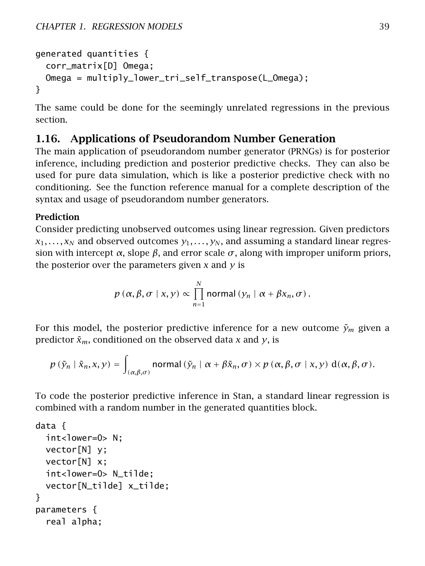```
generated quantities {
 corr_matrix[D] Omega;
 Omega = multiply_lower_tri_self_transpose(L_Omega);
}
```
The same could be done for the seemingly unrelated regressions in the previous section.

# 1.16. Applications of Pseudorandom Number Generation

The main application of pseudorandom number generator (PRNGs) is for posterior inference, including prediction and posterior predictive checks. They can also be used for pure data simulation, which is like a posterior predictive check with no conditioning. See the function reference manual for a complete description of the syntax and usage of pseudorandom number generators.

### Prediction

Consider predicting unobserved outcomes using linear regression. Given predictors  $x_1, \ldots, x_N$  and observed outcomes  $y_1, \ldots, y_N$ , and assuming a standard linear regression with intercept  $\alpha$ , slope  $\beta$ , and error scale  $\sigma$ , along with improper uniform priors, the posterior over the parameters given *x* and *y* is

$$
p(\alpha, \beta, \sigma | x, y) \propto \prod_{n=1}^{N} \text{normal}(y_n | \alpha + \beta x_n, \sigma).
$$

For this model, the posterior predictive inference for a new outcome  $\tilde{\gamma}_m$  given a predictor  $\tilde{x}_m$ , conditioned on the observed data *x* and *y*, is

$$
p(\tilde{y}_n | \tilde{x}_n, x, y) = \int_{(\alpha, \beta, \sigma)} \text{normal}(\tilde{y}_n | \alpha + \beta \tilde{x}_n, \sigma) \times p(\alpha, \beta, \sigma | x, y) d(\alpha, \beta, \sigma).
$$

To code the posterior predictive inference in Stan, a standard linear regression is combined with a random number in the generated quantities block.

```
data {
 int<lower=0> N;
 vector[N] y;
 vector[N] x;
 int<lower=0> N_tilde;
 vector[N_tilde] x_tilde;
}
parameters {
 real alpha;
```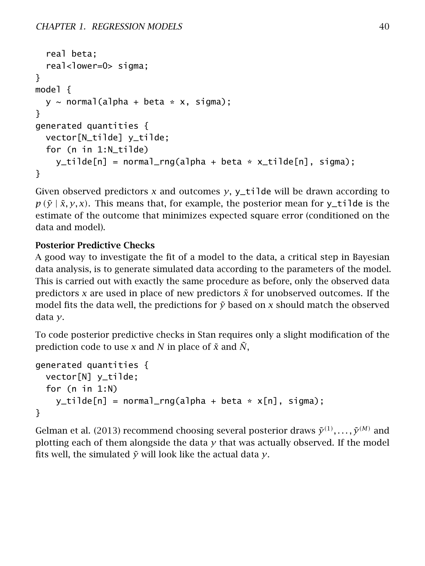```
real beta;
  real<lower=0> sigma;
}
model {
 y \sim normal(alpha + beta * x, sigma);
}
generated quantities {
 vector[N_tilde] y_tilde;
 for (n in 1:N_tilde)
    y_ttilde[n] = normal_rng(alpha + beta * x_tilde[n], sigma);
}
```
Given observed predictors  $x$  and outcomes  $y$ ,  $y$ \_tilde will be drawn according to  $p(\tilde{y} | \tilde{x}, y, x)$ . This means that, for example, the posterior mean for y\_tilde is the estimate of the outcome that minimizes expected square error (conditioned on the data and model).

# Posterior Predictive Checks

A good way to investigate the fit of a model to the data, a critical step in Bayesian data analysis, is to generate simulated data according to the parameters of the model. This is carried out with exactly the same procedure as before, only the observed data predictors  $x$  are used in place of new predictors  $\tilde{x}$  for unobserved outcomes. If the model fits the data well, the predictions for  $\tilde{y}$  based on  $x$  should match the observed data *y*.

To code posterior predictive checks in Stan requires only a slight modification of the prediction code to use *x* and *N* in place of  $\tilde{x}$  and  $\tilde{N}$ ,

```
generated quantities {
 vector[N] y_tilde;
 for (n in 1:N)
    y_ttilde[n] = normal_rng(alpha + beta * x[n], sigma);
}
```
<span id="page-46-0"></span>Gelman et al. [\(2013\)](#page-304-1) recommend choosing several posterior draws  $\tilde{\gamma}^{(1)}, \ldots, \tilde{\gamma}^{(M)}$  and plotting each of them alongside the data *y* that was actually observed. If the model fits well, the simulated  $\tilde{y}$  will look like the actual data  $y$ .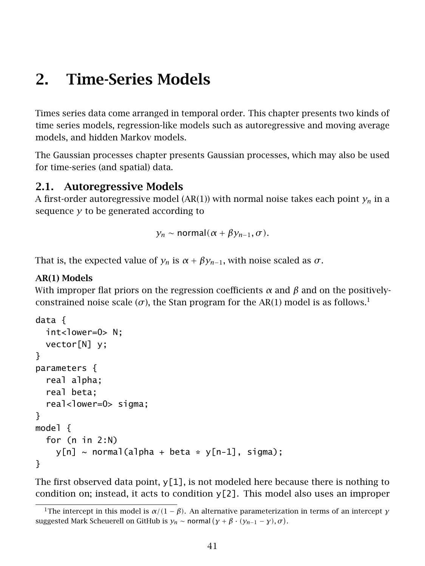# 2. Time-Series Models

Times series data come arranged in temporal order. This chapter presents two kinds of time series models, regression-like models such as autoregressive and moving average models, and hidden Markov models.

The [Gaussian processes chapter](#page-134-0) presents Gaussian processes, which may also be used for time-series (and spatial) data.

### 2.1. Autoregressive Models

A first-order autoregressive model (AR(1)) with normal noise takes each point  $y_n$  in a sequence *y* to be generated according to

*y<sub>n</sub>* ~ normal $(\alpha + \beta y_{n-1}, \sigma)$ .

That is, the expected value of  $y_n$  is  $\alpha + \beta y_{n-1}$ , with noise scaled as  $\sigma$ .

#### AR(1) Models

With improper flat priors on the regression coefficients  $\alpha$  and  $\beta$  and on the positivelyconstrained noise scale ( $\sigma$ ), the Stan program for the AR([1](#page-47-0)) model is as follows.<sup>1</sup>

```
data {
  int<lower=0> N:
  vector[N] y;
}
parameters {
  real alpha;
  real beta;
  real<lower=0> sigma;
}
model {
  for (n in 2:N)
    y[n] \sim \text{normal}(a]pha + beta * y[n-1], sigma);
}
```
The first observed data point,  $y[1]$ , is not modeled here because there is nothing to condition on; instead, it acts to condition  $y[2]$ . This model also uses an improper

<span id="page-47-0"></span><sup>&</sup>lt;sup>1</sup>The intercept in this model is  $\alpha/(1 - \beta)$ . An alternative parameterization in terms of an intercept *γ* suggested Mark Scheuerell on GitHub is  $y_n \sim$  normal  $(y + \beta \cdot (y_{n-1} - y), \sigma)$ .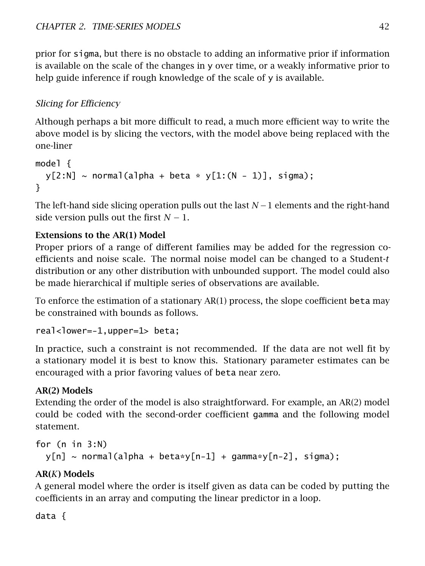prior for sigma, but there is no obstacle to adding an informative prior if information is available on the scale of the changes in y over time, or a weakly informative prior to help guide inference if rough knowledge of the scale of y is available.

# Slicing for Efficiency

Although perhaps a bit more difficult to read, a much more efficient way to write the above model is by slicing the vectors, with the model above being replaced with the one-liner

```
model {
 y[2:N] \sim normal(alpha + beta * y[1:(N-1)], sigma);
}
```
The left-hand side slicing operation pulls out the last *N* −1 elements and the right-hand side version pulls out the first  $N-1$ .

### Extensions to the AR(1) Model

Proper priors of a range of different families may be added for the regression coefficients and noise scale. The normal noise model can be changed to a Student-*t* distribution or any other distribution with unbounded support. The model could also be made hierarchical if multiple series of observations are available.

To enforce the estimation of a stationary AR(1) process, the slope coefficient beta may be constrained with bounds as follows.

 $real$ -lower=-1,upper=1> beta;

In practice, such a constraint is not recommended. If the data are not well fit by a stationary model it is best to know this. Stationary parameter estimates can be encouraged with a prior favoring values of beta near zero.

### AR(2) Models

Extending the order of the model is also straightforward. For example, an AR(2) model could be coded with the second-order coefficient gamma and the following model statement.

```
for (n in 3:N)
 y[n] \sim normal(alpha + beta*y[n-1] + qamma*y[n-2], sigma);
```
# AR(*K*) Models

A general model where the order is itself given as data can be coded by putting the coefficients in an array and computing the linear predictor in a loop.

data {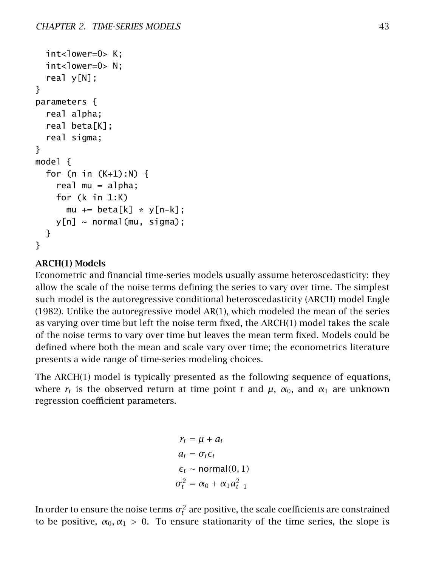```
int<lower=0> K;
 int<lower=0> N:
 real y[N];
}
parameters {
 real alpha;
 real beta[K];
 real sigma;
}
model {
 for (n in (K+1):N) {
    real mu = a]pha;
    for (k in 1:K)
      mu += beta[k] * y[n-k];
   y[n] ~ normal(mu, sigma);
 }
}
```
### ARCH(1) Models

Econometric and financial time-series models usually assume heteroscedasticity: they allow the scale of the noise terms defining the series to vary over time. The simplest such model is the autoregressive conditional heteroscedasticity (ARCH) model Engle [\(1982\)](#page-304-2). Unlike the autoregressive model AR(1), which modeled the mean of the series as varying over time but left the noise term fixed, the ARCH(1) model takes the scale of the noise terms to vary over time but leaves the mean term fixed. Models could be defined where both the mean and scale vary over time; the econometrics literature presents a wide range of time-series modeling choices.

The  $ARCH(1)$  model is typically presented as the following sequence of equations, where  $r_t$  is the observed return at time point *t* and  $\mu$ ,  $\alpha_0$ , and  $\alpha_1$  are unknown regression coefficient parameters.

> $r_t = \mu + a_t$  $a_t = \sigma_t \epsilon_t$  $\epsilon_t$  ∼ normal $(0, 1)$  $\sigma_t^2 = \alpha_0 + \alpha_1 a_{t-1}^2$

In order to ensure the noise terms  $\sigma_t^2$  are positive, the scale coefficients are constrained to be positive,  $\alpha_0, \alpha_1 > 0$ . To ensure stationarity of the time series, the slope is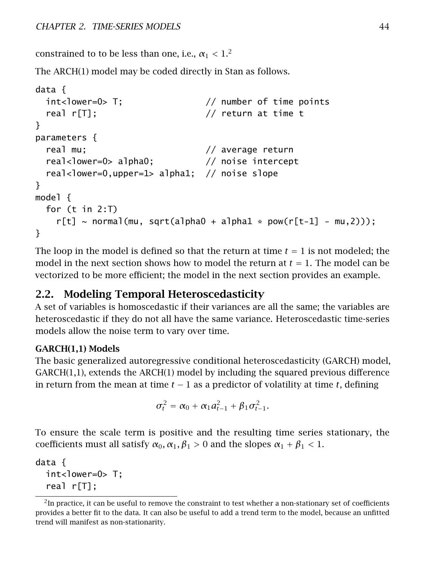constrained to to be less than one, i.e.,  $\alpha_1 < 1.2$  $\alpha_1 < 1.2$ 

The ARCH(1) model may be coded directly in Stan as follows.

```
data {
 int<lower=0> T; // number of time points
 real r[T]; \sqrt{2} return at time t
}
parameters {
 real mu; \frac{1}{2} average return
 real<lower=0> alpha0; // noise intercept
 real<lower=0,upper=1> alpha1; // noise slope
}
model {
 for (t in 2:T)
   r[t] \sim \text{normal}(mu, \text{sqrt}(alpha0 + alpha1 * pow(r[t-1] - mu, 2)));
}
```
The loop in the model is defined so that the return at time  $t = 1$  is not modeled; the model in the next section shows how to model the return at  $t = 1$ . The model can be vectorized to be more efficient; the model in the next section provides an example.

# 2.2. Modeling Temporal Heteroscedasticity

A set of variables is homoscedastic if their variances are all the same; the variables are heteroscedastic if they do not all have the same variance. Heteroscedastic time-series models allow the noise term to vary over time.

### GARCH(1,1) Models

The basic generalized autoregressive conditional heteroscedasticity (GARCH) model, GARCH(1,1), extends the ARCH(1) model by including the squared previous difference in return from the mean at time  $t - 1$  as a predictor of volatility at time  $t$ , defining

$$
\sigma_t^2 = \alpha_0 + \alpha_1 a_{t-1}^2 + \beta_1 \sigma_{t-1}^2.
$$

To ensure the scale term is positive and the resulting time series stationary, the coefficients must all satisfy  $\alpha_0$ ,  $\alpha_1$ ,  $\beta_1 > 0$  and the slopes  $\alpha_1 + \beta_1 < 1$ .

data { int<lower=0> T; real r[T];

<span id="page-50-0"></span> ${}^{2}$ In practice, it can be useful to remove the constraint to test whether a non-stationary set of coefficients provides a better fit to the data. It can also be useful to add a trend term to the model, because an unfitted trend will manifest as non-stationarity.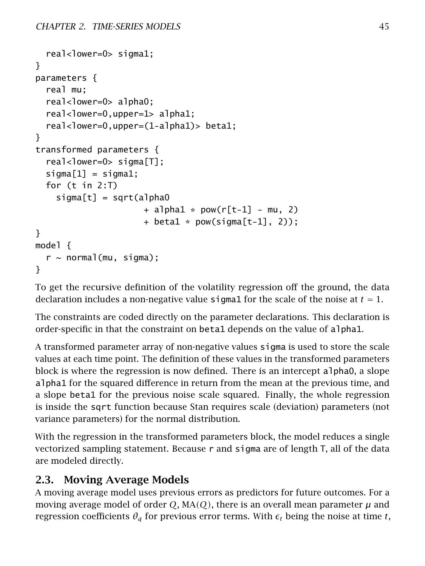```
real<lower=0> sigma1;
}
parameters {
  real mu;
  real<lower=0> alpha0;
  real<lower=0,upper=1> alpha1;
  real<lower=0,upper=(1-alpha1)> beta1;
}
transformed parameters {
  real<lower=0> sigma[T];
  signal = sigmal;
  for (t in 2:T)
    signal[t] = sqrt(alpha0)+ alpha1 * pow(r[t-1] - mu, 2)
                      + betal * pow(sigma[t-1], 2));
}
model {
  r \sim normal(mu, sigma);
}
```
To get the recursive definition of the volatility regression off the ground, the data declaration includes a non-negative value sigmal for the scale of the noise at  $t = 1$ .

The constraints are coded directly on the parameter declarations. This declaration is order-specific in that the constraint on beta1 depends on the value of alpha1.

A transformed parameter array of non-negative values sigma is used to store the scale values at each time point. The definition of these values in the transformed parameters block is where the regression is now defined. There is an intercept alpha0, a slope alpha1 for the squared difference in return from the mean at the previous time, and a slope beta1 for the previous noise scale squared. Finally, the whole regression is inside the sqrt function because Stan requires scale (deviation) parameters (not variance parameters) for the normal distribution.

With the regression in the transformed parameters block, the model reduces a single vectorized sampling statement. Because r and sigma are of length T, all of the data are modeled directly.

# 2.3. Moving Average Models

A moving average model uses previous errors as predictors for future outcomes. For a moving average model of order  $Q$ ,  $MA(Q)$ , there is an overall mean parameter  $\mu$  and regression coefficients  $\theta_q$  for previous error terms. With  $\epsilon_t$  being the noise at time *t*,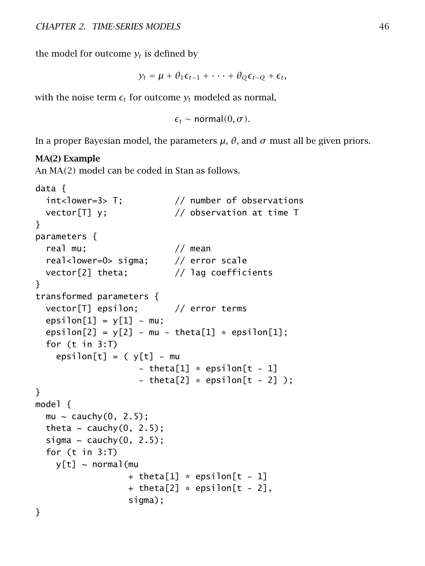the model for outcome  $y_t$  is defined by

 $y_t = \mu + \theta_1 \epsilon_{t-1} + \cdots + \theta_Q \epsilon_{t-Q} + \epsilon_t$ 

with the noise term  $\epsilon_t$  for outcome  $y_t$  modeled as normal,

 $\epsilon_t$  ∼ normal $(0, \sigma)$ .

In a proper Bayesian model, the parameters *µ*, *θ*, and *σ* must all be given priors.

#### MA(2) Example

An MA*(*2*)* model can be coded in Stan as follows.

```
data {
 int<lower=3> T; // number of observations
 vector[T] y; // observation at time T
}
parameters {
 real mu; \frac{1}{2} mean
 real<lower=0> sigma; // error scale
 vector[2] theta; // lag coefficients
}
transformed parameters {
 vector[T] epsilon; // error terms
 epsilon[1] = y[1] - mu;epsilon[2] = y[2] - mu - theta[1] * epsilon[1];
 for (t in 3:T)
   epsilon[<b>t</b>] = (y[t] - mu- theta[1] * epsilon[t - 1]
                   - theta[2] * epsilon[t - 2] );
}
model {
 mu \sim cauchy(0, 2.5);
 theta \sim cauchy(0, 2.5);
 sigma \sim cauchy(0, 2.5);
 for (t in 3:T)
   v[t] ~ normal(mu
                 + theta[1] * epsilon[t - 1]
                 + theta[2] * epsilon[t - 2],
                 sigma);
}
```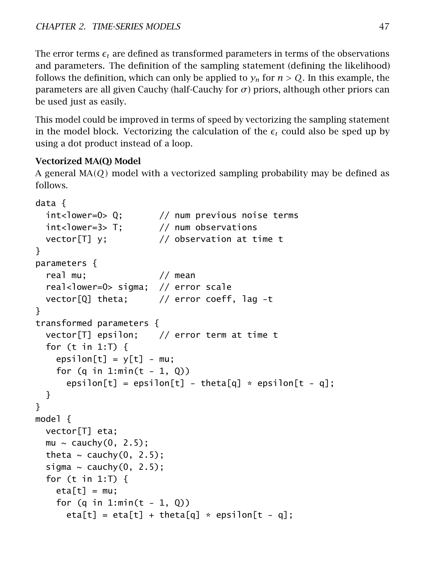The error terms  $\epsilon_t$  are defined as transformed parameters in terms of the observations and parameters. The definition of the sampling statement (defining the likelihood) follows the definition, which can only be applied to  $y_n$  for  $n > Q$ . In this example, the parameters are all given Cauchy (half-Cauchy for  $\sigma$ ) priors, although other priors can be used just as easily.

This model could be improved in terms of speed by vectorizing the sampling statement in the model block. Vectorizing the calculation of the  $\epsilon_t$  could also be sped up by using a dot product instead of a loop.

### Vectorized MA(Q) Model

A general MA*(Q)* model with a vectorized sampling probability may be defined as follows.

```
data {
 int<lower=0> Q; // num previous noise terms
 int<lower=3> T; // num observations
 vector[T] y; // observation at time t}
parameters {
 real mu; // mean
 real<lower=0> sigma; // error scale
 vector[Q] theta; // error coeff, lag -t
}
transformed parameters {
 vector[T] epsilon; // error term at time t
 for (t in 1:T) {
   epsilon[ = v[t] = mu;for (q \in 1:min(t - 1, 0))epsilon[t] = epsilon[t] - theta[q] * epsilon[t - q];
 }
}
model {
 vector[T] eta;
 mu \sim cauchy(0, 2.5);
 theta \sim cauchy(0, 2.5);
 sigma \sim cauchy(0, 2.5);
 for (t in 1:T) {
   eta[t] = mu;for (q \in 1:min(t - 1, 0))eta[t] = eta[t] + theta[q] * epsilon[t - q];
```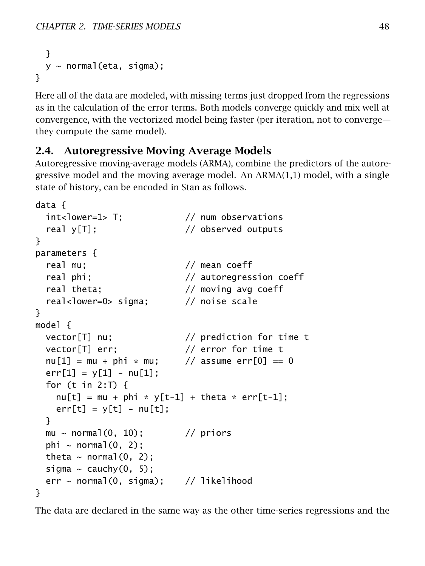```
}
  y \sim normal(eta, sigma);
}
```
Here all of the data are modeled, with missing terms just dropped from the regressions as in the calculation of the error terms. Both models converge quickly and mix well at convergence, with the vectorized model being faster (per iteration, not to converge they compute the same model).

## 2.4. Autoregressive Moving Average Models

Autoregressive moving-average models (ARMA), combine the predictors of the autoregressive model and the moving average model. An ARMA(1,1) model, with a single state of history, can be encoded in Stan as follows.

```
data {
 int<lower=1> T; // num observationsreal y[T]; \frac{1}{2} // observed outputs
}
parameters {
 real mu; // mean coeff
 real phi; \frac{1}{2} autoregression coeff
 real theta; \frac{1}{2} // moving avg coeff
 real<lower=0> sigma; // noise scale
}
model {
 vector[T] nu; // prediction for time t
 vector[T] err; // error for time t
 nu[1] = mu + phi * mu; // assume err[0] == 0
 err[1] = y[1] - nu[1];for (t in 2:T) \{nu[t] = mu + phi * y[t-1] + theta * err[t-1];err[t] = y[t] - nu[t];}
 mu \sim normal(0, 10); // priors
 phi \sim normal(0, 2);
 theta \sim normal(0, 2);
 sigma \sim cauchy(0, 5);
 err \sim normal(0, sigma); // likelihood
}
```
The data are declared in the same way as the other time-series regressions and the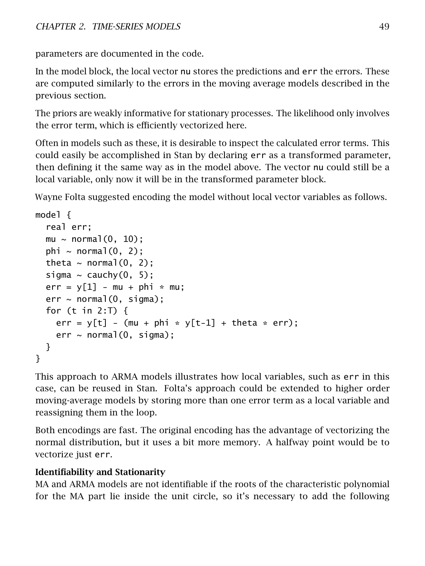parameters are documented in the code.

In the model block, the local vector nu stores the predictions and err the errors. These are computed similarly to the errors in the moving average models described in the previous section.

The priors are weakly informative for stationary processes. The likelihood only involves the error term, which is efficiently vectorized here.

Often in models such as these, it is desirable to inspect the calculated error terms. This could easily be accomplished in Stan by declaring err as a transformed parameter, then defining it the same way as in the model above. The vector nu could still be a local variable, only now it will be in the transformed parameter block.

Wayne Folta suggested encoding the model without local vector variables as follows.

```
model {
  real err;
  mu \sim normal(0, 10):
  phi \sim normal(0, 2);
  theta \sim normal(0, 2);
  sigma \sim cauchy(0, 5);
  err = v[1] - mu + phi * mu;err \sim normal(0, sigma);
  for (t \text{ in } 2: T) {
    err = y[t] - (mu + phi * y[t-1] + theta * err);
    err \sim normal(0, sigma);
  }
}
```
This approach to ARMA models illustrates how local variables, such as err in this case, can be reused in Stan. Folta's approach could be extended to higher order moving-average models by storing more than one error term as a local variable and reassigning them in the loop.

Both encodings are fast. The original encoding has the advantage of vectorizing the normal distribution, but it uses a bit more memory. A halfway point would be to vectorize just err.

### Identifiability and Stationarity

MA and ARMA models are not identifiable if the roots of the characteristic polynomial for the MA part lie inside the unit circle, so it's necessary to add the following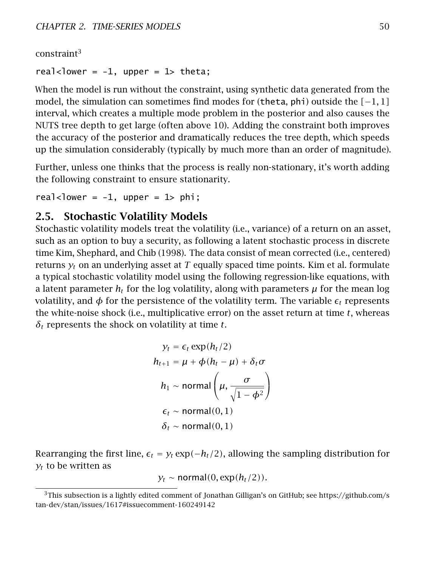constraint[3](#page-56-0)

real<lower =  $-1$ , upper = 1> theta;

When the model is run without the constraint, using synthetic data generated from the model, the simulation can sometimes find modes for (theta, phi) outside the *[*−1*,* 1*]* interval, which creates a multiple mode problem in the posterior and also causes the NUTS tree depth to get large (often above 10). Adding the constraint both improves the accuracy of the posterior and dramatically reduces the tree depth, which speeds up the simulation considerably (typically by much more than an order of magnitude).

Further, unless one thinks that the process is really non-stationary, it's worth adding the following constraint to ensure stationarity.

real<lower =  $-1$ , upper =  $1$ > phi;

### 2.5. Stochastic Volatility Models

Stochastic volatility models treat the volatility (i.e., variance) of a return on an asset, such as an option to buy a security, as following a latent stochastic process in discrete time Kim, Shephard, and Chib [\(1998\)](#page-305-0). The data consist of mean corrected (i.e., centered) returns *y<sup>t</sup>* on an underlying asset at *T* equally spaced time points. Kim et al. formulate a typical stochastic volatility model using the following regression-like equations, with a latent parameter  $h_t$  for the log volatility, along with parameters  $\mu$  for the mean log volatility, and  $\phi$  for the persistence of the volatility term. The variable  $\epsilon_t$  represents the white-noise shock (i.e., multiplicative error) on the asset return at time *t*, whereas *δ<sup>t</sup>* represents the shock on volatility at time *t*.

$$
y_t = \epsilon_t \exp(h_t/2)
$$
  
\n
$$
h_{t+1} = \mu + \phi(h_t - \mu) + \delta_t \sigma
$$
  
\n
$$
h_1 \sim \text{normal}\left(\mu, \frac{\sigma}{\sqrt{1 - \phi^2}}\right)
$$
  
\n
$$
\epsilon_t \sim \text{normal}(0, 1)
$$
  
\n
$$
\delta_t \sim \text{normal}(0, 1)
$$

Rearranging the first line,  $\epsilon_t = y_t \exp(-h_t/2)$ , allowing the sampling distribution for  $y_t$  to be written as

$$
y_t \sim \text{normal}(0, \exp(h_t/2)).
$$

<span id="page-56-0"></span> $3$ This subsection is a lightly edited comment of Jonathan Gilligan's on GitHub; see [https://github.com/s](https://github.com/stan-dev/stan/issues/1617#issuecomment-160249142) [tan-dev/stan/issues/1617#issuecomment-160249142](https://github.com/stan-dev/stan/issues/1617#issuecomment-160249142)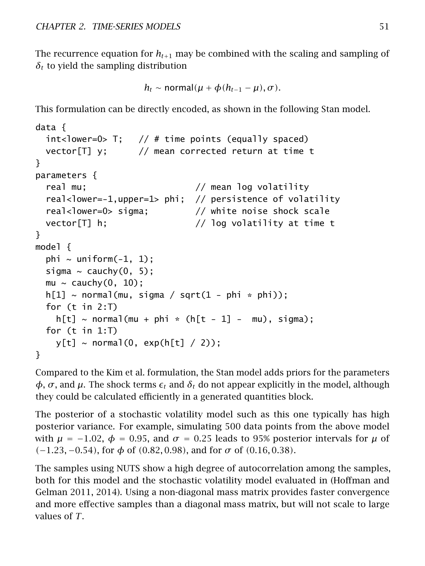The recurrence equation for  $h_{t+1}$  may be combined with the scaling and sampling of  $\delta$ <sup>t</sup> to yield the sampling distribution

```
h_t \sim \text{normal}(\mu + \phi(h_{t-1} - \mu), \sigma).
```
This formulation can be directly encoded, as shown in the following Stan model.

```
data {
  int<lower=0> T; // # time points (equally spaced)vector[T] y; // mean corrected return at time t
}
parameters {
  real mu; \frac{1}{2} mean log volatility
  real<lower=-1,upper=1> phi; // persistence of volatility
  real<lower=0> sigma; \frac{1}{2} white noise shock scale
  vector[T] h; // log volatility at time t
}
model {
  phi \sim uniform(-1, 1);
  sigma \sim cauchy(0, 5);
  mu \sim cauchy(0, 10);
  h[1] \sim \text{normal}(\text{mu}, \text{sigma} / \text{sqrt}(1 - \text{phi} * \text{phi}));for (t in 2:T)
    h[t] \sim \text{normal}(\text{mu} + \text{phi} \cdot k) (h[t - 1] - mu), sigma);
  for (t in 1: T)y[t] \sim \text{normal}(0, \text{exp}(h[t]/2));}
```
Compared to the Kim et al. formulation, the Stan model adds priors for the parameters  $φ$ ,  $σ$ , and  $μ$ . The shock terms  $ε$ <sub>t</sub> and  $δ$ <sub>t</sub> do not appear explicitly in the model, although they could be calculated efficiently in a generated quantities block.

The posterior of a stochastic volatility model such as this one typically has high posterior variance. For example, simulating 500 data points from the above model with  $\mu = -1.02$ ,  $\phi = 0.95$ , and  $\sigma = 0.25$  leads to 95% posterior intervals for  $\mu$  of *(*−1*.*23*,* −0*.*54*)*, for *φ* of *(*0*.*82*,* 0*.*98*)*, and for *σ* of *(*0*.*16*,* 0*.*38*)*.

The samples using NUTS show a high degree of autocorrelation among the samples, both for this model and the stochastic volatility model evaluated in (Hoffman and Gelman [2011,](#page-304-3) [2014\)](#page-304-4). Using a non-diagonal mass matrix provides faster convergence and more effective samples than a diagonal mass matrix, but will not scale to large values of *T*.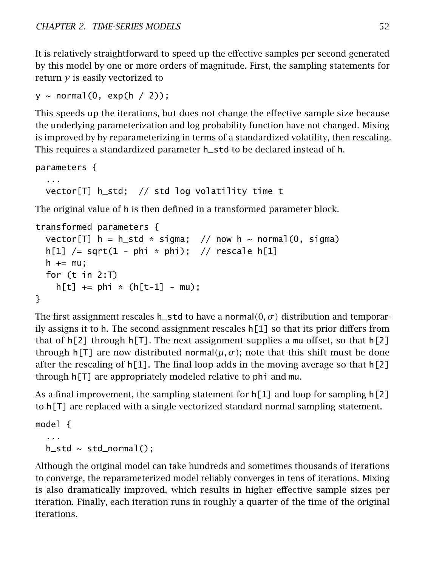It is relatively straightforward to speed up the effective samples per second generated by this model by one or more orders of magnitude. First, the sampling statements for return *y* is easily vectorized to

```
y \sim normal(0, exp(h / 2));
```
This speeds up the iterations, but does not change the effective sample size because the underlying parameterization and log probability function have not changed. Mixing is improved by by reparameterizing in terms of a standardized volatility, then rescaling. This requires a standardized parameter h\_std to be declared instead of h.

```
parameters {
  ...
 vector[T] h_std; // std log volatility time t
```
The original value of h is then defined in a transformed parameter block.

```
transformed parameters {
  vector<sup>[T]</sup> h = h_std * sigma; // now h ~ normal(0, sigma)
  h[1] /= sqrt(1 - phi * phi); // rescale h[1]
  h += mu:
  for (t in 2:T)
    h[t] += phi * (h[t-1] - mu);
}
```
The first assignment rescales h\_std to have a normal $(0, \sigma)$  distribution and temporarily assigns it to h. The second assignment rescales  $h[1]$  so that its prior differs from that of  $h[2]$  through  $h[T]$ . The next assignment supplies a mu offset, so that  $h[2]$ through h[T] are now distributed normal $(\mu, \sigma)$ ; note that this shift must be done after the rescaling of  $h[1]$ . The final loop adds in the moving average so that  $h[2]$ through h[T] are appropriately modeled relative to phi and mu.

As a final improvement, the sampling statement for  $h[1]$  and loop for sampling  $h[2]$ to h[T] are replaced with a single vectorized standard normal sampling statement.

```
model {
  ...
  h\_std \sim std\_normal();
```
Although the original model can take hundreds and sometimes thousands of iterations to converge, the reparameterized model reliably converges in tens of iterations. Mixing is also dramatically improved, which results in higher effective sample sizes per iteration. Finally, each iteration runs in roughly a quarter of the time of the original iterations.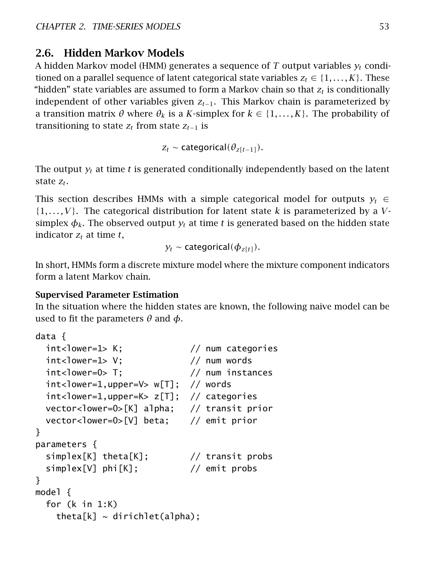# 2.6. Hidden Markov Models

A hidden Markov model (HMM) generates a sequence of *T* output variables *y<sup>t</sup>* conditioned on a parallel sequence of latent categorical state variables  $z_t \in \{1, \ldots, K\}$ . These "hidden" state variables are assumed to form a Markov chain so that *z<sup>t</sup>* is conditionally independent of other variables given *zt*−1. This Markov chain is parameterized by a transition matrix *θ* where *θ<sup>k</sup>* is a *K*-simplex for *k* ∈ {1*, . . . , K*}. The probability of transitioning to state  $z_t$  from state  $z_{t-1}$  is

```
z_t \sim categorical(\theta_{z[t-1]}).
```
The output  $y_t$  at time  $t$  is generated conditionally independently based on the latent state *z<sup>t</sup>* .

This section describes HMMs with a simple categorical model for outputs  $y_t \in$ {1*, . . . , V*}. The categorical distribution for latent state *k* is parameterized by a *V*simplex  $\phi_k$ . The observed output  $y_t$  at time t is generated based on the hidden state indicator  $z_t$  at time  $t$ ,

$$
y_t \sim
$$
 categorical( $\phi_{z[t]}$ ).

In short, HMMs form a discrete mixture model where the mixture component indicators form a latent Markov chain.

### Supervised Parameter Estimation

In the situation where the hidden states are known, the following naive model can be used to fit the parameters *θ* and *φ*.

```
data {
 int<lower=1> K; // num categoriesint<lower=1> V; \frac{1}{2} // num words
 int<lower=0> T; // num instances
 int<lower=1,upper=V> w[T]; // words
 int<lower=1,upper=K> z[T]; // categories
 vector<lower=0>[K] alpha; // transit prior
 vector<lower=0>[V] beta; // emit prior
}
parameters {
 simplex[K] theta[K]; // transit probs
 simplex[V] phi[K]; // emit probs
}
model {
 for (k in 1:K)
   theta[k] \sim dirichlet(alpha);
```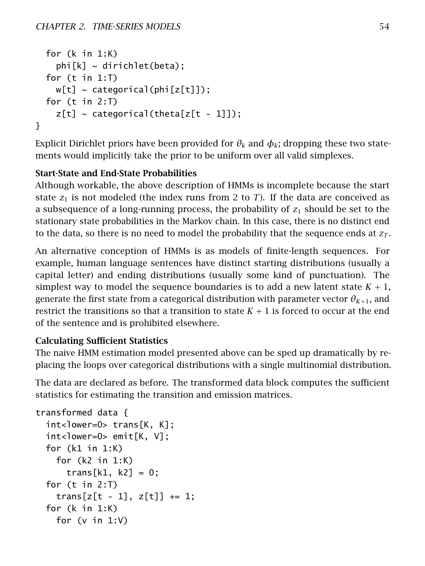```
for (k in 1:K)
    phi[k] \sim dirichlet(beta);
  for (t in 1: T)
    w[t] \sim \text{categorical}(\text{phi}[z[t]]);for (t in 2:T)
    z[t] ~ categorical(theta[z[t - 1]]);
}
```
Explicit Dirichlet priors have been provided for  $\theta_k$  and  $\phi_k$ ; dropping these two statements would implicitly take the prior to be uniform over all valid simplexes.

## Start-State and End-State Probabilities

Although workable, the above description of HMMs is incomplete because the start state  $z_1$  is not modeled (the index runs from 2 to *T*). If the data are conceived as a subsequence of a long-running process, the probability of *z*<sup>1</sup> should be set to the stationary state probabilities in the Markov chain. In this case, there is no distinct end to the data, so there is no need to model the probability that the sequence ends at  $z_T$ .

An alternative conception of HMMs is as models of finite-length sequences. For example, human language sentences have distinct starting distributions (usually a capital letter) and ending distributions (usually some kind of punctuation). The simplest way to model the sequence boundaries is to add a new latent state  $K + 1$ , generate the first state from a categorical distribution with parameter vector  $\theta_{K+1}$ , and restrict the transitions so that a transition to state  $K + 1$  is forced to occur at the end of the sentence and is prohibited elsewhere.

### Calculating Sufficient Statistics

The naive HMM estimation model presented above can be sped up dramatically by replacing the loops over categorical distributions with a single multinomial distribution.

The data are declared as before. The transformed data block computes the sufficient statistics for estimating the transition and emission matrices.

```
transformed data {
  int<lower=0> trans[K, K];
 int<lower=0> emit[K, V];
 for (k1 in 1:K)
   for (k2 in 1:K)
      trans[k1, k2] = 0;
 for (t in 2:T)
   trans[z[t - 1], z[t]] += 1;for (k in 1:K)
   for (v in 1:V)
```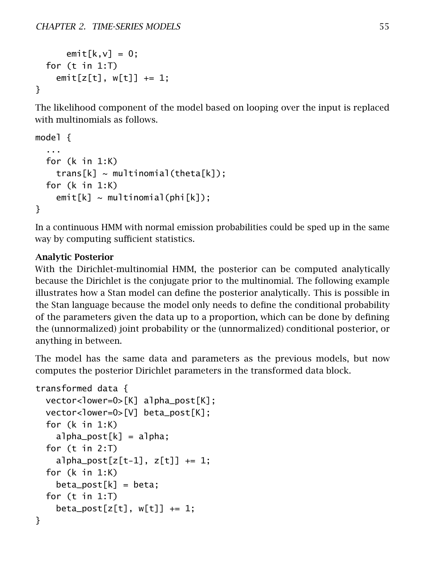```
emit[k,v] = 0;for (t in 1:T)
   emit[z[t], w[t]] += 1;}
```
The likelihood component of the model based on looping over the input is replaced with multinomials as follows.

```
model {
  ...
  for (k in 1:K)
    trans[k] \sim multinomial(theta[k]);
  for (k in 1:K)
    emit[k] \sim multinomial(phi[k]);
}
```
In a continuous HMM with normal emission probabilities could be sped up in the same way by computing sufficient statistics.

### Analytic Posterior

With the Dirichlet-multinomial HMM, the posterior can be computed analytically because the Dirichlet is the conjugate prior to the multinomial. The following example illustrates how a Stan model can define the posterior analytically. This is possible in the Stan language because the model only needs to define the conditional probability of the parameters given the data up to a proportion, which can be done by defining the (unnormalized) joint probability or the (unnormalized) conditional posterior, or anything in between.

The model has the same data and parameters as the previous models, but now computes the posterior Dirichlet parameters in the transformed data block.

```
transformed data {
 vector<lower=0>[K] alpha_post[K];
 vector<lower=0>[V] beta_post[K];
 for (k in 1:K)
    alpha\_post[k] = alpha;for (t in 2:T)
    a1pha_post[z[t-1], z[t]] += 1;for (k in 1:K)
    beta\_post[k] = beta;for (t in 1: T)beta\_post[z[t], w[t]] \text{ += } 1;}
```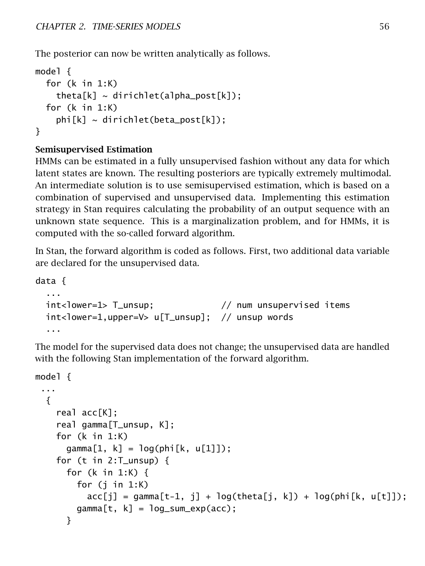The posterior can now be written analytically as follows.

```
model {
  for (k in 1:K)
    theta[k] \sim dirichlet(alpha_post[k]);
  for (k in 1:K)
    phi[k] \sim dirichlet(beta_post[k]);
}
```
## Semisupervised Estimation

HMMs can be estimated in a fully unsupervised fashion without any data for which latent states are known. The resulting posteriors are typically extremely multimodal. An intermediate solution is to use semisupervised estimation, which is based on a combination of supervised and unsupervised data. Implementing this estimation strategy in Stan requires calculating the probability of an output sequence with an unknown state sequence. This is a marginalization problem, and for HMMs, it is computed with the so-called forward algorithm.

In Stan, the forward algorithm is coded as follows. First, two additional data variable are declared for the unsupervised data.

```
data {
 ...
 int<lower=1> T_unsup; // num unsupervised items
 int<lower=1,upper=V> u[T_unsup]; // unsup words
 ...
```
The model for the supervised data does not change; the unsupervised data are handled with the following Stan implementation of the forward algorithm.

```
model {
 ...
  {
    real acc[K];
    real gamma[T_unsup, K];
    for (k in 1:K)
      gamma[1, k] = log(phi[k, u[1]]);for (t in 2:T_unsup) {
      for (k in 1:K) {
        for (j in 1:K)acc[j] = gamma[t-1, j] + log(theta[j, k]) + log(phi[k, u[t]]);gamma[t, k] = log_sum\_exp(acc);}
```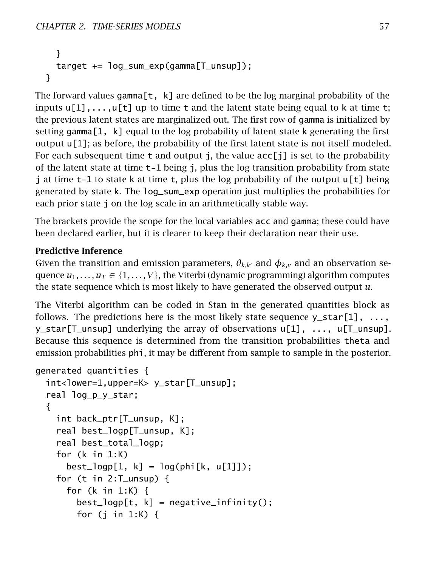```
}
  target += log_sum_exp(gamma[T_unsup]);
}
```
The forward values gamma[t, k] are defined to be the log marginal probability of the inputs  $u[1], \ldots, u[t]$  up to time t and the latent state being equal to k at time t; the previous latent states are marginalized out. The first row of gamma is initialized by setting gamma[1, k] equal to the log probability of latent state k generating the first output  $\mu[1]$ ; as before, the probability of the first latent state is not itself modeled. For each subsequent time  $t$  and output j, the value  $\text{acc}[i]$  is set to the probability of the latent state at time t-1 being j, plus the log transition probability from state j at time  $t-1$  to state k at time  $t$ , plus the log probability of the output  $u[t]$  being generated by state k. The log\_sum\_exp operation just multiplies the probabilities for each prior state j on the log scale in an arithmetically stable way.

The brackets provide the scope for the local variables acc and gamma; these could have been declared earlier, but it is clearer to keep their declaration near their use.

### Predictive Inference

Given the transition and emission parameters,  $\theta_{k,k'}$  and  $\phi_{k,v}$  and an observation sequence  $u_1, \ldots, u_T \in \{1, \ldots, V\}$ , the Viterbi (dynamic programming) algorithm computes the state sequence which is most likely to have generated the observed output *u*.

The Viterbi algorithm can be coded in Stan in the generated quantities block as follows. The predictions here is the most likely state sequence  $y_{\text{S}} \text{tar}[1], \ldots$ , y\_star[T\_unsup] underlying the array of observations u[1], ..., u[T\_unsup]. Because this sequence is determined from the transition probabilities theta and emission probabilities phi, it may be different from sample to sample in the posterior.

```
generated quantities {
  int<lower=1,upper=K> y_star[T_unsup];
  real log_p_y_star;
  {
    int back_ptr[T_unsup, K];
    real best_logp[T_unsup, K];
    real best_total_logp;
    for (k in 1:K)
      best\_logp[1, k] = log(phi[k, u[1]]);for (t in 2:T_unsup) \{for (k in 1:K) {
        best\_logp[t, k] = negative\_infinity();for (j in 1:K) \{
```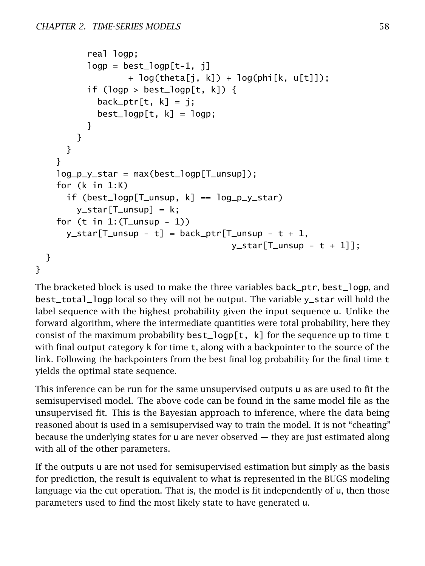```
real logp;
            logp = best\_logp[t-1, i]+ log(theta[j, k]) + log(phi[k, u[t]]);
            if (logp > best_logp[t, k]) {
               back\_ptr[t, k] = j;best\_logp[t, k] = logp;}
          }
       }
     }
    log_p_y_{star} = max(best_{logp}[T_{unsup}]);
    for (k in 1:K)
       if (best_logp[T_unsup, k] == log_p_y_star)
          y<sub>1</sub>star[T<sub>2</sub>unsup] = k;for (t \in \text{in } 1: (T_unsup -1))y_{\text{start}}[T_{\text{turn}} - t] = \text{back\_ptr}[T_{\text{turn}} - t + 1,y_{\text{1}}star[T_{\text{2}}mm] - t + 1];
  }
}
```
The bracketed block is used to make the three variables back\_ptr, best\_logp, and best\_total\_logp local so they will not be output. The variable y\_star will hold the label sequence with the highest probability given the input sequence u. Unlike the forward algorithm, where the intermediate quantities were total probability, here they consist of the maximum probability best\_logp[t, k] for the sequence up to time t with final output category k for time t, along with a backpointer to the source of the link. Following the backpointers from the best final log probability for the final time t yields the optimal state sequence.

This inference can be run for the same unsupervised outputs u as are used to fit the semisupervised model. The above code can be found in the same model file as the unsupervised fit. This is the Bayesian approach to inference, where the data being reasoned about is used in a semisupervised way to train the model. It is not "cheating" because the underlying states for u are never observed — they are just estimated along with all of the other parameters.

If the outputs u are not used for semisupervised estimation but simply as the basis for prediction, the result is equivalent to what is represented in the BUGS modeling language via the cut operation. That is, the model is fit independently of u, then those parameters used to find the most likely state to have generated u.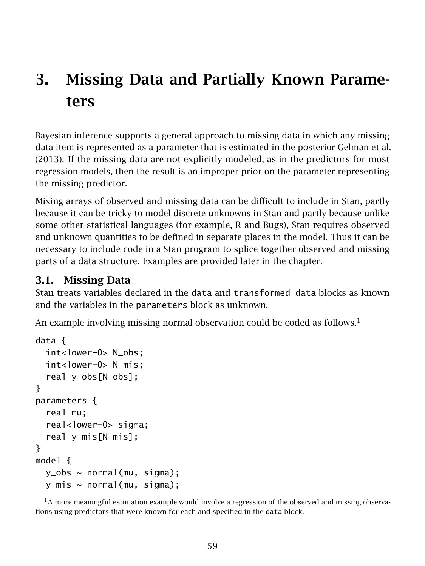# 3. Missing Data and Partially Known Parameters

Bayesian inference supports a general approach to missing data in which any missing data item is represented as a parameter that is estimated in the posterior Gelman et al. [\(2013\)](#page-304-1). If the missing data are not explicitly modeled, as in the predictors for most regression models, then the result is an improper prior on the parameter representing the missing predictor.

Mixing arrays of observed and missing data can be difficult to include in Stan, partly because it can be tricky to model discrete unknowns in Stan and partly because unlike some other statistical languages (for example, R and Bugs), Stan requires observed and unknown quantities to be defined in separate places in the model. Thus it can be necessary to include code in a Stan program to splice together observed and missing parts of a data structure. Examples are provided later in the chapter.

# 3.1. Missing Data

Stan treats variables declared in the data and transformed data blocks as known and the variables in the parameters block as unknown.

An example involving missing normal observation could be coded as follows.<sup>[1](#page-65-0)</sup>

```
data {
  int<lower=0> N_obs;
  int<lower=0> N mis;
  real y_obs[N_obs];
}
parameters {
  real mu;
  real<lower=0> sigma;
  real y_mis[N_mis];
}
model {
  y_{obs} \sim normal(mu, siqma);y_mis ~ normal(mu, sigma);
```
<span id="page-65-0"></span> $<sup>1</sup>A$  more meaningful estimation example would involve a regression of the observed and missing observa-</sup> tions using predictors that were known for each and specified in the data block.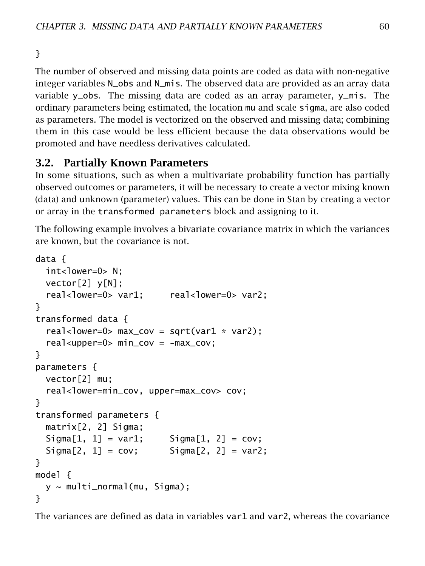}

The number of observed and missing data points are coded as data with non-negative integer variables N\_obs and N\_mis. The observed data are provided as an array data variable y\_obs. The missing data are coded as an array parameter, y\_mis. The ordinary parameters being estimated, the location mu and scale sigma, are also coded as parameters. The model is vectorized on the observed and missing data; combining them in this case would be less efficient because the data observations would be promoted and have needless derivatives calculated.

# 3.2. Partially Known Parameters

In some situations, such as when a multivariate probability function has partially observed outcomes or parameters, it will be necessary to create a vector mixing known (data) and unknown (parameter) values. This can be done in Stan by creating a vector or array in the transformed parameters block and assigning to it.

The following example involves a bivariate covariance matrix in which the variances are known, but the covariance is not.

```
data {
  int<lower=0> N;
  vector[2] y[N];
  real<lower=0> var1; real<lower=0> var2;
}
transformed data {
  real<lower=0> max_{cov} = sqrt(var1 * var2);
  real<upper=0> min_cov = -max_cov;
}
parameters {
  vector[2] mu;
  real<lower=min_cov, upper=max_cov> cov;
}
transformed parameters {
  matrix[2, 2] Sigma;
  Signal[1, 1] = var1; Sigma[1, 2] = cov;Signal[2, 1] = cov; Signal[2, 2] = var2;}
model {
  y ~ multi_normal(mu, Sigma);
}
```
The variances are defined as data in variables var1 and var2, whereas the covariance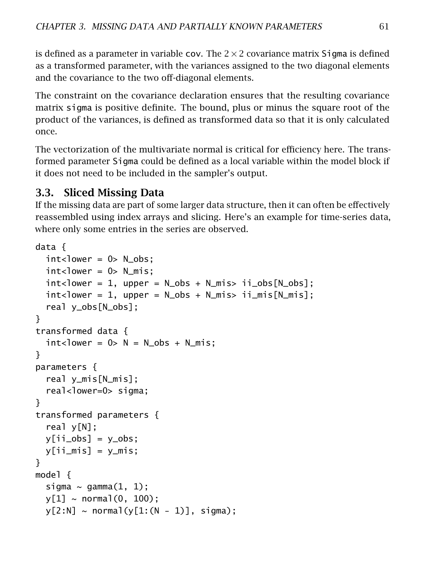is defined as a parameter in variable cov. The  $2 \times 2$  covariance matrix Sigma is defined as a transformed parameter, with the variances assigned to the two diagonal elements and the covariance to the two off-diagonal elements.

The constraint on the covariance declaration ensures that the resulting covariance matrix sigma is positive definite. The bound, plus or minus the square root of the product of the variances, is defined as transformed data so that it is only calculated once.

The vectorization of the multivariate normal is critical for efficiency here. The transformed parameter Sigma could be defined as a local variable within the model block if it does not need to be included in the sampler's output.

# 3.3. Sliced Missing Data

If the missing data are part of some larger data structure, then it can often be effectively reassembled using index arrays and slicing. Here's an example for time-series data, where only some entries in the series are observed.

```
data {
  int <lower = 0> N_obs;
  int <lower = 0> N_mis;
  int <lower = 1, upper = N_obs + N_mis> ii<sub>o</sub> obs[N_obs];
  int <lower = 1, upper = N_obs + N_mis> ii_mis[N_m;];
  real y_obs[N_obs];
}
transformed data {
  int <lower = 0> N = N_obs + N_mis;
}
parameters {
  real y_mis[N_mis];
  real<lower=0> sigma;
}
transformed parameters {
  real y[N];
  v[ii_obs] = v_obs;y[iimis] = ymis;}
model {
  sigma \sim gamma(1, 1);
  y[1] \sim \text{normal}(0, 100);
  y[2:N] \sim normal(y[1:(N - 1)], sigma);
```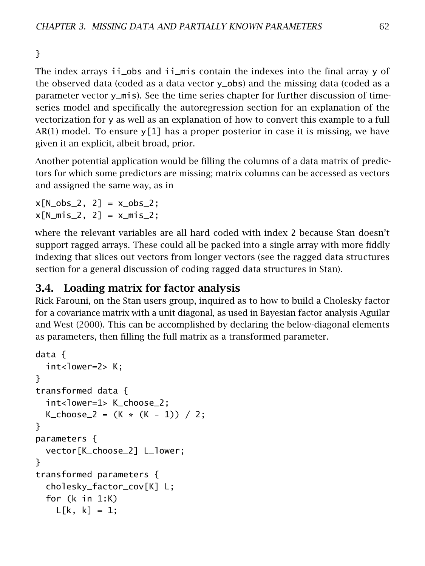}

The index arrays ii\_obs and ii\_mis contain the indexes into the final array y of the observed data (coded as a data vector y\_obs) and the missing data (coded as a parameter vector y\_mis). See the [time series chapter](#page-46-0) for further discussion of timeseries model and specifically the [autoregression section](autoregressive.section) for an explanation of the vectorization for y as well as an explanation of how to convert this example to a full  $AR(1)$  model. To ensure y[1] has a proper posterior in case it is missing, we have given it an explicit, albeit broad, prior.

Another potential application would be filling the columns of a data matrix of predictors for which some predictors are missing; matrix columns can be accessed as vectors and assigned the same way, as in

 $x[N_obs_2, 2] = x_obs_2;$  $x[N_mis_2, 2] = x_mis_2;$ 

where the relevant variables are all hard coded with index 2 because Stan doesn't support ragged arrays. These could all be packed into a single array with more fiddly indexing that slices out vectors from longer vectors (see the [ragged data structures](#page-120-0) [section](#page-120-0) for a general discussion of coding ragged data structures in Stan).

# 3.4. Loading matrix for factor analysis

Rick Farouni, on the Stan users group, inquired as to how to build a Cholesky factor for a covariance matrix with a unit diagonal, as used in Bayesian factor analysis Aguilar and West [\(2000\)](#page-303-1). This can be accomplished by declaring the below-diagonal elements as parameters, then filling the full matrix as a transformed parameter.

```
data {
 int<lower=2> K;
}
transformed data {
 int<lower=1> K_choose_2;
 K\_choose_2 = (K * (K - 1)) / 2;}
parameters {
 vector[K_choose_2] L_lower;
}
transformed parameters {
 cholesky_factor_cov[K] L;
 for (k in 1:K)
    L[k, k] = 1;
```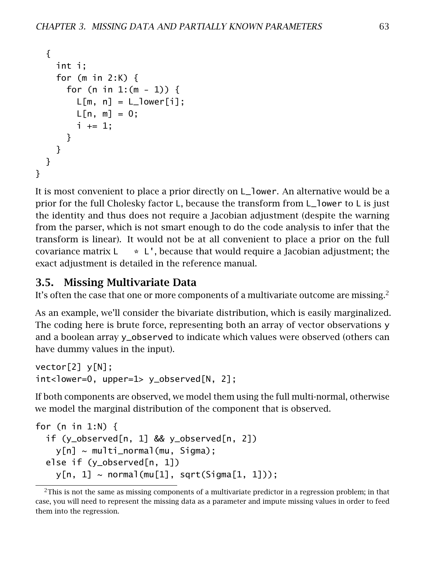```
{
    int i;
    for (m in 2:K) {
      for (n in 1:(m - 1)) {
        L[m, n] = L_lower[i];L[n, m] = 0;i \neq 1;}
   }
 }
}
```
It is most convenient to place a prior directly on L\_lower. An alternative would be a prior for the full Cholesky factor L, because the transform from L\_lower to L is just the identity and thus does not require a Jacobian adjustment (despite the warning from the parser, which is not smart enough to do the code analysis to infer that the transform is linear). It would not be at all convenient to place a prior on the full covariance matrix  $L \rightarrow L'$ , because that would require a Jacobian adjustment; the exact adjustment is detailed in the reference manual.

# 3.5. Missing Multivariate Data

It's often the case that one or more components of a multivariate outcome are missing.<sup>[2](#page-69-0)</sup>

As an example, we'll consider the bivariate distribution, which is easily marginalized. The coding here is brute force, representing both an array of vector observations y and a boolean array y\_observed to indicate which values were observed (others can have dummy values in the input).

```
vector[2] y[N];
int<lower=0, upper=1> y_observed[N, 2];
```
If both components are observed, we model them using the full multi-normal, otherwise we model the marginal distribution of the component that is observed.

```
for (n in 1:N) {
  if (y_observed[n, 1] && y_observed[n, 2])
    y[n] \sim multi_normal(mu, Sigma);
  else if (y_observed[n, 1])
    y[n, 1] \sim \text{normal}(\text{mu}[1], \text{sqrt}(Sigma[1, 1]));
```
<span id="page-69-0"></span> $2$ This is not the same as missing components of a multivariate predictor in a regression problem; in that case, you will need to represent the missing data as a parameter and impute missing values in order to feed them into the regression.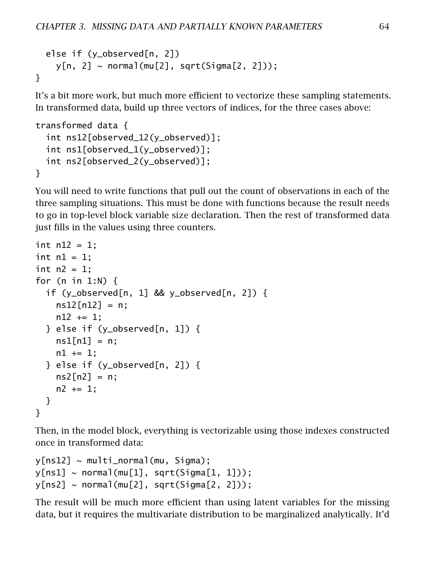```
else if (y_observed[n, 2])
    y[n, 2] \sim normal(mu[2], sqrt(Sigma[2, 2]));
}
```
It's a bit more work, but much more efficient to vectorize these sampling statements. In transformed data, build up three vectors of indices, for the three cases above:

```
transformed data {
 int ns12[observed_12(y_observed)];
 int ns1[observed_1(y_observed)];
 int ns2[observed_2(y_observed)];
}
```
You will need to write functions that pull out the count of observations in each of the three sampling situations. This must be done with functions because the result needs to go in top-level block variable size declaration. Then the rest of transformed data just fills in the values using three counters.

```
int n12 = 1;
int n1 = 1:
int n2 = 1:
for (n in 1:N) {
 if (y_observed[n, 1] && y_observed[n, 2]) {
    ns12[n12] = n;n12 += 1;\} else if (y_observed[n, 1]) {
    ns1[n1] = n;n1 += 1:
  \} else if (y_observed[n, 2]) {
    ns2[n2] = n;
    n2 + = 1;
 }
}
```
Then, in the model block, everything is vectorizable using those indexes constructed once in transformed data:

```
y[ns12] \sim multi\_normal(mu, Sigma);y[ns1] \sim normal(mu[1], sqrt(Sigma[1, 1]));
y[ns2] \sim normal(mu[2], sqrt(Sigma[2, 2]));
```
The result will be much more efficient than using latent variables for the missing data, but it requires the multivariate distribution to be marginalized analytically. It'd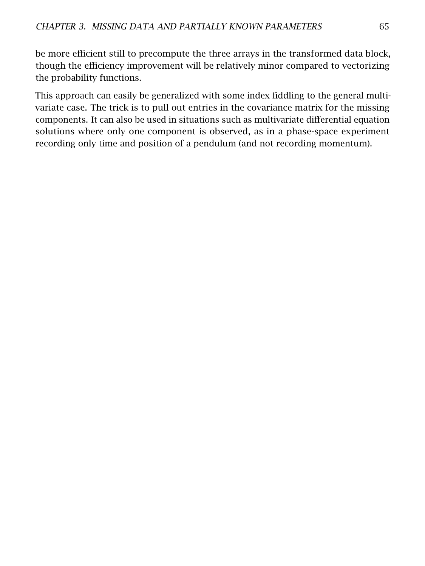be more efficient still to precompute the three arrays in the transformed data block, though the efficiency improvement will be relatively minor compared to vectorizing the probability functions.

This approach can easily be generalized with some index fiddling to the general multivariate case. The trick is to pull out entries in the covariance matrix for the missing components. It can also be used in situations such as multivariate differential equation solutions where only one component is observed, as in a phase-space experiment recording only time and position of a pendulum (and not recording momentum).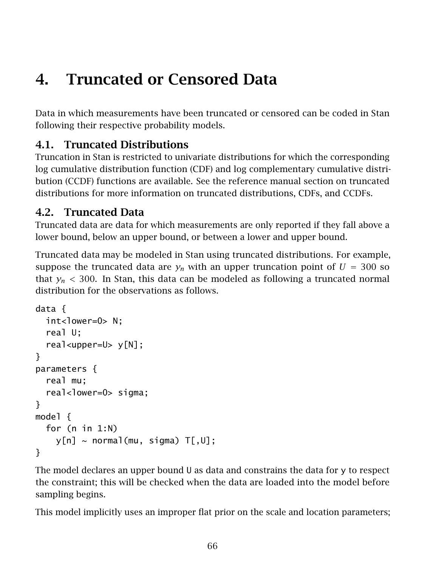# 4. Truncated or Censored Data

Data in which measurements have been truncated or censored can be coded in Stan following their respective probability models.

# <span id="page-72-0"></span>4.1. Truncated Distributions

Truncation in Stan is restricted to univariate distributions for which the corresponding log cumulative distribution function (CDF) and log complementary cumulative distribution (CCDF) functions are available. See the reference manual section on truncated distributions for more information on truncated distributions, CDFs, and CCDFs.

## 4.2. Truncated Data

Truncated data are data for which measurements are only reported if they fall above a lower bound, below an upper bound, or between a lower and upper bound.

Truncated data may be modeled in Stan using truncated distributions. For example, suppose the truncated data are  $y_n$  with an upper truncation point of  $U = 300$  so that  $y_n$  < 300. In Stan, this data can be modeled as following a truncated normal distribution for the observations as follows.

```
data {
  int <lower=0> N:
  real U;
  real<upper=U> y[N];
}
parameters {
  real mu;
  real<lower=0> sigma;
}
model {
  for (n in 1:N)
    y[n] \sim \text{normal}(\text{mu}, \text{sigma}) T[,U];
}
```
The model declares an upper bound U as data and constrains the data for y to respect the constraint; this will be checked when the data are loaded into the model before sampling begins.

This model implicitly uses an improper flat prior on the scale and location parameters;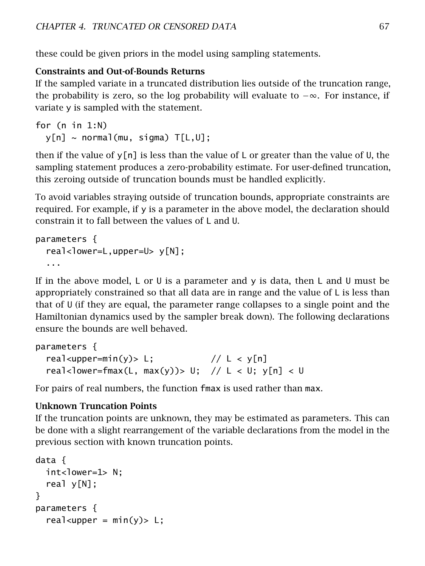these could be given priors in the model using sampling statements.

### Constraints and Out-of-Bounds Returns

If the sampled variate in a truncated distribution lies outside of the truncation range, the probability is zero, so the log probability will evaluate to  $-\infty$ . For instance, if variate y is sampled with the statement.

```
for (n in 1:N)
  y[n] \sim \text{normal}(\text{mu}, \text{sigma}) T[L, U];
```
then if the value of  $y[n]$  is less than the value of L or greater than the value of U, the sampling statement produces a zero-probability estimate. For user-defined truncation, this zeroing outside of truncation bounds must be handled explicitly.

To avoid variables straying outside of truncation bounds, appropriate constraints are required. For example, if y is a parameter in the above model, the declaration should constrain it to fall between the values of L and U.

```
parameters {
  real-lower=L,upper=U> y[N];
  ...
```
If in the above model, L or U is a parameter and y is data, then L and U must be appropriately constrained so that all data are in range and the value of L is less than that of U (if they are equal, the parameter range collapses to a single point and the Hamiltonian dynamics used by the sampler break down). The following declarations ensure the bounds are well behaved.

```
parameters {
 real<upper=min(y)> L; // L < y[n]real<lower=fmax(L, max(y))> U; // L < U; y[n] < U
```
For pairs of real numbers, the function fmax is used rather than max.

### Unknown Truncation Points

If the truncation points are unknown, they may be estimated as parameters. This can be done with a slight rearrangement of the variable declarations from the model in the previous section with known truncation points.

```
data {
 int<lower=1> N;
 real y[N];
}
parameters {
  real<upper = min(y)> L;
```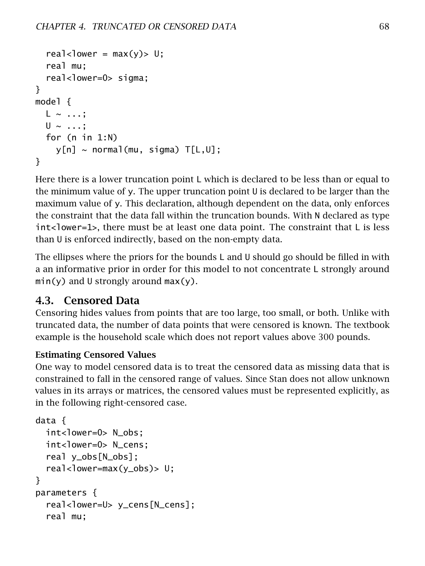```
real<lower = max(y)> U;
  real mu;
  real<lower=0> sigma;
}
model {
  L \sim ...;
  U \sim \ldots;for (n in 1:N)
     y[n] \sim \text{normal}(\text{mu}, \text{sigma}) T[L, U];
}
```
Here there is a lower truncation point L which is declared to be less than or equal to the minimum value of y. The upper truncation point U is declared to be larger than the maximum value of y. This declaration, although dependent on the data, only enforces the constraint that the data fall within the truncation bounds. With N declared as type int<lower=1>, there must be at least one data point. The constraint that L is less than U is enforced indirectly, based on the non-empty data.

The ellipses where the priors for the bounds  $L$  and  $U$  should go should be filled in with a an informative prior in order for this model to not concentrate L strongly around  $min(y)$  and U strongly around  $max(y)$ .

## 4.3. Censored Data

Censoring hides values from points that are too large, too small, or both. Unlike with truncated data, the number of data points that were censored is known. The textbook example is the household scale which does not report values above 300 pounds.

## Estimating Censored Values

One way to model censored data is to treat the censored data as missing data that is constrained to fall in the censored range of values. Since Stan does not allow unknown values in its arrays or matrices, the censored values must be represented explicitly, as in the following right-censored case.

```
data {
 int<lower=0> N_obs;
 int<lower=0> N_cens;
  real y_obs[N_obs];
  real-lower=max(y_obs)> U;
}
parameters {
  real<lower=U> y_cens[N_cens];
  real mu;
```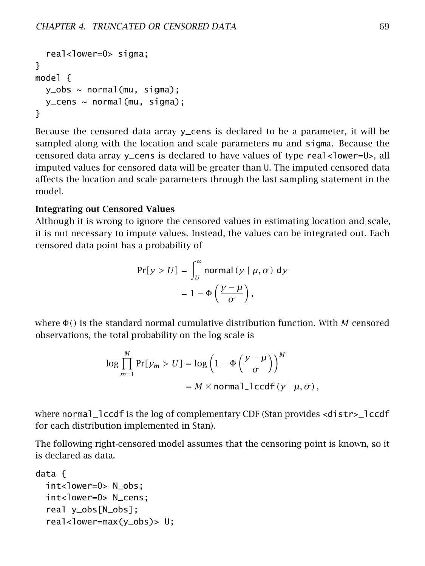```
real<lower=0> sigma;
}
model {
  y_{obs} \sim normal(mu, sigma);y_ccens ~ normal(mu, sigma);
}
```
Because the censored data array y\_cens is declared to be a parameter, it will be sampled along with the location and scale parameters mu and sigma. Because the censored data array  $y_c$ cens is declared to have values of type real <loster=U>, all imputed values for censored data will be greater than U. The imputed censored data affects the location and scale parameters through the last sampling statement in the model.

#### Integrating out Censored Values

Although it is wrong to ignore the censored values in estimating location and scale, it is not necessary to impute values. Instead, the values can be integrated out. Each censored data point has a probability of

$$
Pr[y > U] = \int_{U}^{\infty} \text{normal}(y | \mu, \sigma) dy
$$

$$
= 1 - \Phi\left(\frac{y - \mu}{\sigma}\right),
$$

where Φ*()* is the standard normal cumulative distribution function. With *M* censored observations, the total probability on the log scale is

$$
\log \prod_{m=1}^{M} \Pr[y_m > U] = \log \left( 1 - \Phi \left( \frac{y - \mu}{\sigma} \right) \right)^M
$$
\n
$$
= M \times \text{normal\_lccdf}(y \mid \mu, \sigma),
$$

where normal\_lccdf is the log of complementary CDF (Stan provides <distr>\_lccdf for each distribution implemented in Stan).

The following right-censored model assumes that the censoring point is known, so it is declared as data.

```
data {
 int<lower=0> N obs;
 int<lower=0> N_cens;
  real y_obs[N_obs];
  real<lower=max(y_obs)> U;
```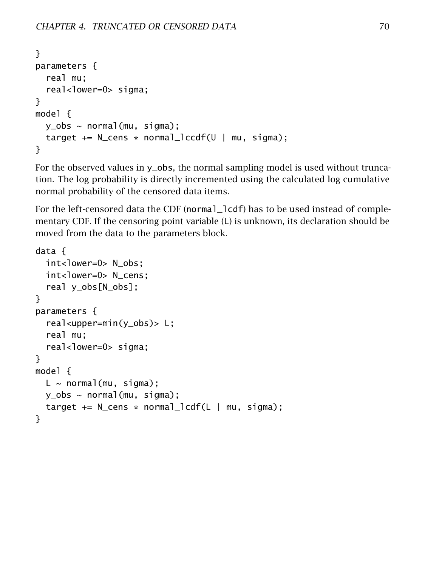```
}
parameters {
  real mu;
  real<lower=0> sigma;
}
model {
  y_{obs} \sim normal(mu, sigma);
  target += N_cens * normal_lccdf(U | mu, sigma);
}
```
For the observed values in y\_obs, the normal sampling model is used without truncation. The log probability is directly incremented using the calculated log cumulative normal probability of the censored data items.

For the left-censored data the CDF (normal\_lcdf) has to be used instead of complementary CDF. If the censoring point variable (L) is unknown, its declaration should be moved from the data to the parameters block.

```
data {
  int<lower=0> N obs;
  int<lower=0> N_cens;
  real y_obs[N_obs];
}
parameters {
  real<upper=min(y_obs)> L;
  real mu;
  real<lower=0> sigma;
}
model {
  L \sim normal(mu, sigma);
  y_{obs} \sim normal(mu, sigma);target += N_cens * normal_lcdf(L | mu, sigma);}
```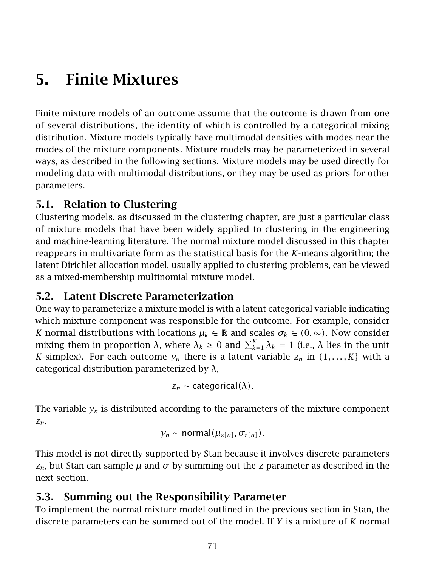# 5. Finite Mixtures

Finite mixture models of an outcome assume that the outcome is drawn from one of several distributions, the identity of which is controlled by a categorical mixing distribution. Mixture models typically have multimodal densities with modes near the modes of the mixture components. Mixture models may be parameterized in several ways, as described in the following sections. Mixture models may be used directly for modeling data with multimodal distributions, or they may be used as priors for other parameters.

## 5.1. Relation to Clustering

Clustering models, as discussed in the [clustering chapter,](#page-121-0) are just a particular class of mixture models that have been widely applied to clustering in the engineering and machine-learning literature. The normal mixture model discussed in this chapter reappears in multivariate form as the statistical basis for the *K*-means algorithm; the latent Dirichlet allocation model, usually applied to clustering problems, can be viewed as a mixed-membership multinomial mixture model.

## 5.2. Latent Discrete Parameterization

One way to parameterize a mixture model is with a latent categorical variable indicating which mixture component was responsible for the outcome. For example, consider *K* normal distributions with locations  $\mu_k \in \mathbb{R}$  and scales  $\sigma_k \in (0, \infty)$ . Now consider mixing them in proportion *λ*, where  $λ_k ≥ 0$  and  $\sum_{k=1}^{K} λ_k = 1$  (i.e., *λ* lies in the unit *K*-simplex). For each outcome  $y_n$  there is a latent variable  $z_n$  in  $\{1, \ldots, K\}$  with a categorical distribution parameterized by *λ*,

$$
z_n \sim categorical(\lambda).
$$

The variable  $y_n$  is distributed according to the parameters of the mixture component *zn*,

$$
y_n \sim \text{normal}(\mu_{z[n]}, \sigma_{z[n]}).
$$

This model is not directly supported by Stan because it involves discrete parameters *z*<sub>*n*</sub>, but Stan can sample *μ* and *σ* by summing out the *z* parameter as described in the next section.

## 5.3. Summing out the Responsibility Parameter

To implement the normal mixture model outlined in the previous section in Stan, the discrete parameters can be summed out of the model. If *Y* is a mixture of *K* normal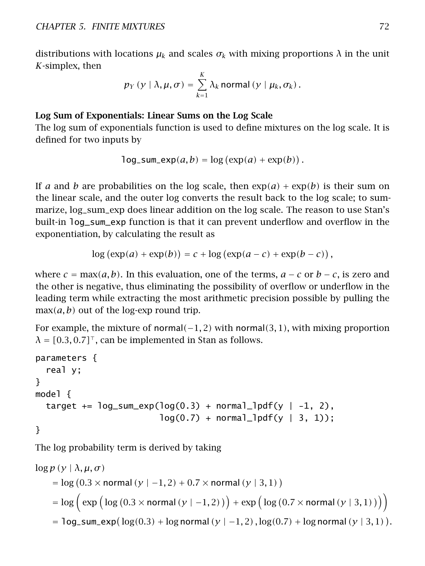distributions with locations  $\mu_k$  and scales  $\sigma_k$  with mixing proportions  $\lambda$  in the unit *K*-simplex, then

$$
p_Y(y | \lambda, \mu, \sigma) = \sum_{k=1}^K \lambda_k \text{ normal}(y | \mu_k, \sigma_k).
$$

#### Log Sum of Exponentials: Linear Sums on the Log Scale

The log sum of exponentials function is used to define mixtures on the log scale. It is defined for two inputs by

$$
\log_{\text{sum}\exp(a,b)} = \log\left(\exp(a) + \exp(b)\right).
$$

If *a* and *b* are probabilities on the log scale, then  $exp(a) + exp(b)$  is their sum on the linear scale, and the outer log converts the result back to the log scale; to summarize, log\_sum\_exp does linear addition on the log scale. The reason to use Stan's built-in log\_sum\_exp function is that it can prevent underflow and overflow in the exponentiation, by calculating the result as

$$
log (exp(a) + exp(b)) = c + log (exp(a - c) + exp(b - c)),
$$

where  $c = \max(a, b)$ . In this evaluation, one of the terms,  $a - c$  or  $b - c$ , is zero and the other is negative, thus eliminating the possibility of overflow or underflow in the leading term while extracting the most arithmetic precision possible by pulling the  $max(a, b)$  out of the log-exp round trip.

For example, the mixture of normal*(*−1*,* 2*)* with normal*(*3*,* 1*)*, with mixing proportion  $\lambda = [0.3, 0.7]^\top$ , can be implemented in Stan as follows.

```
parameters {
  real y;
}
model {
  target += log\_sum\_exp(log(0.3) + normal\_lpdf(y | -1, 2),
                         log(0.7) + normal [lpdf(y | 3, 1));
}
```
The log probability term is derived by taking

$$
\log p (y | \lambda, \mu, \sigma)
$$
  
= log (0.3 × normal (y | -1,2) + 0.7 × normal (y | 3,1))  
= log ( exp (log (0.3 × normal (y | -1,2)) ) + exp (log (0.7 × normal (y | 3,1))))  
= log-sum-exp (log(0.3) + log normal (y | -1,2), log(0.7) + log normal (y | 3,1)).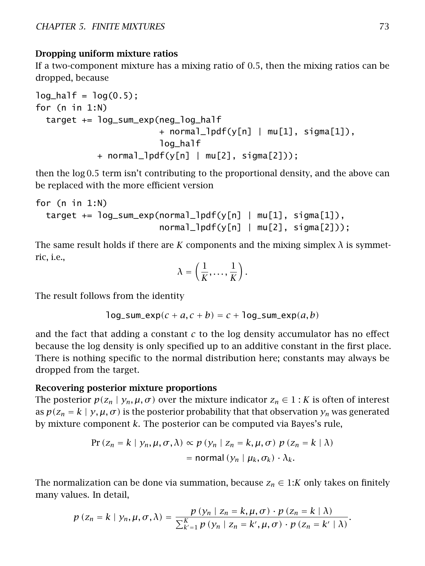#### Dropping uniform mixture ratios

If a two-component mixture has a mixing ratio of 0.5, then the mixing ratios can be dropped, because

```
log\_half = log(0.5);
for (n in 1:N)
 target += log_sum_exp(neg_log_half
                        + normal_lpdf(y[n] | mu[1], sigma[1]),
                        log half
            + normal_lpdf(y[n] | mu[2], sigma[2]));
```
then the log 0*.*5 term isn't contributing to the proportional density, and the above can be replaced with the more efficient version

```
for (n in 1:N)
 target += log_sum_exp(normal_lpdf(y[n] | mu[1], sigma[1]),
                        normal_lpdf(y[n] | mu[2], sigma[2]));
```
The same result holds if there are *K* components and the mixing simplex  $\lambda$  is symmetric, i.e.,

$$
\lambda = \left(\frac{1}{K}, \ldots, \frac{1}{K}\right).
$$

The result follows from the identity

$$
log\_sum\_exp(c + a, c + b) = c + log\_sum\_exp(a, b)
$$

and the fact that adding a constant *c* to the log density accumulator has no effect because the log density is only specified up to an additive constant in the first place. There is nothing specific to the normal distribution here; constants may always be dropped from the target.

#### Recovering posterior mixture proportions

The posterior  $p(z_n | y_n, \mu, \sigma)$  over the mixture indicator  $z_n \in 1 : K$  is often of interest as  $p(z_n = k | y, \mu, \sigma)$  is the posterior probability that that observation  $y_n$  was generated by mixture component *k*. The posterior can be computed via Bayes's rule,

$$
\Pr(z_n = k \mid y_n, \mu, \sigma, \lambda) \propto p \left( y_n \mid z_n = k, \mu, \sigma \right) p \left( z_n = k \mid \lambda \right)
$$
\n
$$
= \text{normal} \left( y_n \mid \mu_k, \sigma_k \right) \cdot \lambda_k.
$$

The normalization can be done via summation, because  $z_n \in 1:K$  only takes on finitely many values. In detail,

$$
p(z_n = k | y_n, \mu, \sigma, \lambda) = \frac{p(y_n | z_n = k, \mu, \sigma) \cdot p(z_n = k | \lambda)}{\sum_{k'=1}^K p(y_n | z_n = k', \mu, \sigma) \cdot p(z_n = k' | \lambda)}.
$$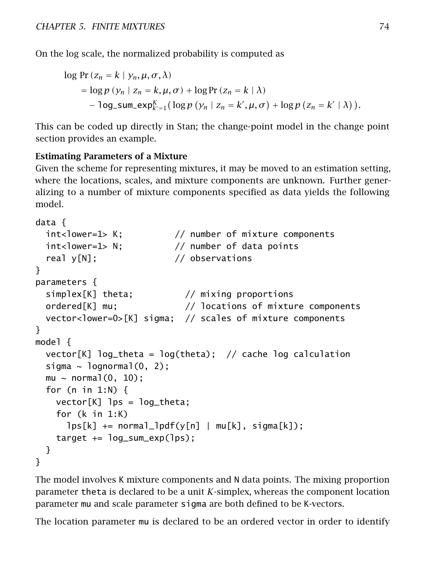On the log scale, the normalized probability is computed as

$$
\log \Pr(z_n = k \mid y_n, \mu, \sigma, \lambda)
$$
  
= 
$$
\log p (y_n \mid z_n = k, \mu, \sigma) + \log \Pr(z_n = k \mid \lambda)
$$
  
- 
$$
\log\text{-sum}\exp_{k'=1}^K (\log p (y_n \mid z_n = k', \mu, \sigma) + \log p (z_n = k' \mid \lambda)).
$$

This can be coded up directly in Stan; the change-point model in the [change point](#page-98-0) [section](#page-98-0) provides an example.

### Estimating Parameters of a Mixture

Given the scheme for representing mixtures, it may be moved to an estimation setting, where the locations, scales, and mixture components are unknown. Further generalizing to a number of mixture components specified as data yields the following model.

```
data {
 int<lower=1> K; // number of mixture components
 int<lower=1> N; // number of data points
 real y[N]; \frac{1}{2} // observations
}
parameters {
 simplex[K] theta; // mixing proportions
 ordered[K] mu; // locations of mixture components
 vector<lower=0>[K] sigma; // scales of mixture components
}
model {
 vector[K] log_theta = log(theta); // cache log calculation
 sigma \sim lognormal(0, 2);
 mu \sim normal(0, 10);
 for (n in 1:N) {
   vector[K] lps = log_theta;
   for (k in 1:K)
     lps[k] += normal_lpdf(y[n] | mu[k], sigma[k]);
   target += \log_sum\_exp(\log);}
}
```
The model involves K mixture components and N data points. The mixing proportion parameter theta is declared to be a unit *K*-simplex, whereas the component location parameter mu and scale parameter sigma are both defined to be K-vectors.

The location parameter mu is declared to be an ordered vector in order to identify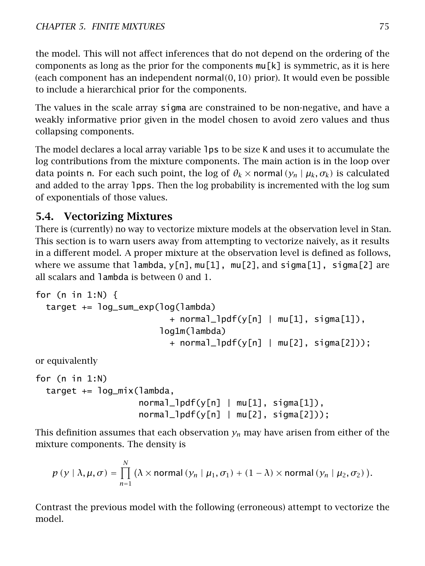the model. This will not affect inferences that do not depend on the ordering of the components as long as the prior for the components  $mu[k]$  is symmetric, as it is here (each component has an independent normal*(*0*,* 10*)* prior). It would even be possible to include a hierarchical prior for the components.

The values in the scale array sigma are constrained to be non-negative, and have a weakly informative prior given in the model chosen to avoid zero values and thus collapsing components.

The model declares a local array variable lps to be size K and uses it to accumulate the log contributions from the mixture components. The main action is in the loop over data points n. For each such point, the log of  $\theta_k \times \text{normal}(y_n | \mu_k, \sigma_k)$  is calculated and added to the array lpps. Then the log probability is incremented with the log sum of exponentials of those values.

# 5.4. Vectorizing Mixtures

There is (currently) no way to vectorize mixture models at the observation level in Stan. This section is to warn users away from attempting to vectorize naively, as it results in a different model. A proper mixture at the observation level is defined as follows, where we assume that lambda,  $y[n]$ ,  $mu[1]$ ,  $mu[2]$ , and  $sigma[1]$ ,  $sigma[2]$  are all scalars and lambda is between 0 and 1.

```
for (n in 1:N) {
 target += log_sum_exp(log(lambda)
                          + normal_lpdf(y[n] | mu[1], sigma[1]),
                        log1m(lambda)
                          + normal_lpdf(y[n] | mu[2], sigma[2]));
```
or equivalently

```
for (n in 1:N)
 target += log_mix(lambda,
                    normal_lpdf(y[n] | mu[1], sigma[1]),normal_lpdf(y[n] | mu[2], sigma[2]));
```
This definition assumes that each observation  $y_n$  may have arisen from either of the mixture components. The density is

$$
p(y | \lambda, \mu, \sigma) = \prod_{n=1}^{N} (\lambda \times \text{normal}(y_n | \mu_1, \sigma_1) + (1 - \lambda) \times \text{normal}(y_n | \mu_2, \sigma_2)).
$$

Contrast the previous model with the following (erroneous) attempt to vectorize the model.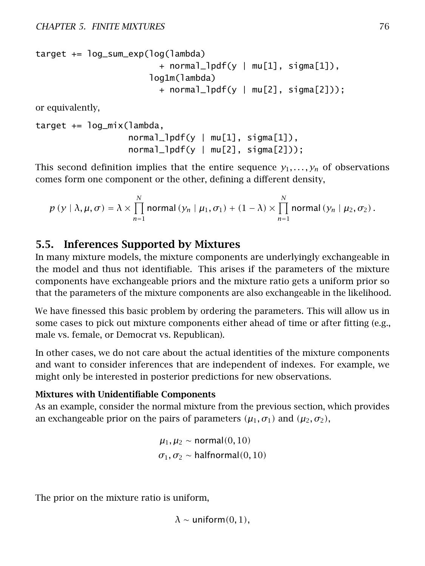target += log\_sum\_exp(log(lambda) + normal\_lpdf(y | mu[1], sigma[1]), log1m(lambda) + normal\_lpdf(y | mu[2], sigma[2]));

or equivalently,

```
target += log_mix(lambda,
                  normal_lpdf(y | mu[1], sigma[1]),normal_lpdf(y | mu[2], sigma[2]));
```
This second definition implies that the entire sequence  $y_1, \ldots, y_n$  of observations comes form one component or the other, defining a different density,

$$
p(y | \lambda, \mu, \sigma) = \lambda \times \prod_{n=1}^{N} \text{normal}(y_n | \mu_1, \sigma_1) + (1 - \lambda) \times \prod_{n=1}^{N} \text{normal}(y_n | \mu_2, \sigma_2).
$$

## 5.5. Inferences Supported by Mixtures

In many mixture models, the mixture components are underlyingly exchangeable in the model and thus not identifiable. This arises if the parameters of the mixture components have exchangeable priors and the mixture ratio gets a uniform prior so that the parameters of the mixture components are also exchangeable in the likelihood.

We have finessed this basic problem by ordering the parameters. This will allow us in some cases to pick out mixture components either ahead of time or after fitting (e.g., male vs. female, or Democrat vs. Republican).

In other cases, we do not care about the actual identities of the mixture components and want to consider inferences that are independent of indexes. For example, we might only be interested in posterior predictions for new observations.

### Mixtures with Unidentifiable Components

As an example, consider the normal mixture from the previous section, which provides an exchangeable prior on the pairs of parameters  $(\mu_1, \sigma_1)$  and  $(\mu_2, \sigma_2)$ ,

> *µ*<sub>1</sub>*, µ*<sub>2</sub> ∼ normal(0*,* 10*)*  $\sigma_1, \sigma_2 \sim$  halfnormal $(0, 10)$

The prior on the mixture ratio is uniform,

 $\lambda \sim$  uniform $(0, 1)$ ,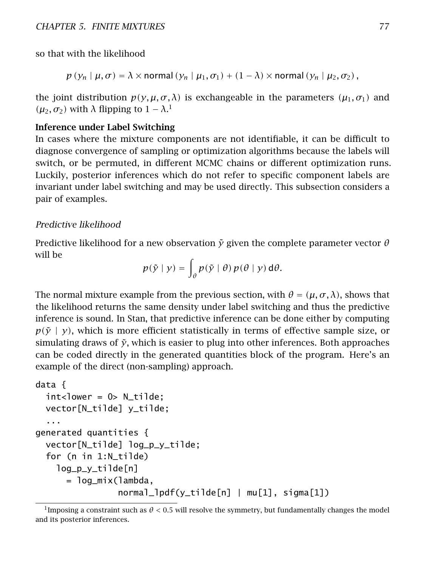so that with the likelihood

$$
p(y_n | \mu, \sigma) = \lambda \times \text{normal}(y_n | \mu_1, \sigma_1) + (1 - \lambda) \times \text{normal}(y_n | \mu_2, \sigma_2)
$$
,

the joint distribution  $p(y, \mu, \sigma, \lambda)$  is exchangeable in the parameters  $(\mu_1, \sigma_1)$  and *(μ*<sub>2</sub>*, σ*<sub>2</sub>*)* with *λ* flipping to  $1 − λ$  $1 − λ$ <sup>1</sup>

#### Inference under Label Switching

In cases where the mixture components are not identifiable, it can be difficult to diagnose convergence of sampling or optimization algorithms because the labels will switch, or be permuted, in different MCMC chains or different optimization runs. Luckily, posterior inferences which do not refer to specific component labels are invariant under label switching and may be used directly. This subsection considers a pair of examples.

#### Predictive likelihood

Predictive likelihood for a new observation  $\tilde{y}$  given the complete parameter vector  $\theta$ will be

$$
p(\tilde{y} \mid y) = \int_{\theta} p(\tilde{y} \mid \theta) p(\theta \mid y) d\theta.
$$

The normal mixture example from the previous section, with  $\theta = (\mu, \sigma, \lambda)$ , shows that the likelihood returns the same density under label switching and thus the predictive inference is sound. In Stan, that predictive inference can be done either by computing  $p(\tilde{y} | y)$ , which is more efficient statistically in terms of effective sample size, or simulating draws of  $\tilde{y}$ , which is easier to plug into other inferences. Both approaches can be coded directly in the generated quantities block of the program. Here's an example of the direct (non-sampling) approach.

```
data {
 int <lower = 0> N_tilde;
 vector[N_tilde] y_tilde;
  ...
generated quantities {
 vector[N_tilde] log_p_y_tilde;
 for (n in 1:N_tilde)
    log_p_y_tilde[n]
      = log_mix(lambda,
                normal_lpdf(y_tilde[n] | mu[1], sigma[1])
```
<span id="page-83-0"></span><sup>&</sup>lt;sup>1</sup>Imposing a constraint such as  $\theta$  < 0.5 will resolve the symmetry, but fundamentally changes the model and its posterior inferences.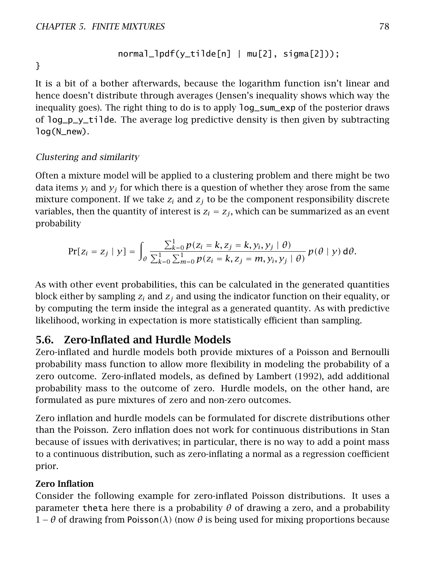$$
normal_1pdf(y_tilde[n] | mu[2], sigma[2]))
$$

}

It is a bit of a bother afterwards, because the logarithm function isn't linear and hence doesn't distribute through averages (Jensen's inequality shows which way the inequality goes). The right thing to do is to apply log\_sum\_exp of the posterior draws of  $log_p_y_t$ tilde. The average log predictive density is then given by subtracting log(N\_new).

### Clustering and similarity

Often a mixture model will be applied to a clustering problem and there might be two data items  $y_i$  and  $y_j$  for which there is a question of whether they arose from the same mixture component. If we take  $z_i$  and  $z_j$  to be the component responsibility discrete variables, then the quantity of interest is  $z_i = z_j$ , which can be summarized as an event probability

$$
\Pr[z_i = z_j \mid y] = \int_{\theta} \frac{\sum_{k=0}^{1} p(z_i = k, z_j = k, y_i, y_j \mid \theta)}{\sum_{k=0}^{1} \sum_{m=0}^{1} p(z_i = k, z_j = m, y_i, y_j \mid \theta)} p(\theta \mid y) d\theta.
$$

As with other event probabilities, this can be calculated in the generated quantities block either by sampling *z<sup>i</sup>* and *z<sup>j</sup>* and using the indicator function on their equality, or by computing the term inside the integral as a generated quantity. As with predictive likelihood, working in expectation is more statistically efficient than sampling.

## 5.6. Zero-Inflated and Hurdle Models

Zero-inflated and hurdle models both provide mixtures of a Poisson and Bernoulli probability mass function to allow more flexibility in modeling the probability of a zero outcome. Zero-inflated models, as defined by Lambert [\(1992\)](#page-305-0), add additional probability mass to the outcome of zero. Hurdle models, on the other hand, are formulated as pure mixtures of zero and non-zero outcomes.

Zero inflation and hurdle models can be formulated for discrete distributions other than the Poisson. Zero inflation does not work for continuous distributions in Stan because of issues with derivatives; in particular, there is no way to add a point mass to a continuous distribution, such as zero-inflating a normal as a regression coefficient prior.

### Zero Inflation

Consider the following example for zero-inflated Poisson distributions. It uses a parameter theta here there is a probability  $\theta$  of drawing a zero, and a probability 1−*θ* of drawing from Poisson*(λ)* (now *θ* is being used for mixing proportions because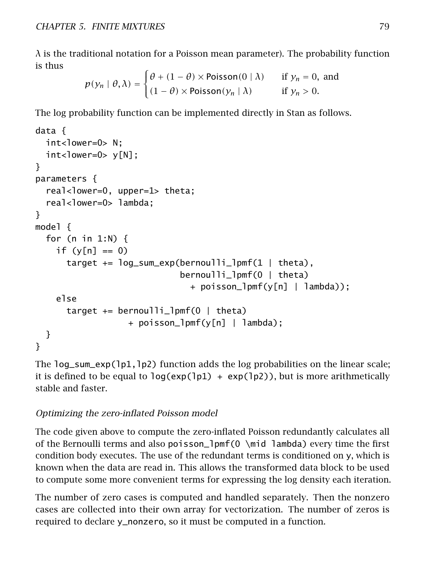$\lambda$  is the traditional notation for a Poisson mean parameter). The probability function is thus

$$
p(y_n | \theta, \lambda) = \begin{cases} \theta + (1 - \theta) \times \text{Poisson}(0 | \lambda) & \text{if } y_n = 0, \text{ and} \\ (1 - \theta) \times \text{Poisson}(y_n | \lambda) & \text{if } y_n > 0. \end{cases}
$$

The log probability function can be implemented directly in Stan as follows.

```
data {
  int<lower=0> N:
  int<lower=0> y[N];
}
parameters {
  real<lower=0, upper=1> theta;
  real<lower=0> lambda;
}
model {
  for (n in 1:N) \{if (v[n] == 0)target += log_sum_exp(bernoulli_lpmf(1 | theta),
                             bernoulli_lpmf(0 | theta)
                               + poisson_lpmf(y[n] | lambda));
    else
      target += bernoulli_lpmf(0 | theta)
                  + poisson_lpmf(y[n] | lambda);
  }
}
```
The log\_sum\_exp(lp1,lp2) function adds the log probabilities on the linear scale; it is defined to be equal to  $log(exp(1p1) + exp(1p2))$ , but is more arithmetically stable and faster.

## Optimizing the zero-inflated Poisson model

The code given above to compute the zero-inflated Poisson redundantly calculates all of the Bernoulli terms and also poisson\_lpmf(0 \mid lambda) every time the first condition body executes. The use of the redundant terms is conditioned on y, which is known when the data are read in. This allows the transformed data block to be used to compute some more convenient terms for expressing the log density each iteration.

The number of zero cases is computed and handled separately. Then the nonzero cases are collected into their own array for vectorization. The number of zeros is required to declare y\_nonzero, so it must be computed in a function.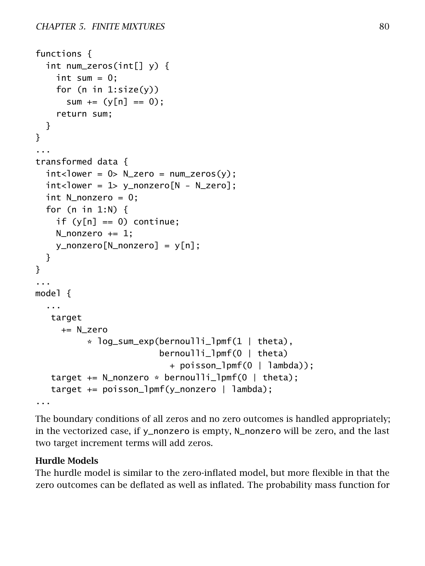```
functions {
 int num_zeros(int[] y) {
    int sum = 0;
    for (n in 1:size(y))
      sum += (y[n] == 0);return sum;
 }
}
...
transformed data {
 int <lower = 0> N_zero = num_zeros(y);
 int <lower = 1> y_nonzero[N - N_zero];
 int N_nonzero = 0;
 for (n in 1:N) {
    if (v[n] == 0) continue:
    N_nonzero += 1;
    y_nonzero[N_nonzero] = y[n];
 }
}
...
model {
  ...
  target
     += N_zero
          * log_sum_exp(bernoulli_lpmf(1 | theta),
                         bernoulli_lpmf(0 | theta)
                           + poisson_lpmf(0 | lambda));
   target += N_nonzero * bernoulli_lpmf(0 | theta);
   target += poisson_lpmf(y_nonzero | lambda);
...
```
The boundary conditions of all zeros and no zero outcomes is handled appropriately; in the vectorized case, if y\_nonzero is empty, N\_nonzero will be zero, and the last two target increment terms will add zeros.

### Hurdle Models

The hurdle model is similar to the zero-inflated model, but more flexible in that the zero outcomes can be deflated as well as inflated. The probability mass function for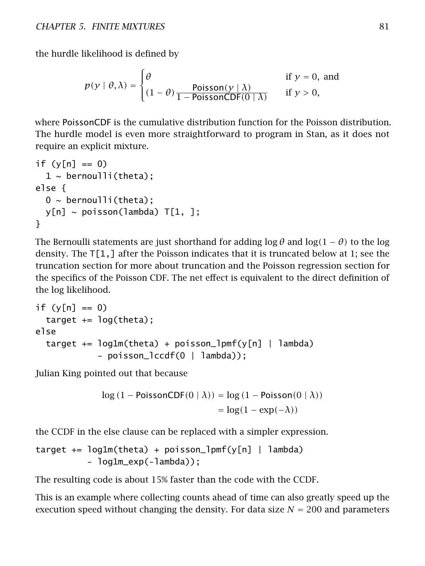the hurdle likelihood is defined by

$$
p(y | \theta, \lambda) = \begin{cases} \theta & \text{if } y = 0, \text{ and} \\ (1 - \theta) \frac{\text{Poisson}(y | \lambda)}{1 - \text{PoissonCDF}(0 | \lambda)} & \text{if } y > 0, \end{cases}
$$

where PoissonCDF is the cumulative distribution function for the Poisson distribution. The hurdle model is even more straightforward to program in Stan, as it does not require an explicit mixture.

```
if (v[n] == 0)1 \sim bernoulli(theta);
else {
  0 \sim bernoulli(theta);
  y[n] \sim \text{poisson}(lambda) T[1, ];
}
```
The Bernoulli statements are just shorthand for adding  $\log \theta$  and  $\log(1 - \theta)$  to the log density. The  $T[1, ]$  after the Poisson indicates that it is truncated below at 1; see the [truncation section](#page-72-0) for more about truncation and the [Poisson regression section](#page-0-0) for the specifics of the Poisson CDF. The net effect is equivalent to the direct definition of the log likelihood.

```
if (y[n] == 0)
 target += log(theta);
else
 target += log1m(theta) + poisson_lpmf(y[n] | lambda)
            - poisson_lccdf(0 | lambda));
```
Julian King pointed out that because

```
log(1 - PoissonCDF(0 | \lambda)) = log(1 - Poisson(0 | \lambda))= \log(1 - \exp(-\lambda))
```
the CCDF in the else clause can be replaced with a simpler expression.

```
target += log1m(theta) + poisson_lpmf(y[n] | lambda)
          - log1m_exp(-lambda));
```
The resulting code is about 15% faster than the code with the CCDF.

This is an example where collecting counts ahead of time can also greatly speed up the execution speed without changing the density. For data size  $N = 200$  and parameters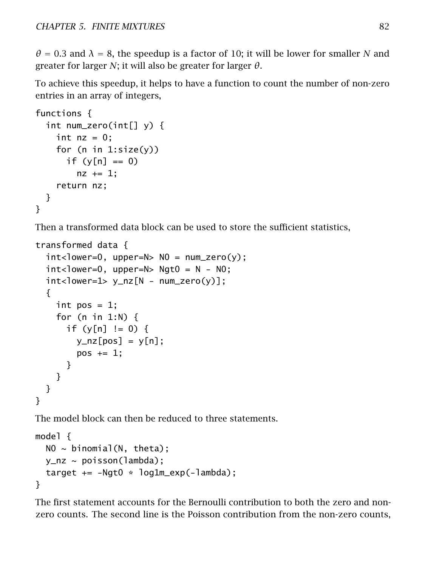$\theta$  = 0.3 and  $\lambda$  = 8, the speedup is a factor of 10; it will be lower for smaller *N* and greater for larger *N*; it will also be greater for larger *θ*.

To achieve this speedup, it helps to have a function to count the number of non-zero entries in an array of integers,

```
functions {
 int num_zero(int[] y) {
    int nz = 0;
    for (n in 1:size(y))
      if (y[n] == 0)nz += 1;
    return nz;
 }
}
```
Then a transformed data block can be used to store the sufficient statistics,

```
transformed data {
 int <lower=0, upper=N> N0 = num_zero(y);
 int <lower=0, upper=N> Ngt0 = N - N0;
 int <lower=1> y_nz[N - num\_zero(y)];
  {
    int pos = 1;
    for (n in 1:N) {
      if (y[n] := 0) {
        y_nz[pos] = y[n];pos += 1;}
   }
 }
}
```
The model block can then be reduced to three statements.

```
model {
  NO ~ binomial(N, theta);
  y_nz \sim \text{poisson}(\text{lambda});
  target += -Ngt0 * log1m\_exp(-1ambda);
}
```
The first statement accounts for the Bernoulli contribution to both the zero and nonzero counts. The second line is the Poisson contribution from the non-zero counts,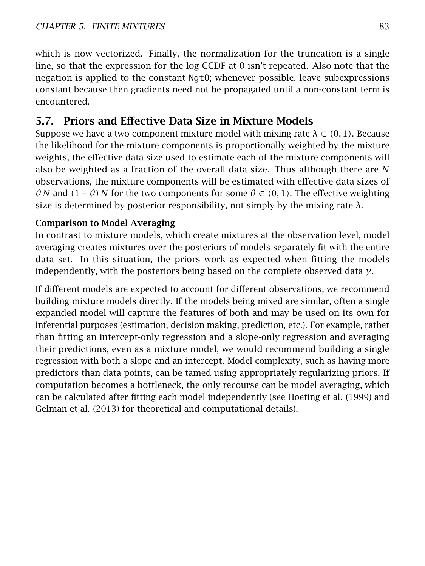which is now vectorized. Finally, the normalization for the truncation is a single line, so that the expression for the log CCDF at 0 isn't repeated. Also note that the negation is applied to the constant Ngt0; whenever possible, leave subexpressions constant because then gradients need not be propagated until a non-constant term is encountered.

# 5.7. Priors and Effective Data Size in Mixture Models

Suppose we have a two-component mixture model with mixing rate  $\lambda \in (0,1)$ . Because the likelihood for the mixture components is proportionally weighted by the mixture weights, the effective data size used to estimate each of the mixture components will also be weighted as a fraction of the overall data size. Thus although there are *N* observations, the mixture components will be estimated with effective data sizes of *θ N* and  $(1 - \theta)$  *N* for the two components for some  $\theta \in (0, 1)$ . The effective weighting size is determined by posterior responsibility, not simply by the mixing rate  $\lambda$ .

## Comparison to Model Averaging

In contrast to mixture models, which create mixtures at the observation level, model averaging creates mixtures over the posteriors of models separately fit with the entire data set. In this situation, the priors work as expected when fitting the models independently, with the posteriors being based on the complete observed data *y*.

If different models are expected to account for different observations, we recommend building mixture models directly. If the models being mixed are similar, often a single expanded model will capture the features of both and may be used on its own for inferential purposes (estimation, decision making, prediction, etc.). For example, rather than fitting an intercept-only regression and a slope-only regression and averaging their predictions, even as a mixture model, we would recommend building a single regression with both a slope and an intercept. Model complexity, such as having more predictors than data points, can be tamed using appropriately regularizing priors. If computation becomes a bottleneck, the only recourse can be model averaging, which can be calculated after fitting each model independently (see Hoeting et al. [\(1999\)](#page-304-0) and Gelman et al. [\(2013\)](#page-304-1) for theoretical and computational details).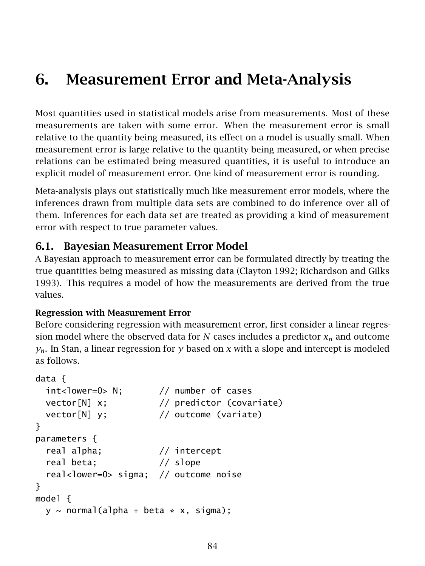# 6. Measurement Error and Meta-Analysis

Most quantities used in statistical models arise from measurements. Most of these measurements are taken with some error. When the measurement error is small relative to the quantity being measured, its effect on a model is usually small. When measurement error is large relative to the quantity being measured, or when precise relations can be estimated being measured quantities, it is useful to introduce an explicit model of measurement error. One kind of measurement error is rounding.

Meta-analysis plays out statistically much like measurement error models, where the inferences drawn from multiple data sets are combined to do inference over all of them. Inferences for each data set are treated as providing a kind of measurement error with respect to true parameter values.

## 6.1. Bayesian Measurement Error Model

A Bayesian approach to measurement error can be formulated directly by treating the true quantities being measured as missing data (Clayton [1992;](#page-303-0) Richardson and Gilks [1993\)](#page-306-0). This requires a model of how the measurements are derived from the true values.

## Regression with Measurement Error

Before considering regression with measurement error, first consider a linear regression model where the observed data for *N* cases includes a predictor  $x_n$  and outcome  $y_n$ . In Stan, a linear regression for *y* based on *x* with a slope and intercept is modeled as follows.

```
data {
 int<lower=0> N; // number of cases
 vector[N] x; // predictor (covariate)
 vector[N] y; // outcome (variate)
}
parameters {
 real alpha; // intercept
 real beta; // slope
 real<lower=0> sigma; // outcome noise
}
model {
 y \sim normal(alpha + beta * x, sigma);
```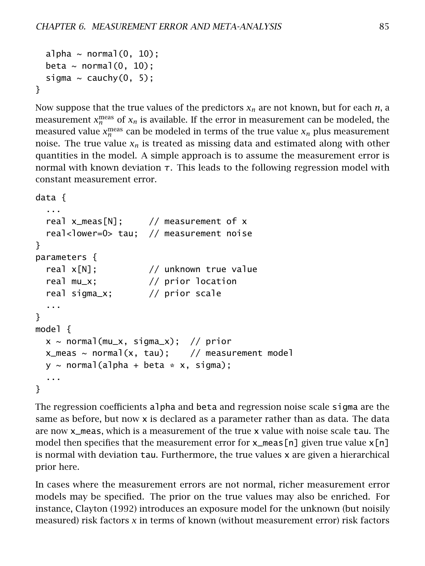```
alpha \sim normal(0, 10);
  beta \sim normal(0, 10);
  sigma \sim cauchy(0, 5);
}
```
Now suppose that the true values of the predictors *x<sup>n</sup>* are not known, but for each *n*, a measurement  $x_n^{\text{meas}}$  of  $x_n$  is available. If the error in measurement can be modeled, the measured value  $x_n^{\text{meas}}$  can be modeled in terms of the true value  $x_n$  plus measurement noise. The true value  $x_n$  is treated as missing data and estimated along with other quantities in the model. A simple approach is to assume the measurement error is normal with known deviation *τ*. This leads to the following regression model with constant measurement error.

```
data {
  ...
 real x_meas[N]; // measurement of x
  real<lower=0> tau; // measurement noise
}
parameters {
 real x[N]; // unknown true value
 real mu_x; // prior location
 real sigma_x; // prior scale
  ...
}
model {
 x \sim \text{normal}(\text{mu}_x, \text{sigma}_x); // prior
 x_meas ~ normal(x, \tau); // measurement model
 y \sim normal(alpha + beta * x, sigma);
  ...
}
```
The regression coefficients alpha and beta and regression noise scale sigma are the same as before, but now x is declared as a parameter rather than as data. The data are now x\_meas, which is a measurement of the true x value with noise scale tau. The model then specifies that the measurement error for  $x_{\text{meas}}[n]$  given true value  $x[n]$ is normal with deviation tau. Furthermore, the true values x are given a hierarchical prior here.

In cases where the measurement errors are not normal, richer measurement error models may be specified. The prior on the true values may also be enriched. For instance, Clayton [\(1992\)](#page-303-0) introduces an exposure model for the unknown (but noisily measured) risk factors *x* in terms of known (without measurement error) risk factors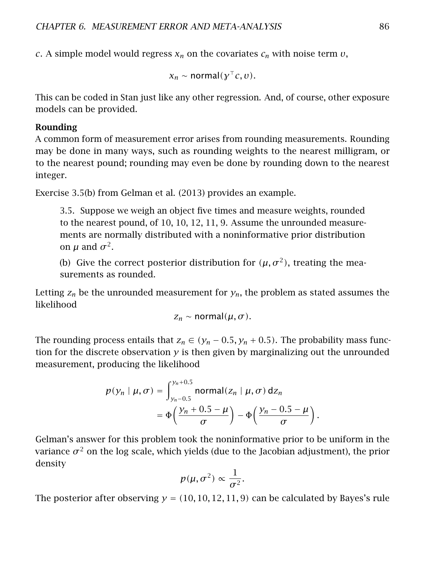*c*. A simple model would regress *x<sup>n</sup>* on the covariates *c<sup>n</sup>* with noise term *υ*,

 $x_n \sim \text{normal}(y^\top c, v).$ 

This can be coded in Stan just like any other regression. And, of course, other exposure models can be provided.

#### Rounding

A common form of measurement error arises from rounding measurements. Rounding may be done in many ways, such as rounding weights to the nearest milligram, or to the nearest pound; rounding may even be done by rounding down to the nearest integer.

Exercise 3.5(b) from Gelman et al. [\(2013\)](#page-304-1) provides an example.

3.5. Suppose we weigh an object five times and measure weights, rounded to the nearest pound, of 10, 10, 12, 11, 9. Assume the unrounded measurements are normally distributed with a noninformative prior distribution on  $\mu$  and  $\sigma^2$ .

(b) Give the correct posterior distribution for  $(\mu, \sigma^2)$ , treating the measurements as rounded.

Letting  $z_n$  be the unrounded measurement for  $y_n$ , the problem as stated assumes the likelihood

$$
z_n \sim \text{normal}(\mu, \sigma).
$$

The rounding process entails that  $z_n \in (y_n - 0.5, y_n + 0.5)$ . The probability mass function for the discrete observation  $y$  is then given by marginalizing out the unrounded measurement, producing the likelihood

$$
p(y_n | \mu, \sigma) = \int_{y_n - 0.5}^{y_n + 0.5} \text{normal}(z_n | \mu, \sigma) \, \mathrm{d}z_n
$$
  
= 
$$
\Phi\left(\frac{y_n + 0.5 - \mu}{\sigma}\right) - \Phi\left(\frac{y_n - 0.5 - \mu}{\sigma}\right).
$$

Gelman's answer for this problem took the noninformative prior to be uniform in the variance  $\sigma^2$  on the log scale, which yields (due to the Jacobian adjustment), the prior density

$$
p(\mu, \sigma^2) \propto \frac{1}{\sigma^2}.
$$

The posterior after observing  $y = (10, 10, 12, 11, 9)$  can be calculated by Bayes's rule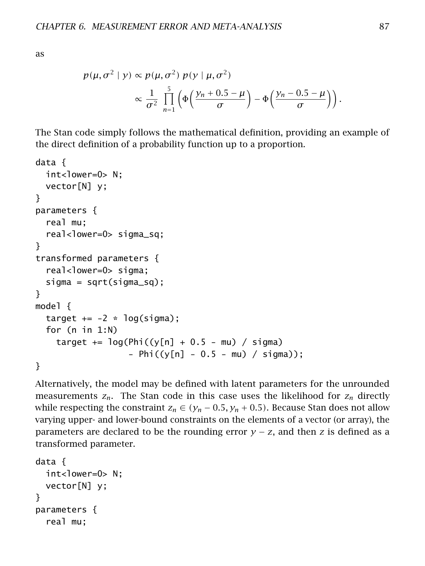as

$$
p(\mu, \sigma^2 \mid y) \propto p(\mu, \sigma^2) p(y \mid \mu, \sigma^2)
$$
  
 
$$
\propto \frac{1}{\sigma^2} \prod_{n=1}^5 \left( \Phi\left(\frac{y_n + 0.5 - \mu}{\sigma}\right) - \Phi\left(\frac{y_n - 0.5 - \mu}{\sigma}\right) \right).
$$

The Stan code simply follows the mathematical definition, providing an example of the direct definition of a probability function up to a proportion.

```
data {
  int<lower=0> N;
  vector[N] y;
}
parameters {
  real mu;
  real<lower=0> sigma_sq;
}
transformed parameters {
  real<lower=0> sigma;
  sigma = sqrt(sigma_sq);
}
model {
  target += -2 * log(sigma);
  for (n in 1:N)
    target += \log(Phi((v[n] + 0.5 - mu)) / signa)- Phi((y[n] - 0.5 - mu) / sigma));
}
```
Alternatively, the model may be defined with latent parameters for the unrounded measurements  $z_n$ . The Stan code in this case uses the likelihood for  $z_n$  directly while respecting the constraint  $z_n \in (\gamma_n - 0.5, \gamma_n + 0.5)$ . Because Stan does not allow varying upper- and lower-bound constraints on the elements of a vector (or array), the parameters are declared to be the rounding error  $y - z$ , and then *z* is defined as a transformed parameter.

```
data {
 int<lower=0> N;
 vector[N] y;
}
parameters {
 real mu;
```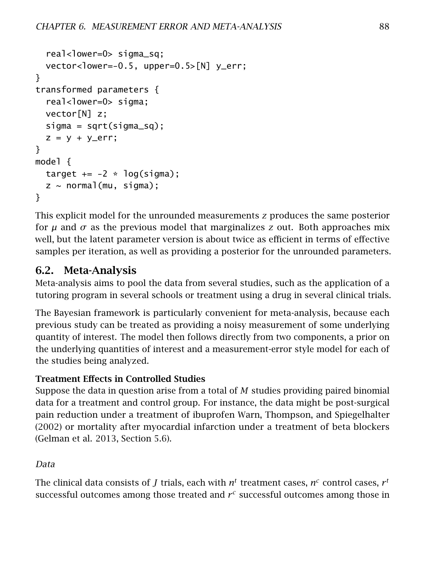```
real<lower=0> sigma_sq;
 vector<lower=-0.5, upper=0.5>[N] y_err;
}
transformed parameters {
  real<lower=0> sigma;
 vector[N] z;
 sigma = sqrt(sigma_sq);
 z = y + y_err;
}
model {
 target += -2 * log(sigma);
 z \sim normal(mu, sigma);
}
```
This explicit model for the unrounded measurements *z* produces the same posterior for  $\mu$  and  $\sigma$  as the previous model that marginalizes *z* out. Both approaches mix well, but the latent parameter version is about twice as efficient in terms of effective samples per iteration, as well as providing a posterior for the unrounded parameters.

## 6.2. Meta-Analysis

Meta-analysis aims to pool the data from several studies, such as the application of a tutoring program in several schools or treatment using a drug in several clinical trials.

The Bayesian framework is particularly convenient for meta-analysis, because each previous study can be treated as providing a noisy measurement of some underlying quantity of interest. The model then follows directly from two components, a prior on the underlying quantities of interest and a measurement-error style model for each of the studies being analyzed.

## Treatment Effects in Controlled Studies

Suppose the data in question arise from a total of *M* studies providing paired binomial data for a treatment and control group. For instance, the data might be post-surgical pain reduction under a treatment of ibuprofen Warn, Thompson, and Spiegelhalter [\(2002\)](#page-306-1) or mortality after myocardial infarction under a treatment of beta blockers (Gelman et al. [2013,](#page-304-1) Section 5.6).

## Data

The clinical data consists of  $J$  trials, each with  $n^t$  treatment cases,  $n^c$  control cases,  $r^t$ successful outcomes among those treated and  $r<sup>c</sup>$  successful outcomes among those in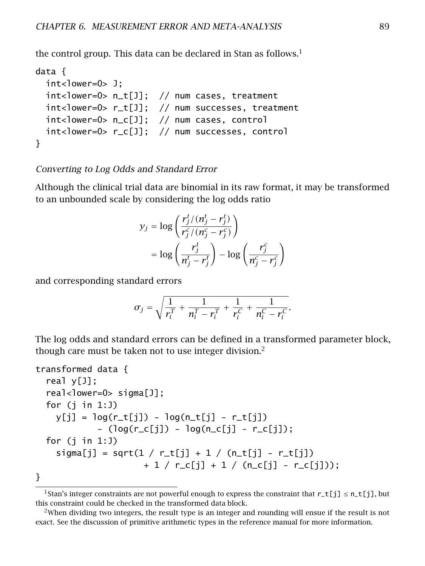the control group. This data can be declared in Stan as follows.<sup>[1](#page-95-0)</sup>

```
data {
 int<lower=0> J;
 int<lower=0> n_t[J]; // num cases, treatment
 int<lower=0> r_t[J]; // num successes, treatment
 int<lower=0> n_c[J]; // num cases, control
 int<lower=0> r_c[J]; // num successes, control
}
```
#### Converting to Log Odds and Standard Error

Although the clinical trial data are binomial in its raw format, it may be transformed to an unbounded scale by considering the log odds ratio

$$
y_j = \log\left(\frac{r_j^t/(n_j^t - r_j^t)}{r_j^c/(n_j^c - r_j^c)}\right)
$$
  
= 
$$
\log\left(\frac{r_j^t}{n_j^t - r_j^t}\right) - \log\left(\frac{r_j^c}{n_j^c - r_j^c}\right)
$$

and corresponding standard errors

$$
\sigma_j = \sqrt{\frac{1}{r_i^T} + \frac{1}{n_i^T - r_i^T} + \frac{1}{r_i^C} + \frac{1}{n_i^C - r_i^C}}.
$$

The log odds and standard errors can be defined in a transformed parameter block, though care must be taken not to use integer division.<sup>[2](#page-95-1)</sup>

```
transformed data {
  real y[J];
  real<lower=0> sigma[J];
 for (j in 1:J)
   y[i] = log(r_t[i]) - log(n_t[i]) - r_t[i])- (log(r_c[j]) - log(n_c[j] - r_c[j]);
 for (i in 1:J)signal[j] = sqrt(1 / r_t[j] + 1 / (n_t[j] - r_t[j])+ 1 / r_c[i] + 1 / (n_c[i] - r_c[i]));
```
}

<span id="page-95-0"></span><sup>&</sup>lt;sup>1</sup>Stan's integer constraints are not powerful enough to express the constraint that  $r_t[i] \leq n_t[i],$  but this constraint could be checked in the transformed data block.

<span id="page-95-1"></span><sup>&</sup>lt;sup>2</sup>When dividing two integers, the result type is an integer and rounding will ensue if the result is not exact. See the discussion of primitive arithmetic types in the reference manual for more information.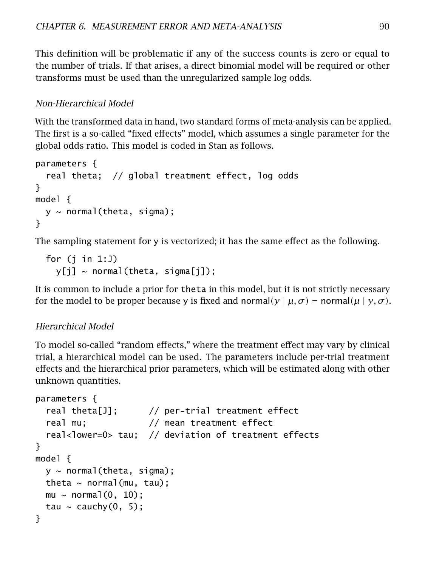This definition will be problematic if any of the success counts is zero or equal to the number of trials. If that arises, a direct binomial model will be required or other transforms must be used than the unregularized sample log odds.

### Non-Hierarchical Model

With the transformed data in hand, two standard forms of meta-analysis can be applied. The first is a so-called "fixed effects" model, which assumes a single parameter for the global odds ratio. This model is coded in Stan as follows.

```
parameters {
  real theta; // global treatment effect, log odds
}
model {
  y \sim normal(theta, sigma);
}
```
The sampling statement for y is vectorized; it has the same effect as the following.

```
for (j in 1:J)
  y[j] ~ normal(theta, sigma[il):
```
It is common to include a prior for theta in this model, but it is not strictly necessary for the model to be proper because y is fixed and normal $(y | \mu, \sigma)$  = normal $(\mu | y, \sigma)$ .

### Hierarchical Model

To model so-called "random effects," where the treatment effect may vary by clinical trial, a hierarchical model can be used. The parameters include per-trial treatment effects and the hierarchical prior parameters, which will be estimated along with other unknown quantities.

```
parameters {
  real theta[J]; // per-trial treatment effect
  real mu; \frac{1}{2} mean treatment effect
  real<lower=0> tau; // deviation of treatment effects
}
model {
  y \sim normal(theta, sigma);
  theta \sim normal(mu, tau);
  mu \sim normal(0, 10);
  tau \sim cauchy(0, 5);
}
```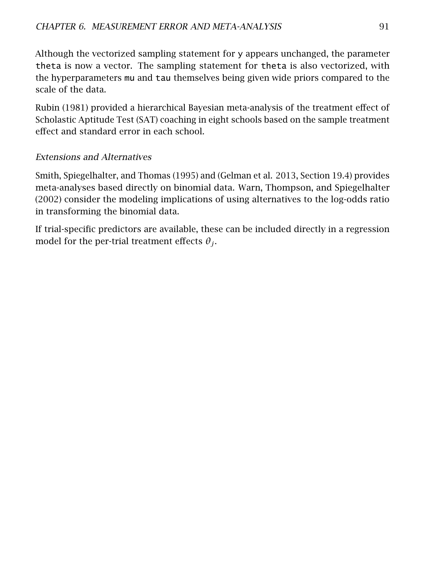Although the vectorized sampling statement for y appears unchanged, the parameter theta is now a vector. The sampling statement for theta is also vectorized, with the hyperparameters mu and tau themselves being given wide priors compared to the scale of the data.

Rubin [\(1981\)](#page-306-2) provided a hierarchical Bayesian meta-analysis of the treatment effect of Scholastic Aptitude Test (SAT) coaching in eight schools based on the sample treatment effect and standard error in each school.

## Extensions and Alternatives

Smith, Spiegelhalter, and Thomas [\(1995\)](#page-306-3) and (Gelman et al. [2013,](#page-304-1) Section 19.4) provides meta-analyses based directly on binomial data. Warn, Thompson, and Spiegelhalter [\(2002\)](#page-306-1) consider the modeling implications of using alternatives to the log-odds ratio in transforming the binomial data.

If trial-specific predictors are available, these can be included directly in a regression model for the per-trial treatment effects  $\theta_i$ .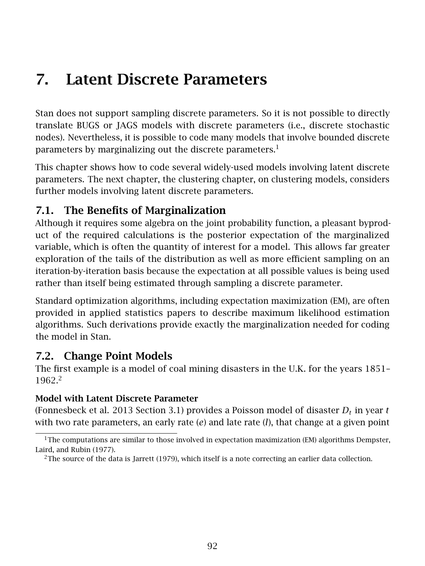# 7. Latent Discrete Parameters

Stan does not support sampling discrete parameters. So it is not possible to directly translate BUGS or JAGS models with discrete parameters (i.e., discrete stochastic nodes). Nevertheless, it is possible to code many models that involve bounded discrete parameters by marginalizing out the discrete parameters.<sup>[1](#page-98-1)</sup>

This chapter shows how to code several widely-used models involving latent discrete parameters. The next chapter, the [clustering chapter,](#page-121-0) on clustering models, considers further models involving latent discrete parameters.

# 7.1. The Benefits of Marginalization

Although it requires some algebra on the joint probability function, a pleasant byproduct of the required calculations is the posterior expectation of the marginalized variable, which is often the quantity of interest for a model. This allows far greater exploration of the tails of the distribution as well as more efficient sampling on an iteration-by-iteration basis because the expectation at all possible values is being used rather than itself being estimated through sampling a discrete parameter.

Standard optimization algorithms, including expectation maximization (EM), are often provided in applied statistics papers to describe maximum likelihood estimation algorithms. Such derivations provide exactly the marginalization needed for coding the model in Stan.

# <span id="page-98-0"></span>7.2. Change Point Models

The first example is a model of coal mining disasters in the U.K. for the years 1851– 1962.[2](#page-98-2)

## Model with Latent Discrete Parameter

(Fonnesbeck et al. [2013](#page-304-2) Section 3.1) provides a Poisson model of disaster  $D_t$  in year  $t$ with two rate parameters, an early rate (*e*) and late rate (*l*), that change at a given point

<span id="page-98-1"></span><sup>&</sup>lt;sup>1</sup>The computations are similar to those involved in expectation maximization (EM) algorithms Dempster, Laird, and Rubin [\(1977\)](#page-304-3).

<span id="page-98-2"></span><sup>&</sup>lt;sup>2</sup>The source of the data is Jarrett [\(1979\)](#page-305-1), which itself is a note correcting an earlier data collection.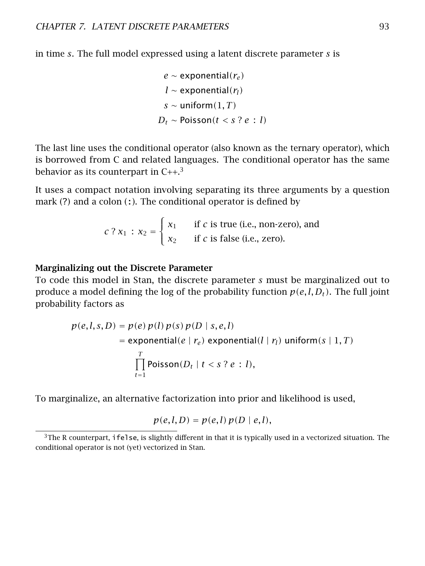in time *s*. The full model expressed using a latent discrete parameter *s* is

$$
e \sim \text{exponential}(r_e)
$$
\n
$$
l \sim \text{exponential}(r_l)
$$
\n
$$
s \sim \text{uniform}(1, T)
$$
\n
$$
D_t \sim \text{Poisson}(t < s \text{? } e \text{ : } l)
$$

The last line uses the conditional operator (also known as the ternary operator), which is borrowed from C and related languages. The conditional operator has the same behavior as its counterpart in  $C_{++}$ <sup>[3](#page-99-0)</sup>

It uses a compact notation involving separating its three arguments by a question mark  $(?)$  and a colon  $(:)$ . The conditional operator is defined by

$$
c
$$
?  $x_1$  :  $x_2 = \begin{cases} x_1 & \text{if } c \text{ is true (i.e., non-zero), and} \\ x_2 & \text{if } c \text{ is false (i.e., zero).} \end{cases}$ 

#### Marginalizing out the Discrete Parameter

To code this model in Stan, the discrete parameter *s* must be marginalized out to produce a model defining the log of the probability function  $p(e, l, D_t)$ . The full joint probability factors as

$$
p(e, l, s, D) = p(e) p(l) p(s) p(D | s, e, l)
$$
  
= exponential(e | r<sub>e</sub>) exponential(l | r<sub>l</sub>) uniform(s | 1, T)  

$$
\prod_{t=1}^{T} \text{Poisson}(D_t | t < s ? e : l),
$$

To marginalize, an alternative factorization into prior and likelihood is used,

$$
p(e, l, D) = p(e, l) p(D \mid e, l),
$$

<span id="page-99-0"></span> $3$ The R counterpart, ifelse, is slightly different in that it is typically used in a vectorized situation. The conditional operator is not (yet) vectorized in Stan.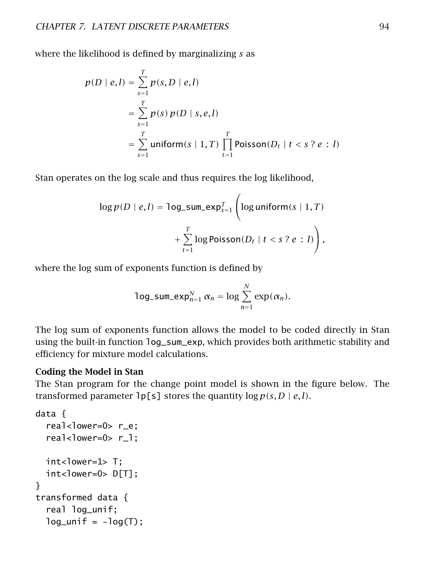where the likelihood is defined by marginalizing *s* as

$$
p(D \mid e, l) = \sum_{s=1}^{T} p(s, D \mid e, l)
$$
  
= 
$$
\sum_{s=1}^{T} p(s) p(D \mid s, e, l)
$$
  
= 
$$
\sum_{s=1}^{T} \text{uniform}(s \mid 1, T) \prod_{t=1}^{T} \text{Poisson}(D_t \mid t < s ? e : l)
$$

Stan operates on the log scale and thus requires the log likelihood,

$$
\log p(D \mid e, l) = \log_{2} \text{sum\_exp}_{s=1}^{T} \left( \log \text{uniform}(s \mid 1, T) + \sum_{t=1}^{T} \log \text{Poisson}(D_{t} \mid t < s \cdot ? e : l) \right),
$$

where the log sum of exponents function is defined by

$$
\log\_sum\_exp_{n=1}^N \alpha_n = \log \sum_{n=1}^N \exp(\alpha_n).
$$

The log sum of exponents function allows the model to be coded directly in Stan using the built-in function log\_sum\_exp, which provides both arithmetic stability and efficiency for mixture model calculations.

#### Coding the Model in Stan

The Stan program for the change point model is shown in the figure below. The transformed parameter  $\log|\mathbf{s}|$  stores the quantity  $\log p(s, D \mid e, l)$ .

```
data {
  real<lower=0> r_e;
 real<lower=0> r_l;
 int<lower=1> T;
 int<lower=0> D[T];
}
transformed data {
  real log_unif;
 log\_unit = -log(T);
```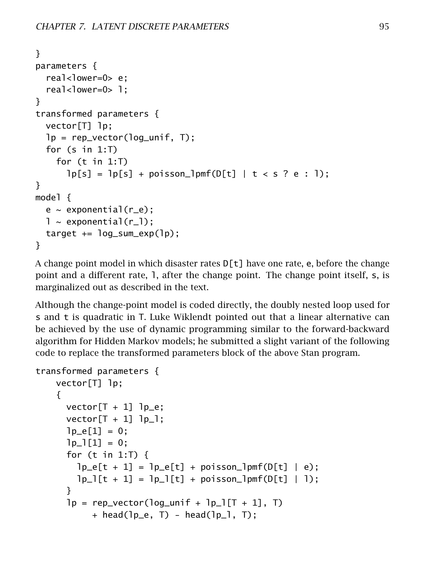```
}
parameters {
 real<lower=0> e;
 real<lower=0> 1:
}
transformed parameters {
 vector[T] lp;
 lp = rep\_vector(log\_unit, T);for (s in 1:T)
    for (t in 1:T)
      lp[s] = lp[s] + poisson_lpmf(D[t] | t < s ? e : 1);}
model {
 e \sim exponential(r_e);
 l \sim exponential(r_l);
 target += log_sum\_exp(1p);}
```
A change point model in which disaster rates  $D[t]$  have one rate, e, before the change point and a different rate, l, after the change point. The change point itself, s, is marginalized out as described in the text.

Although the change-point model is coded directly, the doubly nested loop used for s and t is quadratic in T. Luke Wiklendt pointed out that a linear alternative can be achieved by the use of dynamic programming similar to the forward-backward algorithm for Hidden Markov models; he submitted a slight variant of the following code to replace the transformed parameters block of the above Stan program.

```
transformed parameters {
   vector[T] lp;
    {
      vector[T + 1] lp_e;
      vector[T + 1] lp_l;
      lp_e[1] = 0;lp_1[1] = 0;for (t in 1:T) {
        lp_e[t + 1] = lp_e[t] + poisson_lpmf(D[t] | e);lp_l[t + 1] = lp_l[t] + poisson_lpmf(l[t] + l);}
      lp = rep\_vector(log\_unit + lp\_l[T + 1], T)+ head(lp_e, T) - head(lp_l, T);
```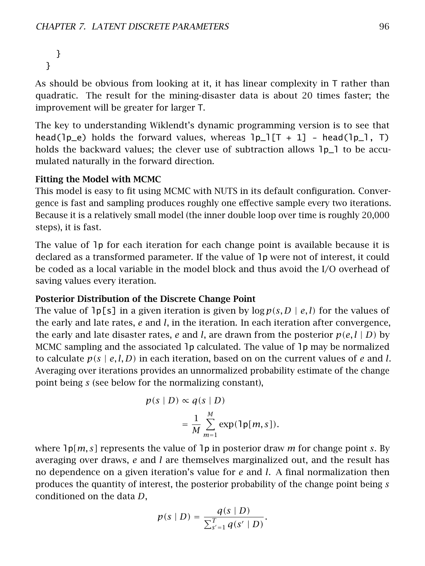} }

As should be obvious from looking at it, it has linear complexity in T rather than quadratic. The result for the mining-disaster data is about 20 times faster; the improvement will be greater for larger T.

The key to understanding Wiklendt's dynamic programming version is to see that head( $\lceil p_e \rceil$ ) holds the forward values, whereas  $\lceil p_e \rceil$  = 1] - head( $\lceil p_e \rceil$ , T) holds the backward values; the clever use of subtraction allows  $1p_1$  to be accumulated naturally in the forward direction.

### Fitting the Model with MCMC

This model is easy to fit using MCMC with NUTS in its default configuration. Convergence is fast and sampling produces roughly one effective sample every two iterations. Because it is a relatively small model (the inner double loop over time is roughly 20,000 steps), it is fast.

The value of lp for each iteration for each change point is available because it is declared as a transformed parameter. If the value of lp were not of interest, it could be coded as a local variable in the model block and thus avoid the I/O overhead of saving values every iteration.

#### Posterior Distribution of the Discrete Change Point

The value of  $\ln \lfloor s \rfloor$  in a given iteration is given by  $\log p(s, D \mid e, l)$  for the values of the early and late rates, *e* and *l*, in the iteration. In each iteration after convergence, the early and late disaster rates, *e* and *l*, are drawn from the posterior  $p(e, l | D)$  by MCMC sampling and the associated lp calculated. The value of lp may be normalized to calculate  $p(s \mid e, l, D)$  in each iteration, based on on the current values of  $e$  and  $l$ . Averaging over iterations provides an unnormalized probability estimate of the change point being *s* (see below for the normalizing constant),

$$
p(s | D) \propto q(s | D)
$$
  
= 
$$
\frac{1}{M} \sum_{m=1}^{M} \exp(\ln[m, s]).
$$

where lp*[m, s]* represents the value of lp in posterior draw *m* for change point *s*. By averaging over draws, *e* and *l* are themselves marginalized out, and the result has no dependence on a given iteration's value for *e* and *l*. A final normalization then produces the quantity of interest, the posterior probability of the change point being *s* conditioned on the data *D*,

$$
p(s | D) = \frac{q(s | D)}{\sum_{s'=1}^{T} q(s' | D)}.
$$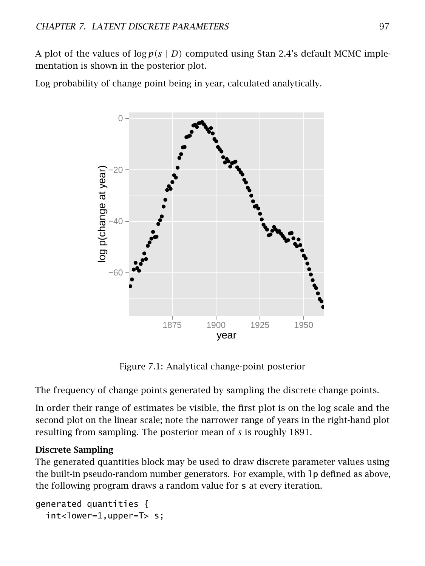A plot of the values of  $\log p(s \mid D)$  computed using Stan 2.4's default MCMC implementation is shown in the posterior plot.

Log probability of change point being in year, calculated analytically.



Figure 7.1: Analytical change-point posterior

The frequency of change points generated by sampling the discrete change points.

In order their range of estimates be visible, the first plot is on the log scale and the second plot on the linear scale; note the narrower range of years in the right-hand plot resulting from sampling. The posterior mean of *s* is roughly 1891.

## Discrete Sampling

The generated quantities block may be used to draw discrete parameter values using the built-in pseudo-random number generators. For example, with lp defined as above, the following program draws a random value for s at every iteration.

```
generated quantities {
  int <lower=1,upper=T > s;
```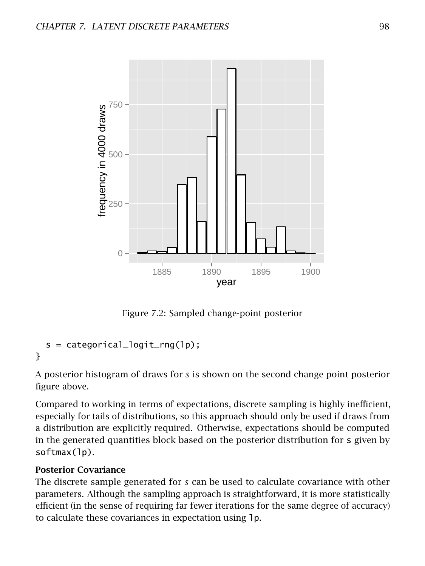

Figure 7.2: Sampled change-point posterior

```
s = categorical_logit_rng(1p);}
```
A posterior histogram of draws for *s* is shown on the second change point posterior figure above.

Compared to working in terms of expectations, discrete sampling is highly inefficient, especially for tails of distributions, so this approach should only be used if draws from a distribution are explicitly required. Otherwise, expectations should be computed in the generated quantities block based on the posterior distribution for s given by softmax(lp).

#### Posterior Covariance

The discrete sample generated for *s* can be used to calculate covariance with other parameters. Although the sampling approach is straightforward, it is more statistically efficient (in the sense of requiring far fewer iterations for the same degree of accuracy) to calculate these covariances in expectation using lp.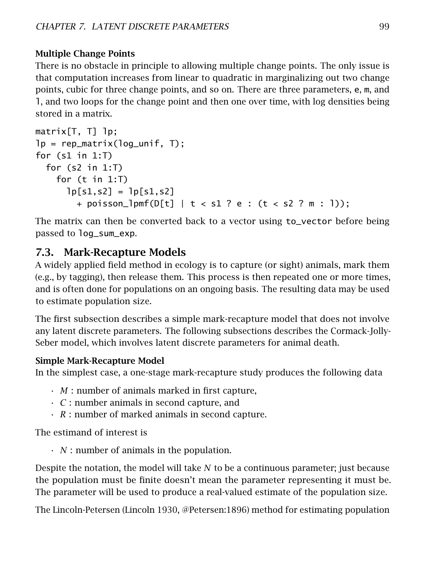## Multiple Change Points

There is no obstacle in principle to allowing multiple change points. The only issue is that computation increases from linear to quadratic in marginalizing out two change points, cubic for three change points, and so on. There are three parameters, e, m, and l, and two loops for the change point and then one over time, with log densities being stored in a matrix.

```
matrix[T, T] lp;
lp = rep_matrix(log_unif, T);for (s1 in 1:T)
 for (s2 in 1:T)
   for (t in 1: T)
      lp[s1,s2] = lp[s1,s2]+ poisson_lpmf(D[t] | t < s1 ? e : (t < s2 ? m : l));
```
The matrix can then be converted back to a vector using to\_vector before being passed to log\_sum\_exp.

## 7.3. Mark-Recapture Models

A widely applied field method in ecology is to capture (or sight) animals, mark them (e.g., by tagging), then release them. This process is then repeated one or more times, and is often done for populations on an ongoing basis. The resulting data may be used to estimate population size.

The first subsection describes a simple mark-recapture model that does not involve any latent discrete parameters. The following subsections describes the Cormack-Jolly-Seber model, which involves latent discrete parameters for animal death.

## Simple Mark-Recapture Model

In the simplest case, a one-stage mark-recapture study produces the following data

- *M* : number of animals marked in first capture,
- *C* : number animals in second capture, and
- *R* : number of marked animals in second capture.

The estimand of interest is

• *N* : number of animals in the population.

Despite the notation, the model will take *N* to be a continuous parameter; just because the population must be finite doesn't mean the parameter representing it must be. The parameter will be used to produce a real-valued estimate of the population size.

The Lincoln-Petersen (Lincoln [1930,](#page-305-2) @Petersen:1896) method for estimating population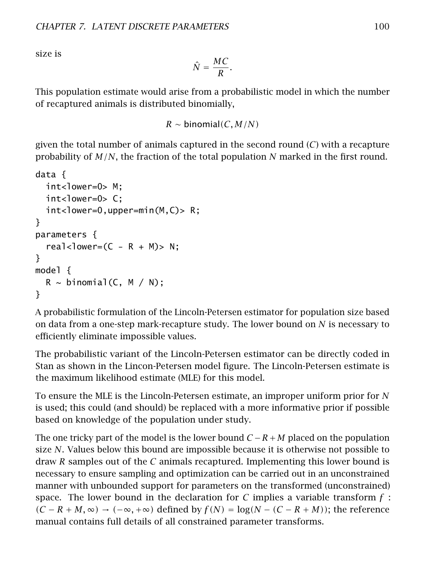size is

$$
\hat{N} = \frac{MC}{R}.
$$

This population estimate would arise from a probabilistic model in which the number of recaptured animals is distributed binomially,

 $R \sim binomial(C, M/N)$ 

given the total number of animals captured in the second round (*C*) with a recapture probability of *M/N*, the fraction of the total population *N* marked in the first round.

```
data {
  int<lower=0> M:
  int<lower=0> C:
  int <lower=0,upper=min(M,C)>R;
}
parameters {
  real<lower=(C - R + M)> N;
}
model {
  R \sim binomial(C, M / N);
}
```
A probabilistic formulation of the Lincoln-Petersen estimator for population size based on data from a one-step mark-recapture study. The lower bound on *N* is necessary to efficiently eliminate impossible values.

The probabilistic variant of the Lincoln-Petersen estimator can be directly coded in Stan as shown in the Lincon-Petersen model figure. The Lincoln-Petersen estimate is the maximum likelihood estimate (MLE) for this model.

To ensure the MLE is the Lincoln-Petersen estimate, an improper uniform prior for *N* is used; this could (and should) be replaced with a more informative prior if possible based on knowledge of the population under study.

The one tricky part of the model is the lower bound *C* −*R*+*M* placed on the population size *N*. Values below this bound are impossible because it is otherwise not possible to draw *R* samples out of the *C* animals recaptured. Implementing this lower bound is necessary to ensure sampling and optimization can be carried out in an unconstrained manner with unbounded support for parameters on the transformed (unconstrained) space. The lower bound in the declaration for *C* implies a variable transform *f* :  $(C - R + M, ∞)$  →  $(-∞, +∞)$  defined by  $f(N) = log(N - (C - R + M))$ ; the reference manual contains full details of all constrained parameter transforms.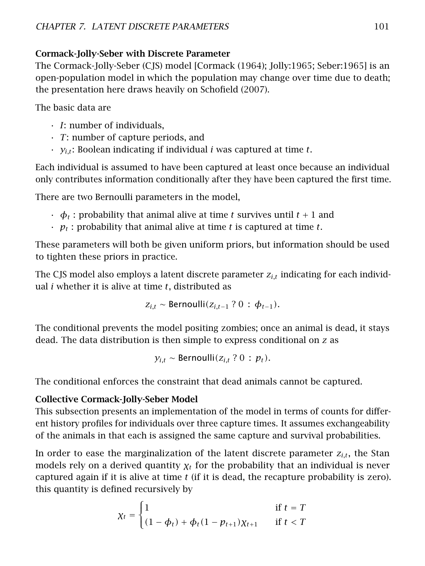## Cormack-Jolly-Seber with Discrete Parameter

The Cormack-Jolly-Seber (CJS) model [Cormack [\(1964\)](#page-304-4); Jolly:1965; Seber:1965] is an open-population model in which the population may change over time due to death; the presentation here draws heavily on Schofield [\(2007\)](#page-306-4).

The basic data are

- *I*: number of individuals,
- *T*: number of capture periods, and
- *yi,t*: Boolean indicating if individual *i* was captured at time *t*.

Each individual is assumed to have been captured at least once because an individual only contributes information conditionally after they have been captured the first time.

There are two Bernoulli parameters in the model,

- $\cdot$   $\phi_t$ : probability that animal alive at time *t* survives until  $t + 1$  and
- *p<sup>t</sup>* : probability that animal alive at time *t* is captured at time *t*.

These parameters will both be given uniform priors, but information should be used to tighten these priors in practice.

The CJS model also employs a latent discrete parameter *zi,t* indicating for each individual *i* whether it is alive at time *t*, distributed as

$$
z_{i,t} \sim \text{Bernoulli}(z_{i,t-1} ? 0 : \phi_{t-1}).
$$

The conditional prevents the model positing zombies; once an animal is dead, it stays dead. The data distribution is then simple to express conditional on *z* as

*y*<sub>*it*</sub> ∼ Bernoulli( $z$ <sup>*it*</sup> ? 0 : *p*<sup>*t*</sup>).

The conditional enforces the constraint that dead animals cannot be captured.

## Collective Cormack-Jolly-Seber Model

This subsection presents an implementation of the model in terms of counts for different history profiles for individuals over three capture times. It assumes exchangeability of the animals in that each is assigned the same capture and survival probabilities.

In order to ease the marginalization of the latent discrete parameter  $z_{i,t}$ , the Stan models rely on a derived quantity  $\chi_t$  for the probability that an individual is never captured again if it is alive at time *t* (if it is dead, the recapture probability is zero). this quantity is defined recursively by

$$
\chi_t = \begin{cases} 1 & \text{if } t = T \\ (1 - \phi_t) + \phi_t (1 - p_{t+1}) \chi_{t+1} & \text{if } t < T \end{cases}
$$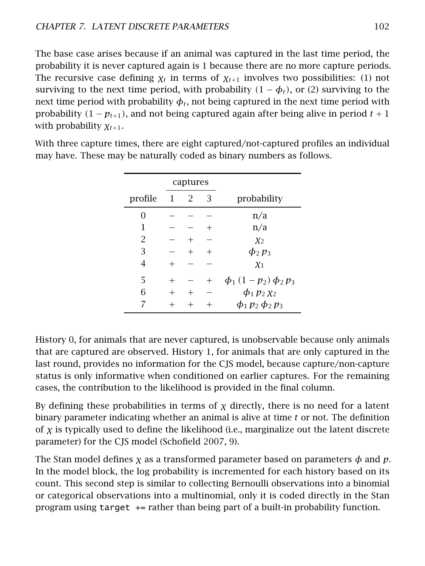The base case arises because if an animal was captured in the last time period, the probability it is never captured again is 1 because there are no more capture periods. The recursive case defining  $\chi_t$  in terms of  $\chi_{t+1}$  involves two possibilities: (1) not surviving to the next time period, with probability  $(1 - \phi_t)$ , or (2) surviving to the next time period with probability  $\phi_t$ , not being captured in the next time period with probability  $(1 - p_{t+1})$ , and not being captured again after being alive in period  $t + 1$ with probability *χt*+1.

|         |    | captures |        |                           |
|---------|----|----------|--------|---------------------------|
| profile | -1 | 2        | 3      | probability               |
| 0       |    |          |        | n/a                       |
| 1       |    |          | $^{+}$ | n/a                       |
| 2       |    | $^{+}$   |        | X <sub>2</sub>            |
| 3       |    | $^{+}$   | $^{+}$ | $\phi_2 p_3$              |
| 4       |    |          |        | $\chi_1$                  |
| 5       |    |          | $^{+}$ | $\phi_1(1-p_2)\phi_2 p_3$ |
| 6       |    | $^{+}$   |        | $\phi_1 p_2 \chi_2$       |
|         |    |          |        | $\phi_1 p_2 \phi_2 p_3$   |

With three capture times, there are eight captured/not-captured profiles an individual may have. These may be naturally coded as binary numbers as follows.

History 0, for animals that are never captured, is unobservable because only animals that are captured are observed. History 1, for animals that are only captured in the last round, provides no information for the CJS model, because capture/non-capture status is only informative when conditioned on earlier captures. For the remaining cases, the contribution to the likelihood is provided in the final column.

By defining these probabilities in terms of  $\chi$  directly, there is no need for a latent binary parameter indicating whether an animal is alive at time *t* or not. The definition of *χ* is typically used to define the likelihood (i.e., marginalize out the latent discrete parameter) for the CJS model (Schofield [2007,](#page-306-0) 9).

The Stan model defines  $\chi$  as a transformed parameter based on parameters  $\phi$  and  $p$ . In the model block, the log probability is incremented for each history based on its count. This second step is similar to collecting Bernoulli observations into a binomial or categorical observations into a multinomial, only it is coded directly in the Stan program using target += rather than being part of a built-in probability function.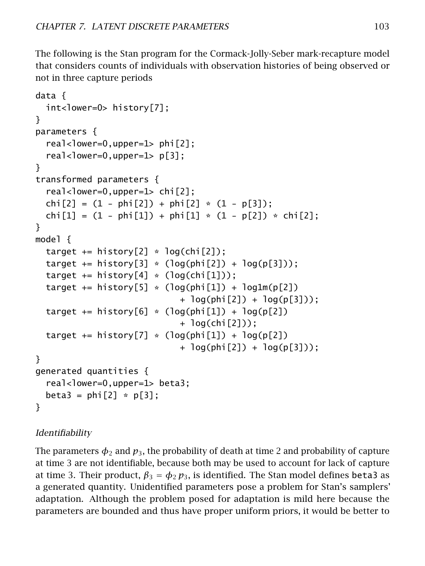The following is the Stan program for the Cormack-Jolly-Seber mark-recapture model that considers counts of individuals with observation histories of being observed or not in three capture periods

```
data {
 int<lower=0> history[7];
}
parameters {
  real-lower=0,upper=1> phi[2];
  real<lower=0,upper=1> p[3];
}
transformed parameters {
  real-lower=0,upper=1> chi[2];
 chi[2] = (1 - phi[2]) + phi[2] * (1 - p[3]);chi[1] = (1 - phi[1]) + phi[1] * (1 - p[2]) * chi[2];}
model {
 target += history[2] * log(chi[2]);
 target += history[3] * (log(phi[2]) + log(p[3]));
 target += history[4] * (log(chi[1]));
 target += history[5] * (log(phi[1]) + log1m(p[2])
                            + log(phi[2]) + log(p[3]));
 target += history[6] * (log(phi[1]) + log(p[2])
                            + log(chi[2]));
 target += history[7] * (log(phi[1]) + log(p[2])
                            + log(phi[2]) + log(p[3]));
}
generated quantities {
  real<lower=0,upper=1> beta3;
 beta3 = phi[2] * p[3];
}
```
## Identifiability

The parameters  $\phi_2$  and  $p_3$ , the probability of death at time 2 and probability of capture at time 3 are not identifiable, because both may be used to account for lack of capture at time 3. Their product,  $\beta_3 = \phi_2 p_3$ , is identified. The Stan model defines beta3 as a generated quantity. Unidentified parameters pose a problem for Stan's samplers' adaptation. Although the problem posed for adaptation is mild here because the parameters are bounded and thus have proper uniform priors, it would be better to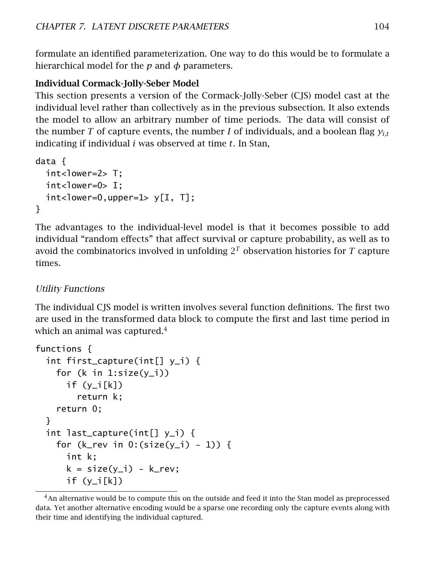formulate an identified parameterization. One way to do this would be to formulate a hierarchical model for the *p* and *φ* parameters.

#### Individual Cormack-Jolly-Seber Model

This section presents a version of the Cormack-Jolly-Seber (CJS) model cast at the individual level rather than collectively as in the previous subsection. It also extends the model to allow an arbitrary number of time periods. The data will consist of the number *T* of capture events, the number *I* of individuals, and a boolean flag  $y_{i,t}$ indicating if individual *i* was observed at time *t*. In Stan,

```
data {
  int<lower=2> T;
  int <lower=0> I;
  int <lower=0,upper=1> y[I, T];
}
```
The advantages to the individual-level model is that it becomes possible to add individual "random effects" that affect survival or capture probability, as well as to avoid the combinatorics involved in unfolding  $2^T$  observation histories for  $T$  capture times.

#### Utility Functions

The individual CJS model is written involves several function definitions. The first two are used in the transformed data block to compute the first and last time period in which an animal was captured. $4$ 

```
functions {
  int first_capture(int[] y_i) {
    for (k \in \{1: \text{size}(y_i)\})if (y_i[k])return k;
    return 0;
  }
  int last_capture(int[] y_i) {
    for (k_rev in 0:(size(y_i) - 1)) {
      int k;
      k = size(y_i) - k_rev;if (y_i[k])
```
<span id="page-110-0"></span><sup>&</sup>lt;sup>4</sup>An alternative would be to compute this on the outside and feed it into the Stan model as preprocessed data. Yet another alternative encoding would be a sparse one recording only the capture events along with their time and identifying the individual captured.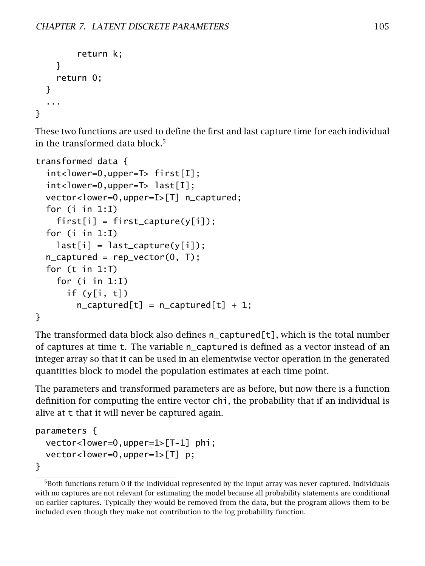```
return k;
    }
    return 0;
  }
  ...
}
```
These two functions are used to define the first and last capture time for each individual in the transformed data block. $5$ 

```
transformed data {
  int<lower=0,upper=T> first[I];
  int<lower=0,upper=T> last[I];
  vector<lower=0,upper=I>[T] n_captured;
  for (i in 1:I)
    first[i] = first\_capture(y[i]);
  for (i in 1:I)
    last[i] = last\_capture(y[i]);
  n<sub>captured</sub> = rep_vector(0, T);
  for (t in 1:T)
    for (i in 1:I)
      if (y[i, t])
        n<sub>captured</sub>[t] = n<sub>captured</sub>[t] + 1;
}
```
The transformed data block also defines n\_captured[t], which is the total number of captures at time t. The variable n\_captured is defined as a vector instead of an integer array so that it can be used in an elementwise vector operation in the generated quantities block to model the population estimates at each time point.

The parameters and transformed parameters are as before, but now there is a function definition for computing the entire vector chi, the probability that if an individual is alive at t that it will never be captured again.

```
parameters {
 vector<lower=0,upper=1>[T-1] phi;
 vector<lower=0,upper=1>[T] p;
}
```
<span id="page-111-0"></span><sup>5</sup>Both functions return 0 if the individual represented by the input array was never captured. Individuals with no captures are not relevant for estimating the model because all probability statements are conditional on earlier captures. Typically they would be removed from the data, but the program allows them to be included even though they make not contribution to the log probability function.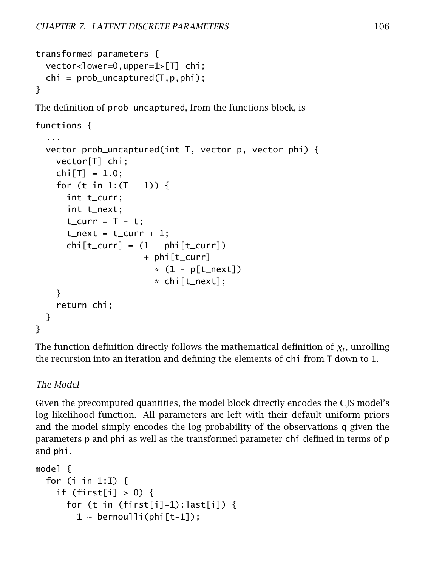```
transformed parameters {
  vector<lower=0,upper=1>[T] chi;
  chi = prob\_uncaptured(T, p, phi);}
The definition of prob_uncaptured, from the functions block, is
functions {
  ...
  vector prob_uncaptured(int T, vector p, vector phi) {
    vector[T] chi;
    chi[T] = 1.0;
    for (t \in [1:(T-1)) {
      int t_curr;
      int t_next;
      t_{curr} = T - t;
      t_next = t_curr + 1;
      chi[t_lur] = (1 - phi[t_lur])+ phi[t_curr]
                        *(1 - p[t_next])* chi[t_next];
    }
    return chi;
  }
}
```
The function definition directly follows the mathematical definition of *χ<sup>t</sup>* , unrolling the recursion into an iteration and defining the elements of chi from T down to 1.

#### The Model

Given the precomputed quantities, the model block directly encodes the CJS model's log likelihood function. All parameters are left with their default uniform priors and the model simply encodes the log probability of the observations q given the parameters p and phi as well as the transformed parameter chi defined in terms of p and phi.

```
model {
  for (i in 1:I) \{if (first[i] > 0) {
       for (t in (first[i]+1):last[i]) {
         1 \sim \text{bernoulli}(\text{phi}[t-1]);
```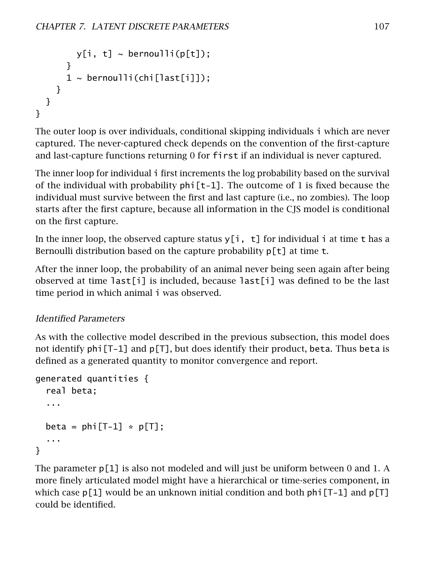```
y[i, t] \sim bernoulli(p[t]);
       }
      1 \sim bernoulli(chi[last[i]]);
    }
  }
}
```
The outer loop is over individuals, conditional skipping individuals i which are never captured. The never-captured check depends on the convention of the first-capture and last-capture functions returning 0 for first if an individual is never captured.

The inner loop for individual i first increments the log probability based on the survival of the individual with probability  $\pi$ -1]. The outcome of 1 is fixed because the individual must survive between the first and last capture (i.e., no zombies). The loop starts after the first capture, because all information in the CJS model is conditional on the first capture.

In the inner loop, the observed capture status  $y[i, t]$  for individual i at time t has a Bernoulli distribution based on the capture probability  $p[t]$  at time t.

After the inner loop, the probability of an animal never being seen again after being observed at time last[i] is included, because last[i] was defined to be the last time period in which animal i was observed.

## Identified Parameters

As with the collective model described in the previous subsection, this model does not identify phi[T-1] and p[T], but does identify their product, beta. Thus beta is defined as a generated quantity to monitor convergence and report.

```
generated quantities {
  real beta;
  ...
  beta = phi[T-1] * p[T];
  ...
}
```
The parameter  $p[1]$  is also not modeled and will just be uniform between 0 and 1. A more finely articulated model might have a hierarchical or time-series component, in which case  $p[1]$  would be an unknown initial condition and both  $p[i]$ . Then  $p[i]$ could be identified.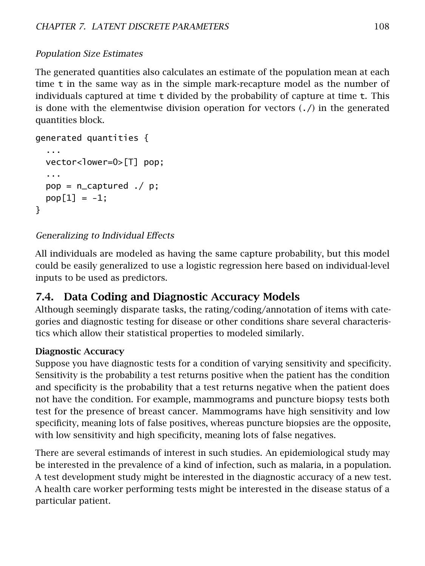## Population Size Estimates

The generated quantities also calculates an estimate of the population mean at each time t in the same way as in the simple mark-recapture model as the number of individuals captured at time  $t$  divided by the probability of capture at time  $t$ . This is done with the elementwise division operation for vectors  $(./)$  in the generated quantities block.

```
generated quantities {
  ...
 vector<lower=0>[T] pop;
  ...
 pop = n_captured ./ p;
 pop[1] = -1;}
```
## Generalizing to Individual Effects

All individuals are modeled as having the same capture probability, but this model could be easily generalized to use a logistic regression here based on individual-level inputs to be used as predictors.

# 7.4. Data Coding and Diagnostic Accuracy Models

Although seemingly disparate tasks, the rating/coding/annotation of items with categories and diagnostic testing for disease or other conditions share several characteristics which allow their statistical properties to modeled similarly.

#### Diagnostic Accuracy

Suppose you have diagnostic tests for a condition of varying sensitivity and specificity. Sensitivity is the probability a test returns positive when the patient has the condition and specificity is the probability that a test returns negative when the patient does not have the condition. For example, mammograms and puncture biopsy tests both test for the presence of breast cancer. Mammograms have high sensitivity and low specificity, meaning lots of false positives, whereas puncture biopsies are the opposite, with low sensitivity and high specificity, meaning lots of false negatives.

There are several estimands of interest in such studies. An epidemiological study may be interested in the prevalence of a kind of infection, such as malaria, in a population. A test development study might be interested in the diagnostic accuracy of a new test. A health care worker performing tests might be interested in the disease status of a particular patient.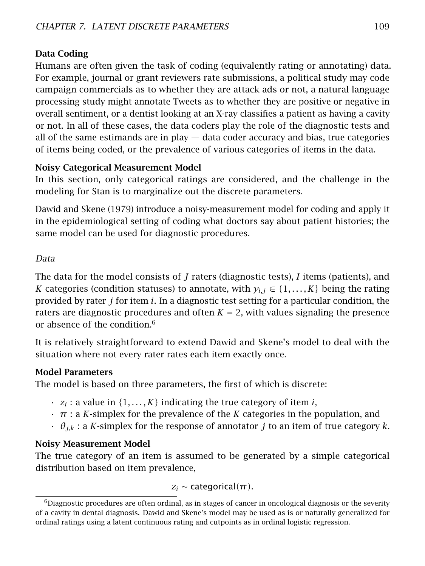#### Data Coding

Humans are often given the task of coding (equivalently rating or annotating) data. For example, journal or grant reviewers rate submissions, a political study may code campaign commercials as to whether they are attack ads or not, a natural language processing study might annotate Tweets as to whether they are positive or negative in overall sentiment, or a dentist looking at an X-ray classifies a patient as having a cavity or not. In all of these cases, the data coders play the role of the diagnostic tests and all of the same estimands are in play  $-$  data coder accuracy and bias, true categories of items being coded, or the prevalence of various categories of items in the data.

#### Noisy Categorical Measurement Model

In this section, only categorical ratings are considered, and the challenge in the modeling for Stan is to marginalize out the discrete parameters.

Dawid and Skene [\(1979\)](#page-304-0) introduce a noisy-measurement model for coding and apply it in the epidemiological setting of coding what doctors say about patient histories; the same model can be used for diagnostic procedures.

#### Data

The data for the model consists of *J* raters (diagnostic tests), *I* items (patients), and *K* categories (condition statuses) to annotate, with  $y_{i,j} \in \{1, ..., K\}$  being the rating provided by rater *j* for item *i*. In a diagnostic test setting for a particular condition, the raters are diagnostic procedures and often  $K = 2$ , with values signaling the presence or absence of the condition.<sup>[6](#page-115-0)</sup>

It is relatively straightforward to extend Dawid and Skene's model to deal with the situation where not every rater rates each item exactly once.

#### Model Parameters

The model is based on three parameters, the first of which is discrete:

- $\cdot$   $z_i$ : a value in  $\{1, \ldots, K\}$  indicating the true category of item *i*,
- *π* : a *K*-simplex for the prevalence of the *K* categories in the population, and
- *θj,k* : a *K*-simplex for the response of annotator *j* to an item of true category *k*.

#### Noisy Measurement Model

The true category of an item is assumed to be generated by a simple categorical distribution based on item prevalence,

$$
z_i \sim \text{categorical}(\pi).
$$

<span id="page-115-0"></span> $6$ Diagnostic procedures are often ordinal, as in stages of cancer in oncological diagnosis or the severity of a cavity in dental diagnosis. Dawid and Skene's model may be used as is or naturally generalized for ordinal ratings using a latent continuous rating and cutpoints as in ordinal logistic regression.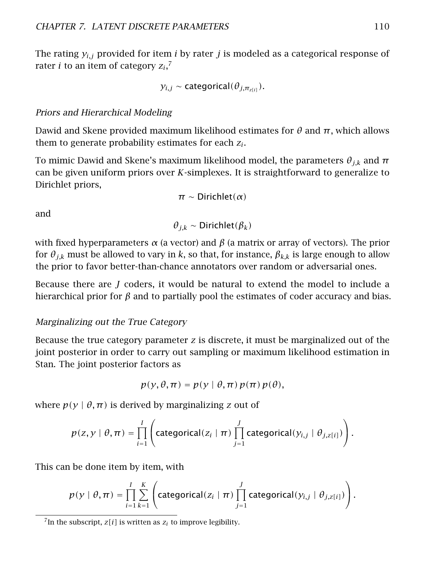The rating  $y_{i,j}$  provided for item *i* by rater *j* is modeled as a categorical response of rater *i* to an item of category *z<sup>i</sup>* , [7](#page-116-0)

$$
y_{i,j}
$$
 ~ categorical( $\theta_{j,\pi_{z[i]}}$ ).

#### Priors and Hierarchical Modeling

Dawid and Skene provided maximum likelihood estimates for *θ* and *π*, which allows them to generate probability estimates for each *z<sup>i</sup>* .

To mimic Dawid and Skene's maximum likelihood model, the parameters  $\theta_{ik}$  and  $\pi$ can be given uniform priors over *K*-simplexes. It is straightforward to generalize to Dirichlet priors,

$$
\pi \sim \text{Dirichlet}(\alpha)
$$

and

$$
\theta_{j,k} \sim \text{Dirichlet}(\beta_k)
$$

with fixed hyperparameters  $\alpha$  (a vector) and  $\beta$  (a matrix or array of vectors). The prior for  $\theta_{i,k}$  must be allowed to vary in k, so that, for instance,  $\beta_{k,k}$  is large enough to allow the prior to favor better-than-chance annotators over random or adversarial ones.

Because there are *J* coders, it would be natural to extend the model to include a hierarchical prior for *β* and to partially pool the estimates of coder accuracy and bias.

#### Marginalizing out the True Category

Because the true category parameter *z* is discrete, it must be marginalized out of the joint posterior in order to carry out sampling or maximum likelihood estimation in Stan. The joint posterior factors as

$$
p(y, \theta, \pi) = p(y | \theta, \pi) p(\pi) p(\theta),
$$

where  $p(y | \theta, \pi)$  is derived by marginalizing *z* out of

$$
p(z, y \mid \theta, \pi) = \prod_{i=1}^{I} \left( \text{categorical}(z_i \mid \pi) \prod_{j=1}^{J} \text{categorical}(y_{i,j} \mid \theta_{j,z[i]}) \right).
$$

This can be done item by item, with

$$
p(y | \theta, \pi) = \prod_{i=1}^{I} \sum_{k=1}^{K} \left( \text{categorical}(z_i | \pi) \prod_{j=1}^{J} \text{categorical}(y_{i,j} | \theta_{j,z[i]}) \right).
$$

<span id="page-116-0"></span><sup>&</sup>lt;sup>7</sup>In the subscript,  $z[i]$  is written as  $z_i$  to improve legibility.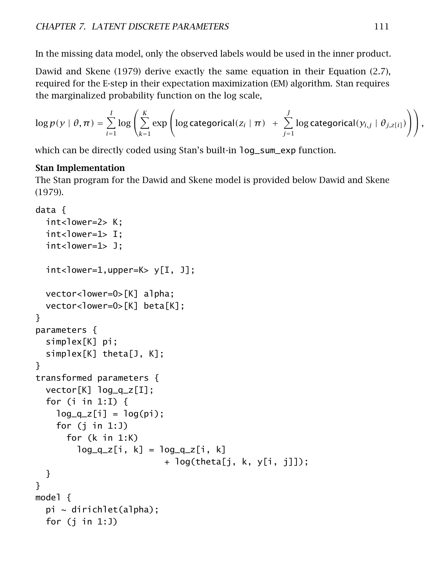In the missing data model, only the observed labels would be used in the inner product.

Dawid and Skene [\(1979\)](#page-304-0) derive exactly the same equation in their Equation (2.7), required for the E-step in their expectation maximization (EM) algorithm. Stan requires the marginalized probability function on the log scale,

$$
\log p(y \mid \theta, \pi) = \sum_{i=1}^{I} \log \left( \sum_{k=1}^{K} \exp \left( \log \text{categorical}(z_i \mid \pi) + \sum_{j=1}^{J} \log \text{categorical}(y_{i,j} \mid \theta_{j,z[i]}) \right) \right),
$$

which can be directly coded using Stan's built-in log\_sum\_exp function.

#### Stan Implementation

The Stan program for the Dawid and Skene model is provided below Dawid and Skene [\(1979\)](#page-304-0).

```
data {
  int<lower=2> K:
  int<lower=1> I;
  int<lower=1> J;
  int <lower=1,upper=K> y[I, J];
  vector<lower=0>[K] alpha;
  vector<lower=0>[K] beta[K];
}
parameters {
  simplex[K] pi;
  simplex[K] theta[J, K];
}
transformed parameters {
  vector[K] log_q_z[I];
  for (i in 1:I) {
    log_q_z[i] = log(p_i);for (j in 1:J)
      for (k in 1:K)
        log_q_z[i, k] = log_q_z[i, k]+ log(theta[j, k, y[i, j]]);
  }
}
model {
  pi \sim dirichlet(alpha);
  for (j in 1:J)
```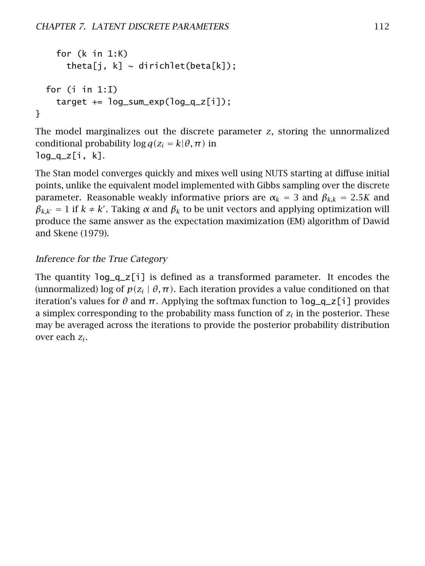```
for (k in 1:K)
      theta[j, k] ~ dirichlet(beta[k]);
 for (i in 1:I)
    target += log_sum_exp(log_q_z[i]);
}
```
The model marginalizes out the discrete parameter *z*, storing the unnormalized conditional probability  $\log q(z_i = k | \theta, \pi)$  in  $log_q_z[i, k]$ .

The Stan model converges quickly and mixes well using NUTS starting at diffuse initial points, unlike the equivalent model implemented with Gibbs sampling over the discrete parameter. Reasonable weakly informative priors are  $\alpha_k = 3$  and  $\beta_{k,k} = 2.5K$  and  $β_{k,k'} = 1$  if  $k \neq k'$ . Taking *α* and  $β_k$  to be unit vectors and applying optimization will produce the same answer as the expectation maximization (EM) algorithm of Dawid and Skene [\(1979\)](#page-304-0).

#### Inference for the True Category

The quantity  $log_q_z[i]$  is defined as a transformed parameter. It encodes the (unnormalized) log of  $p(z_i | \theta, \pi)$ . Each iteration provides a value conditioned on that iteration's values for  $\theta$  and  $\pi$ . Applying the softmax function to  $\log_q z$ [i] provides a simplex corresponding to the probability mass function of *z<sup>i</sup>* in the posterior. These may be averaged across the iterations to provide the posterior probability distribution over each *z<sup>i</sup>* .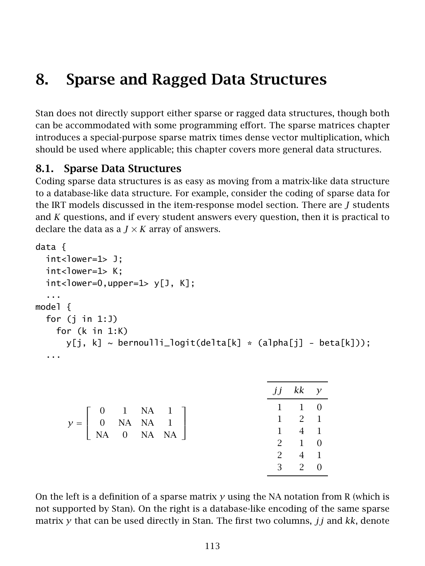# 8. Sparse and Ragged Data Structures

Stan does not directly support either sparse or ragged data structures, though both can be accommodated with some programming effort. The [sparse matrices chapter](#page-0-0) introduces a special-purpose sparse matrix times dense vector multiplication, which should be used where applicable; this chapter covers more general data structures.

## 8.1. Sparse Data Structures

Coding sparse data structures is as easy as moving from a matrix-like data structure to a database-like data structure. For example, consider the coding of sparse data for the IRT models discussed in the [item-response model section.](#page-26-0) There are *J* students and *K* questions, and if every student answers every question, then it is practical to declare the data as a  $J \times K$  array of answers.

```
data {
  int<lower=1> J;
  int<lower=1> K:
  int <lower=0,upper=1> y[J, K];
  ...
model {
  for (j in 1:J)
    for (k in 1:K)
      y[i, k] \sim bernoulli_logit(delta[k] * (alpha[j] - beta[k]));
  ...
```

|                                                                                                                                                                               |  |  | $jj$ kk $y$           |  |
|-------------------------------------------------------------------------------------------------------------------------------------------------------------------------------|--|--|-----------------------|--|
|                                                                                                                                                                               |  |  | $1 \quad 1 \quad 0$   |  |
| $\label{eq:gamma} \gamma = \left[ \begin{array}{cccc} 0 & 1 & \text{NA} & 1 \\ 0 & \text{NA} & \text{NA} & 1 \\ \text{NA} & 0 & \text{NA} & \text{NA} \\ \end{array} \right]$ |  |  | $1 \quad 2 \quad 1$   |  |
|                                                                                                                                                                               |  |  | $1 \quad 4 \quad 1$   |  |
|                                                                                                                                                                               |  |  | $2 \qquad 1 \qquad 0$ |  |
|                                                                                                                                                                               |  |  | $2 \t 4 \t 1$         |  |
|                                                                                                                                                                               |  |  | $3 \t 2 \t 0$         |  |

On the left is a definition of a sparse matrix *y* using the NA notation from R (which is not supported by Stan). On the right is a database-like encoding of the same sparse matrix *y* that can be used directly in Stan. The first two columns, *jj* and *kk*, denote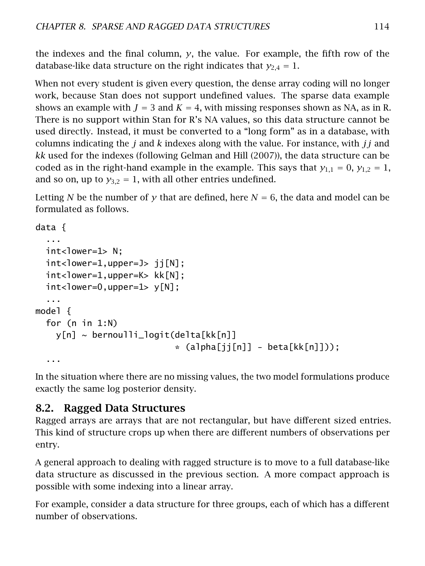the indexes and the final column,  $y$ , the value. For example, the fifth row of the database-like data structure on the right indicates that  $y_{2,4} = 1$ .

When not every student is given every question, the dense array coding will no longer work, because Stan does not support undefined values. The sparse data example shows an example with  $J = 3$  and  $K = 4$ , with missing responses shown as NA, as in R. There is no support within Stan for R's NA values, so this data structure cannot be used directly. Instead, it must be converted to a "long form" as in a database, with columns indicating the *j* and *k* indexes along with the value. For instance, with *jj* and *kk* used for the indexes (following Gelman and Hill [\(2007\)](#page-304-1)), the data structure can be coded as in the right-hand example in the example. This says that  $y_{1,1} = 0$ ,  $y_{1,2} = 1$ , and so on, up to  $y_{3,2} = 1$ , with all other entries undefined.

Letting *N* be the number of *y* that are defined, here  $N = 6$ , the data and model can be formulated as follows.

```
data {
  ...
  int <lower=1> N:
  int <lower=1,upper=J> ij[N];
  int<lower=1,upper=K> kk[N];
  int <lower=0,upper=1> y[N];
  ...
model {
  for (n in 1:N)
    y[n] ~ bernoulli_logit(delta[kk[n]]
                               *(\alpha \text{lpha}[j][n]] - \text{beta}[kk[n]]));...
```
In the situation where there are no missing values, the two model formulations produce exactly the same log posterior density.

# 8.2. Ragged Data Structures

Ragged arrays are arrays that are not rectangular, but have different sized entries. This kind of structure crops up when there are different numbers of observations per entry.

A general approach to dealing with ragged structure is to move to a full database-like data structure as discussed in the previous section. A more compact approach is possible with some indexing into a linear array.

For example, consider a data structure for three groups, each of which has a different number of observations.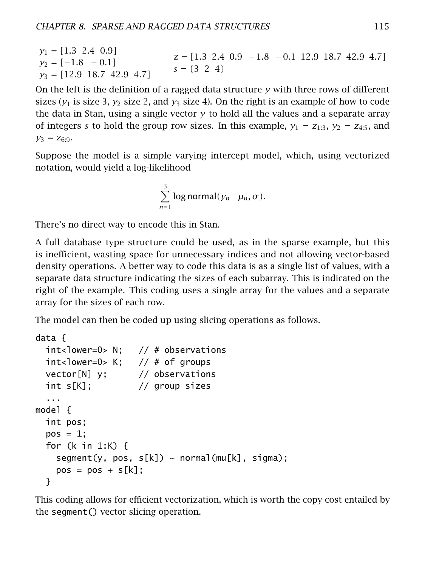*y*<sup>1</sup> = *[*1*.*3 2*.*4 0*.*9*]*  $y_2 = [-1.8 - 0.1]$ *y*<sup>3</sup> = *[*12*.*9 18*.*7 42*.*9 4*.*7*] z* = *[*1*.*3 2*.*4 0*.*9 −1*.*8 −0*.*1 12*.*9 18*.*7 42*.*9 4*.*7*]*  $s = \{3, 2, 4\}$ 

On the left is the definition of a ragged data structure *y* with three rows of different sizes  $(y_1$  is size 3,  $y_2$  size 2, and  $y_3$  size 4). On the right is an example of how to code the data in Stan, using a single vector *y* to hold all the values and a separate array of integers *s* to hold the group row sizes. In this example,  $y_1 = z_{1:3}$ ,  $y_2 = z_{4:5}$ , and  $y_3 = z_{6:9}$ .

Suppose the model is a simple varying intercept model, which, using vectorized notation, would yield a log-likelihood

$$
\sum_{n=1}^{3} \log \text{normal}(y_n \mid \mu_n, \sigma).
$$

There's no direct way to encode this in Stan.

A full database type structure could be used, as in the sparse example, but this is inefficient, wasting space for unnecessary indices and not allowing vector-based density operations. A better way to code this data is as a single list of values, with a separate data structure indicating the sizes of each subarray. This is indicated on the right of the example. This coding uses a single array for the values and a separate array for the sizes of each row.

The model can then be coded up using slicing operations as follows.

```
data {
 int<lower=0> N; // # observations
 int<lower=0> K; // # of groupsvector[N] y; // observations
 int s[K]; // group sizes
  ...
model {
 int pos;
 pos = 1;for (k in 1:K) {
   segment(y, pos, s[k]) \sim normal(mu[k], sigma);pos = pos + s[k];}
```
This coding allows for efficient vectorization, which is worth the copy cost entailed by the segment() vector slicing operation.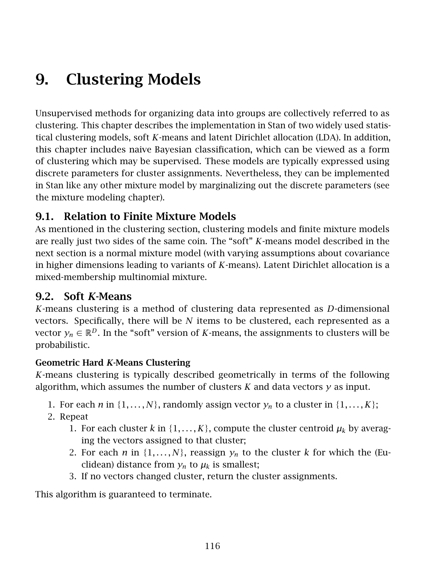# 9. Clustering Models

Unsupervised methods for organizing data into groups are collectively referred to as clustering. This chapter describes the implementation in Stan of two widely used statistical clustering models, soft *K*-means and latent Dirichlet allocation (LDA). In addition, this chapter includes naive Bayesian classification, which can be viewed as a form of clustering which may be supervised. These models are typically expressed using discrete parameters for cluster assignments. Nevertheless, they can be implemented in Stan like any other mixture model by marginalizing out the discrete parameters (see the [mixture modeling chapter\)](#page-76-0).

## 9.1. Relation to Finite Mixture Models

As mentioned in the [clustering section,](#page-77-0) clustering models and finite mixture models are really just two sides of the same coin. The "soft" *K*-means model described in the next section is a normal mixture model (with varying assumptions about covariance in higher dimensions leading to variants of *K*-means). Latent Dirichlet allocation is a mixed-membership multinomial mixture.

## 9.2. Soft *K*-Means

*K*-means clustering is a method of clustering data represented as *D*-dimensional vectors. Specifically, there will be *N* items to be clustered, each represented as a vector  $y_n \in \mathbb{R}^D$ . In the "soft" version of *K*-means, the assignments to clusters will be probabilistic.

#### Geometric Hard *K*-Means Clustering

*K*-means clustering is typically described geometrically in terms of the following algorithm, which assumes the number of clusters  $K$  and data vectors  $\gamma$  as input.

- 1. For each *n* in  $\{1, \ldots, N\}$ , randomly assign vector  $y_n$  to a cluster in  $\{1, \ldots, K\}$ ;
- 2. Repeat
	- 1. For each cluster *k* in {1,...,*K*}, compute the cluster centroid  $\mu_k$  by averaging the vectors assigned to that cluster;
	- 2. For each *n* in  $\{1, \ldots, N\}$ , reassign  $y_n$  to the cluster *k* for which the (Euclidean) distance from  $y_n$  to  $\mu_k$  is smallest;
	- 3. If no vectors changed cluster, return the cluster assignments.

This algorithm is guaranteed to terminate.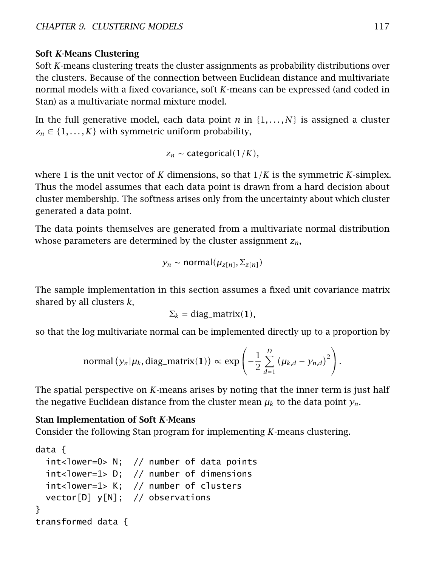#### Soft *K*-Means Clustering

Soft *K*-means clustering treats the cluster assignments as probability distributions over the clusters. Because of the connection between Euclidean distance and multivariate normal models with a fixed covariance, soft *K*-means can be expressed (and coded in Stan) as a multivariate normal mixture model.

In the full generative model, each data point *n* in  $\{1, \ldots, N\}$  is assigned a cluster  $z_n \in \{1, \ldots, K\}$  with symmetric uniform probability,

 $Z_n \sim \text{categorical}(1/K)$ ,

where 1 is the unit vector of *K* dimensions, so that 1*/K* is the symmetric *K*-simplex. Thus the model assumes that each data point is drawn from a hard decision about cluster membership. The softness arises only from the uncertainty about which cluster generated a data point.

The data points themselves are generated from a multivariate normal distribution whose parameters are determined by the cluster assignment *zn*,

$$
y_n \sim \text{normal}(\mu_{z[n]}, \Sigma_{z[n]})
$$

The sample implementation in this section assumes a fixed unit covariance matrix shared by all clusters *k*,

$$
\Sigma_k = \text{diag\_matrix}(1),
$$

so that the log multivariate normal can be implemented directly up to a proportion by

normal 
$$
(y_n | \mu_k, \text{diag\_matrix}(1)) \propto \exp \left(-\frac{1}{2} \sum_{d=1}^D (\mu_{k,d} - y_{n,d})^2\right).
$$

The spatial perspective on *K*-means arises by noting that the inner term is just half the negative Euclidean distance from the cluster mean  $\mu_k$  to the data point  $\gamma_n$ .

#### Stan Implementation of Soft *K*-Means

Consider the following Stan program for implementing *K*-means clustering.

```
data {
 int<lower=0> N; // number of data points
 int<lower=1> D; // number of dimensions
 int<lower=1> K; // number of clusters
 vector[D] y[N]; // observations
}
transformed data {
```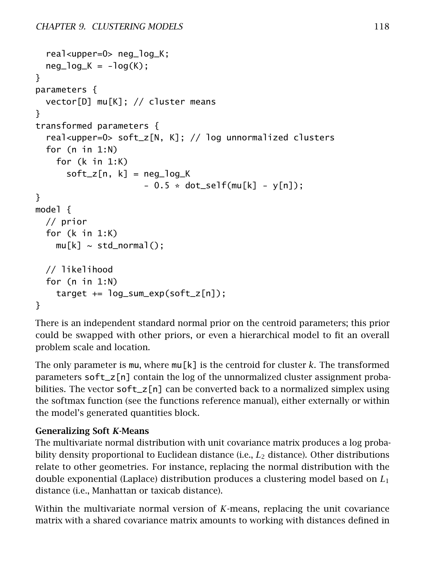```
real<upper=0> neg_log_K;
 neq\_log_K = -log(K);
}
parameters {
 vector[D] mu[K]; // cluster means
}
transformed parameters {
  real<upper=0> soft_z[N, K]; // log unnormalized clusters
 for (n in 1:N)
    for (k in 1:K)
      soft_z[n, k] = neg_log_K- 0.5 * dot\_self(mu[k] - y[n]);}
model {
 // prior
 for (k in 1:K)
    mu[k] \sim std\_normal();
 // likelihood
 for (n in 1:N)
    target += log_sum_exp(soft_z[n]);
}
```
There is an independent standard normal prior on the centroid parameters; this prior could be swapped with other priors, or even a hierarchical model to fit an overall problem scale and location.

The only parameter is mu, where mu[k] is the centroid for cluster *k*. The transformed parameters soft\_z[n] contain the log of the unnormalized cluster assignment probabilities. The vector  $\text{soft\_z[n]}$  can be converted back to a normalized simplex using the softmax function (see the functions reference manual), either externally or within the model's generated quantities block.

#### Generalizing Soft *K*-Means

The multivariate normal distribution with unit covariance matrix produces a log probability density proportional to Euclidean distance (i.e., *L*<sup>2</sup> distance). Other distributions relate to other geometries. For instance, replacing the normal distribution with the double exponential (Laplace) distribution produces a clustering model based on *L*<sup>1</sup> distance (i.e., Manhattan or taxicab distance).

Within the multivariate normal version of *K*-means, replacing the unit covariance matrix with a shared covariance matrix amounts to working with distances defined in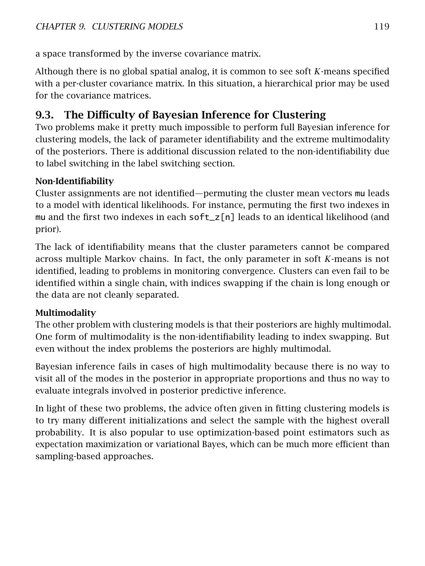a space transformed by the inverse covariance matrix.

Although there is no global spatial analog, it is common to see soft *K*-means specified with a per-cluster covariance matrix. In this situation, a hierarchical prior may be used for the covariance matrices.

# 9.3. The Difficulty of Bayesian Inference for Clustering

Two problems make it pretty much impossible to perform full Bayesian inference for clustering models, the lack of parameter identifiability and the extreme multimodality of the posteriors. There is additional discussion related to the non-identifiability due to label switching in the [label switching section.](#page-226-0)

#### Non-Identifiability

Cluster assignments are not identified—permuting the cluster mean vectors mu leads to a model with identical likelihoods. For instance, permuting the first two indexes in mu and the first two indexes in each  $\text{soft}\_z[n]$  leads to an identical likelihood (and prior).

The lack of identifiability means that the cluster parameters cannot be compared across multiple Markov chains. In fact, the only parameter in soft *K*-means is not identified, leading to problems in monitoring convergence. Clusters can even fail to be identified within a single chain, with indices swapping if the chain is long enough or the data are not cleanly separated.

## Multimodality

The other problem with clustering models is that their posteriors are highly multimodal. One form of multimodality is the non-identifiability leading to index swapping. But even without the index problems the posteriors are highly multimodal.

Bayesian inference fails in cases of high multimodality because there is no way to visit all of the modes in the posterior in appropriate proportions and thus no way to evaluate integrals involved in posterior predictive inference.

In light of these two problems, the advice often given in fitting clustering models is to try many different initializations and select the sample with the highest overall probability. It is also popular to use optimization-based point estimators such as expectation maximization or variational Bayes, which can be much more efficient than sampling-based approaches.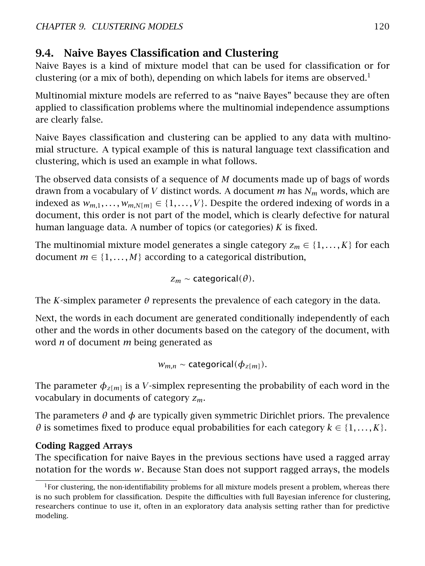# 9.4. Naive Bayes Classification and Clustering

Naive Bayes is a kind of mixture model that can be used for classification or for clustering (or a mix of both), depending on which labels for items are observed.<sup>[1](#page-126-0)</sup>

Multinomial mixture models are referred to as "naive Bayes" because they are often applied to classification problems where the multinomial independence assumptions are clearly false.

Naive Bayes classification and clustering can be applied to any data with multinomial structure. A typical example of this is natural language text classification and clustering, which is used an example in what follows.

The observed data consists of a sequence of *M* documents made up of bags of words drawn from a vocabulary of *V* distinct words. A document *m* has *N<sup>m</sup>* words, which are indexed as  $w_{m,1}, \ldots, w_{m,N[m]} \in \{1, \ldots, V\}$ . Despite the ordered indexing of words in a document, this order is not part of the model, which is clearly defective for natural human language data. A number of topics (or categories) *K* is fixed.

The multinomial mixture model generates a single category  $z_m \in \{1, \ldots, K\}$  for each document  $m \in \{1, \ldots, M\}$  according to a categorical distribution,

$$
z_m \sim categorical(\theta).
$$

The *K*-simplex parameter  $\theta$  represents the prevalence of each category in the data.

Next, the words in each document are generated conditionally independently of each other and the words in other documents based on the category of the document, with word *n* of document *m* being generated as

$$
w_{m,n} \sim categorical(\phi_{z[m]}).
$$

The parameter  $\phi_{z[m]}$  is a *V*-simplex representing the probability of each word in the vocabulary in documents of category *zm*.

The parameters *θ* and *φ* are typically given symmetric Dirichlet priors. The prevalence *θ* is sometimes fixed to produce equal probabilities for each category  $k \in \{1, \ldots, K\}$ .

## Coding Ragged Arrays

The specification for naive Bayes in the previous sections have used a ragged array notation for the words *w*. Because Stan does not support ragged arrays, the models

<span id="page-126-0"></span> $1$ For clustering, the non-identifiability problems for all mixture models present a problem, whereas there is no such problem for classification. Despite the difficulties with full Bayesian inference for clustering, researchers continue to use it, often in an exploratory data analysis setting rather than for predictive modeling.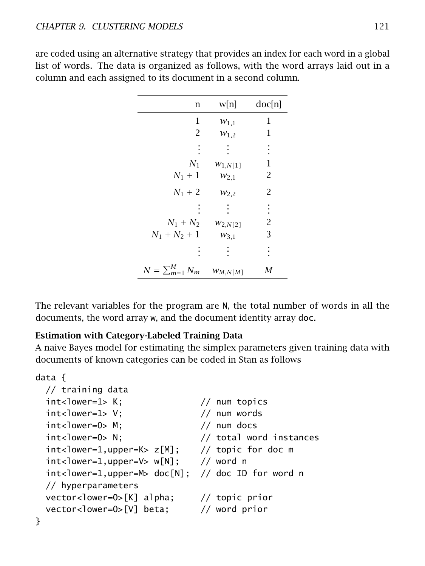| n                                     | w[n]               | doc[n]         |
|---------------------------------------|--------------------|----------------|
| $\mathbf 1$                           | $W_{1,1}$          | 1              |
| $\overline{2}$                        | $W_{1,2}$          | 1              |
|                                       |                    | ł              |
|                                       | $N_1$ $W_{1,N[1]}$ | 1              |
| $N_1 + 1$                             | $W_{2,1}$          | 2              |
| $N_1 + 2$                             | $W_{2,2}$          | $\overline{2}$ |
|                                       |                    | $\vdots$       |
| $N_1 + N_2$ $w_{2,N[2]}$              |                    | $\overline{2}$ |
| $N_1 + N_2 + 1$                       | $W_{3,1}$          | 3              |
|                                       |                    | İ              |
| $N = \sum_{m=1}^{M} N_m$ $W_{M,N[M]}$ |                    | М              |

are coded using an alternative strategy that provides an index for each word in a global list of words. The data is organized as follows, with the word arrays laid out in a column and each assigned to its document in a second column.

The relevant variables for the program are N, the total number of words in all the documents, the word array w, and the document identity array doc.

#### Estimation with Category-Labeled Training Data

A naive Bayes model for estimating the simplex parameters given training data with documents of known categories can be coded in Stan as follows

```
data {
 // training data
 int<lower=1> K; // num topicsint<lower=1> V: // num words
 int <N: // num docsint<lower=0> N; // total word instances
 int<lower=1,upper=K> z[M]; // topic for doc m
 int <lower=1,upper=V> w[N]; // word n
 int<lower=1,upper=M> doc[N]; // doc ID for word n
 // hyperparameters
 vector<lower=0>[K] alpha; // topic prior
 vector<lower=0>[V] beta; // word prior
}
```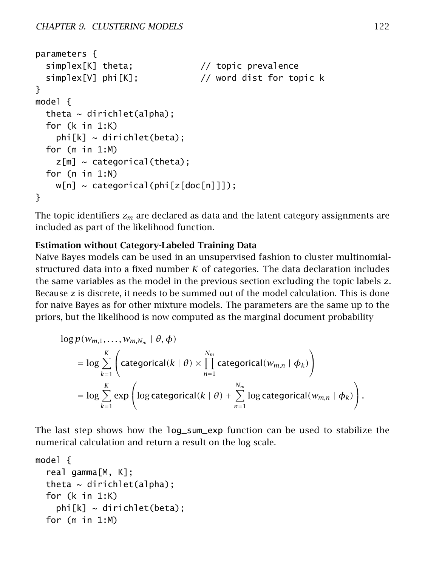```
parameters {
  simplex[K] theta; \frac{1}{2} // topic prevalence
  simplex[V] phi[K]; // word dist for topic k
}
model {
  theta \sim dirichlet(alpha);
  for (k in 1:K)
    phi[k] \sim dirichlet(beta);
  for (m in 1:M)
    z[m] ~ categorical(theta);
  for (n in 1:N)
    w[n] \sim \text{categorical}(\text{phi}[z[\text{doc}[n]]]);
}
```
The topic identifiers *z<sup>m</sup>* are declared as data and the latent category assignments are included as part of the likelihood function.

#### Estimation without Category-Labeled Training Data

Naive Bayes models can be used in an unsupervised fashion to cluster multinomialstructured data into a fixed number *K* of categories. The data declaration includes the same variables as the model in the previous section excluding the topic labels z. Because z is discrete, it needs to be summed out of the model calculation. This is done for naive Bayes as for other mixture models. The parameters are the same up to the priors, but the likelihood is now computed as the marginal document probability

$$
\log p(w_{m,1},...,w_{m,N_m} | \theta, \phi)
$$
\n
$$
= \log \sum_{k=1}^{K} \left( \text{categorical}(k | \theta) \times \prod_{n=1}^{N_m} \text{categorical}(w_{m,n} | \phi_k) \right)
$$
\n
$$
= \log \sum_{k=1}^{K} \exp \left( \log \text{categorical}(k | \theta) + \sum_{n=1}^{N_m} \log \text{categorical}(w_{m,n} | \phi_k) \right).
$$

The last step shows how the log\_sum\_exp function can be used to stabilize the numerical calculation and return a result on the log scale.

```
model {
  real gamma[M, K];
  theta \sim dirichlet(alpha);
  for (k in 1:K)
    phi[k] \sim dirichlet(beta);
  for (m in 1:M)
```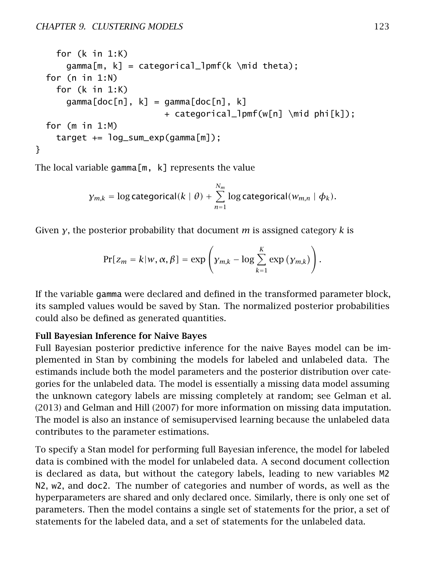```
for (k in 1:K)
      gamma[m, k] = categorical\_lpm(k \mid theta);for (n in 1:N)
   for (k in 1:K)
      gamma[doc[n], k] = gamma[doc[n], k]+ categorical_lpmf(w[n] \mid phi[k]);
 for (m in 1:M)
   target += log_sum\_exp(qamma[m]);
}
```
The local variable gamma $[m, k]$  represents the value

$$
\gamma_{m,k} = \log \text{categorical}(k \mid \theta) + \sum_{n=1}^{N_m} \log \text{categorical}(w_{m,n} \mid \phi_k).
$$

Given *γ*, the posterior probability that document *m* is assigned category *k* is

$$
Pr[z_m = k | w, \alpha, \beta] = \exp \left( \gamma_{m,k} - \log \sum_{k=1}^{K} \exp \left( \gamma_{m,k} \right) \right).
$$

If the variable gamma were declared and defined in the transformed parameter block, its sampled values would be saved by Stan. The normalized posterior probabilities could also be defined as generated quantities.

#### Full Bayesian Inference for Naive Bayes

Full Bayesian posterior predictive inference for the naive Bayes model can be implemented in Stan by combining the models for labeled and unlabeled data. The estimands include both the model parameters and the posterior distribution over categories for the unlabeled data. The model is essentially a missing data model assuming the unknown category labels are missing completely at random; see Gelman et al. [\(2013\)](#page-304-2) and Gelman and Hill [\(2007\)](#page-304-1) for more information on missing data imputation. The model is also an instance of semisupervised learning because the unlabeled data contributes to the parameter estimations.

To specify a Stan model for performing full Bayesian inference, the model for labeled data is combined with the model for unlabeled data. A second document collection is declared as data, but without the category labels, leading to new variables M2 N2, w2, and doc2. The number of categories and number of words, as well as the hyperparameters are shared and only declared once. Similarly, there is only one set of parameters. Then the model contains a single set of statements for the prior, a set of statements for the labeled data, and a set of statements for the unlabeled data.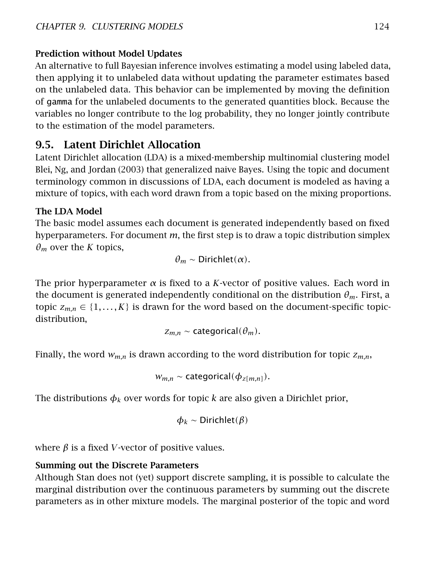#### Prediction without Model Updates

An alternative to full Bayesian inference involves estimating a model using labeled data, then applying it to unlabeled data without updating the parameter estimates based on the unlabeled data. This behavior can be implemented by moving the definition of gamma for the unlabeled documents to the generated quantities block. Because the variables no longer contribute to the log probability, they no longer jointly contribute to the estimation of the model parameters.

## 9.5. Latent Dirichlet Allocation

Latent Dirichlet allocation (LDA) is a mixed-membership multinomial clustering model Blei, Ng, and Jordan [\(2003\)](#page-303-0) that generalized naive Bayes. Using the topic and document terminology common in discussions of LDA, each document is modeled as having a mixture of topics, with each word drawn from a topic based on the mixing proportions.

#### The LDA Model

The basic model assumes each document is generated independently based on fixed hyperparameters. For document *m*, the first step is to draw a topic distribution simplex  $\theta_m$  over the *K* topics,

$$
\theta_m \sim \text{Dirichlet}(\alpha).
$$

The prior hyperparameter  $\alpha$  is fixed to a *K*-vector of positive values. Each word in the document is generated independently conditional on the distribution *θm*. First, a topic  $z_{m,n} \in \{1, \ldots, K\}$  is drawn for the word based on the document-specific topicdistribution,

$$
z_{m,n} \sim \text{categorical}(\theta_m).
$$

Finally, the word *wm,n* is drawn according to the word distribution for topic *zm,n*,

$$
w_{m,n} \sim categorical(\phi_{z[m,n]}).
$$

The distributions  $\phi_k$  over words for topic *k* are also given a Dirichlet prior,

$$
\phi_k \sim \text{Dirichlet}(\beta)
$$

where  $\beta$  is a fixed *V*-vector of positive values.

#### Summing out the Discrete Parameters

Although Stan does not (yet) support discrete sampling, it is possible to calculate the marginal distribution over the continuous parameters by summing out the discrete parameters as in other mixture models. The marginal posterior of the topic and word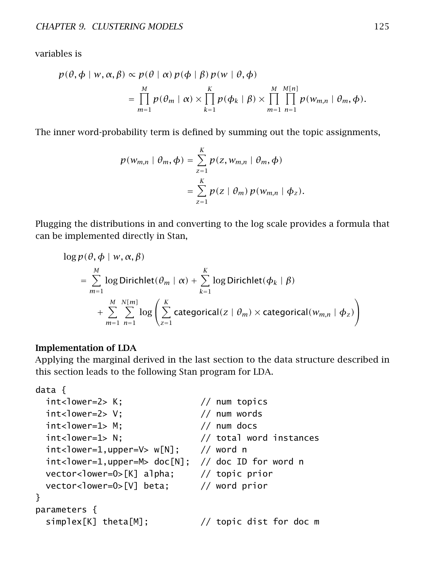variables is

$$
p(\theta, \phi \mid w, \alpha, \beta) \propto p(\theta \mid \alpha) p(\phi \mid \beta) p(w \mid \theta, \phi)
$$
  
= 
$$
\prod_{m=1}^{M} p(\theta_m \mid \alpha) \times \prod_{k=1}^{K} p(\phi_k \mid \beta) \times \prod_{m=1}^{M} \prod_{n=1}^{M[n]} p(w_{m,n} \mid \theta_m, \phi).
$$

The inner word-probability term is defined by summing out the topic assignments,

$$
p(w_{m,n} | \theta_m, \phi) = \sum_{z=1}^K p(z, w_{m,n} | \theta_m, \phi)
$$
  
= 
$$
\sum_{z=1}^K p(z | \theta_m) p(w_{m,n} | \phi_z).
$$

Plugging the distributions in and converting to the log scale provides a formula that can be implemented directly in Stan,

$$
\log p(\theta, \phi \mid w, \alpha, \beta)
$$
\n
$$
= \sum_{m=1}^{M} \log \text{Dirichlet}(\theta_m \mid \alpha) + \sum_{k=1}^{K} \log \text{Dirichlet}(\phi_k \mid \beta)
$$
\n
$$
+ \sum_{m=1}^{M} \sum_{n=1}^{N[m]} \log \left( \sum_{z=1}^{K} \text{categorical}(z \mid \theta_m) \times \text{categorical}(w_{m,n} \mid \phi_z) \right)
$$

#### Implementation of LDA

Applying the marginal derived in the last section to the data structure described in this section leads to the following Stan program for LDA.

```
data {
 int<lower=2> K; // num topicsint <lower=2> V; // num words
 int<lower=1> M; // num docsint<lower=1> N; // total word instances
 int<lower=1,upper=V> w[N]; // word n
 int<lower=1,upper=M> doc[N]; // doc ID for word n
 vector<lower=0>[K] alpha; // topic prior
 vector<lower=0>[V] beta; // word prior
}
parameters {
 simplex[K] theta[M]; \qquad // topic dist for doc m
```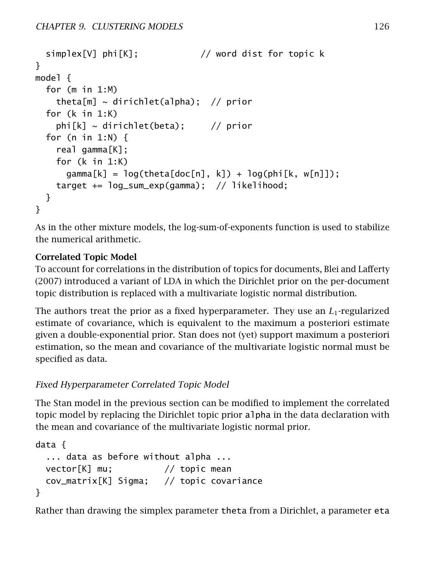```
simplex[V] phi[K]; // word dist for topic k
}
model {
 for (m in 1:M)
   theta[m] ~ dirichlet(alpha); // prior
 for (k in 1:K)
   phi[k] \sim dirichlet(beta); // prior
 for (n in 1:N) \{real gamma[K];
   for (k in 1:K)
     gamma[k] = log(theta[doc[n], k]) + log(phi[k, w[n]]);target += log_sum_exp(gamma); // likelihood;
 }
}
```
As in the other mixture models, the log-sum-of-exponents function is used to stabilize the numerical arithmetic.

#### Correlated Topic Model

To account for correlations in the distribution of topics for documents, Blei and Lafferty [\(2007\)](#page-303-1) introduced a variant of LDA in which the Dirichlet prior on the per-document topic distribution is replaced with a multivariate logistic normal distribution.

The authors treat the prior as a fixed hyperparameter. They use an *L*1-regularized estimate of covariance, which is equivalent to the maximum a posteriori estimate given a double-exponential prior. Stan does not (yet) support maximum a posteriori estimation, so the mean and covariance of the multivariate logistic normal must be specified as data.

#### Fixed Hyperparameter Correlated Topic Model

The Stan model in the previous section can be modified to implement the correlated topic model by replacing the Dirichlet topic prior alpha in the data declaration with the mean and covariance of the multivariate logistic normal prior.

```
data {
  ... data as before without alpha ...
 vector[K] mu; // topic mean
 cov_matrix[K] Sigma; // topic covariance
}
```
Rather than drawing the simplex parameter theta from a Dirichlet, a parameter eta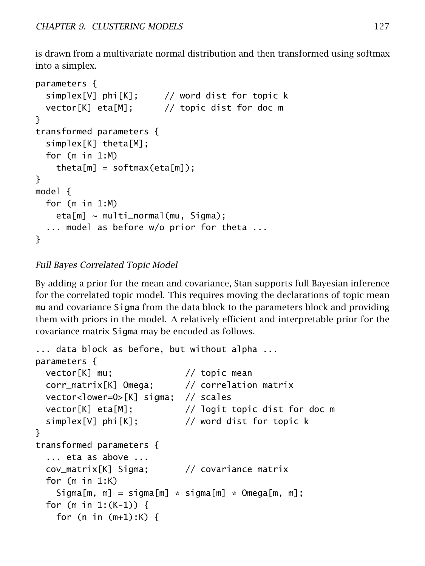is drawn from a multivariate normal distribution and then transformed using softmax into a simplex.

```
parameters {
 simplex[V] phi[K]; // word dist for topic k
 vector[K] eta[M]; // topic dist for doc m
}
transformed parameters {
 simplex[K] theta[M];
 for (m in 1:M)
   theta[m] = softmax(eta[m]);
}
model {
 for (m in 1:M)
   eta[m] \sim multi_normal(mu, Sigma);
  ... model as before w/o prior for theta ...
}
```
#### Full Bayes Correlated Topic Model

By adding a prior for the mean and covariance, Stan supports full Bayesian inference for the correlated topic model. This requires moving the declarations of topic mean mu and covariance Sigma from the data block to the parameters block and providing them with priors in the model. A relatively efficient and interpretable prior for the covariance matrix Sigma may be encoded as follows.

```
... data block as before, but without alpha ...
parameters {
 vector[K] mu; // topic mean
 corr_matrix[K] Omega; // correlation matrix
 vector<lower=0>[K] sigma; // scales
 vector[K] eta[M]; // logit topic dist for doc m
 simplex[V] phi[K]; // word dist for topic k
}
transformed parameters {
  ... eta as above ...
 cov_matrix[K] Sigma; // covariance matrix
 for (m in 1:K)
   Signal[m, m] = sigma[m] * sigma[m] * Omega[m, m];for (m in 1:(K-1)) {
   for (n in (m+1):K) {
```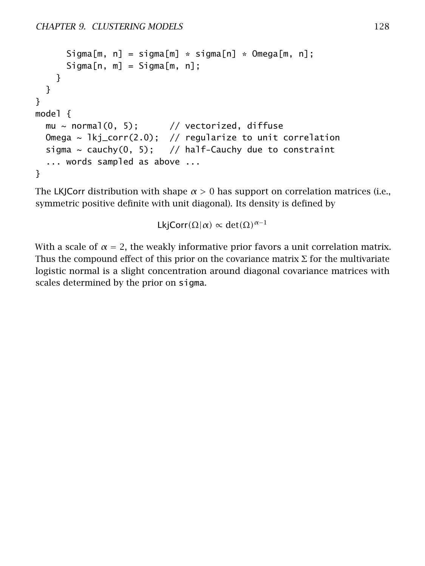```
Sigma[m, n] = sigma[m] * sigma[n] * Omega[m, n];
      Signal[n, m] = Signal[m, n];
    }
 }
}
model {
 mu \sim normal(0, 5); // vectorized, diffuse
 Omega \sim lkj_corr(2.0); // regularize to unit correlation
 sigma \sim cauchy(0, 5); // half-Cauchy due to constraint
  ... words sampled as above ...
}
```
The LKJCorr distribution with shape  $\alpha > 0$  has support on correlation matrices (i.e., symmetric positive definite with unit diagonal). Its density is defined by

LkjCorr $(\Omega|\alpha) \propto det(\Omega)^{\alpha-1}$ 

With a scale of  $\alpha = 2$ , the weakly informative prior favors a unit correlation matrix. Thus the compound effect of this prior on the covariance matrix  $\Sigma$  for the multivariate logistic normal is a slight concentration around diagonal covariance matrices with scales determined by the prior on sigma.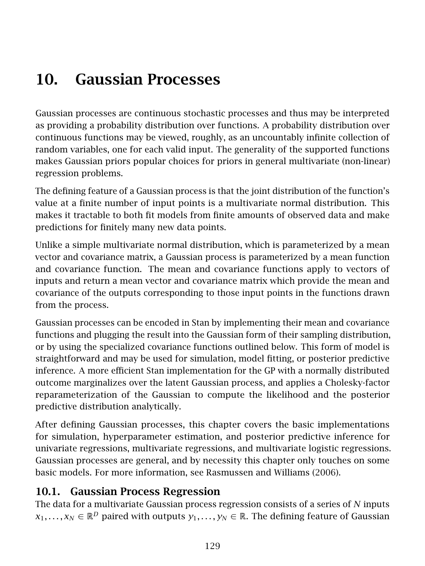# 10. Gaussian Processes

Gaussian processes are continuous stochastic processes and thus may be interpreted as providing a probability distribution over functions. A probability distribution over continuous functions may be viewed, roughly, as an uncountably infinite collection of random variables, one for each valid input. The generality of the supported functions makes Gaussian priors popular choices for priors in general multivariate (non-linear) regression problems.

The defining feature of a Gaussian process is that the joint distribution of the function's value at a finite number of input points is a multivariate normal distribution. This makes it tractable to both fit models from finite amounts of observed data and make predictions for finitely many new data points.

Unlike a simple multivariate normal distribution, which is parameterized by a mean vector and covariance matrix, a Gaussian process is parameterized by a mean function and covariance function. The mean and covariance functions apply to vectors of inputs and return a mean vector and covariance matrix which provide the mean and covariance of the outputs corresponding to those input points in the functions drawn from the process.

Gaussian processes can be encoded in Stan by implementing their mean and covariance functions and plugging the result into the Gaussian form of their sampling distribution, or by using the specialized covariance functions outlined below. This form of model is straightforward and may be used for simulation, model fitting, or posterior predictive inference. A more efficient Stan implementation for the GP with a normally distributed outcome marginalizes over the latent Gaussian process, and applies a Cholesky-factor reparameterization of the Gaussian to compute the likelihood and the posterior predictive distribution analytically.

After defining Gaussian processes, this chapter covers the basic implementations for simulation, hyperparameter estimation, and posterior predictive inference for univariate regressions, multivariate regressions, and multivariate logistic regressions. Gaussian processes are general, and by necessity this chapter only touches on some basic models. For more information, see Rasmussen and Williams [\(2006\)](#page-306-1).

## 10.1. Gaussian Process Regression

The data for a multivariate Gaussian process regression consists of a series of *N* inputs *x*<sub>1</sub>, . . . , *x*<sup>*N*</sup> ∈  $\mathbb{R}$ <sup>*D*</sup> paired with outputs *y*<sub>1</sub>, . . . , *y*<sup>*N*</sup> ∈  $\mathbb{R}$ . The defining feature of Gaussian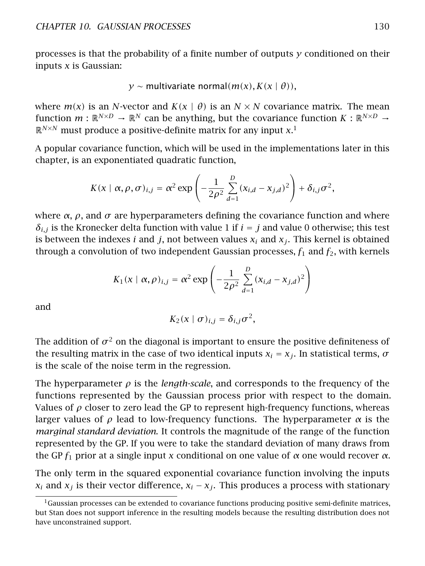processes is that the probability of a finite number of outputs *y* conditioned on their inputs *x* is Gaussian:

$$
y \sim
$$
 multivariate normal $(m(x), K(x | \theta)),$ 

where  $m(x)$  is an *N*-vector and  $K(x | \theta)$  is an  $N \times N$  covariance matrix. The mean function  $m : \mathbb{R}^{N \times D} \to \mathbb{R}^N$  can be anything, but the covariance function  $K : \mathbb{R}^{N \times D} \to$  $\mathbb{R}^{N\times N}$  must produce a positive-definite matrix for any input  $x$ <sup>[1](#page-136-0)</sup>

A popular covariance function, which will be used in the implementations later in this chapter, is an exponentiated quadratic function,

$$
K(x \mid \alpha, \rho, \sigma)_{i,j} = \alpha^2 \exp \left(-\frac{1}{2\rho^2} \sum_{d=1}^D (x_{i,d} - x_{j,d})^2\right) + \delta_{i,j} \sigma^2,
$$

where  $\alpha$ ,  $\rho$ , and  $\sigma$  are hyperparameters defining the covariance function and where  $\delta$ *i,j* is the Kronecker delta function with value 1 if  $i = j$  and value 0 otherwise; this test is between the indexes  $i$  and  $j$ , not between values  $x_i$  and  $x_j$ . This kernel is obtained through a convolution of two independent Gaussian processes,  $f_1$  and  $f_2$ , with kernels

$$
K_1(x \mid \alpha, \rho)_{i,j} = \alpha^2 \exp \left(-\frac{1}{2\rho^2} \sum_{d=1}^D (x_{i,d} - x_{j,d})^2\right)
$$

and

$$
K_2(x \mid \sigma)_{i,j} = \delta_{i,j} \sigma^2,
$$

The addition of  $\sigma^2$  on the diagonal is important to ensure the positive definiteness of the resulting matrix in the case of two identical inputs  $x_i = x_j$ . In statistical terms,  $\sigma$ is the scale of the noise term in the regression.

The hyperparameter  $\rho$  is the *length-scale*, and corresponds to the frequency of the functions represented by the Gaussian process prior with respect to the domain. Values of  $\rho$  closer to zero lead the GP to represent high-frequency functions, whereas larger values of  $\rho$  lead to low-frequency functions. The hyperparameter  $\alpha$  is the *marginal standard deviation*. It controls the magnitude of the range of the function represented by the GP. If you were to take the standard deviation of many draws from the GP *f*<sup>1</sup> prior at a single input *x* conditional on one value of *α* one would recover *α*.

The only term in the squared exponential covariance function involving the inputs *x*<sub>i</sub> and *x*<sub>*i*</sub> is their vector difference,  $x_i - x_j$ . This produces a process with stationary

<span id="page-136-0"></span> $1_G$ aussian processes can be extended to covariance functions producing positive semi-definite matrices, but Stan does not support inference in the resulting models because the resulting distribution does not have unconstrained support.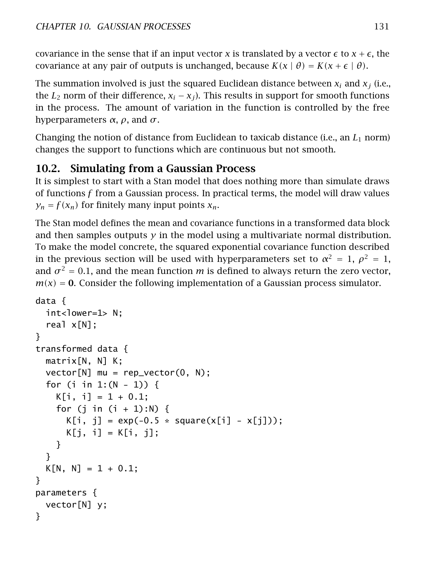covariance in the sense that if an input vector *x* is translated by a vector  $\epsilon$  to  $x + \epsilon$ , the covariance at any pair of outputs is unchanged, because  $K(x | \theta) = K(x + \epsilon | \theta)$ .

The summation involved is just the squared Euclidean distance between  $x_i$  and  $x_j$  (i.e., the  $L_2$  norm of their difference,  $x_i - x_j$ ). This results in support for smooth functions in the process. The amount of variation in the function is controlled by the free hyperparameters *α*, *ρ*, and *σ*.

Changing the notion of distance from Euclidean to taxicab distance (i.e., an *L*<sup>1</sup> norm) changes the support to functions which are continuous but not smooth.

# 10.2. Simulating from a Gaussian Process

It is simplest to start with a Stan model that does nothing more than simulate draws of functions *f* from a Gaussian process. In practical terms, the model will draw values  $y_n = f(x_n)$  for finitely many input points  $x_n$ .

The Stan model defines the mean and covariance functions in a transformed data block and then samples outputs  $\gamma$  in the model using a multivariate normal distribution. To make the model concrete, the squared exponential covariance function described in the previous section will be used with hyperparameters set to  $\alpha^2 = 1$ ,  $\rho^2 = 1$ , and  $\sigma^2 = 0.1$ , and the mean function *m* is defined to always return the zero vector,  $m(x) = 0$ . Consider the following implementation of a Gaussian process simulator.

```
data {
 int<lower=1> N;
  real x[N];
}
transformed data {
 matrix[N, N] K;
 vector[N] mu = rep_vector(0, N);
 for (i in 1:(N - 1)) {
   K[i, i] = 1 + 0.1;for (j in (i + 1):N) {
      K[i, j] = exp(-0.5 * square(x[i] - x[j]));K[j, i] = K[i, j];}
  }
 K[N, N] = 1 + 0.1;}
parameters {
 vector[N] y;
}
```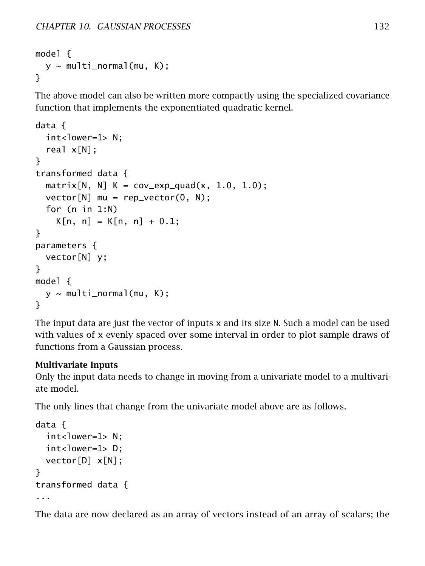```
model {
  y \sim multi_normal(mu, K);
}
```
The above model can also be written more compactly using the specialized covariance function that implements the exponentiated quadratic kernel.

```
data {
  int<lower=1> N;
  real x[N];
}
transformed data {
  matrix[N, N] K = cov_{exp_{qu}ad}(x, 1.0, 1.0);vector[N] mu = rep_vector(0, N);
  for (n in 1:N)
    K[n, n] = K[n, n] + 0.1;
}
parameters {
  vector[N] y;
}
model {
  y \sim multi_normal(mu, K);
}
```
The input data are just the vector of inputs x and its size N. Such a model can be used with values of x evenly spaced over some interval in order to plot sample draws of functions from a Gaussian process.

#### Multivariate Inputs

Only the input data needs to change in moving from a univariate model to a multivariate model.

The only lines that change from the univariate model above are as follows.

```
data {
  int<lower=1> N:
  int<lower=1> D;
  vector[D] x[N];
}
transformed data {
...
```
The data are now declared as an array of vectors instead of an array of scalars; the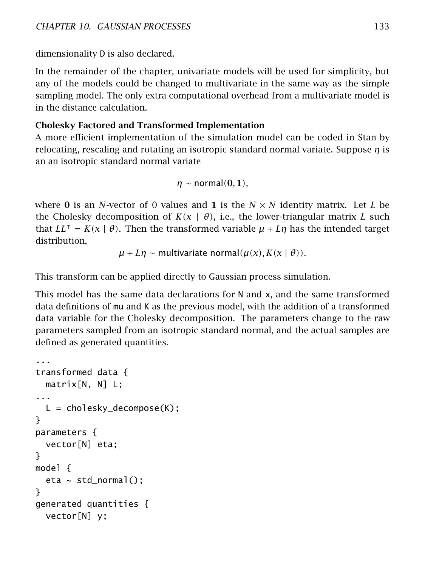dimensionality D is also declared.

In the remainder of the chapter, univariate models will be used for simplicity, but any of the models could be changed to multivariate in the same way as the simple sampling model. The only extra computational overhead from a multivariate model is in the distance calculation.

#### Cholesky Factored and Transformed Implementation

A more efficient implementation of the simulation model can be coded in Stan by relocating, rescaling and rotating an isotropic standard normal variate. Suppose *η* is an an isotropic standard normal variate

$$
\eta \sim \text{normal}(0,1),
$$

where **0** is an *N*-vector of 0 values and 1 is the  $N \times N$  identity matrix. Let L be the Cholesky decomposition of  $K(x | \theta)$ , i.e., the lower-triangular matrix *L* such that  $LL^{\top} = K(x | \theta)$ . Then the transformed variable  $\mu + L\eta$  has the intended target distribution,

 $\mu + L\eta \sim$  multivariate normal $(\mu(x), K(x | \theta)).$ 

This transform can be applied directly to Gaussian process simulation.

This model has the same data declarations for N and x, and the same transformed data definitions of mu and K as the previous model, with the addition of a transformed data variable for the Cholesky decomposition. The parameters change to the raw parameters sampled from an isotropic standard normal, and the actual samples are defined as generated quantities.

```
...
transformed data {
  matrix[N, N] L;
...
  L = cholesky-decompose(K);}
parameters {
  vector[N] eta;
}
model {
  eta \sim std_normal();
}
generated quantities {
  vector[N] y;
```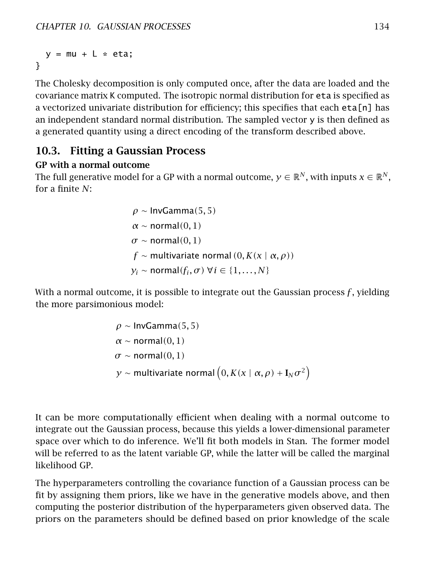$y = mu + L * eta;$ }

The Cholesky decomposition is only computed once, after the data are loaded and the covariance matrix K computed. The isotropic normal distribution for eta is specified as a vectorized univariate distribution for efficiency; this specifies that each eta[n] has an independent standard normal distribution. The sampled vector  $y$  is then defined as a generated quantity using a direct encoding of the transform described above.

#### 10.3. Fitting a Gaussian Process

#### GP with a normal outcome

The full generative model for a GP with a normal outcome,  $v \in \mathbb{R}^N$ , with inputs  $x \in \mathbb{R}^N$ . for a finite *N*:

> *ρ* ∼ InvGamma*(*5*,* 5*) α* ∼ normal*(*0*,* 1*)*  $\sigma \sim$  normal $(0, 1)$ *f* ∼ multivariate normal *(*0*, K(x* | *α, ρ))*  $y_i \sim \text{normal}(f_i, \sigma) \; \forall i \in \{1, \ldots, N\}$

With a normal outcome, it is possible to integrate out the Gaussian process *f* , yielding the more parsimonious model:

$$
\rho \sim \text{InvGamma}(5,5)
$$
\n
$$
\alpha \sim \text{normal}(0,1)
$$
\n
$$
\sigma \sim \text{normal}(0,1)
$$
\n
$$
y \sim \text{multivariate normal}\left(0, K(x \mid \alpha, \rho) + I_N \sigma^2\right)
$$

It can be more computationally efficient when dealing with a normal outcome to integrate out the Gaussian process, because this yields a lower-dimensional parameter space over which to do inference. We'll fit both models in Stan. The former model will be referred to as the latent variable GP, while the latter will be called the marginal likelihood GP.

The hyperparameters controlling the covariance function of a Gaussian process can be fit by assigning them priors, like we have in the generative models above, and then computing the posterior distribution of the hyperparameters given observed data. The priors on the parameters should be defined based on prior knowledge of the scale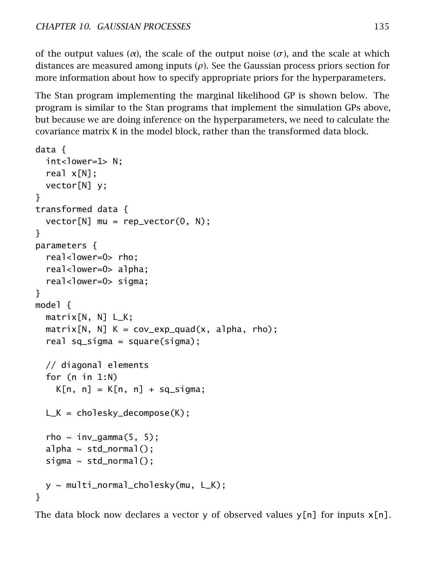of the output values ( $\alpha$ ), the scale of the output noise ( $\sigma$ ), and the scale at which distances are measured among inputs (*ρ*). See the [Gaussian process priors section](#page-147-0) for more information about how to specify appropriate priors for the hyperparameters.

The Stan program implementing the marginal likelihood GP is shown below. The program is similar to the Stan programs that implement the simulation GPs above, but because we are doing inference on the hyperparameters, we need to calculate the covariance matrix K in the model block, rather than the transformed data block.

```
data {
  int<lower=1> N;
  real x[N];
  vector[N] y;
}
transformed data {
  vector[N] mu = rep_vector(0, N);
}
parameters {
  real<lower=0> rho;
  real<lower=0> alpha;
  real<lower=0> sigma;
}
model {
  matrix[N, N] L_K;
  matrix[N, N] K = cov_exp_quad(x, alpha, rho);
  real sq_sigma = square(sigma);
  // diagonal elements
  for (n in 1:N)
    K[n, n] = K[n, n] + sq_sigma;
  L_K = cholesky_decompose(K);
  rho \sim inv_gamma(5, 5);
  alpha \sim std_normal();
  sigma \sim std_normal();
  y ~ multi_normal_cholesky(mu, L_K);
}
```
The data block now declares a vector y of observed values  $y[n]$  for inputs  $x[n]$ .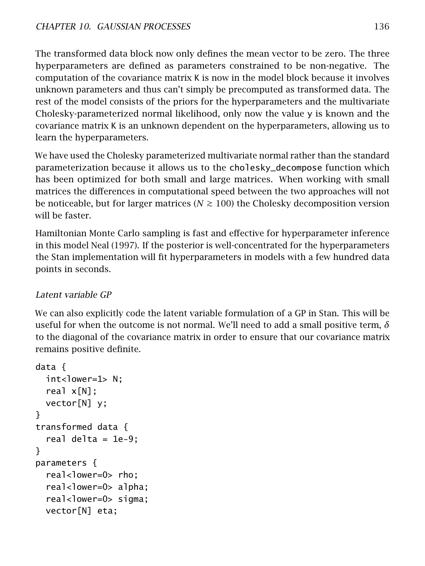The transformed data block now only defines the mean vector to be zero. The three hyperparameters are defined as parameters constrained to be non-negative. The computation of the covariance matrix K is now in the model block because it involves unknown parameters and thus can't simply be precomputed as transformed data. The rest of the model consists of the priors for the hyperparameters and the multivariate Cholesky-parameterized normal likelihood, only now the value y is known and the covariance matrix K is an unknown dependent on the hyperparameters, allowing us to learn the hyperparameters.

We have used the Cholesky parameterized multivariate normal rather than the standard parameterization because it allows us to the cholesky\_decompose function which has been optimized for both small and large matrices. When working with small matrices the differences in computational speed between the two approaches will not be noticeable, but for larger matrices ( $N \ge 100$ ) the Cholesky decomposition version will be faster

Hamiltonian Monte Carlo sampling is fast and effective for hyperparameter inference in this model Neal [\(1997\)](#page-305-0). If the posterior is well-concentrated for the hyperparameters the Stan implementation will fit hyperparameters in models with a few hundred data points in seconds.

## Latent variable GP

We can also explicitly code the latent variable formulation of a GP in Stan. This will be useful for when the outcome is not normal. We'll need to add a small positive term, *δ* to the diagonal of the covariance matrix in order to ensure that our covariance matrix remains positive definite.

```
data {
 int<lower=1> N;
 real x[N];
 vector[N] y;
}
transformed data {
  real delta = 1e-9;
}
parameters {
  real<lower=0> rho:
  real<lower=0> alpha;
  real<lower=0> sigma;
 vector[N] eta;
```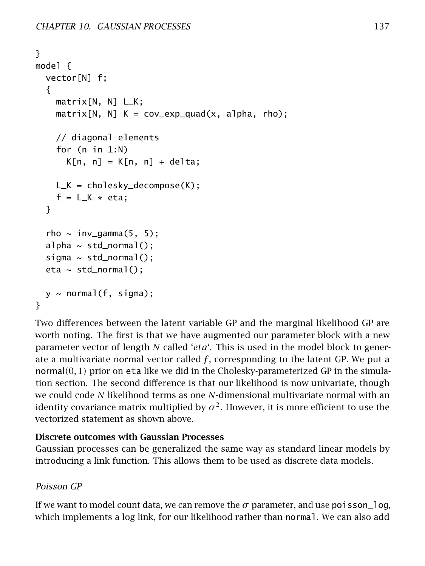```
}
model {
  vector[N] f;
  {
    matrix[N, N] L_K;
    matrix[N, N] K = cov_exp_quad(x, alpha, rho);
    // diagonal elements
    for (n in 1:N)
      K[n, n] = K[n, n] + delta;L_K = cholesky_decompose(K);
    f = L_K * eta;}
  rho \sim inv_gamma(5, 5);
  alpha \sim std_normal();
  sigma \sim std_normal();
  eta \sim std_normal();
 y \sim normal(f, sigma);
}
```
Two differences between the latent variable GP and the marginal likelihood GP are worth noting. The first is that we have augmented our parameter block with a new parameter vector of length *N* called '*eta*'. This is used in the model block to generate a multivariate normal vector called  $f$ , corresponding to the latent GP. We put a normal*(*0*,* 1*)* prior on eta like we did in the Cholesky-parameterized GP in the simulation section. The second difference is that our likelihood is now univariate, though we could code *N* likelihood terms as one *N*-dimensional multivariate normal with an identity covariance matrix multiplied by  $\sigma^2.$  However, it is more efficient to use the vectorized statement as shown above.

#### Discrete outcomes with Gaussian Processes

Gaussian processes can be generalized the same way as standard linear models by introducing a link function. This allows them to be used as discrete data models.

## Poisson GP

If we want to model count data, we can remove the  $\sigma$  parameter, and use poisson log, which implements a log link, for our likelihood rather than normal. We can also add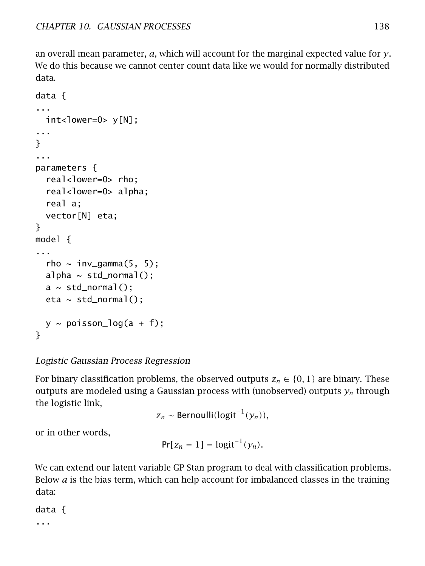an overall mean parameter, *a*, which will account for the marginal expected value for *y*. We do this because we cannot center count data like we would for normally distributed data.

```
data {
...
  int<lower=0> y[N];
...
}
...
parameters {
  real<lower=0> rho;
  real<lower=0> alpha;
  real a;
  vector[N] eta;
}
model {
...
  rho \sim inv_gamma(5, 5);
  alpha \sim std_normal();
  a \sim std\_normal();
  eta \sim std_normal();
  y \sim \text{poisson\_log}(a + f);
}
```
## Logistic Gaussian Process Regression

For binary classification problems, the observed outputs  $z_n \in \{0,1\}$  are binary. These outputs are modeled using a Gaussian process with (unobserved) outputs *y<sup>n</sup>* through the logistic link,

*z<sup>n</sup>* ∼ Bernoulli*(*logit<sup>−</sup><sup>1</sup> *(yn)),*

or in other words,

$$
Pr[z_n = 1] = logit^{-1}(y_n).
$$

We can extend our latent variable GP Stan program to deal with classification problems. Below *a* is the bias term, which can help account for imbalanced classes in the training data:

data { ...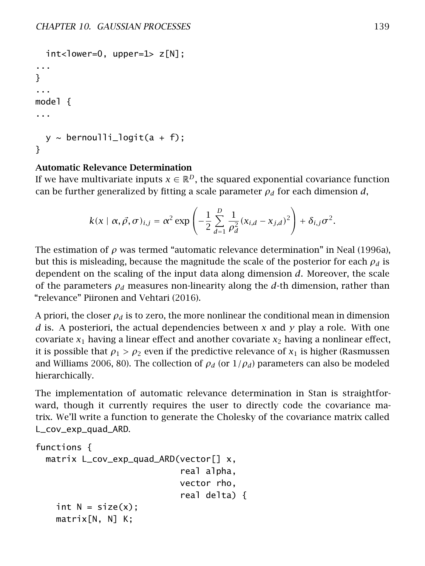```
int <lower=0, upper=1> z[N];
...
}
...
model {
...
  y \sim bernoulli_logit(a + f);
}
```
## Automatic Relevance Determination

If we have multivariate inputs  $x \in \mathbb{R}^D$ , the squared exponential covariance function can be further generalized by fitting a scale parameter  $\rho_d$  for each dimension *d*,

$$
k(x \mid \alpha, \vec{\rho}, \sigma)_{i,j} = \alpha^2 \exp \left(-\frac{1}{2} \sum_{d=1}^D \frac{1}{\rho_d^2} (x_{i,d} - x_{j,d})^2\right) + \delta_{i,j} \sigma^2.
$$

The estimation of  $\rho$  was termed "automatic relevance determination" in Neal [\(1996a\)](#page-305-0), but this is misleading, because the magnitude the scale of the posterior for each *ρ<sup>d</sup>* is dependent on the scaling of the input data along dimension *d*. Moreover, the scale of the parameters  $\rho_d$  measures non-linearity along the *d*-th dimension, rather than "relevance" Piironen and Vehtari [\(2016\)](#page-305-1).

A priori, the closer  $\rho_d$  is to zero, the more nonlinear the conditional mean in dimension *d* is. A posteriori, the actual dependencies between *x* and *y* play a role. With one covariate *x*<sup>1</sup> having a linear effect and another covariate *x*<sup>2</sup> having a nonlinear effect, it is possible that  $\rho_1 > \rho_2$  even if the predictive relevance of  $x_1$  is higher (Rasmussen and Williams [2006,](#page-306-0) 80). The collection of  $\rho_d$  (or  $1/\rho_d$ ) parameters can also be modeled hierarchically.

The implementation of automatic relevance determination in Stan is straightforward, though it currently requires the user to directly code the covariance matrix. We'll write a function to generate the Cholesky of the covariance matrix called L\_cov\_exp\_quad\_ARD.

```
functions {
 matrix L_cov_exp_quad_ARD(vector[] x,
                             real alpha,
                            vector rho,
                             real delta) {
    int N = size(x);
    matrix[N, N] K;
```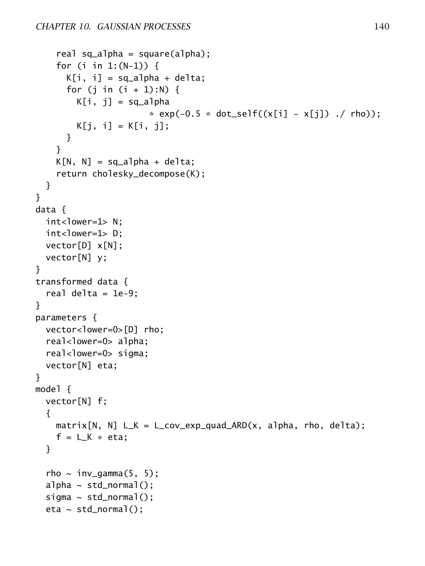```
real sq_alpha = square(alpha);
    for (i in 1:(N-1)) {
      K[i, i] = sq_alpha + delta;
      for (j in (i + 1):N) {
        K[i, j] = sq_alpha
                       * exp(-0.5 * dot\_self((x[i] - x[j])./ rho));
        K[j, i] = K[i, j];
      }
    }
    K[N, N] = sq_1pha + delta;return cholesky_decompose(K);
  }
}
data {
  int<lower=1> N:
  int<lower=1> D:
  vector[D] x[N];
  vector[N] y;
}
transformed data {
  real delta = 1e-9;
}
parameters {
  vector<lower=0>[D] rho;
  real<lower=0> alpha;
  real<lower=0> sigma;
  vector[N] eta;
}
model {
  vector[N] f;
  {
    matrix[N, N] L_K = L_{cov\_exp\_quad\_ARD(x, alpha, rho, delta);f = L_K * eta;}
  rho \sim inv_gamma(5, 5);
  alpha \sim std_normal();
  sigma \sim std_normal();
  eta \sim std_normal();
```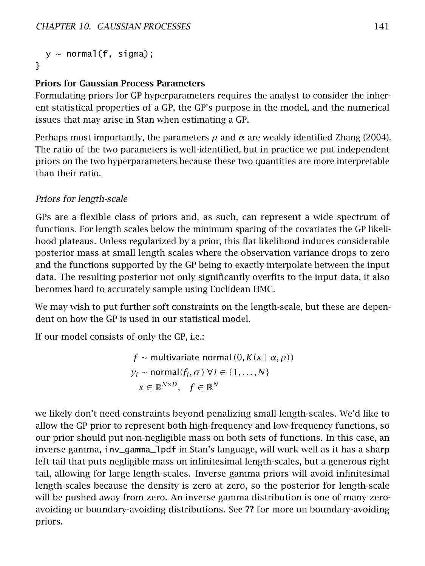```
y \sim normal(f, sigma);
}
```
#### Priors for Gaussian Process Parameters

Formulating priors for GP hyperparameters requires the analyst to consider the inherent statistical properties of a GP, the GP's purpose in the model, and the numerical issues that may arise in Stan when estimating a GP.

Perhaps most importantly, the parameters *ρ* and *α* are weakly identified Zhang [\(2004\)](#page-306-1). The ratio of the two parameters is well-identified, but in practice we put independent priors on the two hyperparameters because these two quantities are more interpretable than their ratio.

#### Priors for length-scale

GPs are a flexible class of priors and, as such, can represent a wide spectrum of functions. For length scales below the minimum spacing of the covariates the GP likelihood plateaus. Unless regularized by a prior, this flat likelihood induces considerable posterior mass at small length scales where the observation variance drops to zero and the functions supported by the GP being to exactly interpolate between the input data. The resulting posterior not only significantly overfits to the input data, it also becomes hard to accurately sample using Euclidean HMC.

We may wish to put further soft constraints on the length-scale, but these are dependent on how the GP is used in our statistical model.

If our model consists of only the GP, i.e.:

*f* ∼ multivariate normal *(*0*, K(x* | *α, ρ))*  $y_i \sim \text{normal}(f_i, \sigma) \; \forall i \in \{1, \ldots, N\}$  $x \in \mathbb{R}^{N \times D}$ ,  $f \in \mathbb{R}^N$ 

we likely don't need constraints beyond penalizing small length-scales. We'd like to allow the GP prior to represent both high-frequency and low-frequency functions, so our prior should put non-negligible mass on both sets of functions. In this case, an inverse gamma, inv\_gamma\_lpdf in Stan's language, will work well as it has a sharp left tail that puts negligible mass on infinitesimal length-scales, but a generous right tail, allowing for large length-scales. Inverse gamma priors will avoid infinitesimal length-scales because the density is zero at zero, so the posterior for length-scale will be pushed away from zero. An inverse gamma distribution is one of many zeroavoiding or boundary-avoiding distributions. See ?? for more on boundary-avoiding priors.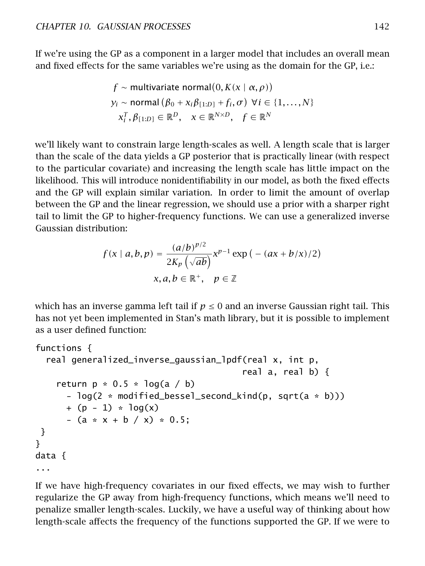If we're using the GP as a component in a larger model that includes an overall mean and fixed effects for the same variables we're using as the domain for the GP, i.e.:

$$
f \sim \text{multivariate normal}(0, K(x \mid \alpha, \rho))
$$
  

$$
y_i \sim \text{normal}(\beta_0 + x_i \beta_{[1:D]} + f_i, \sigma) \ \forall i \in \{1, ..., N\}
$$
  

$$
x_i^T, \beta_{[1:D]} \in \mathbb{R}^D, \quad x \in \mathbb{R}^{N \times D}, \quad f \in \mathbb{R}^N
$$

we'll likely want to constrain large length-scales as well. A length scale that is larger than the scale of the data yields a GP posterior that is practically linear (with respect to the particular covariate) and increasing the length scale has little impact on the likelihood. This will introduce nonidentifiability in our model, as both the fixed effects and the GP will explain similar variation. In order to limit the amount of overlap between the GP and the linear regression, we should use a prior with a sharper right tail to limit the GP to higher-frequency functions. We can use a generalized inverse Gaussian distribution:

$$
f(x \mid a, b, p) = \frac{(a/b)^{p/2}}{2K_p \left(\sqrt{ab}\right)} x^{p-1} \exp\left(-(ax + b/x)/2\right)
$$

$$
x, a, b \in \mathbb{R}^+, \quad p \in \mathbb{Z}
$$

which has an inverse gamma left tail if  $p \leq 0$  and an inverse Gaussian right tail. This has not yet been implemented in Stan's math library, but it is possible to implement as a user defined function:

```
functions {
  real generalized_inverse_gaussian_lpdf(real x, int p,
                                         real a, real b) {
    return p * 0.5 * log(a / b)- log(2 * modified_bessel_ssecond_kind(p, sqrt(a * b)))+ (p - 1) * log(x)- (a * x + b / x) * 0.5;
 }
}
data {
...
```
If we have high-frequency covariates in our fixed effects, we may wish to further regularize the GP away from high-frequency functions, which means we'll need to penalize smaller length-scales. Luckily, we have a useful way of thinking about how length-scale affects the frequency of the functions supported the GP. If we were to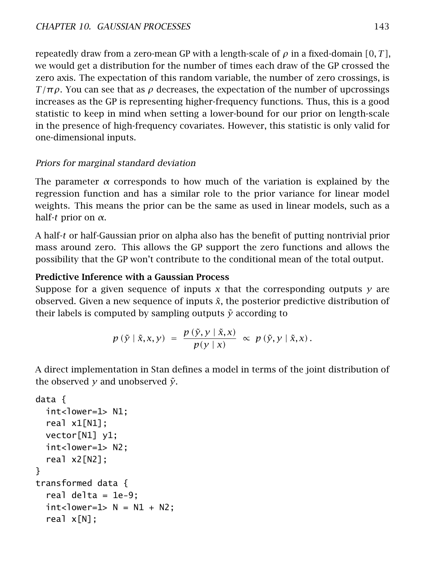repeatedly draw from a zero-mean GP with a length-scale of *ρ* in a fixed-domain *[*0*, T ]*, we would get a distribution for the number of times each draw of the GP crossed the zero axis. The expectation of this random variable, the number of zero crossings, is *T* / $πρ$ . You can see that as  $ρ$  decreases, the expectation of the number of upcrossings increases as the GP is representing higher-frequency functions. Thus, this is a good statistic to keep in mind when setting a lower-bound for our prior on length-scale in the presence of high-frequency covariates. However, this statistic is only valid for one-dimensional inputs.

## Priors for marginal standard deviation

The parameter *α* corresponds to how much of the variation is explained by the regression function and has a similar role to the prior variance for linear model weights. This means the prior can be the same as used in linear models, such as a half-*t* prior on *α*.

A half-*t* or half-Gaussian prior on alpha also has the benefit of putting nontrivial prior mass around zero. This allows the GP support the zero functions and allows the possibility that the GP won't contribute to the conditional mean of the total output.

#### Predictive Inference with a Gaussian Process

Suppose for a given sequence of inputs *x* that the corresponding outputs *y* are observed. Given a new sequence of inputs *x*˜, the posterior predictive distribution of their labels is computed by sampling outputs  $\tilde{y}$  according to

$$
p(\tilde{y} | \tilde{x}, x, y) = \frac{p(\tilde{y}, y | \tilde{x}, x)}{p(y | x)} \propto p(\tilde{y}, y | \tilde{x}, x).
$$

A direct implementation in Stan defines a model in terms of the joint distribution of the observed  $\gamma$  and unobserved  $\tilde{\gamma}$ .

```
data {
  int<lower=1> N1;
 real x1[N1];
 vector[N1] y1;
 int<lower=1> N2:
 real x2[N2];
}
transformed data {
  real delta = 1e-9;
 int <lower=1> N = N1 + N2;
  real x[N];
```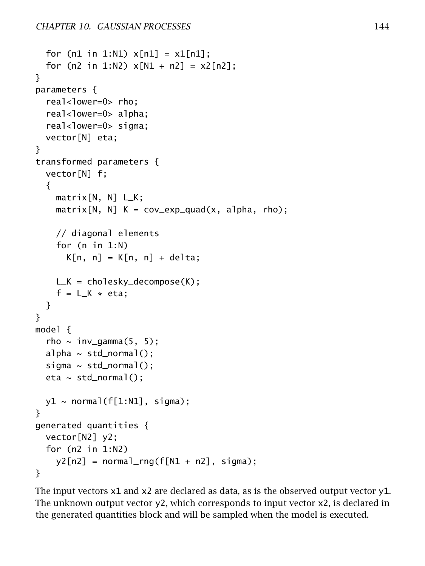```
for (n1 in 1:N1) x[n1] = x1[n1];
  for (n2 in 1:N2) x[N1 + n2] = x2[n2];
}
parameters {
  real<lower=0> rho;
  real<lower=0> alpha;
  real<lower=0> sigma;
  vector[N] eta;
}
transformed parameters {
  vector[N] f;
  {
    matrix[N, N] L_K;
    matrix[N, N] K = cov_exp_quad(x, alpha, rho);
    // diagonal elements
    for (n in 1:N)
      K[n, n] = K[n, n] + delta;L_K = cholesky_decompose(K);
    f = L_K * eta;}
}
model {
  rho \sim inv_gamma(5, 5);
  alpha \sim std_normal();
  sigma \sim std_normal();
  eta \sim std_normal();
  y1 \sim \text{normal}(f[1:N1], \text{sigma});
}
generated quantities {
 vector[N2] y2;
  for (n2 in 1:N2)
    y2[n2] = normal_rng(f[N1 + n2], sigma);}
```
The input vectors x1 and x2 are declared as data, as is the observed output vector y1. The unknown output vector y2, which corresponds to input vector x2, is declared in the generated quantities block and will be sampled when the model is executed.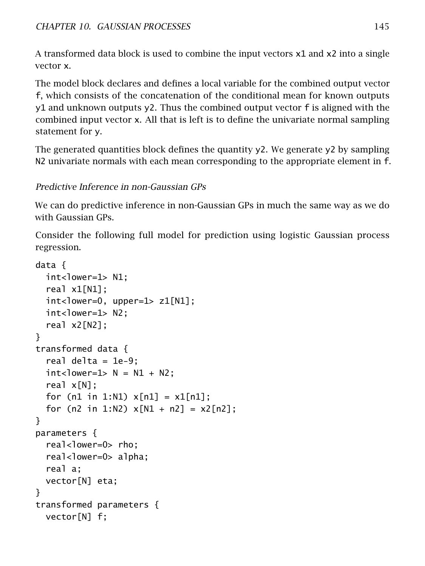A transformed data block is used to combine the input vectors x1 and x2 into a single vector x.

The model block declares and defines a local variable for the combined output vector f, which consists of the concatenation of the conditional mean for known outputs y1 and unknown outputs y2. Thus the combined output vector f is aligned with the combined input vector x. All that is left is to define the univariate normal sampling statement for y.

The generated quantities block defines the quantity  $y^2$ . We generate  $y^2$  by sampling N2 univariate normals with each mean corresponding to the appropriate element in f.

## Predictive Inference in non-Gaussian GPs

We can do predictive inference in non-Gaussian GPs in much the same way as we do with Gaussian GPs.

Consider the following full model for prediction using logistic Gaussian process regression.

```
data {
 int<lower=1> N1:
 real x1[N1];
 int <lower=0, upper=1> z1[N1];
 int<lower=1> N2;
 real x2[N2];
}
transformed data {
  real delta = 1e-9;
 int <lower=1> N = N1 + N2;
  real x[N];
 for (n1 in 1:N1) x[n1] = x1[n1];
 for (n2 in 1:N2) x[N1 + n2] = x2[n2];
}
parameters {
  real<lower=0> rho;
 real<lower=0> alpha;
 real a;
 vector[N] eta;
}
transformed parameters {
 vector[N] f;
```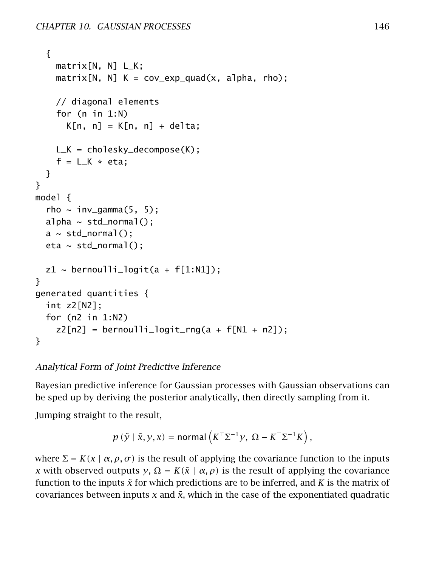```
{
    matrix[N, N] L_K;
    matrix[N, N] K = cov_exp_quad(x, alpha, rho);
    // diagonal elements
    for (n in 1:N)
      K[n, n] = K[n, n] + delta;L_K = cholesky_decompose(K);
    f = L_K * eta;}
}
model {
  rho \sim inv_gamma(5, 5);
  alpha \sim std normal():
  a \sim std\_normal();
  eta \sim std_normal();
  z1 \sim bernoulli_logit(a + f[1:N1]);
}
generated quantities {
  int z2[N2];
  for (n2 in 1:N2)
    z2[n2] = 6ernoulli_logit_rng(a + f[N1 + n2]);
}
```
Analytical Form of Joint Predictive Inference

Bayesian predictive inference for Gaussian processes with Gaussian observations can be sped up by deriving the posterior analytically, then directly sampling from it.

Jumping straight to the result,

$$
p(\tilde{y} \mid \tilde{x}, y, x) = \text{normal}\left(K^{\top} \Sigma^{-1} y, \ \Omega - K^{\top} \Sigma^{-1} K\right),
$$

where  $\Sigma = K(x | \alpha, \rho, \sigma)$  is the result of applying the covariance function to the inputs *x* with observed outputs *y*,  $\Omega = K(\tilde{x} \mid \alpha, \rho)$  is the result of applying the covariance function to the inputs *x*˜ for which predictions are to be inferred, and *K* is the matrix of covariances between inputs  $x$  and  $\tilde{x}$ , which in the case of the exponentiated quadratic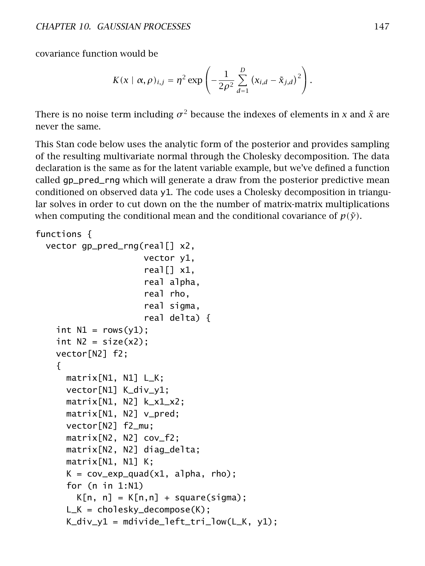covariance function would be

$$
K(x \mid \alpha, \rho)_{i,j} = \eta^2 \exp \left(-\frac{1}{2\rho^2} \sum_{d=1}^D (x_{i,d} - \tilde{x}_{j,d})^2\right).
$$

There is no noise term including  $\sigma^2$  because the indexes of elements in *x* and  $\tilde{x}$  are never the same.

This Stan code below uses the analytic form of the posterior and provides sampling of the resulting multivariate normal through the Cholesky decomposition. The data declaration is the same as for the latent variable example, but we've defined a function called gp\_pred\_rng which will generate a draw from the posterior predictive mean conditioned on observed data y1. The code uses a Cholesky decomposition in triangular solves in order to cut down on the the number of matrix-matrix multiplications when computing the conditional mean and the conditional covariance of  $p(\tilde{y})$ .

```
functions {
 vector gp_pred_rng(real[] x2,
                     vector y1,
                     real[ x1,
                     real alpha,
                     real rho,
                     real sigma,
                     real delta) {
   int N1 = rows(y1);
   int N2 = size(x2);
   vector[N2] f2;
    {
      matrix[N1, N1] L_K;
      vector[N1] K_div_y1;
      matrix[N1, N2] k_x1_x2;
      matrix[N1, N2] v_pred;
      vector[N2] f2_mu;
      matrix[N2, N2] cov_f2;
      matrix[N2, N2] diag_delta;
      matrix[N1, N1] K;
      K = cov_exp_quad(x1, alpha, rho);
      for (n in 1:N1)
        K[n, n] = K[n, n] + square(sigma);
      L_K = cholesky_decompose(K);
      K_div_y1 = midvide_leff_trilow(L_K, y1);
```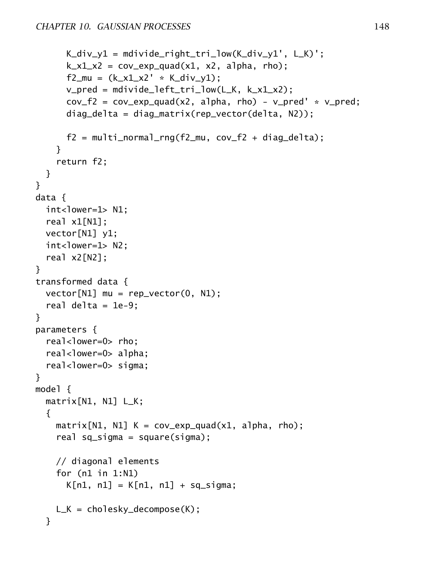```
K_div_y1 = mdivide_right_tri_low(K_div_y1', L_K)';
      k_x1 x2 = cov_exp_quad(x1, x2, alpha, rho);
      f2_{mu} = (k_x1_x2' * K_div_y1);v_pred = mdivide_left_tri_low(L_K, k_x1_x2);
      cov_f2 = cov_{exp_quad(x2, alpha, rho) - v_{pred'} * v_{pred;}}diag_delta = diag_matrix(rep_vector(delta, N2));
      f2 = \text{multi\_normal\_rng}(f2\text{__mu}, \text{cov}_f2 + \text{diag}_d1);
    }
    return f2;
 }
}
data {
 int<lower=1> N1;
 real x1[N1];
 vector[N1] y1;
 int<lower=1> N2;
 real x2[N2];
}
transformed data {
 vector[N1] mu = rep_vector(0, N1);
 real delta = 1e-9;
}
parameters {
 real<lower=0> rho:
 real<lower=0> alpha;
 real<lower=0> sigma;
}
model {
 matrix[N1, N1] L_K;
 {
    matrix[N1, N1] K = cov_exp_quad(x1, alpha, rho);
    real sq_sigma = square(sigma);
    // diagonal elements
    for (n1 in 1:N1)
      K[n1, n1] = K[n1, n1] + sq_sL_K = cholesky_decompose(K);
 }
```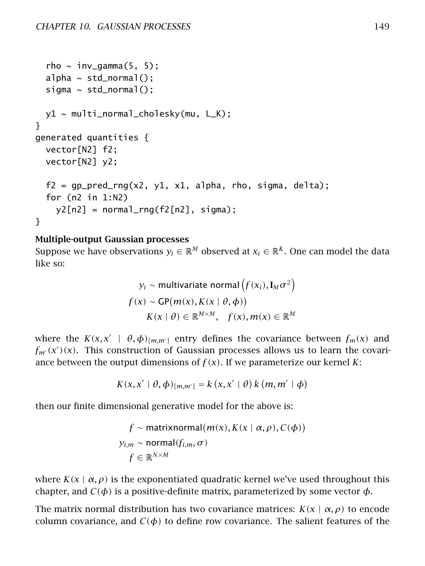```
rho \sim inv_gamma(5, 5);
 alpha \sim std_normal();
 sigma \sim std_normal();
 y1 ~ multi_normal_cholesky(mu, L_K);
}
generated quantities {
 vector[N2] f2;
 vector[N2] y2;
 f2 = qp\_pred\_rng(x2, y1, x1, alpha, rho, sigma, delta);for (n2 in 1:N2)
    y2[n2] = normal_rng(f2[n2], sigma);}
```
#### Multiple-output Gaussian processes

Suppose we have observations  $y_i \in \mathbb{R}^M$  observed at  $x_i \in \mathbb{R}^K$ . One can model the data like so:

$$
y_i \sim \text{multivariate normal} \left( f(x_i), \mathbf{I}_M \sigma^2 \right)
$$
  

$$
f(x) \sim \text{GP}(m(x), K(x \mid \theta, \phi))
$$
  

$$
K(x \mid \theta) \in \mathbb{R}^{M \times M}, \quad f(x), m(x) \in \mathbb{R}^M
$$

where the  $K(x, x' \mid \theta, \phi)_{[m,m']}$  entry defines the covariance between  $f_m(x)$  and  $f_{m'}(x')(x)$ . This construction of Gaussian processes allows us to learn the covariance between the output dimensions of  $f(x)$ . If we parameterize our kernel *K*:

$$
K(x, x' | \theta, \phi)_{[m,m']} = k(x, x' | \theta) k (m, m' | \phi)
$$

then our finite dimensional generative model for the above is:

$$
f \sim \text{matrixnormal}(m(x), K(x \mid \alpha, \rho), C(\phi))
$$
  

$$
y_{i,m} \sim \text{normal}(f_{i,m}, \sigma)
$$
  

$$
f \in \mathbb{R}^{N \times M}
$$

where  $K(x \mid \alpha, \rho)$  is the exponentiated quadratic kernel we've used throughout this chapter, and  $C(\phi)$  is a positive-definite matrix, parameterized by some vector  $\phi$ .

The matrix normal distribution has two covariance matrices:  $K(x | \alpha, \rho)$  to encode column covariance, and  $C(\phi)$  to define row covariance. The salient features of the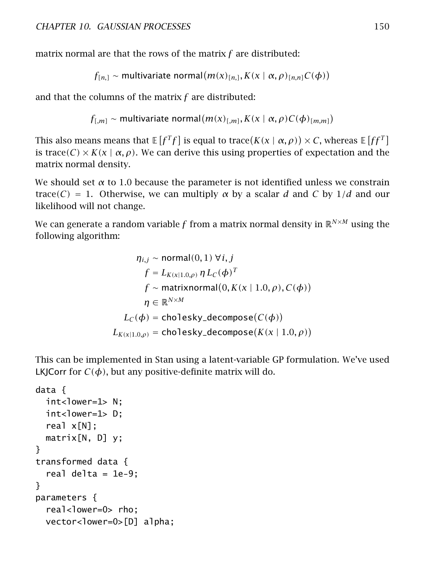matrix normal are that the rows of the matrix *f* are distributed:

 $f_{[n]}\sim$  multivariate normal $(m(x)_{[n]}\, K(x \mid \alpha, \rho)_{[n,n]}C(\phi))$ 

and that the columns of the matrix *f* are distributed:

 $f_{[,m]} \sim$  multivariate normal $(m(x)_{[,m]}, K(x \mid \alpha, \rho)C(\phi)_{[m,m]})$ 

This also means means that  $\mathbb{E}[f^T f]$  is equal to trace $(K(\chi \mid \alpha, \rho)) \times C$ , whereas  $\mathbb{E}[f f^T]$ is trace(C)  $\times$  *K*( $x \mid \alpha, \rho$ ). We can derive this using properties of expectation and the matrix normal density.

We should set *α* to 1*.*0 because the parameter is not identified unless we constrain trace*(C)* = 1. Otherwise, we can multiply *α* by a scalar *d* and *C* by 1*/d* and our likelihood will not change.

We can generate a random variable *f* from a matrix normal density in  $\mathbb{R}^{N \times M}$  using the following algorithm:

$$
\eta_{i,j} \sim \text{normal}(0,1) \,\forall i,j
$$
\n
$$
f = L_{K(x|1.0,\rho)} \,\eta \, L_C(\phi)^T
$$
\n
$$
f \sim \text{matrixnormal}(0, K(x | 1.0, \rho), C(\phi))
$$
\n
$$
\eta \in \mathbb{R}^{N \times M}
$$
\n
$$
L_C(\phi) = \text{cholesky-decompose}(C(\phi))
$$
\n
$$
L_{K(x|1.0,\rho)} = \text{cholesky-decompose}(K(x | 1.0, \rho))
$$

This can be implemented in Stan using a latent-variable GP formulation. We've used LKJCorr for  $C(\phi)$ , but any positive-definite matrix will do.

```
data {
 int<lower=1> N:
 int<lower=1> D;
 real x[N];
 matrix[N, D] y;
}
transformed data {
  real delta = 1e-9;
}
parameters {
  real<lower=0> rho;
 vector<lower=0>[D] alpha;
```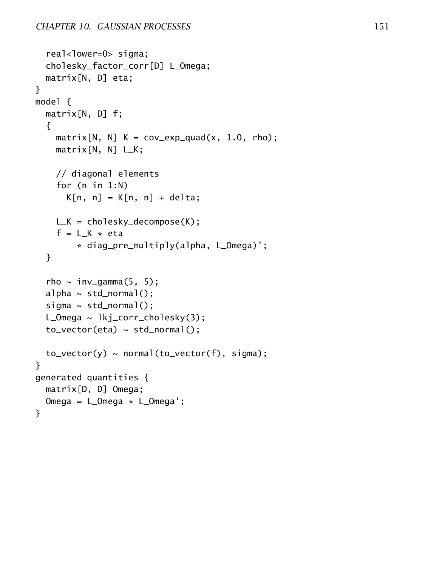```
real<lower=0> sigma;
  cholesky_factor_corr[D] L_Omega;
  matrix[N, D] eta;
}
model {
  matrix[N, D] f;
  {
    matrix[N, N] K = cov_exp_quad(x, 1.0, rho);
    matrix[N, N] L_K;
    // diagonal elements
    for (n in 1:N)
      K[n, n] = K[n, n] + delta;L_K = cholesky_decompose(K);
    f = L K * eta
        * diag_pre_multiply(alpha, L_Omega)';
  }
  rho \sim inv_gamma(5, 5);
  alpha \sim std_normal();
  sigma \sim std_normal();
  L_Omega ~ lkj_corr_cholesky(3);
  tovector(ta) \sim std<sub>norma</sub>l();
  to\_vector(y) \sim normal(to\_vector(f), sigma);}
generated quantities {
  matrix[D, D] Omega;
  Omega = L_Omega * L_Omega';
}
```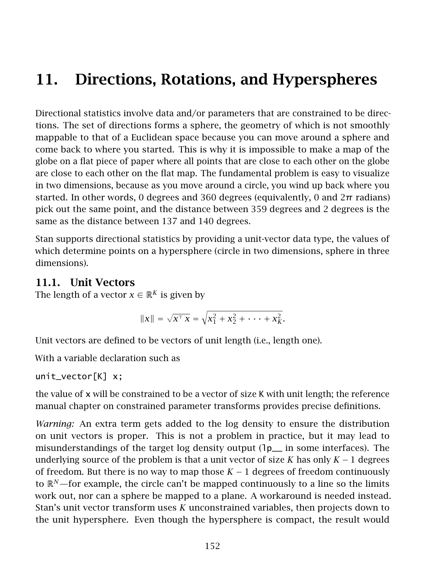# 11. Directions, Rotations, and Hyperspheres

Directional statistics involve data and/or parameters that are constrained to be directions. The set of directions forms a sphere, the geometry of which is not smoothly mappable to that of a Euclidean space because you can move around a sphere and come back to where you started. This is why it is impossible to make a map of the globe on a flat piece of paper where all points that are close to each other on the globe are close to each other on the flat map. The fundamental problem is easy to visualize in two dimensions, because as you move around a circle, you wind up back where you started. In other words, 0 degrees and 360 degrees (equivalently, 0 and  $2\pi$  radians) pick out the same point, and the distance between 359 degrees and 2 degrees is the same as the distance between 137 and 140 degrees.

Stan supports directional statistics by providing a unit-vector data type, the values of which determine points on a hypersphere (circle in two dimensions, sphere in three dimensions).

#### 11.1. Unit Vectors

The length of a vector  $x \in \mathbb{R}^K$  is given by

$$
||x|| = \sqrt{x^{\top} x} = \sqrt{x_1^2 + x_2^2 + \dots + x_k^2}.
$$

Unit vectors are defined to be vectors of unit length (i.e., length one).

With a variable declaration such as

unit\_vector[K] x;

the value of x will be constrained to be a vector of size K with unit length; the reference manual chapter on constrained parameter transforms provides precise definitions.

*Warning:* An extra term gets added to the log density to ensure the distribution on unit vectors is proper. This is not a problem in practice, but it may lead to misunderstandings of the target log density output  $\left(\frac{1}{p}\right)$  in some interfaces). The underlying source of the problem is that a unit vector of size *K* has only  $K - 1$  degrees of freedom. But there is no way to map those  $K - 1$  degrees of freedom continuously to  $\mathbb{R}^N$ —for example, the circle can't be mapped continuously to a line so the limits work out, nor can a sphere be mapped to a plane. A workaround is needed instead. Stan's unit vector transform uses *K* unconstrained variables, then projects down to the unit hypersphere. Even though the hypersphere is compact, the result would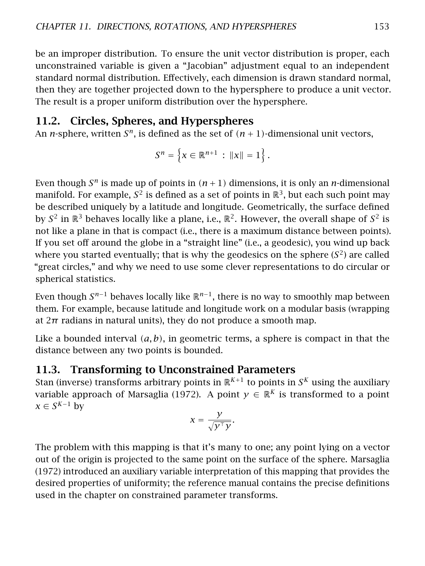be an improper distribution. To ensure the unit vector distribution is proper, each unconstrained variable is given a "Jacobian" adjustment equal to an independent standard normal distribution. Effectively, each dimension is drawn standard normal, then they are together projected down to the hypersphere to produce a unit vector. The result is a proper uniform distribution over the hypersphere.

# 11.2. Circles, Spheres, and Hyperspheres

An *n*-sphere, written  $S<sup>n</sup>$ , is defined as the set of  $(n + 1)$ -dimensional unit vectors,

$$
S^n = \left\{ x \in \mathbb{R}^{n+1} : ||x|| = 1 \right\}.
$$

Even though  $S<sup>n</sup>$  is made up of points in  $(n + 1)$  dimensions, it is only an *n*-dimensional manifold. For example,  $S^2$  is defined as a set of points in  $\mathbb{R}^3$ , but each such point may be described uniquely by a latitude and longitude. Geometrically, the surface defined by  $S^2$  in  $\mathbb{R}^3$  behaves locally like a plane, i.e.,  $\mathbb{R}^2$ . However, the overall shape of  $S^2$  is not like a plane in that is compact (i.e., there is a maximum distance between points). If you set off around the globe in a "straight line" (i.e., a geodesic), you wind up back where you started eventually; that is why the geodesics on the sphere  $(S^2)$  are called "great circles," and why we need to use some clever representations to do circular or spherical statistics.

Even though *S <sup>n</sup>*−<sup>1</sup> behaves locally like R*n*−<sup>1</sup> , there is no way to smoothly map between them. For example, because latitude and longitude work on a modular basis (wrapping at  $2\pi$  radians in natural units), they do not produce a smooth map.

Like a bounded interval *(a, b)*, in geometric terms, a sphere is compact in that the distance between any two points is bounded.

# 11.3. Transforming to Unconstrained Parameters

Stan (inverse) transforms arbitrary points in  $\mathbb{R}^{K+1}$  to points in  $S^K$  using the auxiliary variable approach of Marsaglia [\(1972\)](#page-305-2). A point  $y \in \mathbb{R}^K$  is transformed to a point  $x \in S^{K-1}$  by

$$
x = \frac{y}{\sqrt{y^{\top}y}}.
$$

The problem with this mapping is that it's many to one; any point lying on a vector out of the origin is projected to the same point on the surface of the sphere. Marsaglia [\(1972\)](#page-305-2) introduced an auxiliary variable interpretation of this mapping that provides the desired properties of uniformity; the reference manual contains the precise definitions used in the chapter on constrained parameter transforms.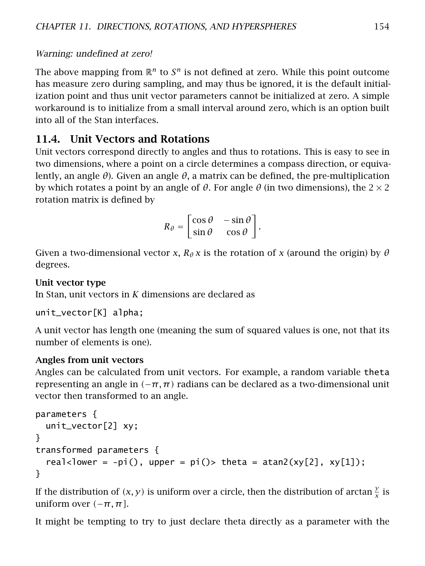#### Warning: undefined at zero!

The above mapping from  $\mathbb{R}^n$  to  $S^n$  is not defined at zero. While this point outcome has measure zero during sampling, and may thus be ignored, it is the default initialization point and thus unit vector parameters cannot be initialized at zero. A simple workaround is to initialize from a small interval around zero, which is an option built into all of the Stan interfaces.

# 11.4. Unit Vectors and Rotations

Unit vectors correspond directly to angles and thus to rotations. This is easy to see in two dimensions, where a point on a circle determines a compass direction, or equivalently, an angle *θ*). Given an angle *θ*, a matrix can be defined, the pre-multiplication by which rotates a point by an angle of *θ*. For angle *θ* (in two dimensions), the 2 × 2 rotation matrix is defined by

$$
R_{\theta} = \begin{bmatrix} \cos \theta & -\sin \theta \\ \sin \theta & \cos \theta \end{bmatrix}.
$$

Given a two-dimensional vector *x*,  $R_{\theta}$ *x* is the rotation of *x* (around the origin) by  $\theta$ degrees.

#### Unit vector type

In Stan, unit vectors in *K* dimensions are declared as

```
unit_vector[K] alpha;
```
A unit vector has length one (meaning the sum of squared values is one, not that its number of elements is one).

#### Angles from unit vectors

Angles can be calculated from unit vectors. For example, a random variable theta representing an angle in *(*−*π, π)* radians can be declared as a two-dimensional unit vector then transformed to an angle.

```
parameters {
 unit_vector[2] xy;
}
transformed parameters {
  real<lower = -pi(), upper = pi()> theta = atan2(xy[2], xy[1]);
}
```
If the distribution of  $(x, y)$  is uniform over a circle, then the distribution of arctan  $\frac{y}{x}$  is uniform over  $(-\pi, \pi]$ .

It might be tempting to try to just declare theta directly as a parameter with the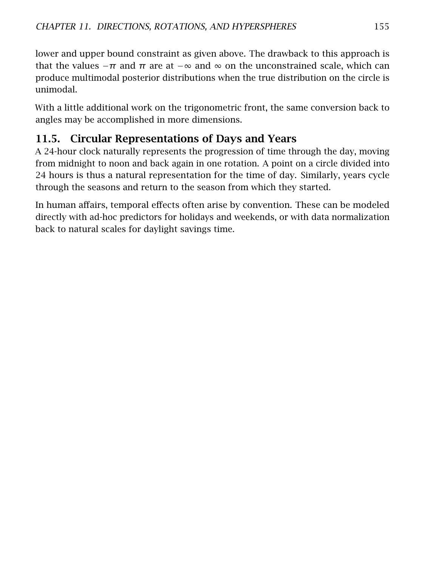lower and upper bound constraint as given above. The drawback to this approach is that the values  $-\pi$  and  $\pi$  are at  $-\infty$  and  $\infty$  on the unconstrained scale, which can produce multimodal posterior distributions when the true distribution on the circle is unimodal.

With a little additional work on the trigonometric front, the same conversion back to angles may be accomplished in more dimensions.

# 11.5. Circular Representations of Days and Years

A 24-hour clock naturally represents the progression of time through the day, moving from midnight to noon and back again in one rotation. A point on a circle divided into 24 hours is thus a natural representation for the time of day. Similarly, years cycle through the seasons and return to the season from which they started.

In human affairs, temporal effects often arise by convention. These can be modeled directly with ad-hoc predictors for holidays and weekends, or with data normalization back to natural scales for daylight savings time.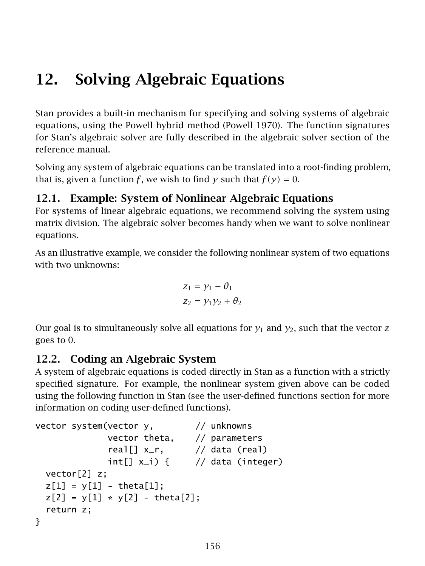# 12. Solving Algebraic Equations

Stan provides a built-in mechanism for specifying and solving systems of algebraic equations, using the Powell hybrid method (Powell [1970\)](#page-305-3). The function signatures for Stan's algebraic solver are fully described in the algebraic solver section of the reference manual.

Solving any system of algebraic equations can be translated into a root-finding problem, that is, given a function *f*, we wish to find *y* such that  $f(y) = 0$ .

# 12.1. Example: System of Nonlinear Algebraic Equations

For systems of linear algebraic equations, we recommend solving the system using matrix division. The algebraic solver becomes handy when we want to solve nonlinear equations.

As an illustrative example, we consider the following nonlinear system of two equations with two unknowns:

$$
z_1 = y_1 - \theta_1
$$
  

$$
z_2 = y_1 y_2 + \theta_2
$$

Our goal is to simultaneously solve all equations for  $y_1$  and  $y_2$ , such that the vector  $z$ goes to 0.

# 12.2. Coding an Algebraic System

A system of algebraic equations is coded directly in Stan as a function with a strictly specified signature. For example, the nonlinear system given above can be coded using the following function in Stan (see the [user-defined functions section](#page-0-0) for more information on coding user-defined functions).

```
vector system(vector y, // unknowns
              vector theta, // parameters
              real[] x_r, \qquad // data (real)
              int[] x_i) { // data (integer)
 vector[2] z;
 z[1] = y[1] - \text{theta}[1];z[2] = y[1] * y[2] - \text{theta}[2];return z;
}
```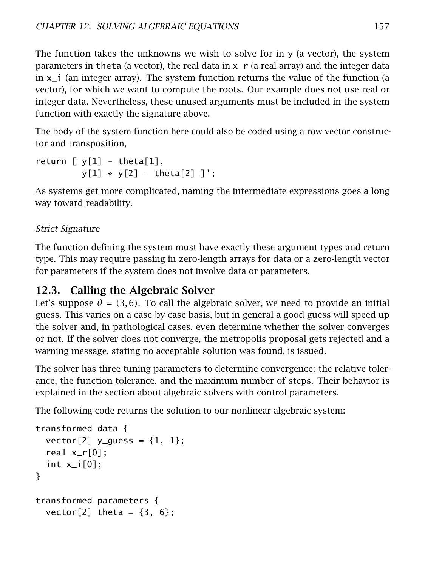The function takes the unknowns we wish to solve for in  $y$  (a vector), the system parameters in theta (a vector), the real data in  $x_r$  (a real array) and the integer data in x\_i (an integer array). The system function returns the value of the function (a vector), for which we want to compute the roots. Our example does not use real or integer data. Nevertheless, these unused arguments must be included in the system function with exactly the signature above.

The body of the system function here could also be coded using a row vector constructor and transposition,

```
return [y[1] - \text{theta}[1],y[1] * y[2] - \text{theta}[2]];
```
As systems get more complicated, naming the intermediate expressions goes a long way toward readability.

## Strict Signature

The function defining the system must have exactly these argument types and return type. This may require passing in zero-length arrays for data or a zero-length vector for parameters if the system does not involve data or parameters.

# 12.3. Calling the Algebraic Solver

Let's suppose  $\theta = (3, 6)$ . To call the algebraic solver, we need to provide an initial guess. This varies on a case-by-case basis, but in general a good guess will speed up the solver and, in pathological cases, even determine whether the solver converges or not. If the solver does not converge, the metropolis proposal gets rejected and a warning message, stating no acceptable solution was found, is issued.

The solver has three tuning parameters to determine convergence: the relative tolerance, the function tolerance, and the maximum number of steps. Their behavior is explained in the section about [algebraic solvers with control parameters.](#page-164-0)

The following code returns the solution to our nonlinear algebraic system:

```
transformed data {
  vector[2] y_quess = {1, 1};
  real x_r[0];
  int x_i[0];
}
transformed parameters {
  vector<sup>[2]</sup> theta = {3, 6};
```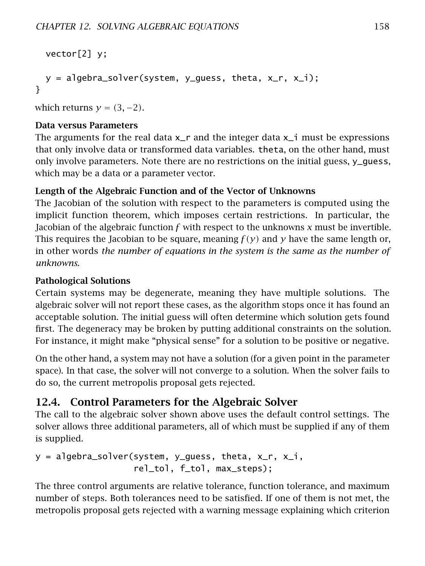```
vector[2] y;
 y = algebra_solver(system, y_guess, theta, x_r, x_i);
}
```
which returns  $y = (3, -2)$ .

#### Data versus Parameters

The arguments for the real data  $x<sub>r</sub>$  and the integer data  $x<sub>r</sub>$  must be expressions that only involve data or transformed data variables. theta, on the other hand, must only involve parameters. Note there are no restrictions on the initial guess, y\_guess, which may be a data or a parameter vector.

#### Length of the Algebraic Function and of the Vector of Unknowns

The Jacobian of the solution with respect to the parameters is computed using the implicit function theorem, which imposes certain restrictions. In particular, the Jacobian of the algebraic function *f* with respect to the unknowns *x* must be invertible. This requires the Jacobian to be square, meaning *f (y)* and *y* have the same length or, in other words *the number of equations in the system is the same as the number of unknowns.*

#### Pathological Solutions

Certain systems may be degenerate, meaning they have multiple solutions. The algebraic solver will not report these cases, as the algorithm stops once it has found an acceptable solution. The initial guess will often determine which solution gets found first. The degeneracy may be broken by putting additional constraints on the solution. For instance, it might make "physical sense" for a solution to be positive or negative.

On the other hand, a system may not have a solution (for a given point in the parameter space). In that case, the solver will not converge to a solution. When the solver fails to do so, the current metropolis proposal gets rejected.

# <span id="page-164-0"></span>12.4. Control Parameters for the Algebraic Solver

The call to the algebraic solver shown above uses the default control settings. The solver allows three additional parameters, all of which must be supplied if any of them is supplied.

```
y = algebra_solver(system, y_guess, theta, x_r, x_i,
                   rel_tol, f_tol, max_steps);
```
The three control arguments are relative tolerance, function tolerance, and maximum number of steps. Both tolerances need to be satisfied. If one of them is not met, the metropolis proposal gets rejected with a warning message explaining which criterion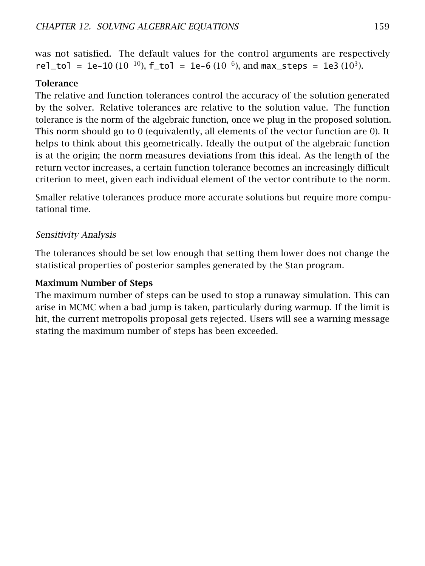was not satisfied. The default values for the control arguments are respectively rel\_tol = 1e-10  $(10^{-10})$ , f\_tol = 1e-6  $(10^{-6})$ , and max\_steps = 1e3  $(10^{3})$ .

#### **Tolerance**

The relative and function tolerances control the accuracy of the solution generated by the solver. Relative tolerances are relative to the solution value. The function tolerance is the norm of the algebraic function, once we plug in the proposed solution. This norm should go to 0 (equivalently, all elements of the vector function are 0). It helps to think about this geometrically. Ideally the output of the algebraic function is at the origin; the norm measures deviations from this ideal. As the length of the return vector increases, a certain function tolerance becomes an increasingly difficult criterion to meet, given each individual element of the vector contribute to the norm.

Smaller relative tolerances produce more accurate solutions but require more computational time.

#### Sensitivity Analysis

The tolerances should be set low enough that setting them lower does not change the statistical properties of posterior samples generated by the Stan program.

#### Maximum Number of Steps

The maximum number of steps can be used to stop a runaway simulation. This can arise in MCMC when a bad jump is taken, particularly during warmup. If the limit is hit, the current metropolis proposal gets rejected. Users will see a warning message stating the maximum number of steps has been exceeded.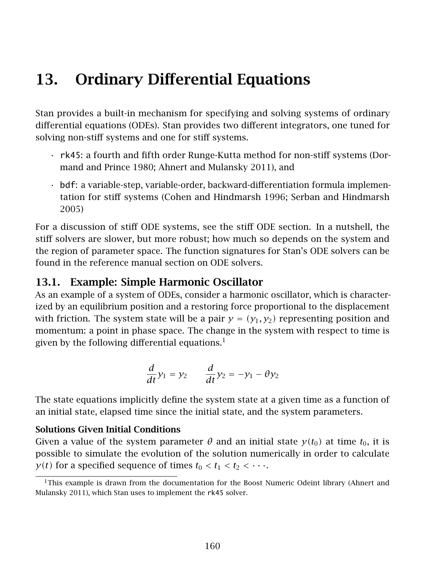# 13. Ordinary Differential Equations

Stan provides a built-in mechanism for specifying and solving systems of ordinary differential equations (ODEs). Stan provides two different integrators, one tuned for solving non-stiff systems and one for stiff systems.

- rk45: a fourth and fifth order Runge-Kutta method for non-stiff systems (Dormand and Prince [1980;](#page-304-0) Ahnert and Mulansky [2011\)](#page-303-0), and
- bdf: a variable-step, variable-order, backward-differentiation formula implementation for stiff systems (Cohen and Hindmarsh [1996;](#page-303-1) Serban and Hindmarsh [2005\)](#page-306-2)

For a discussion of stiff ODE systems, see the [stiff ODE section.](#page-173-0) In a nutshell, the stiff solvers are slower, but more robust; how much so depends on the system and the region of parameter space. The function signatures for Stan's ODE solvers can be found in the reference manual section on ODE solvers.

# 13.1. Example: Simple Harmonic Oscillator

As an example of a system of ODEs, consider a harmonic oscillator, which is characterized by an equilibrium position and a restoring force proportional to the displacement with friction. The system state will be a pair  $y = (y_1, y_2)$  representing position and momentum: a point in phase space. The change in the system with respect to time is given by the following differential equations. $<sup>1</sup>$  $<sup>1</sup>$  $<sup>1</sup>$ </sup>

$$
\frac{d}{dt}y_1 = y_2 \qquad \frac{d}{dt}y_2 = -y_1 - \theta y_2
$$

The state equations implicitly define the system state at a given time as a function of an initial state, elapsed time since the initial state, and the system parameters.

#### Solutions Given Initial Conditions

Given a value of the system parameter  $\theta$  and an initial state  $y(t_0)$  at time  $t_0$ , it is possible to simulate the evolution of the solution numerically in order to calculate *y*(*t*) for a specified sequence of times  $t_0 < t_1 < t_2 < \cdots$ .

<span id="page-166-0"></span> $1$ This example is drawn from the documentation for the Boost Numeric Odeint library (Ahnert and Mulansky [2011\)](#page-303-0), which Stan uses to implement the rk45 solver.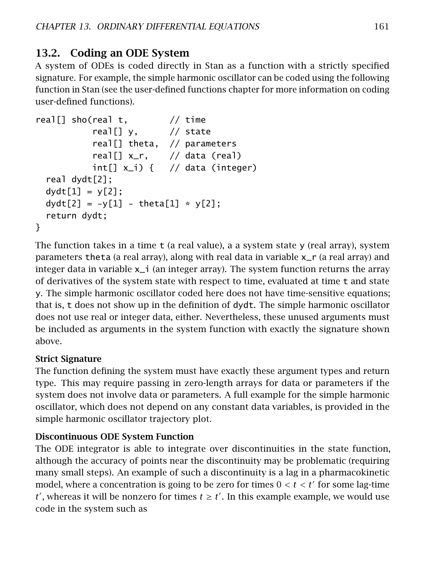# 13.2. Coding an ODE System

A system of ODEs is coded directly in Stan as a function with a strictly specified signature. For example, the simple harmonic oscillator can be coded using the following function in Stan (see the [user-defined functions chapter](#page-201-0) for more information on coding user-defined functions).

```
real[] sho(real t, \frac{1}{1} // time
           real[] y, \frac{1}{2} state
           real[] theta, // parameters
           real[] x_r, // data (real)
           int[] x_i ] \{ // data (integer)
 real dydt[2];
 dydt[1] = y[2];dydt[2] = -y[1] - theta[1] * y[2];return dydt;
}
```
The function takes in a time  $t$  (a real value), a a system state y (real array), system parameters theta (a real array), along with real data in variable x\_r (a real array) and integer data in variable  $x_i$  (an integer array). The system function returns the array of derivatives of the system state with respect to time, evaluated at time t and state y. The simple harmonic oscillator coded here does not have time-sensitive equations; that is, t does not show up in the definition of dydt. The simple harmonic oscillator does not use real or integer data, either. Nevertheless, these unused arguments must be included as arguments in the system function with exactly the signature shown above.

## Strict Signature

The function defining the system must have exactly these argument types and return type. This may require passing in zero-length arrays for data or parameters if the system does not involve data or parameters. A full example for the simple harmonic oscillator, which does not depend on any constant data variables, is provided in the simple harmonic oscillator trajectory plot.

## Discontinuous ODE System Function

The ODE integrator is able to integrate over discontinuities in the state function, although the accuracy of points near the discontinuity may be problematic (requiring many small steps). An example of such a discontinuity is a lag in a pharmacokinetic model, where a concentration is going to be zero for times  $0 < t < t'$  for some lag-time  $t'$ , whereas it will be nonzero for times  $t \geq t'$ . In this example example, we would use code in the system such as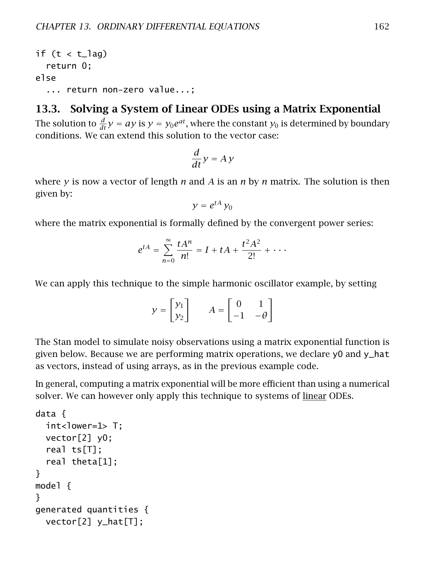```
if (t < t aq)
 return 0;
else
  ... return non-zero value...;
```
## 13.3. Solving a System of Linear ODEs using a Matrix Exponential

The solution to  $\frac{d}{dt}y = ay$  is  $y = y_0e^{at}$ , where the constant  $y_0$  is determined by boundary conditions. We can extend this solution to the vector case:

$$
\frac{d}{dt}y = Ay
$$

where *y* is now a vector of length *n* and *A* is an *n* by *n* matrix. The solution is then given by:

$$
y=e^{tA}y_0
$$

where the matrix exponential is formally defined by the convergent power series:

$$
e^{tA} = \sum_{n=0}^{\infty} \frac{tA^n}{n!} = I + tA + \frac{t^2A^2}{2!} + \cdots
$$

We can apply this technique to the simple harmonic oscillator example, by setting

$$
y = \begin{bmatrix} y_1 \\ y_2 \end{bmatrix} \qquad A = \begin{bmatrix} 0 & 1 \\ -1 & -\theta \end{bmatrix}
$$

The Stan model to simulate noisy observations using a matrix exponential function is given below. Because we are performing matrix operations, we declare y0 and y\_hat as vectors, instead of using arrays, as in the previous example code.

In general, computing a matrix exponential will be more efficient than using a numerical solver. We can however only apply this technique to systems of linear ODEs.

```
data {
 int<lower=1> T;
 vector[2] y0;
 real ts[T];
  real theta[1];
}
model {
}
generated quantities {
 vector[2] y_hat[T];
```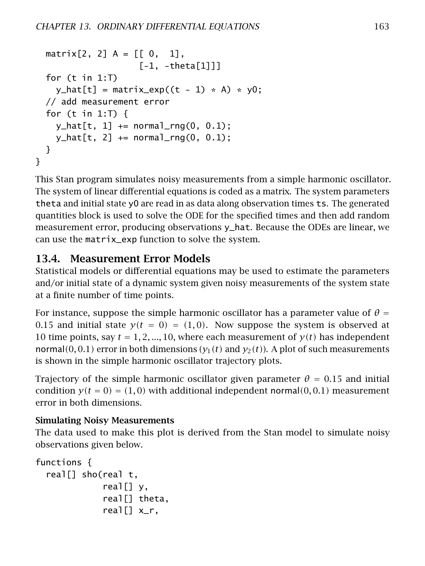```
matrix[2, 2] A = [[0, 1],[-1, -theta[1]]for (t in 1:T)
    y_{\text{hat}[t]} = \text{matrix\_exp}((t - 1) * A) * y0;// add measurement error
  for (t \text{ in } 1: T) {
    y_{\text{hat}[t, 1]} += normal_rng(0, 0.1);
    y_{\text{hat}[t, 2]} += normal_rng(0, 0.1);
  }
}
```
This Stan program simulates noisy measurements from a simple harmonic oscillator. The system of linear differential equations is coded as a matrix. The system parameters theta and initial state y0 are read in as data along observation times ts. The generated quantities block is used to solve the ODE for the specified times and then add random measurement error, producing observations y\_hat. Because the ODEs are linear, we can use the matrix\_exp function to solve the system.

# 13.4. Measurement Error Models

Statistical models or differential equations may be used to estimate the parameters and/or initial state of a dynamic system given noisy measurements of the system state at a finite number of time points.

For instance, suppose the simple harmonic oscillator has a parameter value of  $\theta =$ 0.15 and initial state  $y(t = 0) = (1,0)$ . Now suppose the system is observed at 10 time points, say  $t = 1, 2, ..., 10$ , where each measurement of  $y(t)$  has independent normal(0,0.1) error in both dimensions  $(y_1(t)$  and  $y_2(t)$ ). A plot of such measurements is shown in the simple harmonic oscillator trajectory plots.

Trajectory of the simple harmonic oscillator given parameter  $\theta = 0.15$  and initial condition  $y(t = 0) = (1,0)$  with additional independent normal $(0,0.1)$  measurement error in both dimensions.

#### Simulating Noisy Measurements

The data used to make this plot is derived from the Stan model to simulate noisy observations given below.

```
functions {
  real[] sho(real t,
               real[] y,
               real[] theta,
               real[] x<sub>r</sub>,
```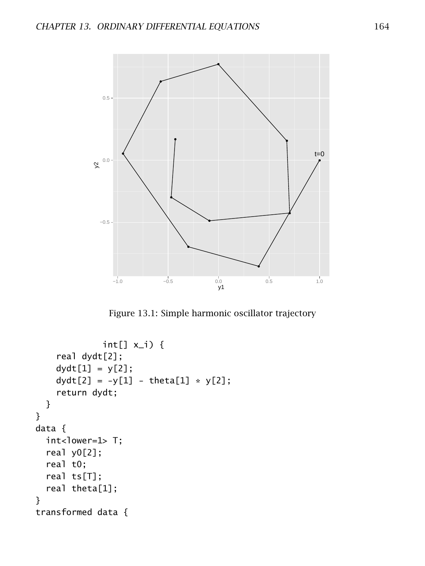

Figure 13.1: Simple harmonic oscillator trajectory

```
int[] x_i) {
    real dydt[2];
    dydt[1] = y[2];dydt[2] = -y[1] - theta[1] * y[2];return dydt;
  }
}
data {
  int<lower=1> T;
  real y0[2];
  real t0;
  real ts[T];
  real theta[1];
}
transformed data {
```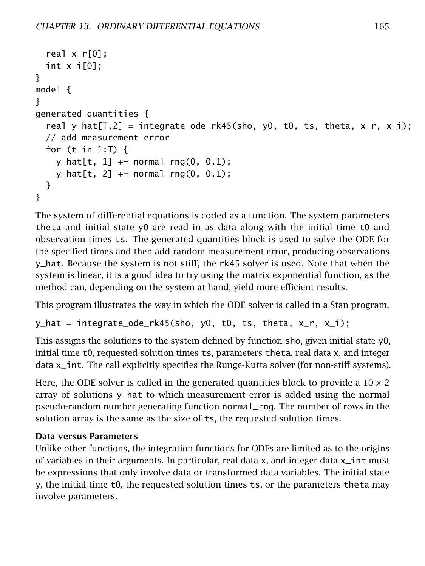```
real x_r[0];
  int x_i[0];
}
model {
}
generated quantities {
  real y_hat[T,2] = integrate_ode_rk45(sho, y0, t0, ts, theta, x_r, x_i);
  // add measurement error
  for (t in 1:T) {
    y_{\text{hat}[t, 1]} += normal_rng(0, 0.1);
    y_{\text{hat}[t, 2]} += normal_rng(0, 0.1);
  }
}
```
The system of differential equations is coded as a function. The system parameters theta and initial state y0 are read in as data along with the initial time t0 and observation times ts. The generated quantities block is used to solve the ODE for the specified times and then add random measurement error, producing observations y\_hat. Because the system is not stiff, the rk45 solver is used. Note that when the system is linear, it is a good idea to try using the matrix exponential function, as the method can, depending on the system at hand, yield more efficient results.

This program illustrates the way in which the ODE solver is called in a Stan program,

```
y_hat = integrate_ode_rk45(sho, y0, t0, ts, theta, x_r, x_i);
```
This assigns the solutions to the system defined by function sho, given initial state y0, initial time t0, requested solution times ts, parameters theta, real data x, and integer data x\_int. The call explicitly specifies the Runge-Kutta solver (for non-stiff systems).

Here, the ODE solver is called in the generated quantities block to provide a  $10 \times 2$ array of solutions y\_hat to which measurement error is added using the normal pseudo-random number generating function normal\_rng. The number of rows in the solution array is the same as the size of ts, the requested solution times.

## Data versus Parameters

Unlike other functions, the integration functions for ODEs are limited as to the origins of variables in their arguments. In particular, real data x, and integer data x\_int must be expressions that only involve data or transformed data variables. The initial state y, the initial time t0, the requested solution times ts, or the parameters theta may involve parameters.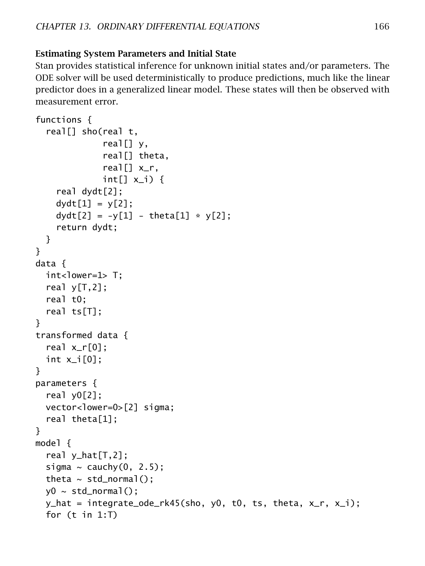Stan provides statistical inference for unknown initial states and/or parameters. The ODE solver will be used deterministically to produce predictions, much like the linear predictor does in a generalized linear model. These states will then be observed with measurement error.

```
functions {
  real[] sho(real t,
              real[] y,
              real[] theta,
              real[] x<sub>r</sub>,
              int[] x_i] {
    real dydt[2];
    dydt[1] = y[2];dydt[2] = -y[1] - theta[1] * y[2];return dydt;
  }
}
data {
  int<lower=1> T:
  real y[T,2];
  real t0;
  real ts[T];
}
transformed data {
  real x_r[0];
  int x_i[0];
}
parameters {
  real y0[2];
  vector<lower=0>[2] sigma;
  real theta[1];
}
model {
  real y_hat[T,2];
  sigma \sim cauchy(0, 2.5);
  theta \sim std_normal();
  y0 \sim std\_normal();
  y_hat = integrate_ode_rk45(sho, y0, t0, ts, theta, x_r, x_i);
  for (t in 1:T)
```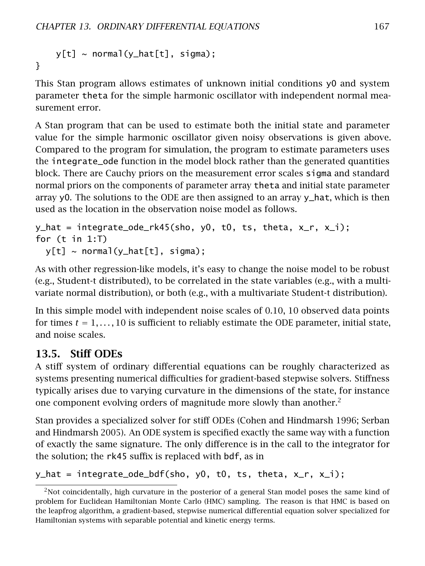```
y[t] \sim normal(y_hat[t], sigma);}
```
This Stan program allows estimates of unknown initial conditions y0 and system parameter theta for the simple harmonic oscillator with independent normal measurement error.

A Stan program that can be used to estimate both the initial state and parameter value for the simple harmonic oscillator given noisy observations is given above. Compared to the program for simulation, the program to estimate parameters uses the integrate\_ode function in the model block rather than the generated quantities block. There are Cauchy priors on the measurement error scales sigma and standard normal priors on the components of parameter array theta and initial state parameter array y0. The solutions to the ODE are then assigned to an array  $y$ <sub>n</sub>hat, which is then used as the location in the observation noise model as follows.

```
y_hat = integrate_ode_rk45(sho, y0, t0, ts, theta, x_r, x_i);
for (t in 1:T)
 y[t] \sim normal(y_hat[t], sigma);
```
As with other regression-like models, it's easy to change the noise model to be robust (e.g., Student-t distributed), to be correlated in the state variables (e.g., with a multivariate normal distribution), or both (e.g., with a multivariate Student-t distribution).

In this simple model with independent noise scales of 0.10, 10 observed data points for times  $t = 1, \ldots, 10$  is sufficient to reliably estimate the ODE parameter, initial state, and noise scales.

# <span id="page-173-0"></span>13.5. Stiff ODEs

A stiff system of ordinary differential equations can be roughly characterized as systems presenting numerical difficulties for gradient-based stepwise solvers. Stiffness typically arises due to varying curvature in the dimensions of the state, for instance one component evolving orders of magnitude more slowly than another.<sup>[2](#page-173-1)</sup>

Stan provides a specialized solver for stiff ODEs (Cohen and Hindmarsh [1996;](#page-303-1) Serban and Hindmarsh [2005\)](#page-306-2). An ODE system is specified exactly the same way with a function of exactly the same signature. The only difference is in the call to the integrator for the solution; the rk45 suffix is replaced with bdf, as in

y\_hat = integrate\_ode\_bdf(sho, y0, t0, ts, theta, x\_r, x\_i);

<span id="page-173-1"></span><sup>&</sup>lt;sup>2</sup>Not coincidentally, high curvature in the posterior of a general Stan model poses the same kind of problem for Euclidean Hamiltonian Monte Carlo (HMC) sampling. The reason is that HMC is based on the leapfrog algorithm, a gradient-based, stepwise numerical differential equation solver specialized for Hamiltonian systems with separable potential and kinetic energy terms.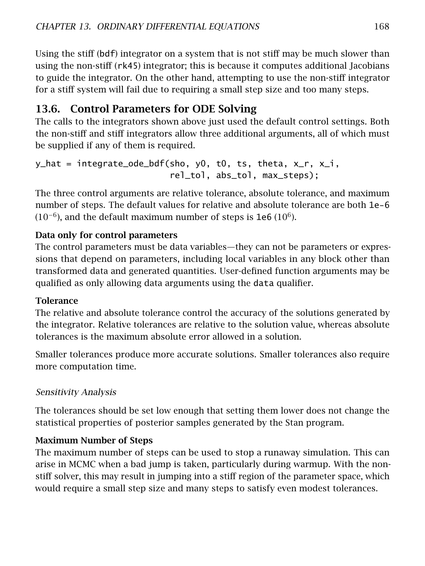Using the stiff (bdf) integrator on a system that is not stiff may be much slower than using the non-stiff (rk45) integrator; this is because it computes additional Jacobians to guide the integrator. On the other hand, attempting to use the non-stiff integrator for a stiff system will fail due to requiring a small step size and too many steps.

# 13.6. Control Parameters for ODE Solving

The calls to the integrators shown above just used the default control settings. Both the non-stiff and stiff integrators allow three additional arguments, all of which must be supplied if any of them is required.

```
y_0hat = integrate_ode_bdf(sho, y0, t0, ts, theta, x_0, x_1, x_2rel_tol, abs_tol, max_steps);
```
The three control arguments are relative tolerance, absolute tolerance, and maximum number of steps. The default values for relative and absolute tolerance are both 1e-6  $(10^{-6})$ , and the default maximum number of steps is 1e6  $(10^{6})$ .

## Data only for control parameters

The control parameters must be data variables—they can not be parameters or expressions that depend on parameters, including local variables in any block other than transformed data and generated quantities. User-defined function arguments may be qualified as only allowing data arguments using the data qualifier.

## **Tolerance**

The relative and absolute tolerance control the accuracy of the solutions generated by the integrator. Relative tolerances are relative to the solution value, whereas absolute tolerances is the maximum absolute error allowed in a solution.

Smaller tolerances produce more accurate solutions. Smaller tolerances also require more computation time.

## Sensitivity Analysis

The tolerances should be set low enough that setting them lower does not change the statistical properties of posterior samples generated by the Stan program.

## Maximum Number of Steps

The maximum number of steps can be used to stop a runaway simulation. This can arise in MCMC when a bad jump is taken, particularly during warmup. With the nonstiff solver, this may result in jumping into a stiff region of the parameter space, which would require a small step size and many steps to satisfy even modest tolerances.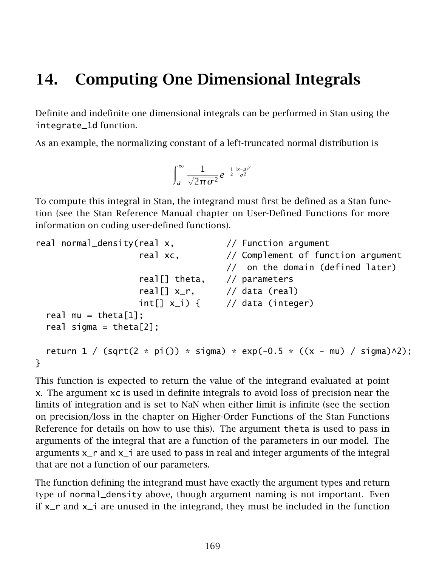# 14. Computing One Dimensional Integrals

Definite and indefinite one dimensional integrals can be performed in Stan using the [integrate\\_1d](/docs/2_19/functions-reference/functions-1d-integrator.html) function.

As an example, the normalizing constant of a left-truncated normal distribution is

$$
\int_a^\infty \frac{1}{\sqrt{2\pi\sigma^2}} e^{-\frac{1}{2}\frac{(x-\mu)^2}{\sigma^2}}
$$

To compute this integral in Stan, the integrand must first be defined as a Stan function (see the Stan Reference Manual chapter on User-Defined Functions for more information on coding user-defined functions).

```
real normal_density(real x, \frac{1}{2} Function argument
                   real xc, \frac{1}{2} Complement of function argument
                                    // on the domain (defined later)
                   real[] theta, // parameters
                   real[] x_r, // data (real)
                   int[] x_i) { // data (integer)
 real mu = theta[1];
 real sigma = theta[2];
 return 1 / (sqrt(2 * pi()) * sigma) * exp(-0.5 * ((x - mu) / sigma)^2));}
```
This function is expected to return the value of the integrand evaluated at point x. The argument xc is used in definite integrals to avoid loss of precision near the limits of integration and is set to NaN when either limit is infinite (see the section on precision/loss in the chapter on Higher-Order Functions of the Stan Functions Reference for details on how to use this). The argument theta is used to pass in arguments of the integral that are a function of the parameters in our model. The arguments  $x$ <sub>r</sub> and  $x$ <sub>-</sub> are used to pass in real and integer arguments of the integral that are not a function of our parameters.

The function defining the integrand must have exactly the argument types and return type of normal\_density above, though argument naming is not important. Even if  $x_r$  and  $x_i$  are unused in the integrand, they must be included in the function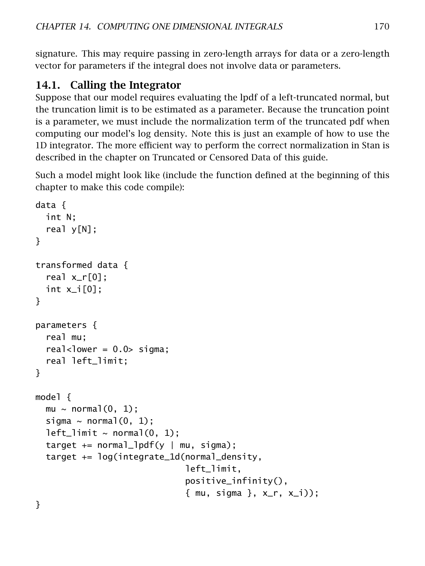signature. This may require passing in zero-length arrays for data or a zero-length vector for parameters if the integral does not involve data or parameters.

# 14.1. Calling the Integrator

Suppose that our model requires evaluating the lpdf of a left-truncated normal, but the truncation limit is to be estimated as a parameter. Because the truncation point is a parameter, we must include the normalization term of the truncated pdf when computing our model's log density. Note this is just an example of how to use the 1D integrator. The more efficient way to perform the correct normalization in Stan is described in the chapter on Truncated or Censored Data of this guide.

Such a model might look like (include the function defined at the beginning of this chapter to make this code compile):

```
data {
 int N;
 real y[N];
}
transformed data {
  real x_r[0];
 int x_i[0];
}
parameters {
  real mu;
 real<lower = 0.0> sigma;
 real left_limit;
}
model {
 mu \sim normal(0, 1);sigma \sim normal(0, 1);
 left\_limit \sim normal(0, 1);target += normal_lpdf(y | mu, sigma);
 target += log(integrate_1d(normal_density,
                               left_limit,
                               positive_infinity(),
                               { mu, sigma }, x_r, x_i));
```
}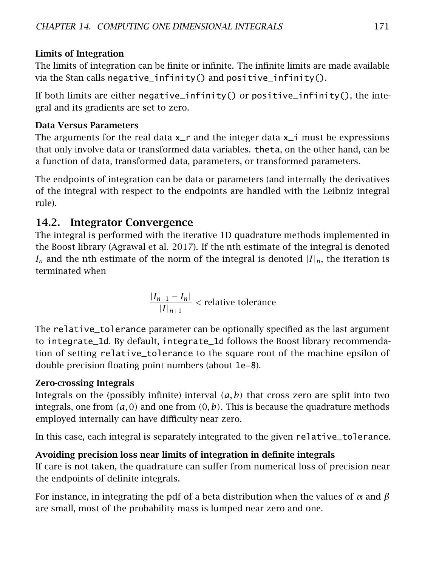## Limits of Integration

The limits of integration can be finite or infinite. The infinite limits are made available via the Stan calls negative\_infinity() and positive\_infinity().

If both limits are either negative\_infinity() or positive\_infinity(), the integral and its gradients are set to zero.

## Data Versus Parameters

The arguments for the real data  $x$ <sub>n</sub> and the integer data  $x$ <sub>n</sub> must be expressions that only involve data or transformed data variables. theta, on the other hand, can be a function of data, transformed data, parameters, or transformed parameters.

The endpoints of integration can be data or parameters (and internally the derivatives of the integral with respect to the endpoints are handled with the Leibniz integral rule).

# 14.2. Integrator Convergence

The integral is performed with the iterative 1D quadrature methods implemented in the Boost library (Agrawal et al. [2017\)](#page-303-2). If the nth estimate of the integral is denoted  $I_n$  and the nth estimate of the norm of the integral is denoted  $|I|_n$ , the iteration is terminated when

$$
\frac{|I_{n+1} - I_n|}{|I|_{n+1}} < \text{relative tolerance}
$$

The relative\_tolerance parameter can be optionally specified as the last argument to integrate\_1d. By default, integrate\_1d follows the Boost library recommendation of setting relative\_tolerance to the square root of the machine epsilon of double precision floating point numbers (about 1e-8).

## <span id="page-177-0"></span>Zero-crossing Integrals

Integrals on the (possibly infinite) interval *(a, b)* that cross zero are split into two integrals, one from  $(a, 0)$  and one from  $(0, b)$ . This is because the quadrature methods employed internally can have difficulty near zero.

In this case, each integral is separately integrated to the given relative\_tolerance.

# Avoiding precision loss near limits of integration in definite integrals

If care is not taken, the quadrature can suffer from numerical loss of precision near the endpoints of definite integrals.

For instance, in integrating the pdf of a beta distribution when the values of *α* and *β* are small, most of the probability mass is lumped near zero and one.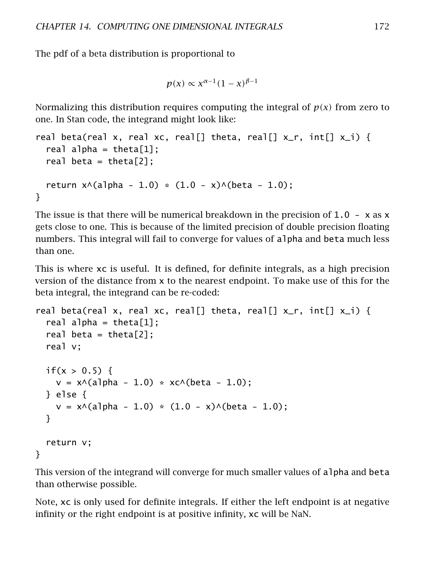The pdf of a beta distribution is proportional to

```
p(x) ∝ x<sup>α-1</sup>(1 − x)<sup>β-1</sup>
```
Normalizing this distribution requires computing the integral of *p(x)* from zero to one. In Stan code, the integrand might look like:

```
real beta(real x, real xc, real[] theta, real[] x_r, int[] x_i) {
  real alpha = theta[1];
  real beta = theta[2]:
  return x \wedge (a)]pha - 1.0) * (1.0 - x) \wedge (beta - 1.0);
}
```
The issue is that there will be numerical breakdown in the precision of  $1.0 - x$  as x gets close to one. This is because of the limited precision of double precision floating numbers. This integral will fail to converge for values of alpha and beta much less than one.

This is where xc is useful. It is defined, for definite integrals, as a high precision version of the distance from x to the nearest endpoint. To make use of this for the beta integral, the integrand can be re-coded:

```
real beta(real x, real xc, real[] theta, real[] x_r, int[] x_i) {
  real alpha = theta[1];
  real beta = theta[2];
  real v;
  if(x > 0.5) {
    v = x \land (a) = 1.0) * x c \land (b) = 1.0);
  } else {
    v = x \land (alpha - 1.0) \cdot (1.0 - x) \land (beta - 1.0);}
  return v;
}
```
This version of the integrand will converge for much smaller values of alpha and beta than otherwise possible.

Note, xc is only used for definite integrals. If either the left endpoint is at negative infinity or the right endpoint is at positive infinity, xc will be NaN.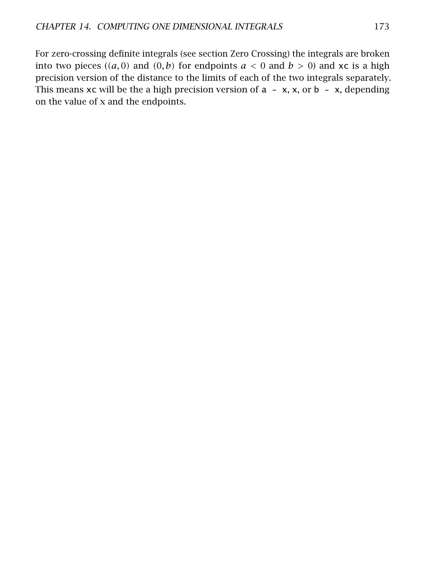For zero-crossing definite integrals (see section [Zero Crossing\)](#page-177-0) the integrals are broken into two pieces  $((a, 0)$  and  $(0, b)$  for endpoints  $a < 0$  and  $b > 0$ ) and xc is a high precision version of the distance to the limits of each of the two integrals separately. This means  $xc$  will be the a high precision version of  $a - x$ ,  $x$ , or  $b - x$ , depending on the value of x and the endpoints.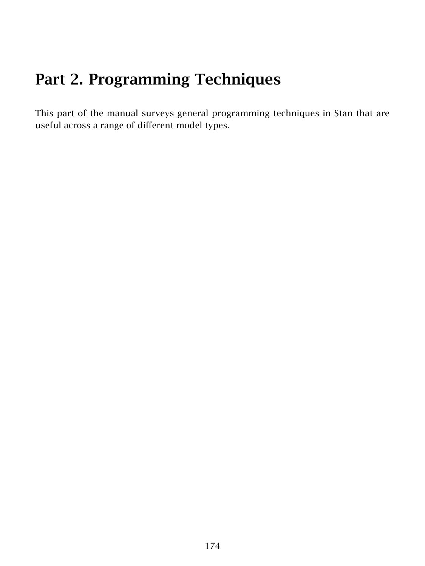# Part 2. Programming Techniques

This part of the manual surveys general programming techniques in Stan that are useful across a range of different model types.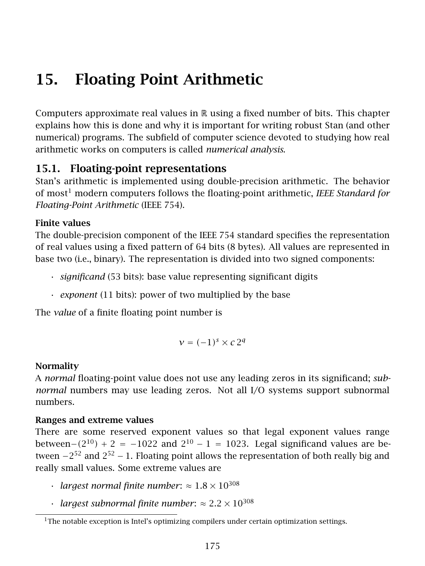# 15. Floating Point Arithmetic

Computers approximate real values in  $\mathbb R$  using a fixed number of bits. This chapter explains how this is done and why it is important for writing robust Stan (and other numerical) programs. The subfield of computer science devoted to studying how real arithmetic works on computers is called *numerical analysis*.

## 15.1. Floating-point representations

Stan's arithmetic is implemented using double-precision arithmetic. The behavior of most[1](#page-181-0) modern computers follows the floating-point arithmetic, *IEEE Standard for Floating-Point Arithmetic* (IEEE 754).

#### Finite values

The double-precision component of the IEEE 754 standard specifies the representation of real values using a fixed pattern of 64 bits (8 bytes). All values are represented in base two (i.e., binary). The representation is divided into two signed components:

- *significand* (53 bits): base value representing significant digits
- *exponent* (11 bits): power of two multiplied by the base

The *value* of a finite floating point number is

$$
v = (-1)^s \times c 2^q
$$

#### Normality

A *normal* floating-point value does not use any leading zeros in its significand; *subnormal* numbers may use leading zeros. Not all I/O systems support subnormal numbers.

#### Ranges and extreme values

There are some reserved exponent values so that legal exponent values range between− $(2^{10})$  + 2 = −1022 and  $2^{10}$  − 1 = 1023. Legal significand values are between  $-2^{52}$  and  $2^{52} - 1$ . Floating point allows the representation of both really big and really small values. Some extreme values are

- *largest normal finite number*:  $\approx 1.8 \times 10^{308}$
- *largest subnormal finite number*:  $\approx 2.2 \times 10^{308}$

<span id="page-181-0"></span> $1$ The notable exception is Intel's optimizing compilers under certain optimization settings.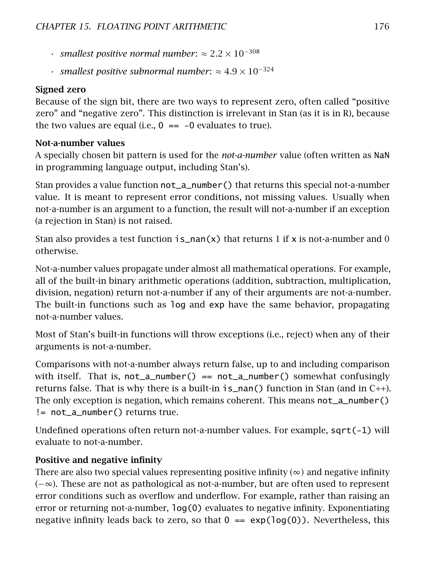- *• smallest positive normal number:* ≈  $2.2 \times 10^{-308}$
- $\cdot$  *smallest positive subnormal number:* ≈ 4.9 × 10<sup>-324</sup>

#### Signed zero

Because of the sign bit, there are two ways to represent zero, often called "positive zero" and "negative zero". This distinction is irrelevant in Stan (as it is in R), because the two values are equal (i.e.,  $0 = -0$  evaluates to true).

#### Not-a-number values

A specially chosen bit pattern is used for the *not-a-number* value (often written as NaN in programming language output, including Stan's).

Stan provides a value function not\_a\_number() that returns this special not-a-number value. It is meant to represent error conditions, not missing values. Usually when not-a-number is an argument to a function, the result will not-a-number if an exception (a rejection in Stan) is not raised.

Stan also provides a test function  $i = \text{nan}(x)$  that returns 1 if x is not-a-number and 0 otherwise.

Not-a-number values propagate under almost all mathematical operations. For example, all of the built-in binary arithmetic operations (addition, subtraction, multiplication, division, negation) return not-a-number if any of their arguments are not-a-number. The built-in functions such as log and exp have the same behavior, propagating not-a-number values.

Most of Stan's built-in functions will throw exceptions (i.e., reject) when any of their arguments is not-a-number.

Comparisons with not-a-number always return false, up to and including comparison with itself. That is,  $not_a$ -number() ==  $not_a$ -number() somewhat confusingly returns false. That is why there is a built-in  $i=$  nan() function in Stan (and in  $C_{++}$ ). The only exception is negation, which remains coherent. This means not\_a\_number() != not\_a\_number() returns true.

Undefined operations often return not-a-number values. For example, sqrt(-1) will evaluate to not-a-number.

#### Positive and negative infinity

There are also two special values representing positive infinity  $(\infty)$  and negative infinity (−∞). These are not as pathological as not-a-number, but are often used to represent error conditions such as overflow and underflow. For example, rather than raising an error or returning not-a-number, log(0) evaluates to negative infinity. Exponentiating negative infinity leads back to zero, so that  $0 == exp(log(0))$ . Nevertheless, this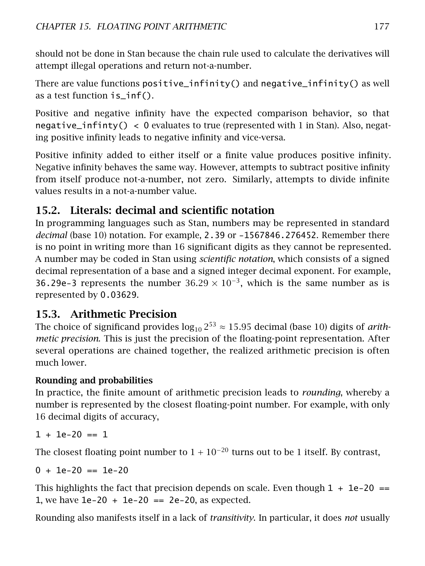should not be done in Stan because the chain rule used to calculate the derivatives will attempt illegal operations and return not-a-number.

There are value functions positive\_infinity() and negative\_infinity() as well as a test function is\_inf().

Positive and negative infinity have the expected comparison behavior, so that negative\_infinty() < 0 evaluates to true (represented with 1 in Stan). Also, negating positive infinity leads to negative infinity and vice-versa.

Positive infinity added to either itself or a finite value produces positive infinity. Negative infinity behaves the same way. However, attempts to subtract positive infinity from itself produce not-a-number, not zero. Similarly, attempts to divide infinite values results in a not-a-number value.

## 15.2. Literals: decimal and scientific notation

In programming languages such as Stan, numbers may be represented in standard *decimal* (base 10) notation. For example, 2.39 or -1567846.276452. Remember there is no point in writing more than 16 significant digits as they cannot be represented. A number may be coded in Stan using *scientific notation*, which consists of a signed decimal representation of a base and a signed integer decimal exponent. For example, 36.29e-3 represents the number  $36.29 \times 10^{-3}$ , which is the same number as is represented by 0.03629.

## 15.3. Arithmetic Precision

The choice of significand provides  $log_{10} 2^{53} \approx 15.95$  decimal (base 10) digits of *arithmetic precision*. This is just the precision of the floating-point representation. After several operations are chained together, the realized arithmetic precision is often much lower.

## Rounding and probabilities

In practice, the finite amount of arithmetic precision leads to *rounding*, whereby a number is represented by the closest floating-point number. For example, with only 16 decimal digits of accuracy,

```
1 + 1e-20 == 1
```
The closest floating point number to  $1 + 10^{-20}$  turns out to be 1 itself. By contrast,

 $0 + 1e-20 = 1e-20$ 

This highlights the fact that precision depends on scale. Even though  $1 + 1e-20 =$ 1, we have  $1e-20 + 1e-20 == 2e-20$ , as expected.

Rounding also manifests itself in a lack of *transitivity*. In particular, it does *not* usually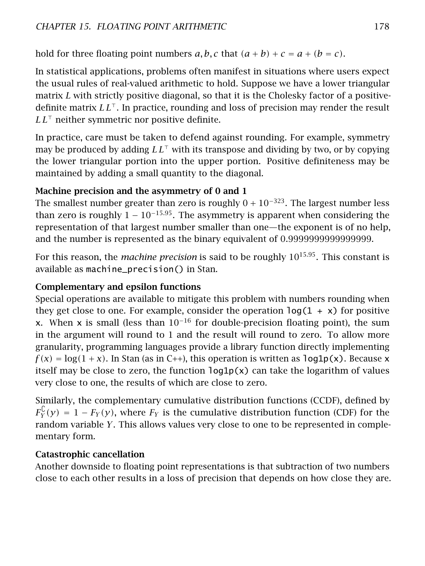hold for three floating point numbers  $a, b, c$  that  $(a + b) + c = a + (b = c)$ .

In statistical applications, problems often manifest in situations where users expect the usual rules of real-valued arithmetic to hold. Suppose we have a lower triangular matrix *L* with strictly positive diagonal, so that it is the Cholesky factor of a positivedefinite matrix  $LL^{\top}$ . In practice, rounding and loss of precision may render the result  $LL^{\dagger}$  neither symmetric nor positive definite.

In practice, care must be taken to defend against rounding. For example, symmetry may be produced by adding  $LL^{\top}$  with its transpose and dividing by two, or by copying the lower triangular portion into the upper portion. Positive definiteness may be maintained by adding a small quantity to the diagonal.

#### Machine precision and the asymmetry of 0 and 1

The smallest number greater than zero is roughly  $0 + 10^{-323}$ . The largest number less than zero is roughly  $1 - 10^{-15.95}$ . The asymmetry is apparent when considering the representation of that largest number smaller than one—the exponent is of no help, and the number is represented as the binary equivalent of 0*.*9999999999999999.

For this reason, the *machine precision* is said to be roughly 10<sup>15</sup>*.*<sup>95</sup>. This constant is available as machine\_precision() in Stan.

#### Complementary and epsilon functions

Special operations are available to mitigate this problem with numbers rounding when they get close to one. For example, consider the operation  $log(1 + x)$  for positive x. When x is small (less than  $10^{-16}$  for double-precision floating point), the sum in the argument will round to 1 and the result will round to zero. To allow more granularity, programming languages provide a library function directly implementing  $f(x) = \log(1 + x)$ . In Stan (as in C++), this operation is written as  $\log 1p(x)$ . Because x itself may be close to zero, the function  $log1p(x)$  can take the logarithm of values very close to one, the results of which are close to zero.

Similarly, the complementary cumulative distribution functions (CCDF), defined by  $F_Y^{\mathbb{C}}(y) = 1 - F_Y(y)$ , where  $F_Y$  is the cumulative distribution function (CDF) for the random variable *Y*. This allows values very close to one to be represented in complementary form.

#### Catastrophic cancellation

Another downside to floating point representations is that subtraction of two numbers close to each other results in a loss of precision that depends on how close they are.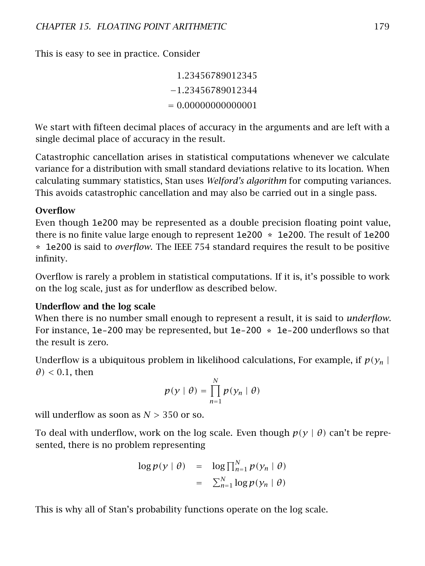This is easy to see in practice. Consider

1*.*23456789012345 −1*.*23456789012344 = 0*.*00000000000001

We start with fifteen decimal places of accuracy in the arguments and are left with a single decimal place of accuracy in the result.

Catastrophic cancellation arises in statistical computations whenever we calculate variance for a distribution with small standard deviations relative to its location. When calculating summary statistics, Stan uses *Welford's algorithm* for computing variances. This avoids catastrophic cancellation and may also be carried out in a single pass.

#### **Overflow**

Even though 1e200 may be represented as a double precision floating point value, there is no finite value large enough to represent 1e200 \* 1e200. The result of 1e200 \* 1e200 is said to *overflow*. The IEEE 754 standard requires the result to be positive infinity.

Overflow is rarely a problem in statistical computations. If it is, it's possible to work on the log scale, just as for underflow as described below.

#### Underflow and the log scale

When there is no number small enough to represent a result, it is said to *underflow*. For instance,  $1e$ -200 may be represented, but  $1e$ -200  $*$  1e-200 underflows so that the result is zero.

Underflow is a ubiquitous problem in likelihood calculations, For example, if  $p(y_n|)$  $\theta$ ) < 0.1, then

$$
p(y | \theta) = \prod_{n=1}^{N} p(y_n | \theta)
$$

will underflow as soon as *N >* 350 or so.

To deal with underflow, work on the log scale. Even though *p(y* | *θ)* can't be represented, there is no problem representing

$$
\begin{array}{rcl}\n\log p(y \mid \theta) & = & \log \prod_{n=1}^{N} p(y_n \mid \theta) \\
& = & \sum_{n=1}^{N} \log p(y_n \mid \theta)\n\end{array}
$$

This is why all of Stan's probability functions operate on the log scale.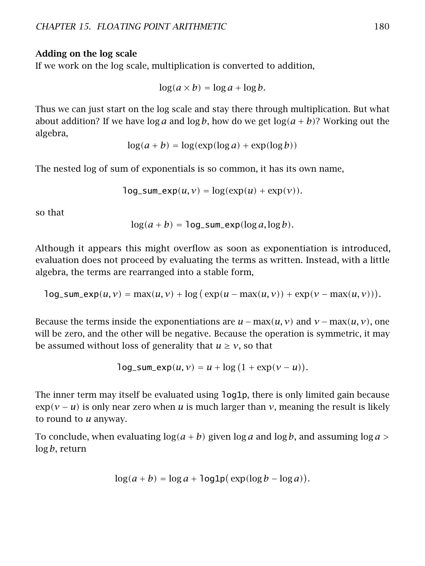#### Adding on the log scale

If we work on the log scale, multiplication is converted to addition,

$$
\log(a \times b) = \log a + \log b.
$$

Thus we can just start on the log scale and stay there through multiplication. But what about addition? If we have  $\log a$  and  $\log b$ , how do we get  $\log(a+b)$ ? Working out the algebra,

$$
\log(a + b) = \log(\exp(\log a) + \exp(\log b))
$$

The nested log of sum of exponentials is so common, it has its own name,

$$
log\_sum\_exp(u, v) = log(exp(u) + exp(v)).
$$

so that

$$
\log(a+b) = \log_{\text{sum} \exp(\log a, \log b)}.
$$

Although it appears this might overflow as soon as exponentiation is introduced, evaluation does not proceed by evaluating the terms as written. Instead, with a little algebra, the terms are rearranged into a stable form,

$$
\log_{\text{sum}\exp(u, v) = \max(u, v) + \log_{\text{exp}(u - \max(u, v)) + \exp(v - \max(u, v))).
$$

Because the terms inside the exponentiations are  $u - \max(u, v)$  and  $v - \max(u, v)$ , one will be zero, and the other will be negative. Because the operation is symmetric, it may be assumed without loss of generality that  $u \ge v$ , so that

$$
\log_{\text{sum} \exp(u, v)} = u + \log (1 + \exp(v - u)).
$$

The inner term may itself be evaluated using log1p, there is only limited gain because  $\exp(\nu - \mu)$  is only near zero when *u* is much larger than *v*, meaning the result is likely to round to *u* anyway.

To conclude, when evaluating  $log(a + b)$  given  $log a$  and  $log b$ , and assuming  $log a$ log *b*, return

$$
\log(a+b) = \log a + \log 1p(\exp(\log b - \log a)).
$$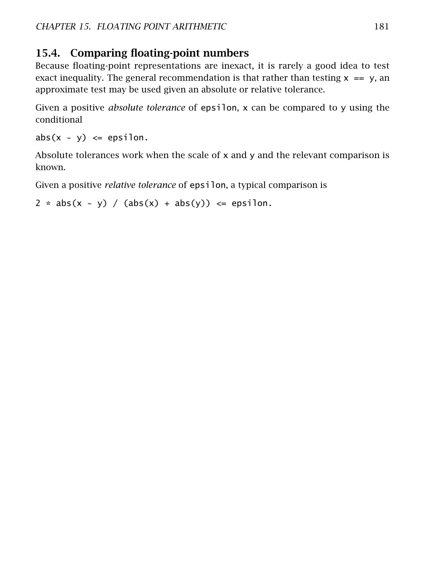## 15.4. Comparing floating-point numbers

Because floating-point representations are inexact, it is rarely a good idea to test exact inequality. The general recommendation is that rather than testing  $x = y$ , an approximate test may be used given an absolute or relative tolerance.

Given a positive *absolute tolerance* of epsilon, x can be compared to y using the conditional

 $abs(x - y) \leq epsilon.$ 

Absolute tolerances work when the scale of  $x$  and  $y$  and the relevant comparison is known.

Given a positive *relative tolerance* of epsilon, a typical comparison is

```
2 * abs(x - y) / (abs(x) + abs(y)) \leq epsilon.
```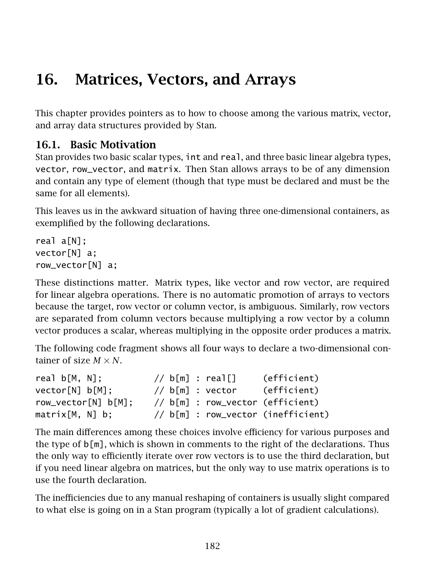# 16. Matrices, Vectors, and Arrays

This chapter provides pointers as to how to choose among the various matrix, vector, and array data structures provided by Stan.

## 16.1. Basic Motivation

Stan provides two basic scalar types, int and real, and three basic linear algebra types, vector, row\_vector, and matrix. Then Stan allows arrays to be of any dimension and contain any type of element (though that type must be declared and must be the same for all elements).

This leaves us in the awkward situation of having three one-dimensional containers, as exemplified by the following declarations.

```
real a[N];
vector[N] a;
row_vector[N] a;
```
These distinctions matter. Matrix types, like vector and row vector, are required for linear algebra operations. There is no automatic promotion of arrays to vectors because the target, row vector or column vector, is ambiguous. Similarly, row vectors are separated from column vectors because multiplying a row vector by a column vector produces a scalar, whereas multiplying in the opposite order produces a matrix.

The following code fragment shows all four ways to declare a two-dimensional container of size  $M \times N$ 

| real $b[M, N]$ :    | // $b[m]$ : real[] |  | (efficient)                        |
|---------------------|--------------------|--|------------------------------------|
| vector[N] b[M];     | // b[m] : vector   |  | (efficient)                        |
| row_vector[N] b[M]; |                    |  | // b[m] : row_vector (efficient)   |
| $matrix[M, N]$ b;   |                    |  | // b[m] : row_vector (inefficient) |

The main differences among these choices involve efficiency for various purposes and the type of  $\mathfrak{b}[m]$ , which is shown in comments to the right of the declarations. Thus the only way to efficiently iterate over row vectors is to use the third declaration, but if you need linear algebra on matrices, but the only way to use matrix operations is to use the fourth declaration.

The inefficiencies due to any manual reshaping of containers is usually slight compared to what else is going on in a Stan program (typically a lot of gradient calculations).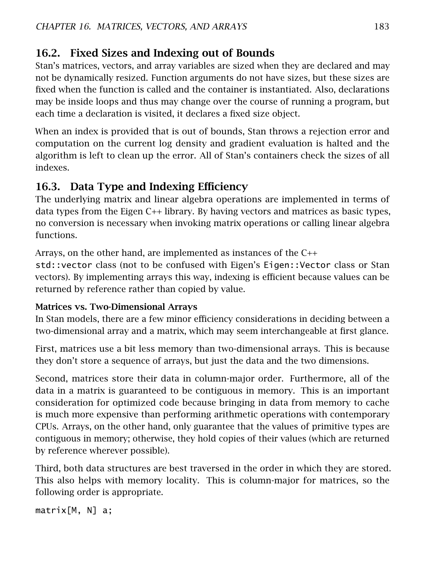## 16.2. Fixed Sizes and Indexing out of Bounds

Stan's matrices, vectors, and array variables are sized when they are declared and may not be dynamically resized. Function arguments do not have sizes, but these sizes are fixed when the function is called and the container is instantiated. Also, declarations may be inside loops and thus may change over the course of running a program, but each time a declaration is visited, it declares a fixed size object.

When an index is provided that is out of bounds, Stan throws a rejection error and computation on the current log density and gradient evaluation is halted and the algorithm is left to clean up the error. All of Stan's containers check the sizes of all indexes.

## 16.3. Data Type and Indexing Efficiency

The underlying matrix and linear algebra operations are implemented in terms of data types from the Eigen C++ library. By having vectors and matrices as basic types, no conversion is necessary when invoking matrix operations or calling linear algebra functions.

Arrays, on the other hand, are implemented as instances of the C++

std::vector class (not to be confused with Eigen's Eigen::Vector class or Stan vectors). By implementing arrays this way, indexing is efficient because values can be returned by reference rather than copied by value.

### Matrices vs. Two-Dimensional Arrays

In Stan models, there are a few minor efficiency considerations in deciding between a two-dimensional array and a matrix, which may seem interchangeable at first glance.

First, matrices use a bit less memory than two-dimensional arrays. This is because they don't store a sequence of arrays, but just the data and the two dimensions.

Second, matrices store their data in column-major order. Furthermore, all of the data in a matrix is guaranteed to be contiguous in memory. This is an important consideration for optimized code because bringing in data from memory to cache is much more expensive than performing arithmetic operations with contemporary CPUs. Arrays, on the other hand, only guarantee that the values of primitive types are contiguous in memory; otherwise, they hold copies of their values (which are returned by reference wherever possible).

Third, both data structures are best traversed in the order in which they are stored. This also helps with memory locality. This is column-major for matrices, so the following order is appropriate.

```
matrix[M, N] a;
```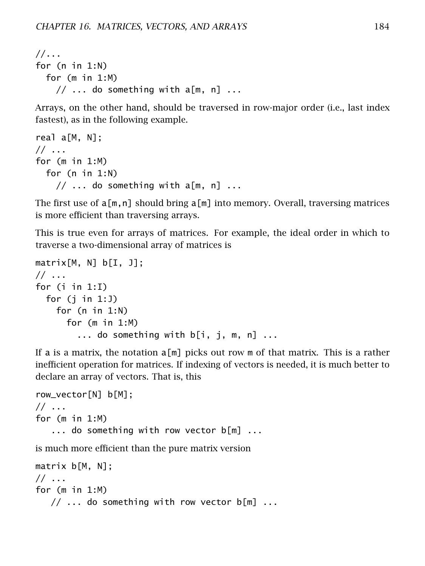```
//...
for (n in 1:N)
  for (m in 1:M)
    // \dots do something with a[m, n] \dots
```
Arrays, on the other hand, should be traversed in row-major order (i.e., last index fastest), as in the following example.

```
real a[M, N];
// ...
for (m in 1:M)
  for (n in 1:N)
    // \dots do something with a[m, n] \dots
```
The first use of  $a[m,n]$  should bring  $a[m]$  into memory. Overall, traversing matrices is more efficient than traversing arrays.

This is true even for arrays of matrices. For example, the ideal order in which to traverse a two-dimensional array of matrices is

```
matrix[M, N] b[I, J];
// ...
for (i in 1:I)
 for (j in 1:J)
    for (n in 1:N)
      for (m in 1:M)
        ... do something with b[i, j, m, n] ...
```
If a is a matrix, the notation a[m] picks out row m of that matrix. This is a rather inefficient operation for matrices. If indexing of vectors is needed, it is much better to declare an array of vectors. That is, this

```
row_vector[N] b[M];
// ...
for (m in 1:M)
   ... do something with row vector b[m] ...
is much more efficient than the pure matrix version
matrix b[M, N];
// ...
```
for (m in 1:M)

```
// ... do something with row vector b[m] ...
```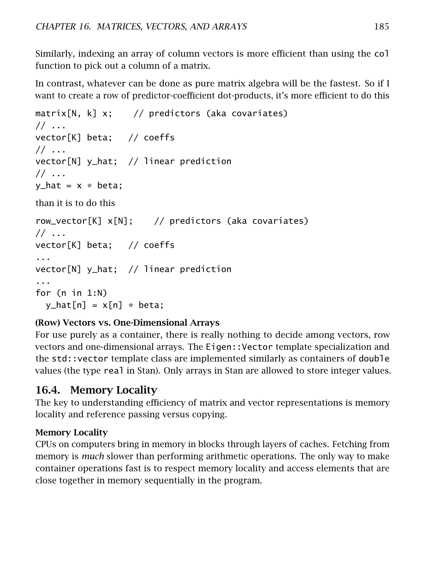Similarly, indexing an array of column vectors is more efficient than using the col function to pick out a column of a matrix.

In contrast, whatever can be done as pure matrix algebra will be the fastest. So if I want to create a row of predictor-coefficient dot-products, it's more efficient to do this

```
matrix[N, k] x; // predictors (aka covariates)
\frac{1}{2}...
vector[K] beta; // coeffs
// ...
vector[N] y_hat; // linear prediction
// ...
y<sub>-</sub>hat = x * beta;than it is to do this
row_vector[K] x[N]; // predictors (aka covariates)
\frac{1}{2}...
vector[K] beta; // coeffs
...
vector[N] y_hat; // linear prediction
...
for (n in 1:N)
  y_hat[n] = x[n] * beta;
```
#### (Row) Vectors vs. One-Dimensional Arrays

For use purely as a container, there is really nothing to decide among vectors, row vectors and one-dimensional arrays. The Eigen::Vector template specialization and the std::vector template class are implemented similarly as containers of double values (the type real in Stan). Only arrays in Stan are allowed to store integer values.

## 16.4. Memory Locality

The key to understanding efficiency of matrix and vector representations is memory locality and reference passing versus copying.

#### Memory Locality

CPUs on computers bring in memory in blocks through layers of caches. Fetching from memory is *much* slower than performing arithmetic operations. The only way to make container operations fast is to respect memory locality and access elements that are close together in memory sequentially in the program.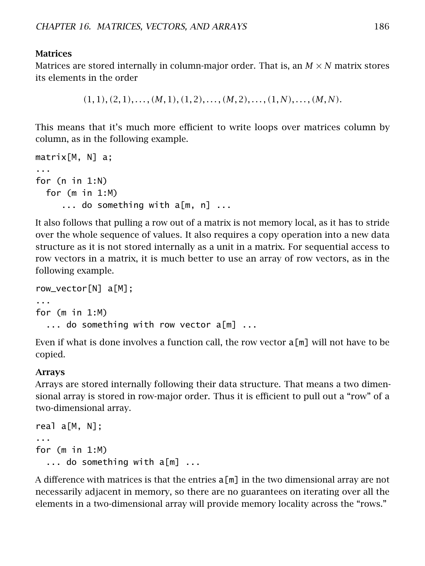#### **Matrices**

Matrices are stored internally in column-major order. That is, an  $M \times N$  matrix stores its elements in the order

 $(1,1), (2,1), \ldots, (M,1), (1,2), \ldots, (M,2), \ldots, (1,N), \ldots, (M,N).$ 

This means that it's much more efficient to write loops over matrices column by column, as in the following example.

```
matrix[M, N] a;
...
for (n in 1:N)
 for (m in 1:M)
     ... do something with a[m, n] ...
```
It also follows that pulling a row out of a matrix is not memory local, as it has to stride over the whole sequence of values. It also requires a copy operation into a new data structure as it is not stored internally as a unit in a matrix. For sequential access to row vectors in a matrix, it is much better to use an array of row vectors, as in the following example.

```
row_vector[N] a[M];
...
for (m in 1:M)
  ... do something with row vector a[m] ...
```
Even if what is done involves a function call, the row vector  $a[m]$  will not have to be copied.

#### Arrays

Arrays are stored internally following their data structure. That means a two dimensional array is stored in row-major order. Thus it is efficient to pull out a "row" of a two-dimensional array.

```
real a[M, N];
...
for (m in 1:M)
  ... do something with a[m] ...
```
A difference with matrices is that the entries  $a[m]$  in the two dimensional array are not necessarily adjacent in memory, so there are no guarantees on iterating over all the elements in a two-dimensional array will provide memory locality across the "rows."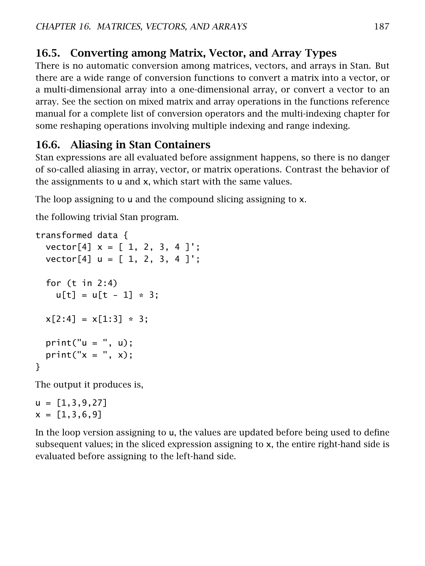## 16.5. Converting among Matrix, Vector, and Array Types

There is no automatic conversion among matrices, vectors, and arrays in Stan. But there are a wide range of conversion functions to convert a matrix into a vector, or a multi-dimensional array into a one-dimensional array, or convert a vector to an array. See the section on mixed matrix and array operations in the functions reference manual for a complete list of conversion operators and the [multi-indexing chapter](#page-193-0) for some reshaping operations involving multiple indexing and range indexing.

## 16.6. Aliasing in Stan Containers

Stan expressions are all evaluated before assignment happens, so there is no danger of so-called aliasing in array, vector, or matrix operations. Contrast the behavior of the assignments to u and x, which start with the same values.

The loop assigning to u and the compound slicing assigning to x.

the following trivial Stan program.

```
transformed data {
 vector[4] x = [1, 2, 3, 4];
 vector[4] u = [1, 2, 3, 4];
 for (t in 2:4)
   u[t] = u[t - 1] * 3;x[2:4] = x[1:3] \times 3;print("u = ", u);print("x = ", x);}
```
The output it produces is,

 $u = [1, 3, 9, 27]$  $x = [1, 3, 6, 9]$ 

<span id="page-193-0"></span>In the loop version assigning to u, the values are updated before being used to define subsequent values; in the sliced expression assigning to x, the entire right-hand side is evaluated before assigning to the left-hand side.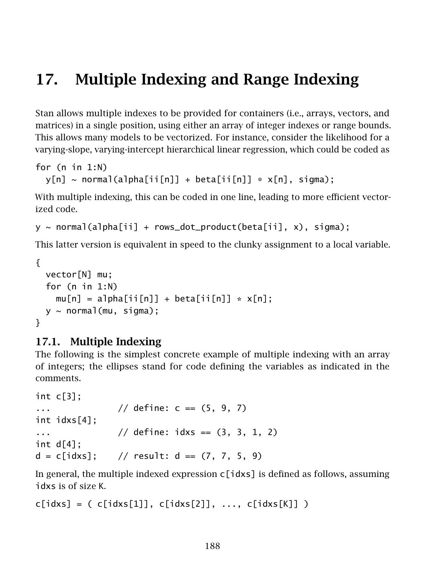# 17. Multiple Indexing and Range Indexing

Stan allows multiple indexes to be provided for containers (i.e., arrays, vectors, and matrices) in a single position, using either an array of integer indexes or range bounds. This allows many models to be vectorized. For instance, consider the likelihood for a varying-slope, varying-intercept hierarchical linear regression, which could be coded as

```
for (n in 1:N)
  y[n] \sim \text{normal}(a1phafii[n] + \text{beta}[ii[n]] * x[n], \text{sigma});
```
With multiple indexing, this can be coded in one line, leading to more efficient vectorized code.

```
y \sim normal(alpha[ii] + rows_dot_product(beta[ii], x), sigma);
```
This latter version is equivalent in speed to the clunky assignment to a local variable.

```
{
 vector[N] mu;
 for (n in 1:N)
    mu[n] = alpha[i[n]] + beta[i[n]] * x[n];y \sim normal(mu, sigma);
}
```
#### 17.1. Multiple Indexing

The following is the simplest concrete example of multiple indexing with an array of integers; the ellipses stand for code defining the variables as indicated in the comments.

```
int c[3];
... // define: c == (5, 9, 7)int idxs[4];
... // define: <math>idxS == (3, 3, 1, 2)</math>int d[4];
d = c[idxs]; // result: d == (7, 7, 5, 9)
```
In general, the multiple indexed expression  $c$  [idxs] is defined as follows, assuming idxs is of size K.

```
c[idxs] = (c[idxs[1]], c[idxs[2]], ..., c[idxs[K]])
```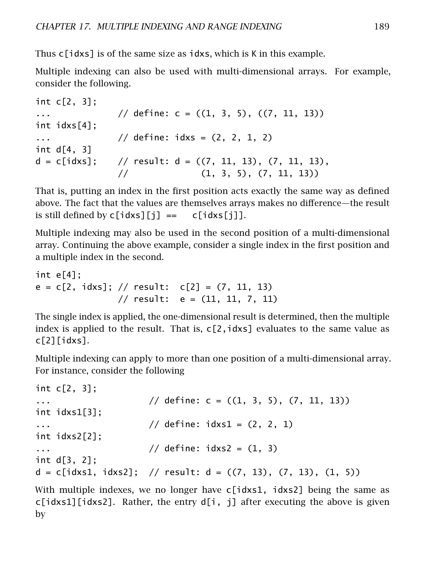Thus c[idxs] is of the same size as idxs, which is K in this example.

Multiple indexing can also be used with multi-dimensional arrays. For example, consider the following.

```
int c[2, 3];
... \frac{1}{2} define: c = ((1, 3, 5), ((7, 11, 13))int idxs[4];
... // define: idxs = (2, 2, 1, 2)int d[4, 3]
d = c[idxs]; // result: d = ((7, 11, 13), (7, 11, 13),\frac{1}{1} (1, 3, 5), (7, 11, 13))
```
That is, putting an index in the first position acts exactly the same way as defined above. The fact that the values are themselves arrays makes no difference—the result is still defined by  $c[idxs][j] == c[idxs[j]].$ 

Multiple indexing may also be used in the second position of a multi-dimensional array. Continuing the above example, consider a single index in the first position and a multiple index in the second.

```
int e[4];
e = c[2, idxs]; // result: c[2] = (7, 11, 13)// result: e = (11, 11, 7, 11)
```
The single index is applied, the one-dimensional result is determined, then the multiple index is applied to the result. That is,  $c[2, idxs]$  evaluates to the same value as c[2][idxs].

Multiple indexing can apply to more than one position of a multi-dimensional array. For instance, consider the following

```
int c[2, 3];
... \frac{1}{2} // define: c = ((1, 3, 5), (7, 11, 13))int idxs1[3];
\frac{1}{2} define: \frac{1}{2} define: \frac{1}{2} (2, 2, 1)
int idxs2[2];
\frac{1}{16} define: \frac{1}{3} define: \frac{1}{3}int d[3, 2];
d = c[idx1, idx2]; // result: d = ((7, 13), (7, 13), (1, 5))
```
With multiple indexes, we no longer have  $c[idx s1, idxs2]$  being the same as  $c$ [idxs1][idxs2]. Rather, the entry d[i, i] after executing the above is given by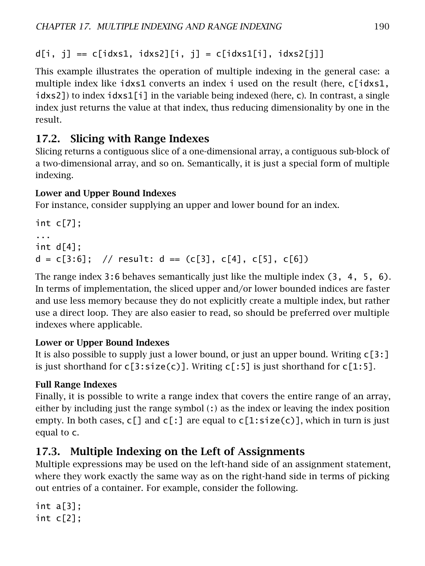$d[i, j] == c[idxs1, idxs2][i, j] = c[idxs1[i], idxs2[i]]$ 

This example illustrates the operation of multiple indexing in the general case: a multiple index like idxs1 converts an index i used on the result (here, c[idxs1, idxs2]) to index idxs1[i] in the variable being indexed (here, c). In contrast, a single index just returns the value at that index, thus reducing dimensionality by one in the result.

## 17.2. Slicing with Range Indexes

Slicing returns a contiguous slice of a one-dimensional array, a contiguous sub-block of a two-dimensional array, and so on. Semantically, it is just a special form of multiple indexing.

#### Lower and Upper Bound Indexes

For instance, consider supplying an upper and lower bound for an index.

```
int c[7];
...
int df4];
d = c[3:6]; // result: d == (c[3], c[4], c[5], c[6])
```
The range index 3:6 behaves semantically just like the multiple index (3, 4, 5, 6). In terms of implementation, the sliced upper and/or lower bounded indices are faster and use less memory because they do not explicitly create a multiple index, but rather use a direct loop. They are also easier to read, so should be preferred over multiple indexes where applicable.

### Lower or Upper Bound Indexes

It is also possible to supply just a lower bound, or just an upper bound. Writing c[3:] is just shorthand for  $c[3:size(c)]$ . Writing  $c[:5]$  is just shorthand for  $c[1:5]$ .

### Full Range Indexes

Finally, it is possible to write a range index that covers the entire range of an array, either by including just the range symbol  $\left(\cdot\right)$  as the index or leaving the index position empty. In both cases,  $c[]$  and  $c[]$  are equal to  $c[]$ :  $size(c)]$ , which in turn is just equal to c.

## 17.3. Multiple Indexing on the Left of Assignments

Multiple expressions may be used on the left-hand side of an assignment statement, where they work exactly the same way as on the right-hand side in terms of picking out entries of a container. For example, consider the following.

```
int a[3]:
int c[2];
```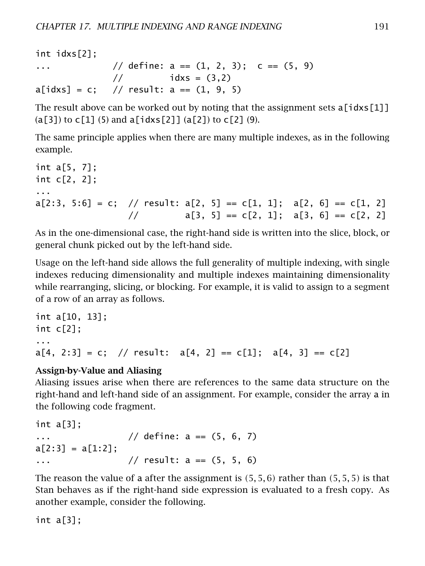int idxs[2]; ...  $\frac{1}{2}$  define: a ==  $(1, 2, 3)$ ; c ==  $(5, 9)$  $1/(1 + 1)$  idxs = (3,2)  $a[idxs] = c$ ; // result:  $a == (1, 9, 5)$ 

The result above can be worked out by noting that the assignment sets  $a[idx][1]$  $(a[3])$  to  $c[1]$  (5) and  $a[idxs[2]]$   $(a[2])$  to  $c[2]$  (9).

The same principle applies when there are many multiple indexes, as in the following example.

```
int a[5, 7];
int c[2, 2];
...
a[2:3, 5:6] = c; // result: a[2, 5] = c[1, 1]; a[2, 6] = c[1, 2]/ a[3, 5] == c[2, 1]; a[3, 6] == c[2, 2]
```
As in the one-dimensional case, the right-hand side is written into the slice, block, or general chunk picked out by the left-hand side.

Usage on the left-hand side allows the full generality of multiple indexing, with single indexes reducing dimensionality and multiple indexes maintaining dimensionality while rearranging, slicing, or blocking. For example, it is valid to assign to a segment of a row of an array as follows.

```
int a[10, 13];
int c[2];
...
a[4, 2:3] = c; // result: a[4, 2] == c[1]; a[4, 3] == c[2]
```
#### Assign-by-Value and Aliasing

Aliasing issues arise when there are references to the same data structure on the right-hand and left-hand side of an assignment. For example, consider the array a in the following code fragment.

```
int a[3];
... // define: a == (5, 6, 7)a[2:3] = a[1:2];
... // result: a == (5, 5, 6)
```
The reason the value of a after the assignment is *(*5*,* 5*,* 6*)* rather than *(*5*,* 5*,* 5*)* is that Stan behaves as if the right-hand side expression is evaluated to a fresh copy. As another example, consider the following.

int a[3];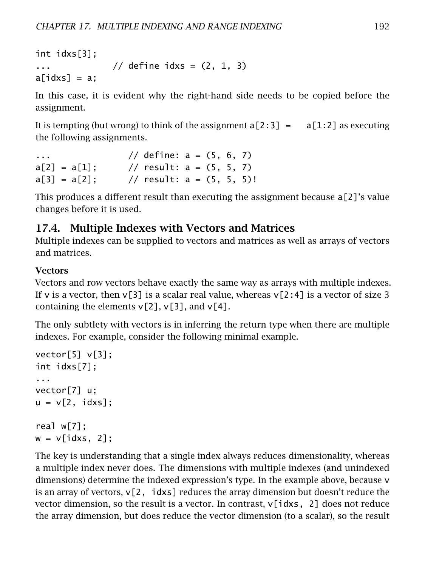int idxs[3]; ...  $\frac{1}{2}$  define idxs =  $(2, 1, 3)$  $a[idxs] = a;$ 

In this case, it is evident why the right-hand side needs to be copied before the assignment.

It is tempting (but wrong) to think of the assignment  $a[2:3] = a[1:2]$  as executing the following assignments.

```
... // define: a = (5, 6, 7)a[2] = a[1]; // result: a = (5, 5, 7)a[3] = a[2]; // result: a = (5, 5, 5)!
```
This produces a different result than executing the assignment because a[2]'s value changes before it is used.

#### 17.4. Multiple Indexes with Vectors and Matrices

Multiple indexes can be supplied to vectors and matrices as well as arrays of vectors and matrices.

#### **Vectors**

Vectors and row vectors behave exactly the same way as arrays with multiple indexes. If v is a vector, then  $v[3]$  is a scalar real value, whereas  $v[2:4]$  is a vector of size 3 containing the elements  $v[2]$ ,  $v[3]$ , and  $v[4]$ .

The only subtlety with vectors is in inferring the return type when there are multiple indexes. For example, consider the following minimal example.

```
vector[5] v[3];
int idxs[7];
...
vector[7] u;
u = v[2, idxs];
real w[7];
```

```
w = v[idx, 2];
```
The key is understanding that a single index always reduces dimensionality, whereas a multiple index never does. The dimensions with multiple indexes (and unindexed dimensions) determine the indexed expression's type. In the example above, because v is an array of vectors,  $v[2, idxs]$  reduces the array dimension but doesn't reduce the vector dimension, so the result is a vector. In contrast,  $v[idx, 2]$  does not reduce the array dimension, but does reduce the vector dimension (to a scalar), so the result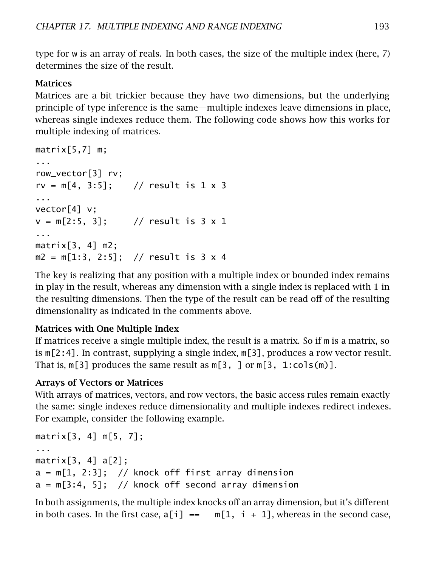type for w is an array of reals. In both cases, the size of the multiple index (here, 7) determines the size of the result.

#### Matrices

Matrices are a bit trickier because they have two dimensions, but the underlying principle of type inference is the same—multiple indexes leave dimensions in place, whereas single indexes reduce them. The following code shows how this works for multiple indexing of matrices.

```
matrix[5,7] m;
...
row_vector[3] rv;
rv = m[4, 3:5]; // result is 1 \times 3...
vector[4] v;
v = m[2:5, 3]; // result is 3 \times 1...
matrix[3, 4] m2;
m2 = m[1:3, 2:5]; // result is 3 x 4
```
The key is realizing that any position with a multiple index or bounded index remains in play in the result, whereas any dimension with a single index is replaced with 1 in the resulting dimensions. Then the type of the result can be read off of the resulting dimensionality as indicated in the comments above.

#### Matrices with One Multiple Index

If matrices receive a single multiple index, the result is a matrix. So if m is a matrix, so is m[2:4]. In contrast, supplying a single index, m[3], produces a row vector result. That is,  $m[3]$  produces the same result as  $m[3, 1 \text{ or } m[3, 1: \text{cols}(m)]$ .

#### Arrays of Vectors or Matrices

With arrays of matrices, vectors, and row vectors, the basic access rules remain exactly the same: single indexes reduce dimensionality and multiple indexes redirect indexes. For example, consider the following example.

```
matrix[3, 4] m[5, 7];
...
matrix[3, 4] a[2];
a = m[1, 2:3]; // knock off first array dimension
a = m[3:4, 5]; // knock off second array dimension
```
In both assignments, the multiple index knocks off an array dimension, but it's different in both cases. In the first case,  $a[i] == m[1, i + 1]$ , whereas in the second case,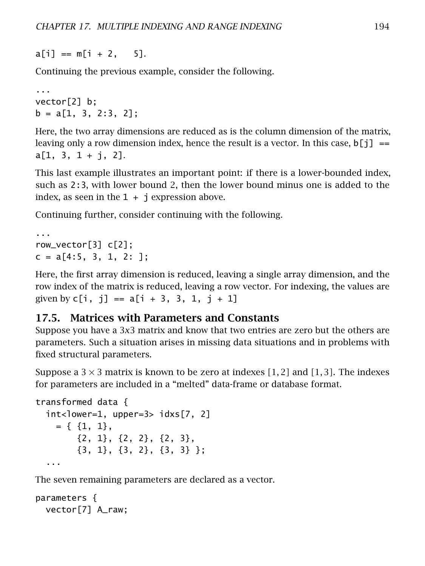$a[i] == m[i + 2, 5].$ 

Continuing the previous example, consider the following.

```
...
vector[2] b;
b = a[1, 3, 2:3, 2];
```
Here, the two array dimensions are reduced as is the column dimension of the matrix, leaving only a row dimension index, hence the result is a vector. In this case,  $\mathfrak{b}[j] =$  $a[1, 3, 1 + j, 2].$ 

This last example illustrates an important point: if there is a lower-bounded index, such as 2:3, with lower bound 2, then the lower bound minus one is added to the index, as seen in the  $1 + j$  expression above.

Continuing further, consider continuing with the following.

```
...
row_vector[3] c[2];
c = a[4:5, 3, 1, 2: ];
```
Here, the first array dimension is reduced, leaving a single array dimension, and the row index of the matrix is reduced, leaving a row vector. For indexing, the values are given by  $c[i, i] == a[i + 3, 3, 1, i + 1]$ 

#### 17.5. Matrices with Parameters and Constants

Suppose you have a 3*x*3 matrix and know that two entries are zero but the others are parameters. Such a situation arises in missing data situations and in problems with fixed structural parameters.

Suppose a  $3 \times 3$  matrix is known to be zero at indexes [1, 2] and [1, 3]. The indexes for parameters are included in a "melted" data-frame or database format.

```
transformed data {
  int<lower=1, upper=3> idxs[7, 2]
    = \{ \{1, 1\},\}{2, 1}, {2, 2}, {2, 3},
        {3, 1}, {3, 2}, {3, 3} };
  ...
```
The seven remaining parameters are declared as a vector.

```
parameters {
 vector[7] A_raw;
```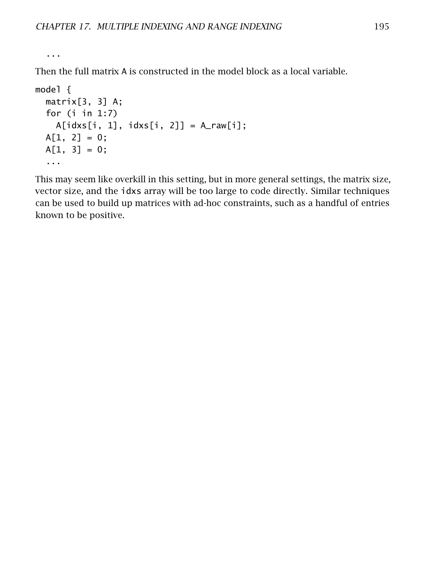...

Then the full matrix A is constructed in the model block as a local variable.

```
model {
  matrix[3, 3] A;
  for (i in 1:7)
   A[idxs[i, 1], idxs[i, 2]] = A_raw[i];A[1, 2] = 0;A[1, 3] = 0;...
```
This may seem like overkill in this setting, but in more general settings, the matrix size, vector size, and the idxs array will be too large to code directly. Similar techniques can be used to build up matrices with ad-hoc constraints, such as a handful of entries known to be positive.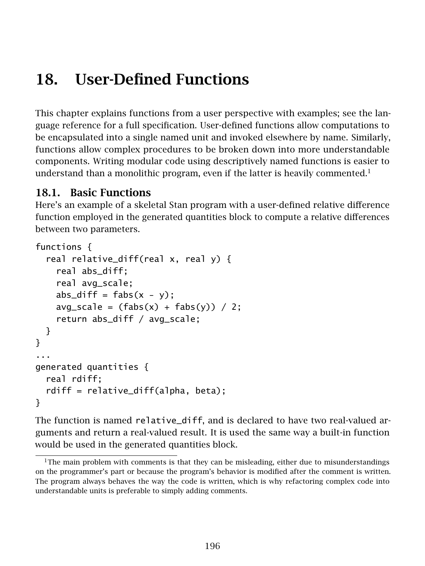# 18. User-Defined Functions

This chapter explains functions from a user perspective with examples; see the language reference for a full specification. User-defined functions allow computations to be encapsulated into a single named unit and invoked elsewhere by name. Similarly, functions allow complex procedures to be broken down into more understandable components. Writing modular code using descriptively named functions is easier to understand than a monolithic program, even if the latter is heavily commented.<sup>[1](#page-202-0)</sup>

## 18.1. Basic Functions

Here's an example of a skeletal Stan program with a user-defined relative difference function employed in the generated quantities block to compute a relative differences between two parameters.

```
functions {
 real relative_diff(real x, real y) {
    real abs_diff;
    real avg_scale;
    abs_diff = fabs(x - y);
    avg_scale = (fabs(x) + fabs(y)) / 2;
    return abs_diff / avg_scale;
 }
}
...
generated quantities {
 real rdiff;
  rdiff = relative_diff(alpha, beta);
}
```
The function is named relative\_diff, and is declared to have two real-valued arguments and return a real-valued result. It is used the same way a built-in function would be used in the generated quantities block.

<span id="page-202-0"></span> $1$ <sup>1</sup>The main problem with comments is that they can be misleading, either due to misunderstandings on the programmer's part or because the program's behavior is modified after the comment is written. The program always behaves the way the code is written, which is why refactoring complex code into understandable units is preferable to simply adding comments.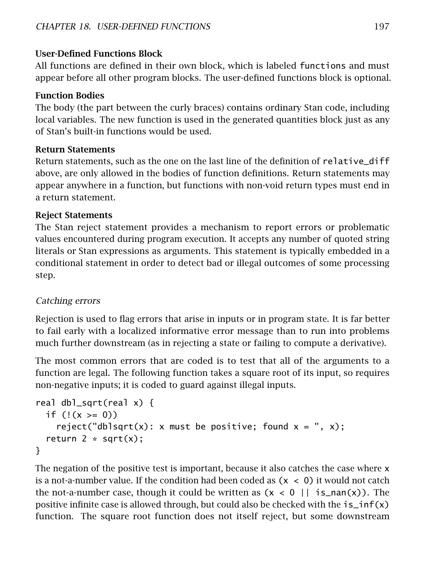#### User-Defined Functions Block

All functions are defined in their own block, which is labeled functions and must appear before all other program blocks. The user-defined functions block is optional.

#### Function Bodies

The body (the part between the curly braces) contains ordinary Stan code, including local variables. The new function is used in the generated quantities block just as any of Stan's built-in functions would be used.

#### Return Statements

Return statements, such as the one on the last line of the definition of relative\_diff above, are only allowed in the bodies of function definitions. Return statements may appear anywhere in a function, but functions with non-void return types must end in a return statement.

#### Reject Statements

The Stan reject statement provides a mechanism to report errors or problematic values encountered during program execution. It accepts any number of quoted string literals or Stan expressions as arguments. This statement is typically embedded in a conditional statement in order to detect bad or illegal outcomes of some processing step.

#### Catching errors

Rejection is used to flag errors that arise in inputs or in program state. It is far better to fail early with a localized informative error message than to run into problems much further downstream (as in rejecting a state or failing to compute a derivative).

The most common errors that are coded is to test that all of the arguments to a function are legal. The following function takes a square root of its input, so requires non-negative inputs; it is coded to guard against illegal inputs.

```
real dbl_sqrt(real x) {
 if (!(x >= 0))reject("dblsqrt(x): x must be positive; found x = ", x);
  return 2 * sqrt(x);
}
```
The negation of the positive test is important, because it also catches the case where x is a not-a-number value. If the condition had been coded as  $(x < 0)$  it would not catch the not-a-number case, though it could be written as  $(x < 0 \mid |$  is  $\text{nan}(x)$ ). The positive infinite case is allowed through, but could also be checked with the  $i\sin f(x)$ function. The square root function does not itself reject, but some downstream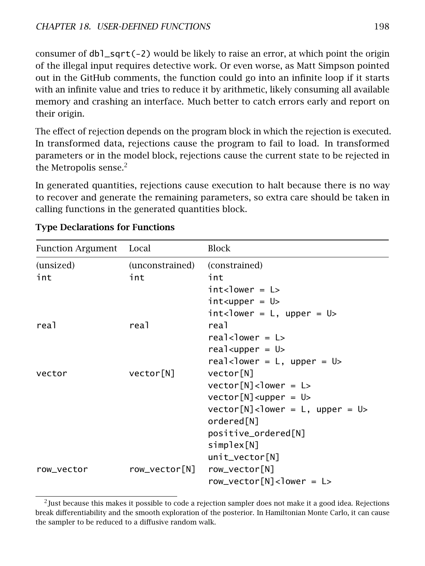consumer of dbl\_sqrt(-2) would be likely to raise an error, at which point the origin of the illegal input requires detective work. Or even worse, as Matt Simpson pointed out in the GitHub comments, the function could go into an infinite loop if it starts with an infinite value and tries to reduce it by arithmetic, likely consuming all available memory and crashing an interface. Much better to catch errors early and report on their origin.

The effect of rejection depends on the program block in which the rejection is executed. In transformed data, rejections cause the program to fail to load. In transformed parameters or in the model block, rejections cause the current state to be rejected in the Metropolis sense.<sup>[2](#page-204-0)</sup>

In generated quantities, rejections cause execution to halt because there is no way to recover and generate the remaining parameters, so extra care should be taken in calling functions in the generated quantities block.

| Function Argument Local |                 | Block                                                           |
|-------------------------|-----------------|-----------------------------------------------------------------|
| (unsized)               | (unconstrained) | (constrained)                                                   |
| int                     | int             | int                                                             |
|                         |                 | $int <$ lower = $L >$                                           |
|                         |                 | $int upper = U$                                                 |
|                         |                 | $int <$ lower = L, upper = U>                                   |
| real                    | rea1            | real                                                            |
|                         |                 | real <lower <math="" =="">L&gt;</lower>                         |
|                         |                 | $realsupper = U$                                                |
|                         |                 | real <lower <math="" =="">L, upper = <math>U</math>&gt;</lower> |
| vector                  | vector[N]       | vector[N]                                                       |
|                         |                 | $vector[N] < lower = L$                                         |
|                         |                 | $vector[N] < upper = U$                                         |
|                         |                 | $vector[N] <$ lower = L, upper = U>                             |
|                         |                 | ordered[N]                                                      |
|                         |                 | positive_ordered[N]                                             |
|                         |                 | simplex[N]                                                      |
|                         |                 | $unit\_vector[N]$                                               |
| row vector              | row_vector[N]   | row_vector[N]                                                   |
|                         |                 | $row\_vector[N]$                                                |

#### Type Declarations for Functions

<span id="page-204-0"></span><sup>2</sup> Just because this makes it possible to code a rejection sampler does not make it a good idea. Rejections break differentiability and the smooth exploration of the posterior. In Hamiltonian Monte Carlo, it can cause the sampler to be reduced to a diffusive random walk.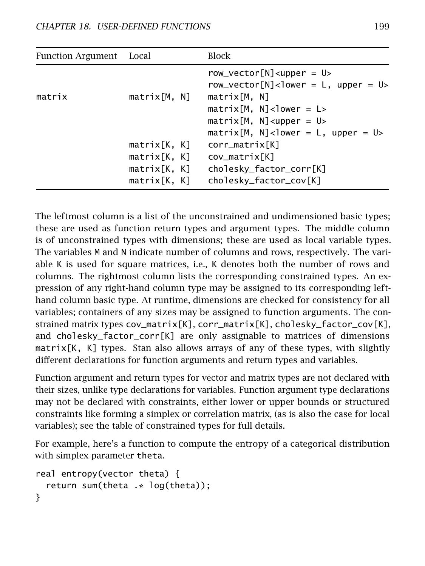| Function Argument Local |                                                              | Block                                                                                                                                                                                                                                                                                    |
|-------------------------|--------------------------------------------------------------|------------------------------------------------------------------------------------------------------------------------------------------------------------------------------------------------------------------------------------------------------------------------------------------|
| matrix                  | matrix[M, N]                                                 | $row\_vector[N] < upper = U$<br>row_vector[N] <lower <math="" =="">L, upper = <math>U</math>&gt;<br/>matrix[M, N]<br/><math>matrix[M, N]</math> &lt; lower = L&gt;<br/><math>matrix[M, N] &lt; upper = U&gt;</math><br/><math>matrix[M, N]</math> &lt; lower = L, upper = U &gt;</lower> |
|                         | matrix[K, K]<br>matrix[K, K]<br>matrix[K, K]<br>matrix[K, K] | corr_matrix[K]<br>cov_matrix[K]<br>cholesky_factor_corr[K]<br>cholesky_factor_cov[K]                                                                                                                                                                                                     |

The leftmost column is a list of the unconstrained and undimensioned basic types; these are used as function return types and argument types. The middle column is of unconstrained types with dimensions; these are used as local variable types. The variables M and N indicate number of columns and rows, respectively. The variable K is used for square matrices, i.e., K denotes both the number of rows and columns. The rightmost column lists the corresponding constrained types. An expression of any right-hand column type may be assigned to its corresponding lefthand column basic type. At runtime, dimensions are checked for consistency for all variables; containers of any sizes may be assigned to function arguments. The constrained matrix types cov\_matrix[K], corr\_matrix[K], cholesky\_factor\_cov[K], and cholesky\_factor\_corr[K] are only assignable to matrices of dimensions matrix[K, K] types. Stan also allows arrays of any of these types, with slightly different declarations for function arguments and return types and variables.

Function argument and return types for vector and matrix types are not declared with their sizes, unlike type declarations for variables. Function argument type declarations may not be declared with constraints, either lower or upper bounds or structured constraints like forming a simplex or correlation matrix, (as is also the case for local variables); see the table of constrained types for full details.

For example, here's a function to compute the entropy of a categorical distribution with simplex parameter theta.

```
real entropy(vector theta) {
  return sum(theta .* log(theta));
}
```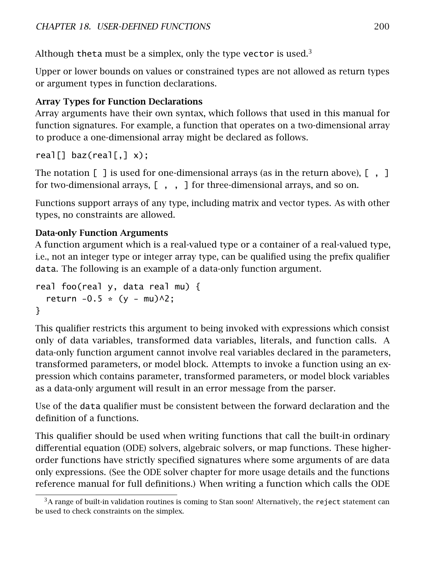Although theta must be a simplex, only the type vector is used.<sup>[3](#page-206-0)</sup>

Upper or lower bounds on values or constrained types are not allowed as return types or argument types in function declarations.

#### Array Types for Function Declarations

Array arguments have their own syntax, which follows that used in this manual for function signatures. For example, a function that operates on a two-dimensional array to produce a one-dimensional array might be declared as follows.

real $[]$  baz(real $[, ] x$ );

The notation  $\begin{bmatrix} 1 \end{bmatrix}$  is used for one-dimensional arrays (as in the return above),  $\begin{bmatrix} 1 \end{bmatrix}$ for two-dimensional arrays,  $[ , , ]$  for three-dimensional arrays, and so on.

Functions support arrays of any type, including matrix and vector types. As with other types, no constraints are allowed.

#### Data-only Function Arguments

A function argument which is a real-valued type or a container of a real-valued type, i.e., not an integer type or integer array type, can be qualified using the prefix qualifier data. The following is an example of a data-only function argument.

```
real foo(real y, data real mu) {
  return -0.5 * (y - mu)<sup>2</sup>;
}
```
This qualifier restricts this argument to being invoked with expressions which consist only of data variables, transformed data variables, literals, and function calls. A data-only function argument cannot involve real variables declared in the parameters, transformed parameters, or model block. Attempts to invoke a function using an expression which contains parameter, transformed parameters, or model block variables as a data-only argument will result in an error message from the parser.

Use of the data qualifier must be consistent between the forward declaration and the definition of a functions.

This qualifier should be used when writing functions that call the built-in ordinary differential equation (ODE) solvers, algebraic solvers, or map functions. These higherorder functions have strictly specified signatures where some arguments of are data only expressions. (See the [ODE solver chapter](#page-165-0) for more usage details and the functions reference manual for full definitions.) When writing a function which calls the ODE

<span id="page-206-0"></span> $3A$  range of built-in validation routines is coming to Stan soon! Alternatively, the reject statement can be used to check constraints on the simplex.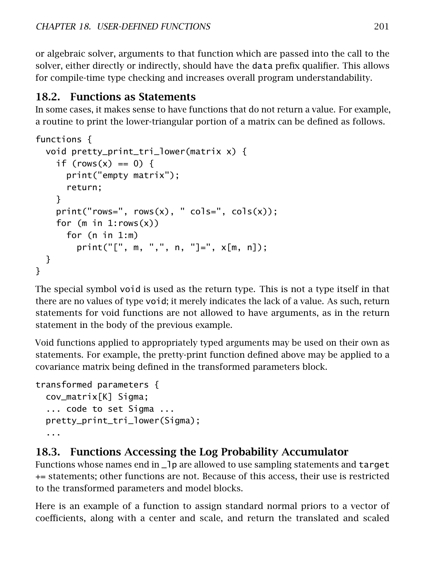or algebraic solver, arguments to that function which are passed into the call to the solver, either directly or indirectly, should have the data prefix qualifier. This allows for compile-time type checking and increases overall program understandability.

## 18.2. Functions as Statements

In some cases, it makes sense to have functions that do not return a value. For example, a routine to print the lower-triangular portion of a matrix can be defined as follows.

```
functions {
  void pretty_print_tri_lower(matrix x) {
    if (\text{rows}(x) == 0) {
      print("empty matrix");
      return;
    }
    print("rows=", rows(x), "cols=", cols(x));for (m in 1:rows(x))
      for (n \text{ in } 1:m)print("[", m, ",", n, "]=", x[m, n]);
  }
}
```
The special symbol void is used as the return type. This is not a type itself in that there are no values of type void; it merely indicates the lack of a value. As such, return statements for void functions are not allowed to have arguments, as in the return statement in the body of the previous example.

Void functions applied to appropriately typed arguments may be used on their own as statements. For example, the pretty-print function defined above may be applied to a covariance matrix being defined in the transformed parameters block.

```
transformed parameters {
 cov_matrix[K] Sigma;
  ... code to set Sigma ...
 pretty_print_tri_lower(Sigma);
  ...
```
## 18.3. Functions Accessing the Log Probability Accumulator

Functions whose names end in 1 p are allowed to use sampling statements and target += statements; other functions are not. Because of this access, their use is restricted to the transformed parameters and model blocks.

Here is an example of a function to assign standard normal priors to a vector of coefficients, along with a center and scale, and return the translated and scaled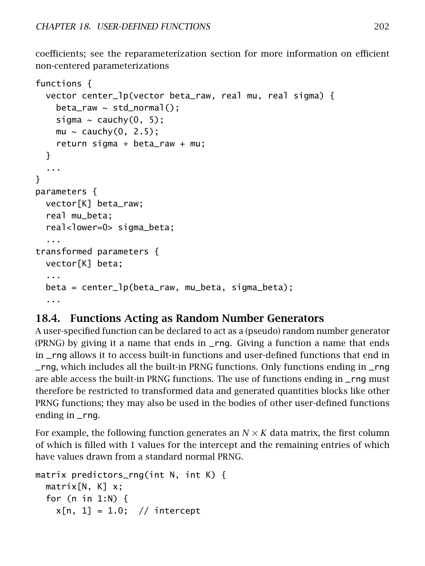coefficients; see the [reparameterization section](#page-251-0) for more information on efficient non-centered parameterizations

```
functions {
  vector center_lp(vector beta_raw, real mu, real sigma) {
    beta_{rx} \sim std_{normal}();
    sigma \sim cauchy(0, 5);
    mu \sim cauchy(0, 2.5);
    return sigma * beta_raw + mu;
  }
  ...
}
parameters {
  vector[K] beta_raw;
  real mu_beta;
  real<lower=0> sigma_beta;
  ...
transformed parameters {
  vector[K] beta;
  ...
  beta = center_lp(beta_raw, mu_beta, sigma_beta);
  ...
```
## 18.4. Functions Acting as Random Number Generators

A user-specified function can be declared to act as a (pseudo) random number generator (PRNG) by giving it a name that ends in \_rng. Giving a function a name that ends in \_rng allows it to access built-in functions and user-defined functions that end in \_rng, which includes all the built-in PRNG functions. Only functions ending in \_rng are able access the built-in PRNG functions. The use of functions ending in \_rng must therefore be restricted to transformed data and generated quantities blocks like other PRNG functions; they may also be used in the bodies of other user-defined functions ending in \_rng.

For example, the following function generates an  $N \times K$  data matrix, the first column of which is filled with 1 values for the intercept and the remaining entries of which have values drawn from a standard normal PRNG.

```
matrix predictors_rng(int N, int K) {
 matrix[N, K] x;for (n in 1:N) {
   x[n, 1] = 1.0; // intercept
```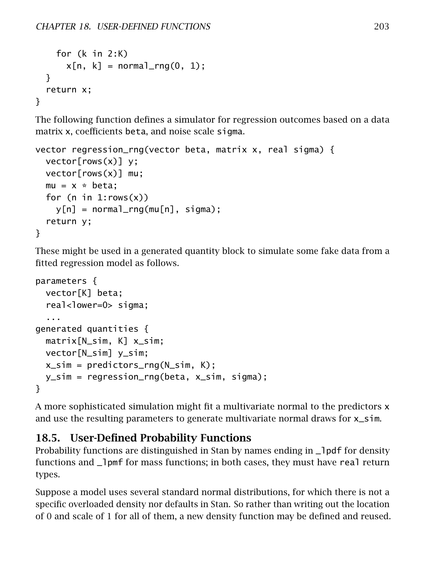```
for (k in 2:K)
      x[n, k] = normal_rnq(0, 1);}
 return x;
}
```
The following function defines a simulator for regression outcomes based on a data matrix x, coefficients beta, and noise scale sigma.

```
vector regression_rng(vector beta, matrix x, real sigma) {
 vector[rows(x)] y;
 vector[rows(x)] mu;
 mu = x * beta;for (n in 1:rows(x))
   y[n] = normal_rnq(mu[n], sigma);return y;
}
```
These might be used in a generated quantity block to simulate some fake data from a fitted regression model as follows.

```
parameters {
 vector[K] beta;
  real<lower=0> sigma;
  ...
generated quantities {
 matrix[N_sim, K] x_sim;
 vector[N_sim] y_sim;
 x_sim = predictors_rng(N_sim, K);
 y_sim = regression_rng(beta, x_sim, sigma);
}
```
A more sophisticated simulation might fit a multivariate normal to the predictors x and use the resulting parameters to generate multivariate normal draws for  $x$ \_sim.

## 18.5. User-Defined Probability Functions

Probability functions are distinguished in Stan by names ending in  $\Box$  pdf for density functions and  $\Box$ ] pmf for mass functions; in both cases, they must have real return types.

Suppose a model uses several standard normal distributions, for which there is not a specific overloaded density nor defaults in Stan. So rather than writing out the location of 0 and scale of 1 for all of them, a new density function may be defined and reused.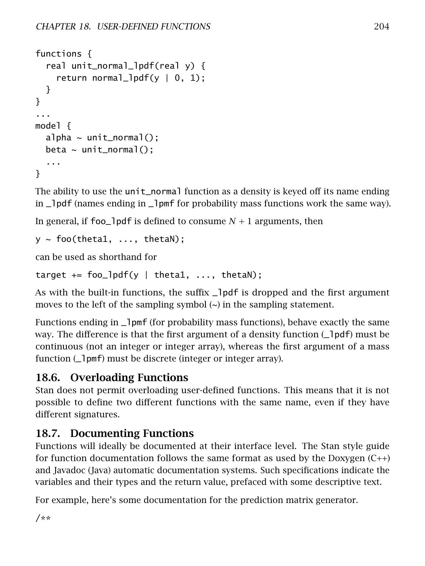```
functions {
  real unit_normal_lpdf(real y) {
    return normal_lpdf(y \vert 0, 1);
  }
}
...
model {
  alpha \sim unit_normal();
  beta \sim unit_normal();
  ...
}
```
The ability to use the unit\_normal function as a density is keyed off its name ending in \_lpdf (names ending in \_lpmf for probability mass functions work the same way).

In general, if foo\_lpdf is defined to consume  $N + 1$  arguments, then

```
y ~ foo(theta1, ..., thetaN);
```
can be used as shorthand for

```
target += foo_lpdf(y | theta1, ..., thetaN);
```
As with the built-in functions, the suffix  $\Box$  pdf is dropped and the first argument moves to the left of the sampling symbol  $\sim$ ) in the sampling statement.

Functions ending in  $\Box$  pmf (for probability mass functions), behave exactly the same way. The difference is that the first argument of a density function (1 of f) must be continuous (not an integer or integer array), whereas the first argument of a mass function ( $\Box$ pmf) must be discrete (integer or integer array).

## 18.6. Overloading Functions

Stan does not permit overloading user-defined functions. This means that it is not possible to define two different functions with the same name, even if they have different signatures.

## 18.7. Documenting Functions

Functions will ideally be documented at their interface level. The Stan style guide for function documentation follows the same format as used by the Doxygen  $(C++)$ and Javadoc (Java) automatic documentation systems. Such specifications indicate the variables and their types and the return value, prefaced with some descriptive text.

For example, here's some documentation for the prediction matrix generator.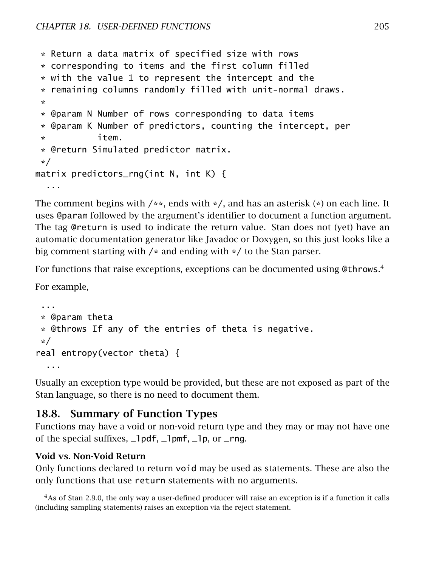```
* Return a data matrix of specified size with rows
 * corresponding to items and the first column filled
 * with the value 1 to represent the intercept and the
 * remaining columns randomly filled with unit-normal draws.
 *
 * @param N Number of rows corresponding to data items
 * @param K Number of predictors, counting the intercept, per
 * item.
 * @return Simulated predictor matrix.
 */
matrix predictors_rng(int N, int K) {
  ...
```
The comment begins with  $/**$ , ends with  $*/$ , and has an asterisk  $(*)$  on each line. It uses @param followed by the argument's identifier to document a function argument. The tag @return is used to indicate the return value. Stan does not (yet) have an automatic documentation generator like Javadoc or Doxygen, so this just looks like a big comment starting with /\* and ending with \*/ to the Stan parser.

For functions that raise exceptions, exceptions can be documented using @throws.<sup>[4](#page-211-0)</sup>

For example,

```
...
 * @param theta
 * @throws If any of the entries of theta is negative.
 */
real entropy(vector theta) {
  ...
```
Usually an exception type would be provided, but these are not exposed as part of the Stan language, so there is no need to document them.

### 18.8. Summary of Function Types

Functions may have a void or non-void return type and they may or may not have one of the special suffixes,  $\Box$  pdf,  $\Box$  pmf,  $\Box$  p, or  $\Box$  rng.

#### Void vs. Non-Void Return

Only functions declared to return void may be used as statements. These are also the only functions that use return statements with no arguments.

<span id="page-211-0"></span><sup>&</sup>lt;sup>4</sup>As of Stan 2.9.0, the only way a user-defined producer will raise an exception is if a function it calls (including sampling statements) raises an exception via the reject statement.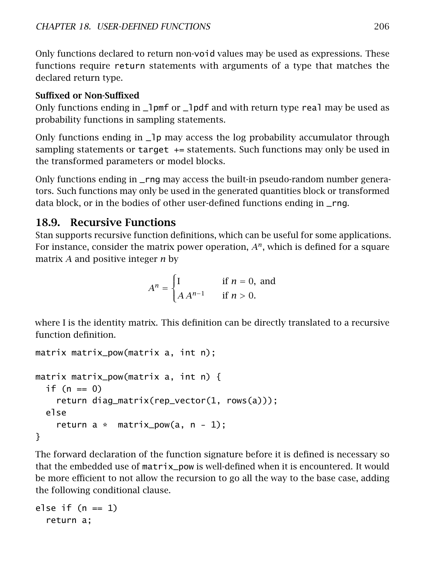Only functions declared to return non-void values may be used as expressions. These functions require return statements with arguments of a type that matches the declared return type.

#### Suffixed or Non-Suffixed

Only functions ending in  $\Box$  pmf or  $\Box$  pdf and with return type real may be used as probability functions in sampling statements.

Only functions ending in \_lp may access the log probability accumulator through sampling statements or  $target$  += statements. Such functions may only be used in the transformed parameters or model blocks.

Only functions ending in \_rng may access the built-in pseudo-random number generators. Such functions may only be used in the generated quantities block or transformed data block, or in the bodies of other user-defined functions ending in \_rng.

## 18.9. Recursive Functions

Stan supports recursive function definitions, which can be useful for some applications. For instance, consider the matrix power operation, *A<sup>n</sup>* , which is defined for a square matrix *A* and positive integer *n* by

$$
A^n = \begin{cases} I & \text{if } n = 0, \text{ and} \\ A A^{n-1} & \text{if } n > 0. \end{cases}
$$

where I is the identity matrix. This definition can be directly translated to a recursive function definition.

```
matrix matrix_pow(matrix a, int n);
matrix matrix_pow(matrix a, int n) {
 if (n == 0)return diag_matrix(rep_vector(1, rows(a)));
 else
    return a * matrix_pow(a, n - 1);
}
```
The forward declaration of the function signature before it is defined is necessary so that the embedded use of matrix\_pow is well-defined when it is encountered. It would be more efficient to not allow the recursion to go all the way to the base case, adding the following conditional clause.

```
else if (n == 1)return a;
```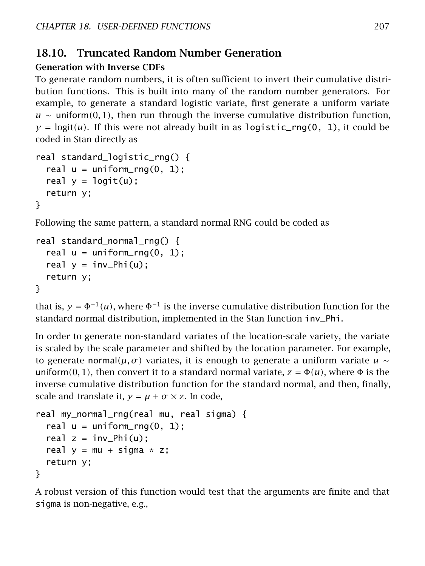## 18.10. Truncated Random Number Generation

### Generation with Inverse CDFs

To generate random numbers, it is often sufficient to invert their cumulative distribution functions. This is built into many of the random number generators. For example, to generate a standard logistic variate, first generate a uniform variate  $u \sim$  uniform $(0, 1)$ , then run through the inverse cumulative distribution function,  $y = logit(u)$ . If this were not already built in as logistic\_rng(0, 1), it could be coded in Stan directly as

```
real standard_logistic_rng() {
  real u = uniform\_rng(0, 1);real y = \text{logit}(u);
  return y;
}
```
Following the same pattern, a standard normal RNG could be coded as

```
real standard_normal_rng() {
  real u = uniform_{ring}(0, 1);real y = inv_Phi(u);
 return y;
}
```
that is,  $y = \Phi^{-1}(u)$ , where  $\Phi^{-1}$  is the inverse cumulative distribution function for the standard normal distribution, implemented in the Stan function inv\_Phi.

In order to generate non-standard variates of the location-scale variety, the variate is scaled by the scale parameter and shifted by the location parameter. For example, to generate normal( $\mu$ , *σ*) variates, it is enough to generate a uniform variate  $u \sim$ uniform $(0, 1)$ , then convert it to a standard normal variate,  $z = \Phi(u)$ , where  $\Phi$  is the inverse cumulative distribution function for the standard normal, and then, finally, scale and translate it,  $y = \mu + \sigma \times z$ . In code,

```
real my_normal_rng(real mu, real sigma) {
  real u = uniform\_rng(0, 1);
  real z = inv_Phi(u);
  real y = mu + sigma * z;
  return y;
}
```
A robust version of this function would test that the arguments are finite and that sigma is non-negative, e.g.,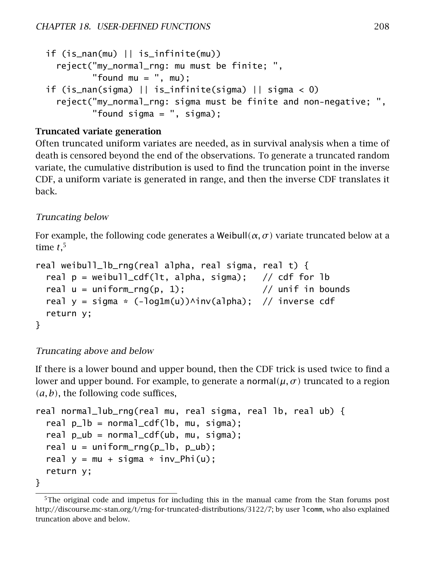```
if (is_nan(mu) || is_infinite(mu))
  reject("my_normal_rng: mu must be finite; ",
         "found mu = ", mu);
if (is_nan(sigma) || is_infinite(sigma) || sigma < 0)
  reject("my_normal_rng: sigma must be finite and non-negative; ",
         "found sigma = ", sigma);
```
#### Truncated variate generation

Often truncated uniform variates are needed, as in survival analysis when a time of death is censored beyond the end of the observations. To generate a truncated random variate, the cumulative distribution is used to find the truncation point in the inverse CDF, a uniform variate is generated in range, and then the inverse CDF translates it back.

#### Truncating below

For example, the following code generates a Weibull $(\alpha, \sigma)$  variate truncated below at a time *t*, [5](#page-214-0)

```
real weibull_lb_rng(real alpha, real sigma, real t) {
 real p = weibull_cdf(lt, alpha, sigma); // cdf for lb
 real u = uniform_rng(p, 1); // unif in bounds
 real y = sigma * (-log1m(u))^inv(alpha); // inverse cdf
 return y;
}
```
#### Truncating above and below

If there is a lower bound and upper bound, then the CDF trick is used twice to find a lower and upper bound. For example, to generate a normal $(\mu, \sigma)$  truncated to a region *(a, b)*, the following code suffices,

```
real normal_lub_rng(real mu, real sigma, real lb, real ub) {
  real p_l = normal_cdf(lb, mu, sigma);
  real p_{ub} = normal_cdf(ub, mu, sigma);
  real u = uniform_rng(p_1b, p_1ab);
  real y = mu + sigma * inv_Phi(u);
  return y;
}
```
<span id="page-214-0"></span><sup>&</sup>lt;sup>5</sup>The original code and impetus for including this in the manual came from the Stan forums post [http://discourse.mc-stan.org/t/rng-for-truncated-distributions/3122/7;](http://discourse.mc-stan.org/t/rng-for-truncated-distributions/3122/7) by user lcomm, who also explained truncation above and below.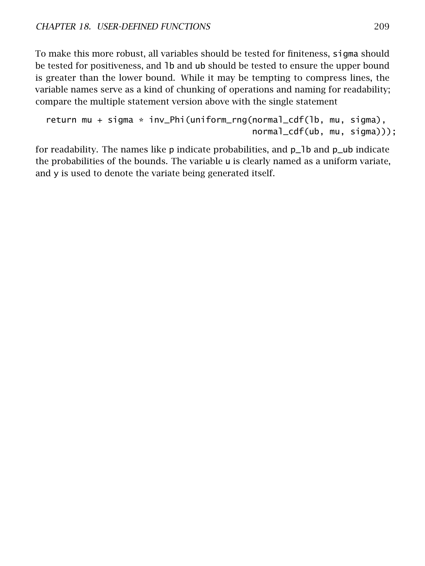To make this more robust, all variables should be tested for finiteness, sigma should be tested for positiveness, and lb and ub should be tested to ensure the upper bound is greater than the lower bound. While it may be tempting to compress lines, the variable names serve as a kind of chunking of operations and naming for readability; compare the multiple statement version above with the single statement

```
return mu + sigma * inv_Phi(uniform_rng(normal_cdf(lb, mu, sigma),
                                        normal_cdf(ub, mu, sigma)));
```
for readability. The names like  $p$  indicate probabilities, and  $p_1$  and  $p_2$  ub indicate the probabilities of the bounds. The variable u is clearly named as a uniform variate, and y is used to denote the variate being generated itself.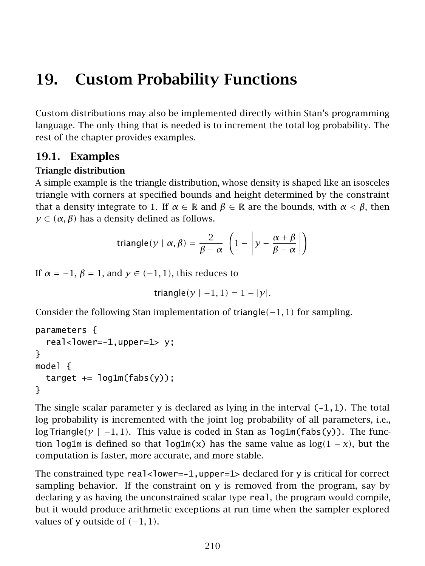# 19. Custom Probability Functions

Custom distributions may also be implemented directly within Stan's programming language. The only thing that is needed is to increment the total log probability. The rest of the chapter provides examples.

# 19.1. Examples

## Triangle distribution

A simple example is the triangle distribution, whose density is shaped like an isosceles triangle with corners at specified bounds and height determined by the constraint that a density integrate to 1. If  $\alpha \in \mathbb{R}$  and  $\beta \in \mathbb{R}$  are the bounds, with  $\alpha < \beta$ , then  $y \in (\alpha, \beta)$  has a density defined as follows.

triangle
$$
(y | \alpha, \beta) = \frac{2}{\beta - \alpha} \left( 1 - \left| y - \frac{\alpha + \beta}{\beta - \alpha} \right| \right)
$$

If  $\alpha = -1$ ,  $\beta = 1$ , and  $\gamma \in (-1, 1)$ , this reduces to

 $triangle(y \mid -1, 1) = 1 - |y|$ .

Consider the following Stan implementation of triangle*(*−1*,* 1*)* for sampling.

```
parameters {
  real <lower=-1,upper=1> y;
}
model {
  target += log1m(fabs(y));
}
```
The single scalar parameter y is declared as lying in the interval  $(-1,1)$ . The total log probability is incremented with the joint log probability of all parameters, i.e., log Triangle*(y* | −1*,* 1*)*. This value is coded in Stan as log1m(fabs(y)). The function log1m is defined so that log1m(x) has the same value as  $log(1 - x)$ , but the computation is faster, more accurate, and more stable.

The constrained type  $real$ <lower=-1,upper=1> declared for y is critical for correct sampling behavior. If the constraint on y is removed from the program, say by declaring y as having the unconstrained scalar type real, the program would compile, but it would produce arithmetic exceptions at run time when the sampler explored values of y outside of *(*−1*,* 1*)*.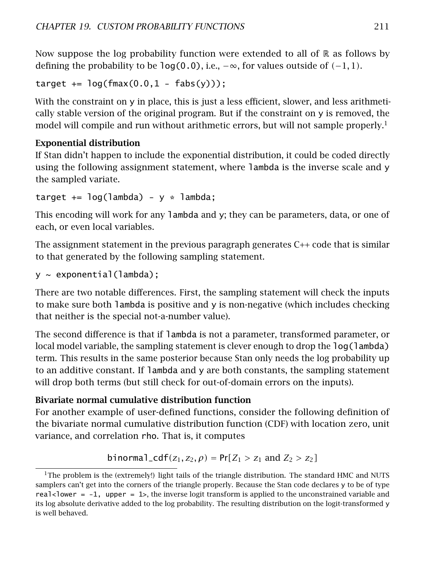Now suppose the log probability function were extended to all of  $\mathbb R$  as follows by defining the probability to be  $log(0.0)$ , i.e.,  $-\infty$ , for values outside of  $(-1, 1)$ .

```
target += \log(\text{fmax}(0.0, 1 - \text{fabs}(y)));
```
With the constraint on y in place, this is just a less efficient, slower, and less arithmetically stable version of the original program. But if the constraint on y is removed, the model will compile and run without arithmetic errors, but will not sample properly.<sup>[1](#page-217-0)</sup>

# Exponential distribution

If Stan didn't happen to include the exponential distribution, it could be coded directly using the following assignment statement, where lambda is the inverse scale and y the sampled variate.

target  $+= \log(\text{lambda}) - y * \text{lambda}$ ;

This encoding will work for any lambda and y; they can be parameters, data, or one of each, or even local variables.

The assignment statement in the previous paragraph generates  $C_{++}$  code that is similar to that generated by the following sampling statement.

y ~ exponential(lambda);

There are two notable differences. First, the sampling statement will check the inputs to make sure both lambda is positive and  $y$  is non-negative (which includes checking that neither is the special not-a-number value).

The second difference is that if lambda is not a parameter, transformed parameter, or local model variable, the sampling statement is clever enough to drop the log(lambda) term. This results in the same posterior because Stan only needs the log probability up to an additive constant. If lambda and y are both constants, the sampling statement will drop both terms (but still check for out-of-domain errors on the inputs).

# Bivariate normal cumulative distribution function

For another example of user-defined functions, consider the following definition of the bivariate normal cumulative distribution function (CDF) with location zero, unit variance, and correlation rho. That is, it computes

```
binormal_{1} \text{cdf}(z_{1}, z_{2}, \rho) = \Pr[Z_{1} > z_{1} \text{ and } Z_{2} > z_{2}]
```
<span id="page-217-0"></span><sup>&</sup>lt;sup>1</sup>The problem is the (extremely!) light tails of the triangle distribution. The standard HMC and NUTS samplers can't get into the corners of the triangle properly. Because the Stan code declares y to be of type real<lower =  $-1$ , upper =  $1$ , the inverse logit transform is applied to the unconstrained variable and its log absolute derivative added to the log probability. The resulting distribution on the logit-transformed y is well behaved.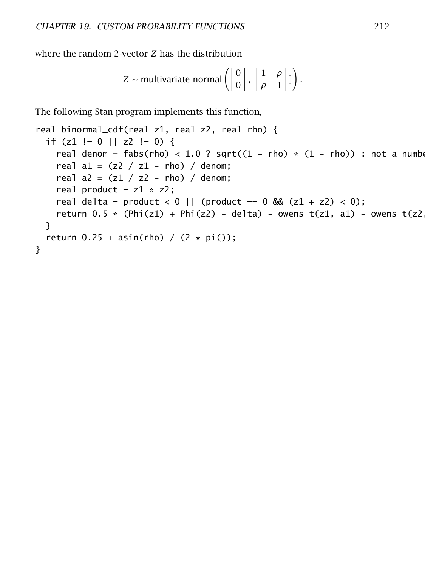where the random 2-vector *Z* has the distribution

$$
Z \sim \text{multivariate normal}\left(\begin{bmatrix}0\\0\end{bmatrix}, \begin{bmatrix}1 & \rho\\ \rho & 1\end{bmatrix}\begin{bmatrix}1\end{bmatrix}\right).
$$

The following Stan program implements this function,

```
real binormal_cdf(real z1, real z2, real rho) {
 if (z1 := 0 || z2 := 0) {
    real denom = fabs(rho) < 1.0 ? sqrt((1 + rho) * (1 - rho)) : not_a_number
    real a1 = (z2 / z1 - rho) / denom;real a2 = (z1 / z2 - rho) / denom;real product = z1 * z2;
    real delta = product < 0 || (product == 0 \& (z1 + z2) < 0);
    return 0.5 * (Phi(z1) + Phi(z2) - delta) - owens_t(z1, a1) - owens_t(z2)}
 return 0.25 + \text{asin}(\text{rho}) / (2 * \text{pi})).}
```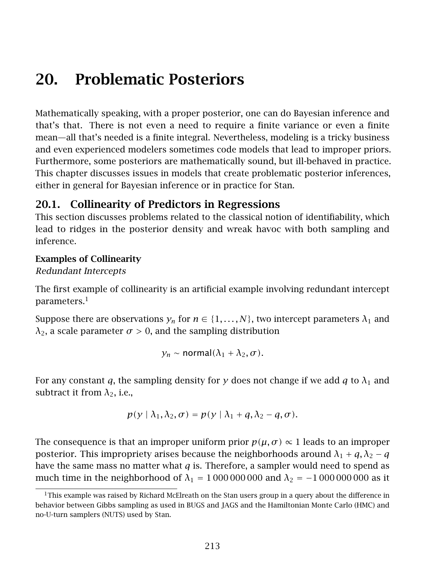# 20. Problematic Posteriors

Mathematically speaking, with a proper posterior, one can do Bayesian inference and that's that. There is not even a need to require a finite variance or even a finite mean—all that's needed is a finite integral. Nevertheless, modeling is a tricky business and even experienced modelers sometimes code models that lead to improper priors. Furthermore, some posteriors are mathematically sound, but ill-behaved in practice. This chapter discusses issues in models that create problematic posterior inferences, either in general for Bayesian inference or in practice for Stan.

# <span id="page-219-1"></span>20.1. Collinearity of Predictors in Regressions

This section discusses problems related to the classical notion of identifiability, which lead to ridges in the posterior density and wreak havoc with both sampling and inference.

## Examples of Collinearity

## Redundant Intercepts

The first example of collinearity is an artificial example involving redundant intercept parameters. $<sup>1</sup>$  $<sup>1</sup>$  $<sup>1</sup>$ </sup>

Suppose there are observations  $y_n$  for  $n \in \{1, \ldots, N\}$ , two intercept parameters  $\lambda_1$  and  $λ_2$ , a scale parameter  $σ > 0$ , and the sampling distribution

$$
y_n \sim \text{normal}(\lambda_1 + \lambda_2, \sigma).
$$

For any constant *q*, the sampling density for *y* does not change if we add *q* to  $\lambda_1$  and subtract it from  $\lambda_2$ , i.e.,

$$
p(y | \lambda_1, \lambda_2, \sigma) = p(y | \lambda_1 + q, \lambda_2 - q, \sigma).
$$

The consequence is that an improper uniform prior  $p(\mu, \sigma) \propto 1$  leads to an improper posterior. This impropriety arises because the neighborhoods around  $\lambda_1 + q$ ,  $\lambda_2 - q$ have the same mass no matter what *q* is. Therefore, a sampler would need to spend as much time in the neighborhood of  $\lambda_1 = 100000000$  and  $\lambda_2 = -1000000000$  as it

<span id="page-219-0"></span><sup>&</sup>lt;sup>1</sup>This example was raised by Richard McElreath on the Stan users group in a query about the difference in behavior between Gibbs sampling as used in BUGS and JAGS and the Hamiltonian Monte Carlo (HMC) and no-U-turn samplers (NUTS) used by Stan.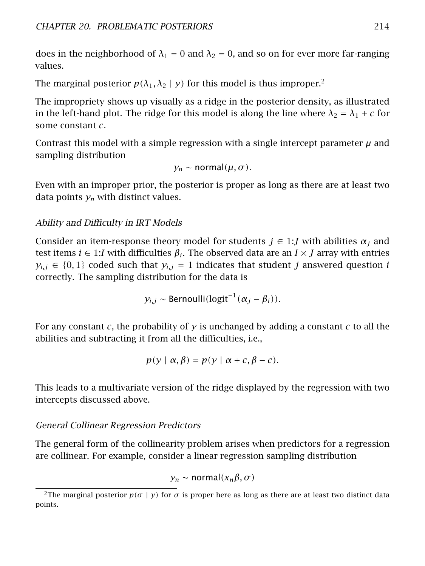does in the neighborhood of  $\lambda_1 = 0$  and  $\lambda_2 = 0$ , and so on for ever more far-ranging values.

The marginal posterior  $p(\lambda_1, \lambda_2 | y)$  $p(\lambda_1, \lambda_2 | y)$  $p(\lambda_1, \lambda_2 | y)$  for this model is thus improper.<sup>2</sup>

The impropriety shows up visually as a ridge in the posterior density, as illustrated in the left-hand plot. The ridge for this model is along the line where  $\lambda_2 = \lambda_1 + c$  for some constant *c*.

Contrast this model with a simple regression with a single intercept parameter  $\mu$  and sampling distribution

*y<sub>n</sub>* ~ normal $(\mu, \sigma)$ .

Even with an improper prior, the posterior is proper as long as there are at least two data points  $y_n$  with distinct values.

## Ability and Difficulty in IRT Models

Consider an item-response theory model for students  $j \in 1$ : *J* with abilities  $\alpha_j$  and test items *i* ∈ 1:*I* with difficulties *β<sup>i</sup>* . The observed data are an *I* × *J* array with entries  $y_{i,j} \in \{0,1\}$  coded such that  $y_{i,j} = 1$  indicates that student *j* answered question *i* correctly. The sampling distribution for the data is

 $y_{i,j} \sim$  Bernoulli $(\text{logit}^{-1}(\alpha_j - \beta_i)).$ 

For any constant *c*, the probability of *y* is unchanged by adding a constant *c* to all the abilities and subtracting it from all the difficulties, i.e.,

$$
p(y | \alpha, \beta) = p(y | \alpha + c, \beta - c).
$$

This leads to a multivariate version of the ridge displayed by the regression with two intercepts discussed above.

## General Collinear Regression Predictors

The general form of the collinearity problem arises when predictors for a regression are collinear. For example, consider a linear regression sampling distribution

*y<sup>n</sup>* ∼ normal*(xnβ, σ )*

<span id="page-220-0"></span><sup>&</sup>lt;sup>2</sup>The marginal posterior  $p(\sigma | y)$  for  $\sigma$  is proper here as long as there are at least two distinct data points.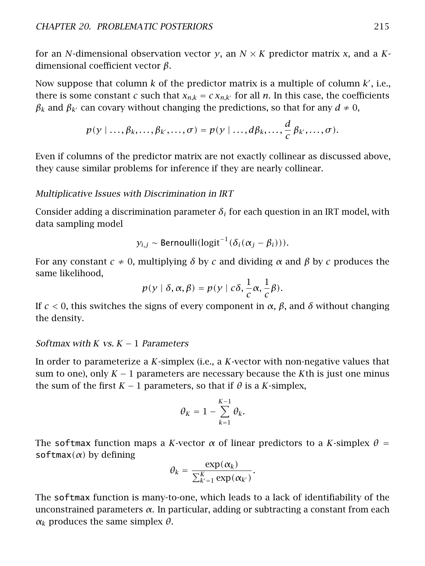for an *N*-dimensional observation vector *y*, an *N* × *K* predictor matrix *x*, and a *K*dimensional coefficient vector *β*.

Now suppose that column  $k$  of the predictor matrix is a multiple of column  $k'$ , i.e., there is some constant *c* such that  $x_{n,k} = c x_{n,k}$  for all *n*. In this case, the coefficients *β*<sup>*k*</sup> can covary without changing the predictions, so that for any  $d \neq 0$ ,

$$
p(y | ..., \beta_k, ..., \beta_{k'}, ..., \sigma) = p(y | ..., d\beta_k, ..., \frac{d}{c}\beta_{k'}, ..., \sigma).
$$

Even if columns of the predictor matrix are not exactly collinear as discussed above, they cause similar problems for inference if they are nearly collinear.

#### Multiplicative Issues with Discrimination in IRT

Consider adding a discrimination parameter  $\delta_i$  for each question in an IRT model, with data sampling model

$$
y_{i,j}
$$
 ~ Bernoulli(logit<sup>-1</sup>( $\delta_i(\alpha_j - \beta_i)$ )).

For any constant *c* ≠ 0, multiplying *δ* by *c* and dividing *α* and *β* by *c* produces the same likelihood,

$$
p(y | \delta, \alpha, \beta) = p(y | c\delta, \frac{1}{c}\alpha, \frac{1}{c}\beta).
$$

If *c <* 0, this switches the signs of every component in *α*, *β*, and *δ* without changing the density.

#### Softmax with *K* vs. *K* − 1 Parameters

In order to parameterize a *K*-simplex (i.e., a *K*-vector with non-negative values that sum to one), only *K* − 1 parameters are necessary because the *K*th is just one minus the sum of the first  $K - 1$  parameters, so that if  $\theta$  is a *K*-simplex,

$$
\theta_K = 1 - \sum_{k=1}^{K-1} \theta_k.
$$

The softmax function maps a *K*-vector  $\alpha$  of linear predictors to a *K*-simplex  $\theta$  = softmax*(α)* by defining

$$
\theta_k = \frac{\exp(\alpha_k)}{\sum_{k'=1}^K \exp(\alpha_{k'})}.
$$

The softmax function is many-to-one, which leads to a lack of identifiability of the unconstrained parameters *α*. In particular, adding or subtracting a constant from each *αk* produces the same simplex *θ*.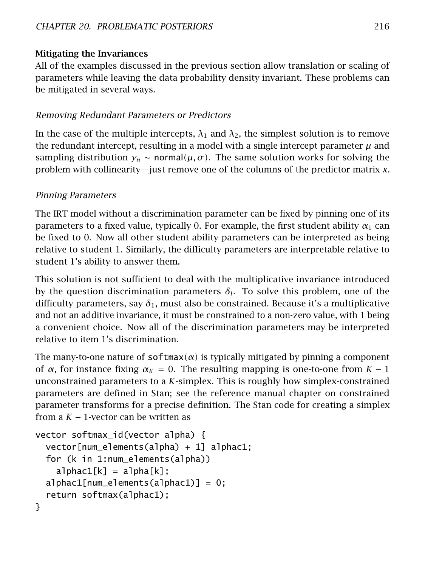## Mitigating the Invariances

All of the examples discussed in the previous section allow translation or scaling of parameters while leaving the data probability density invariant. These problems can be mitigated in several ways.

## Removing Redundant Parameters or Predictors

In the case of the multiple intercepts,  $\lambda_1$  and  $\lambda_2$ , the simplest solution is to remove the redundant intercept, resulting in a model with a single intercept parameter  $\mu$  and sampling distribution  $y_n \sim \text{normal}(\mu, \sigma)$ . The same solution works for solving the problem with collinearity—just remove one of the columns of the predictor matrix *x*.

## Pinning Parameters

The IRT model without a discrimination parameter can be fixed by pinning one of its parameters to a fixed value, typically 0. For example, the first student ability  $\alpha_1$  can be fixed to 0. Now all other student ability parameters can be interpreted as being relative to student 1. Similarly, the difficulty parameters are interpretable relative to student 1's ability to answer them.

This solution is not sufficient to deal with the multiplicative invariance introduced by the question discrimination parameters  $\delta_i$ . To solve this problem, one of the difficulty parameters, say  $\delta_1$ , must also be constrained. Because it's a multiplicative and not an additive invariance, it must be constrained to a non-zero value, with 1 being a convenient choice. Now all of the discrimination parameters may be interpreted relative to item 1's discrimination.

The many-to-one nature of  $softmax(\alpha)$  is typically mitigated by pinning a component of *α*, for instance fixing *α<sup>K</sup>* = 0. The resulting mapping is one-to-one from *K* − 1 unconstrained parameters to a *K*-simplex. This is roughly how simplex-constrained parameters are defined in Stan; see the reference manual chapter on constrained parameter transforms for a precise definition. The Stan code for creating a simplex from a  $K - 1$ -vector can be written as

```
vector softmax_id(vector alpha) {
  vector[num_elements(alpha) + 1] alphac1;
  for (k in 1:num_elements(alpha))
    alpha[<b>k</b>] = alpha[<b>k</b>];alphac1[num_elements(alphac1)] = 0;return softmax(alphac1);
}
```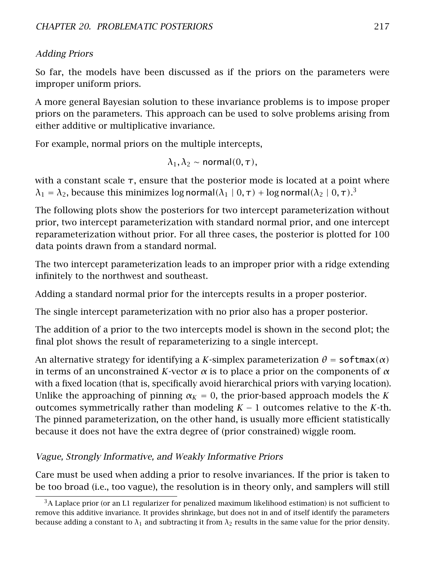## Adding Priors

So far, the models have been discussed as if the priors on the parameters were improper uniform priors.

A more general Bayesian solution to these invariance problems is to impose proper priors on the parameters. This approach can be used to solve problems arising from either additive or multiplicative invariance.

For example, normal priors on the multiple intercepts,

$$
\lambda_1, \lambda_2 \sim \text{normal}(0, \tau),
$$

with a constant scale  $\tau$ , ensure that the posterior mode is located at a point where  $λ_1 = λ_2$ , because this minimizes log normal( $λ_1 \mid 0, τ) + log$  normal( $λ_2 \mid 0, τ)$ .<sup>[3](#page-223-0)</sup>

The following plots show the posteriors for two intercept parameterization without prior, two intercept parameterization with standard normal prior, and one intercept reparameterization without prior. For all three cases, the posterior is plotted for 100 data points drawn from a standard normal.

The two intercept parameterization leads to an improper prior with a ridge extending infinitely to the northwest and southeast.

Adding a standard normal prior for the intercepts results in a proper posterior.

The single intercept parameterization with no prior also has a proper posterior.

The addition of a prior to the two intercepts model is shown in the second plot; the final plot shows the result of reparameterizing to a single intercept.

An alternative strategy for identifying a *K*-simplex parameterization  $\theta$  = softmax( $\alpha$ ) in terms of an unconstrained *K*-vector *α* is to place a prior on the components of *α* with a fixed location (that is, specifically avoid hierarchical priors with varying location). Unlike the approaching of pinning  $\alpha_K = 0$ , the prior-based approach models the K outcomes symmetrically rather than modeling  $K - 1$  outcomes relative to the  $K$ -th. The pinned parameterization, on the other hand, is usually more efficient statistically because it does not have the extra degree of (prior constrained) wiggle room.

# Vague, Strongly Informative, and Weakly Informative Priors

Care must be used when adding a prior to resolve invariances. If the prior is taken to be too broad (i.e., too vague), the resolution is in theory only, and samplers will still

<span id="page-223-0"></span> $3A$  Laplace prior (or an L1 regularizer for penalized maximum likelihood estimation) is not sufficient to remove this additive invariance. It provides shrinkage, but does not in and of itself identify the parameters because adding a constant to  $\lambda_1$  and subtracting it from  $\lambda_2$  results in the same value for the prior density.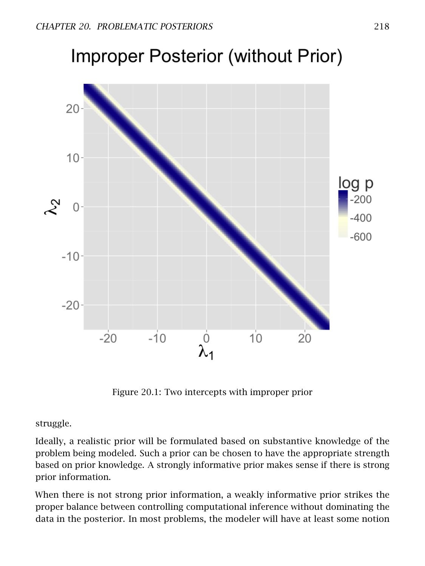# **Improper Posterior (without Prior)**



Figure 20.1: Two intercepts with improper prior

struggle.

Ideally, a realistic prior will be formulated based on substantive knowledge of the problem being modeled. Such a prior can be chosen to have the appropriate strength based on prior knowledge. A strongly informative prior makes sense if there is strong prior information.

When there is not strong prior information, a weakly informative prior strikes the proper balance between controlling computational inference without dominating the data in the posterior. In most problems, the modeler will have at least some notion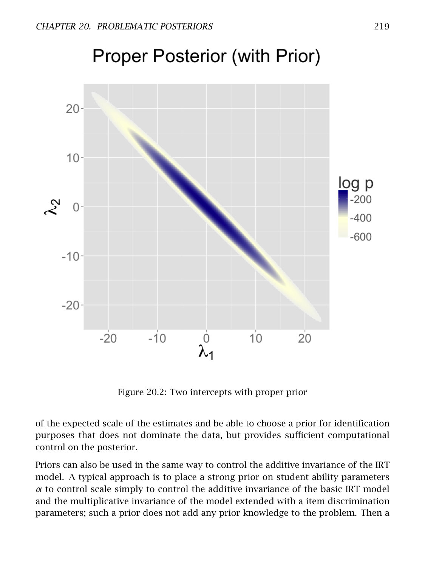

# **Proper Posterior (with Prior)**

Figure 20.2: Two intercepts with proper prior

of the expected scale of the estimates and be able to choose a prior for identification purposes that does not dominate the data, but provides sufficient computational control on the posterior.

Priors can also be used in the same way to control the additive invariance of the IRT model. A typical approach is to place a strong prior on student ability parameters *α* to control scale simply to control the additive invariance of the basic IRT model and the multiplicative invariance of the model extended with a item discrimination parameters; such a prior does not add any prior knowledge to the problem. Then a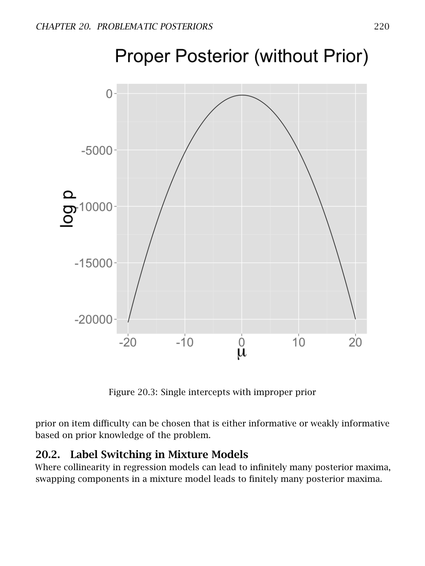

Figure 20.3: Single intercepts with improper prior

prior on item difficulty can be chosen that is either informative or weakly informative based on prior knowledge of the problem.

# 20.2. Label Switching in Mixture Models

Where collinearity in regression models can lead to infinitely many posterior maxima, swapping components in a mixture model leads to finitely many posterior maxima.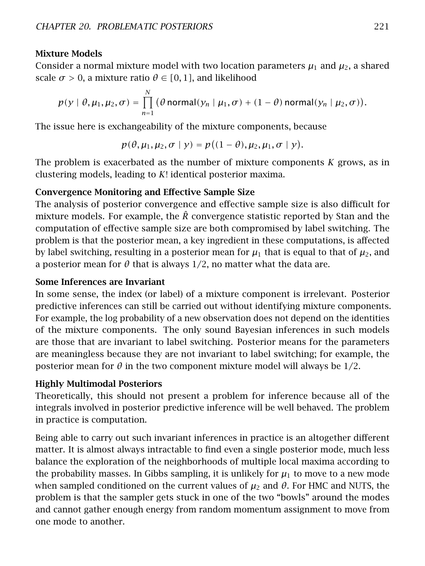#### Mixture Models

Consider a normal mixture model with two location parameters  $\mu_1$  and  $\mu_2$ , a shared scale  $\sigma > 0$ , a mixture ratio  $\theta \in [0, 1]$ , and likelihood

$$
p(y | \theta, \mu_1, \mu_2, \sigma) = \prod_{n=1}^N (\theta \text{ normal}(y_n | \mu_1, \sigma) + (1 - \theta) \text{ normal}(y_n | \mu_2, \sigma)).
$$

The issue here is exchangeability of the mixture components, because

$$
p(\theta, \mu_1, \mu_2, \sigma \mid y) = p((1-\theta), \mu_2, \mu_1, \sigma \mid y).
$$

The problem is exacerbated as the number of mixture components *K* grows, as in clustering models, leading to *K*! identical posterior maxima.

#### Convergence Monitoring and Effective Sample Size

The analysis of posterior convergence and effective sample size is also difficult for mixture models. For example, the *R*ˆ convergence statistic reported by Stan and the computation of effective sample size are both compromised by label switching. The problem is that the posterior mean, a key ingredient in these computations, is affected by label switching, resulting in a posterior mean for  $\mu_1$  that is equal to that of  $\mu_2$ , and a posterior mean for  $\theta$  that is always  $1/2$ , no matter what the data are.

#### Some Inferences are Invariant

In some sense, the index (or label) of a mixture component is irrelevant. Posterior predictive inferences can still be carried out without identifying mixture components. For example, the log probability of a new observation does not depend on the identities of the mixture components. The only sound Bayesian inferences in such models are those that are invariant to label switching. Posterior means for the parameters are meaningless because they are not invariant to label switching; for example, the posterior mean for  $\theta$  in the two component mixture model will always be  $1/2$ .

#### Highly Multimodal Posteriors

Theoretically, this should not present a problem for inference because all of the integrals involved in posterior predictive inference will be well behaved. The problem in practice is computation.

Being able to carry out such invariant inferences in practice is an altogether different matter. It is almost always intractable to find even a single posterior mode, much less balance the exploration of the neighborhoods of multiple local maxima according to the probability masses. In Gibbs sampling, it is unlikely for  $\mu_1$  to move to a new mode when sampled conditioned on the current values of  $\mu_2$  and  $\theta$ . For HMC and NUTS, the problem is that the sampler gets stuck in one of the two "bowls" around the modes and cannot gather enough energy from random momentum assignment to move from one mode to another.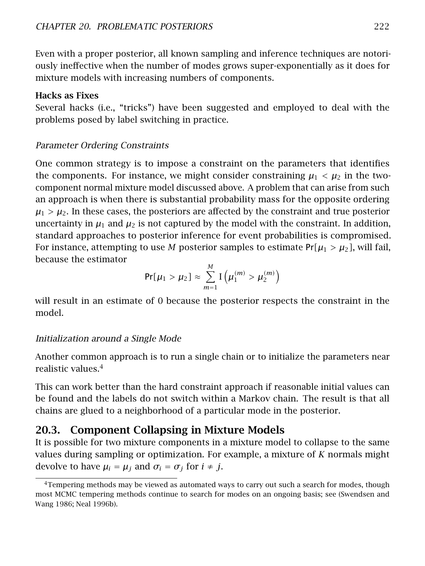Even with a proper posterior, all known sampling and inference techniques are notoriously ineffective when the number of modes grows super-exponentially as it does for mixture models with increasing numbers of components.

#### Hacks as Fixes

Several hacks (i.e., "tricks") have been suggested and employed to deal with the problems posed by label switching in practice.

## Parameter Ordering Constraints

One common strategy is to impose a constraint on the parameters that identifies the components. For instance, we might consider constraining  $\mu_1 < \mu_2$  in the twocomponent normal mixture model discussed above. A problem that can arise from such an approach is when there is substantial probability mass for the opposite ordering  $\mu_1 > \mu_2$ . In these cases, the posteriors are affected by the constraint and true posterior uncertainty in  $\mu_1$  and  $\mu_2$  is not captured by the model with the constraint. In addition, standard approaches to posterior inference for event probabilities is compromised. For instance, attempting to use M posterior samples to estimate  $Pr[\mu_1 > \mu_2]$ , will fail, because the estimator

$$
Pr[\mu_1 > \mu_2] \approx \sum_{m=1}^{M} I(\mu_1^{(m)} > \mu_2^{(m)})
$$

will result in an estimate of 0 because the posterior respects the constraint in the model.

# Initialization around a Single Mode

Another common approach is to run a single chain or to initialize the parameters near realistic values.[4](#page-228-0)

This can work better than the hard constraint approach if reasonable initial values can be found and the labels do not switch within a Markov chain. The result is that all chains are glued to a neighborhood of a particular mode in the posterior.

# 20.3. Component Collapsing in Mixture Models

It is possible for two mixture components in a mixture model to collapse to the same values during sampling or optimization. For example, a mixture of *K* normals might devolve to have  $\mu_i = \mu_j$  and  $\sigma_i = \sigma_j$  for  $i \neq j$ .

<span id="page-228-0"></span><sup>&</sup>lt;sup>4</sup>Tempering methods may be viewed as automated ways to carry out such a search for modes, though most MCMC tempering methods continue to search for modes on an ongoing basis; see (Swendsen and Wang [1986;](#page-306-0) Neal [1996b\)](#page-305-0).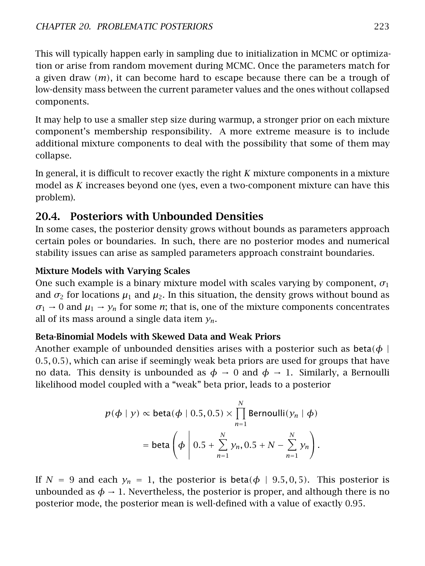This will typically happen early in sampling due to initialization in MCMC or optimization or arise from random movement during MCMC. Once the parameters match for a given draw *(m)*, it can become hard to escape because there can be a trough of low-density mass between the current parameter values and the ones without collapsed components.

It may help to use a smaller step size during warmup, a stronger prior on each mixture component's membership responsibility. A more extreme measure is to include additional mixture components to deal with the possibility that some of them may collapse.

In general, it is difficult to recover exactly the right *K* mixture components in a mixture model as *K* increases beyond one (yes, even a two-component mixture can have this problem).

# 20.4. Posteriors with Unbounded Densities

In some cases, the posterior density grows without bounds as parameters approach certain poles or boundaries. In such, there are no posterior modes and numerical stability issues can arise as sampled parameters approach constraint boundaries.

# Mixture Models with Varying Scales

One such example is a binary mixture model with scales varying by component,  $\sigma_1$ and  $\sigma_2$  for locations  $\mu_1$  and  $\mu_2$ . In this situation, the density grows without bound as  $\sigma_1 \rightarrow 0$  and  $\mu_1 \rightarrow \gamma_n$  for some *n*; that is, one of the mixture components concentrates all of its mass around a single data item *yn*.

# Beta-Binomial Models with Skewed Data and Weak Priors

Another example of unbounded densities arises with a posterior such as beta $\phi$  | 0*.*5*,* 0*.*5*)*, which can arise if seemingly weak beta priors are used for groups that have no data. This density is unbounded as  $\phi \to 0$  and  $\phi \to 1$ . Similarly, a Bernoulli likelihood model coupled with a "weak" beta prior, leads to a posterior

$$
p(\phi \mid y) \propto \text{beta}(\phi \mid 0.5, 0.5) \times \prod_{n=1}^{N} \text{Bernoulli}(y_n \mid \phi)
$$

$$
= \text{beta}\left(\phi \mid 0.5 + \sum_{n=1}^{N} y_n, 0.5 + N - \sum_{n=1}^{N} y_n\right).
$$

If  $N = 9$  and each  $y_n = 1$ , the posterior is beta $(\phi \mid 9.5, 0.5)$ . This posterior is unbounded as  $\phi \rightarrow 1$ . Nevertheless, the posterior is proper, and although there is no posterior mode, the posterior mean is well-defined with a value of exactly 0.95.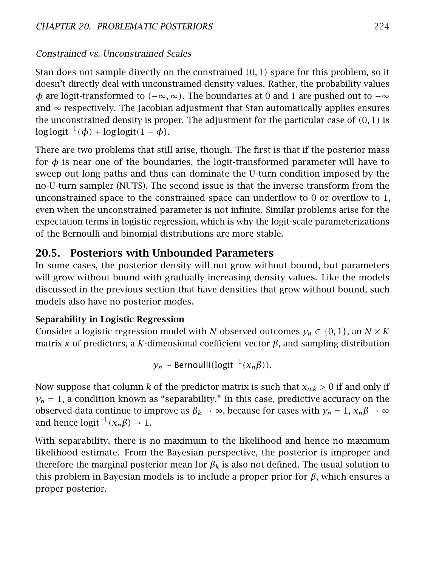# Constrained vs. Unconstrained Scales

Stan does not sample directly on the constrained *(*0*,* 1*)* space for this problem, so it doesn't directly deal with unconstrained density values. Rather, the probability values *φ* are logit-transformed to *(*−∞*,* ∞*)*. The boundaries at 0 and 1 are pushed out to −∞ and  $\infty$  respectively. The Jacobian adjustment that Stan automatically applies ensures the unconstrained density is proper. The adjustment for the particular case of *(*0*,* 1*)* is log logit−<sup>1</sup> *(φ)* + log logit*(*1 − *φ)*.

There are two problems that still arise, though. The first is that if the posterior mass for  $\phi$  is near one of the boundaries, the logit-transformed parameter will have to sweep out long paths and thus can dominate the U-turn condition imposed by the no-U-turn sampler (NUTS). The second issue is that the inverse transform from the unconstrained space to the constrained space can underflow to 0 or overflow to 1, even when the unconstrained parameter is not infinite. Similar problems arise for the expectation terms in logistic regression, which is why the logit-scale parameterizations of the Bernoulli and binomial distributions are more stable.

# 20.5. Posteriors with Unbounded Parameters

In some cases, the posterior density will not grow without bound, but parameters will grow without bound with gradually increasing density values. Like the models discussed in the previous section that have densities that grow without bound, such models also have no posterior modes.

## Separability in Logistic Regression

Consider a logistic regression model with *N* observed outcomes  $y_n \in \{0,1\}$ , an  $N \times K$ matrix *x* of predictors, a *K*-dimensional coefficient vector  $β$ , and sampling distribution

$$
y_n \sim \text{Bernoulli}(\text{logit}^{-1}(x_n \beta)).
$$

Now suppose that column *k* of the predictor matrix is such that *xn,k >* 0 if and only if  $y_n = 1$ , a condition known as "separability." In this case, predictive accuracy on the observed data continue to improve as  $\beta_k \to \infty$ , because for cases with  $y_n = 1$ ,  $x_n \beta \to \infty$ and hence  $logit^{-1}(x_n\beta) \rightarrow 1$ .

With separability, there is no maximum to the likelihood and hence no maximum likelihood estimate. From the Bayesian perspective, the posterior is improper and therefore the marginal posterior mean for  $\beta_k$  is also not defined. The usual solution to this problem in Bayesian models is to include a proper prior for *β*, which ensures a proper posterior.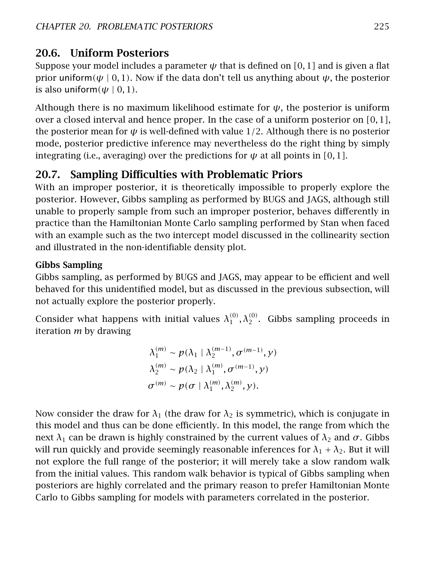# 20.6. Uniform Posteriors

Suppose your model includes a parameter *ψ* that is defined on *[*0*,* 1*]* and is given a flat prior uniform $(\psi | 0, 1)$ . Now if the data don't tell us anything about  $\psi$ , the posterior is also uniform $(\psi \mid 0, 1)$ .

Although there is no maximum likelihood estimate for  $\psi$ , the posterior is uniform over a closed interval and hence proper. In the case of a uniform posterior on *[*0*,* 1*]*, the posterior mean for  $\psi$  is well-defined with value 1/2. Although there is no posterior mode, posterior predictive inference may nevertheless do the right thing by simply integrating (i.e., averaging) over the predictions for  $\psi$  at all points in [0,1].

# 20.7. Sampling Difficulties with Problematic Priors

With an improper posterior, it is theoretically impossible to properly explore the posterior. However, Gibbs sampling as performed by BUGS and JAGS, although still unable to properly sample from such an improper posterior, behaves differently in practice than the Hamiltonian Monte Carlo sampling performed by Stan when faced with an example such as the two intercept model discussed in the [collinearity section](#page-219-1) and illustrated in the non-identifiable density plot.

# Gibbs Sampling

Gibbs sampling, as performed by BUGS and JAGS, may appear to be efficient and well behaved for this unidentified model, but as discussed in the previous subsection, will not actually explore the posterior properly.

Consider what happens with initial values  $\lambda_1^{(0)}, \lambda_2^{(0)}$ . Gibbs sampling proceeds in iteration *m* by drawing

$$
\lambda_1^{(m)} \sim p(\lambda_1 | \lambda_2^{(m-1)}, \sigma^{(m-1)}, y)
$$
  

$$
\lambda_2^{(m)} \sim p(\lambda_2 | \lambda_1^{(m)}, \sigma^{(m-1)}, y)
$$
  

$$
\sigma^{(m)} \sim p(\sigma | \lambda_1^{(m)}, \lambda_2^{(m)}, y).
$$

Now consider the draw for  $\lambda_1$  (the draw for  $\lambda_2$  is symmetric), which is conjugate in this model and thus can be done efficiently. In this model, the range from which the next  $λ_1$  can be drawn is highly constrained by the current values of  $λ_2$  and  $σ$ . Gibbs will run quickly and provide seemingly reasonable inferences for  $\lambda_1 + \lambda_2$ . But it will not explore the full range of the posterior; it will merely take a slow random walk from the initial values. This random walk behavior is typical of Gibbs sampling when posteriors are highly correlated and the primary reason to prefer Hamiltonian Monte Carlo to Gibbs sampling for models with parameters correlated in the posterior.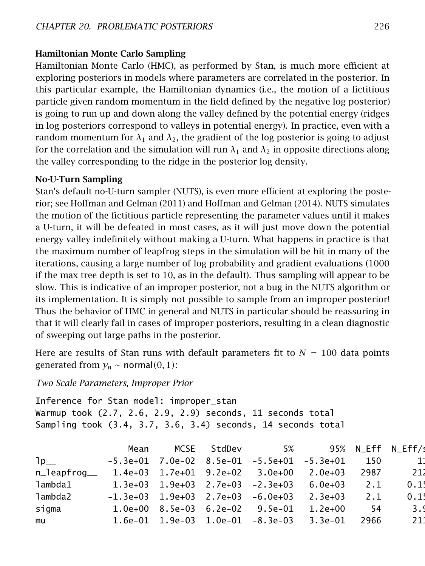#### Hamiltonian Monte Carlo Sampling

Hamiltonian Monte Carlo (HMC), as performed by Stan, is much more efficient at exploring posteriors in models where parameters are correlated in the posterior. In this particular example, the Hamiltonian dynamics (i.e., the motion of a fictitious particle given random momentum in the field defined by the negative log posterior) is going to run up and down along the valley defined by the potential energy (ridges in log posteriors correspond to valleys in potential energy). In practice, even with a random momentum for  $\lambda_1$  and  $\lambda_2$ , the gradient of the log posterior is going to adjust for the correlation and the simulation will run  $\lambda_1$  and  $\lambda_2$  in opposite directions along the valley corresponding to the ridge in the posterior log density.

#### No-U-Turn Sampling

Stan's default no-U-turn sampler (NUTS), is even more efficient at exploring the posterior; see Hoffman and Gelman [\(2011\)](#page-304-0) and Hoffman and Gelman [\(2014\)](#page-304-1). NUTS simulates the motion of the fictitious particle representing the parameter values until it makes a U-turn, it will be defeated in most cases, as it will just move down the potential energy valley indefinitely without making a U-turn. What happens in practice is that the maximum number of leapfrog steps in the simulation will be hit in many of the iterations, causing a large number of log probability and gradient evaluations (1000 if the max tree depth is set to 10, as in the default). Thus sampling will appear to be slow. This is indicative of an improper posterior, not a bug in the NUTS algorithm or its implementation. It is simply not possible to sample from an improper posterior! Thus the behavior of HMC in general and NUTS in particular should be reassuring in that it will clearly fail in cases of improper posteriors, resulting in a clean diagnostic of sweeping out large paths in the posterior.

Here are results of Stan runs with default parameters fit to  $N = 100$  data points generated from  $y_n \sim$  normal(0, 1):

*Two Scale Parameters, Improper Prior*

Inference for Stan model: improper\_stan Warmup took (2.7, 2.6, 2.9, 2.9) seconds, 11 seconds total Sampling took (3.4, 3.7, 3.6, 3.4) seconds, 14 seconds total

|              | Mean | MCSE StdDev | 5%                                                 |             |      | 95% N_Eff N_Eff/s |
|--------------|------|-------------|----------------------------------------------------|-------------|------|-------------------|
| $1p_{-}$     |      |             | $-5.3e+01$ 7.0e-02 8.5e-01 $-5.5e+01$ $-5.3e+01$   |             | 150  | 11                |
| n_leapfroq__ |      |             | $1.4e+03$ $1.7e+01$ $9.2e+02$ $3.0e+00$ $2.0e+03$  |             | 2987 | -212              |
| lambda1      |      |             | $1.3e+03$ $1.9e+03$ $2.7e+03$ $-2.3e+03$           | $6.0e+03$   | 2.1  | 0.15              |
| lambda2      |      |             | $-1.3e+03$ 1.9e+03 2.7e+03 $-6.0e+03$              | 2.3e+03     | 2.1  | 0.15              |
| sigma        |      |             | $1.0e+00$ 8.5e-03 6.2e-02 9.5e-01                  | $1.2e + 00$ | -54  | 3.9               |
| mu           |      |             | $1.6e-01$ $1.9e-03$ $1.0e-01$ $-8.3e-03$ $3.3e-01$ |             | 2966 | 211               |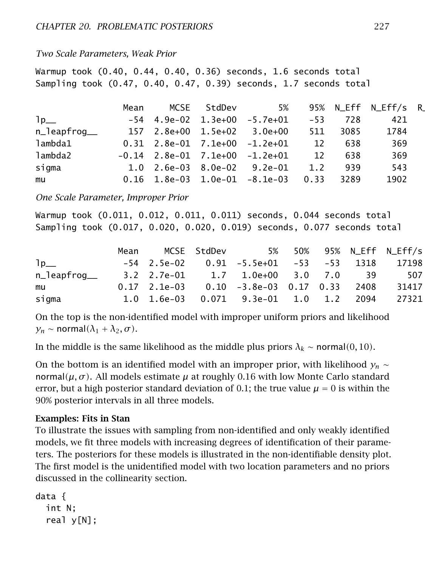#### *Two Scale Parameters, Weak Prior*

Warmup took (0.40, 0.44, 0.40, 0.36) seconds, 1.6 seconds total Sampling took (0.47, 0.40, 0.47, 0.39) seconds, 1.7 seconds total

|              | Mean |  |                                        |     |      | 95% N_Eff N_Eff/s R |  |
|--------------|------|--|----------------------------------------|-----|------|---------------------|--|
| $1p_{-}$     |      |  | $-54$ 4.9e-02 1.3e+00 $-5.7e+01$ $-53$ |     | 728  | 421                 |  |
| n_leapfroq__ |      |  |                                        | 511 | 3085 | 1784                |  |
| lambda1      |      |  | 0.31  2.8e-01  7.1e+00  -1.2e+01       | 12  | 638  | 369                 |  |
| lambda2      |      |  |                                        | 12  | 638  | 369                 |  |
| sigma        |      |  | 1.0 2.6e-03 8.0e-02  9.2e-01           | 1.2 | 939  | 543                 |  |
| mu           |      |  |                                        |     | 3289 | 1902                |  |

*One Scale Parameter, Improper Prior*

Warmup took (0.011, 0.012, 0.011, 0.011) seconds, 0.044 seconds total Sampling took (0.017, 0.020, 0.020, 0.019) seconds, 0.077 seconds total

|              | Mean MCSE StdDev |                                                    |  | 5% 50% 95% N Eff N Eff/s |
|--------------|------------------|----------------------------------------------------|--|--------------------------|
| 1p           |                  | -54  2.5e-02  0.91  -5.5e+01  -53  -53  1318       |  | 171981                   |
| n_leapfrog__ |                  | 3.2 2.7e-01  1.7  1.0e+00  3.0  7.0  39            |  | 507                      |
| mu           |                  | $0.17$ 2.1e-03 $0.10$ -3.8e-03 0.17 0.33 2408      |  | 31417                    |
| siqma        |                  | $1.0$ $1.6e-03$ $0.071$ $9.3e-01$ $1.0$ $1.2$ 2094 |  | 273211                   |
|              |                  |                                                    |  |                          |

On the top is the non-identified model with improper uniform priors and likelihood  $y_n \sim \text{normal}(\lambda_1 + \lambda_2, \sigma)$ .

In the middle is the same likelihood as the middle plus priors  $\lambda_k \sim \text{normal}(0, 10)$ .

On the bottom is an identified model with an improper prior, with likelihood  $y_n \sim$ normal*(µ, σ )*. All models estimate *µ* at roughly 0.16 with low Monte Carlo standard error, but a high posterior standard deviation of 0.1; the true value  $\mu = 0$  is within the 90% posterior intervals in all three models.

#### Examples: Fits in Stan

To illustrate the issues with sampling from non-identified and only weakly identified models, we fit three models with increasing degrees of identification of their parameters. The posteriors for these models is illustrated in the non-identifiable density plot. The first model is the unidentified model with two location parameters and no priors discussed in the [collinearity section.](#page-219-1)

```
data {
 int N;
  real y[N];
```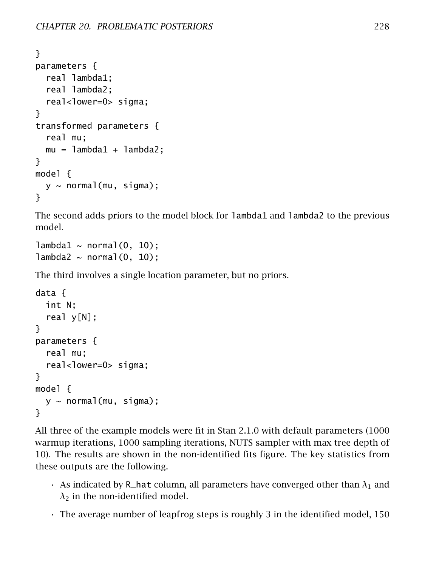```
}
parameters {
  real lambda1;
  real lambda2;
  real<lower=0> sigma;
}
transformed parameters {
  real mu;
  mu = lambda1 + lambda2;
}
model {
  y \sim normal(mu, sigma);
}
```
The second adds priors to the model block for lambda1 and lambda2 to the previous model.

```
lambda1 \sim normal(0, 10);
lambda2 \sim normal(0, 10);
```
The third involves a single location parameter, but no priors.

```
data {
  int N;
  real y[N];
}
parameters {
  real mu;
  real<lower=0> sigma;
}
model {
  y \sim normal(mu, sigma);
}
```
All three of the example models were fit in Stan 2.1.0 with default parameters (1000 warmup iterations, 1000 sampling iterations, NUTS sampler with max tree depth of 10). The results are shown in the non-identified fits figure. The key statistics from these outputs are the following.

- $\cdot$  As indicated by R\_hat column, all parameters have converged other than  $\lambda_1$  and  $\lambda_2$  in the non-identified model.
- The average number of leapfrog steps is roughly 3 in the identified model, 150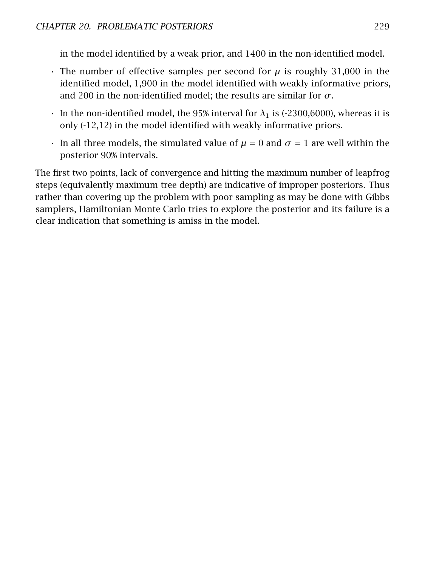in the model identified by a weak prior, and 1400 in the non-identified model.

- $\cdot$  The number of effective samples per second for  $\mu$  is roughly 31,000 in the identified model, 1,900 in the model identified with weakly informative priors, and 200 in the non-identified model; the results are similar for *σ*.
- $\cdot$  In the non-identified model, the 95% interval for  $\lambda_1$  is (-2300,6000), whereas it is only (-12,12) in the model identified with weakly informative priors.
- In all three models, the simulated value of  $\mu = 0$  and  $\sigma = 1$  are well within the posterior 90% intervals.

<span id="page-235-0"></span>The first two points, lack of convergence and hitting the maximum number of leapfrog steps (equivalently maximum tree depth) are indicative of improper posteriors. Thus rather than covering up the problem with poor sampling as may be done with Gibbs samplers, Hamiltonian Monte Carlo tries to explore the posterior and its failure is a clear indication that something is amiss in the model.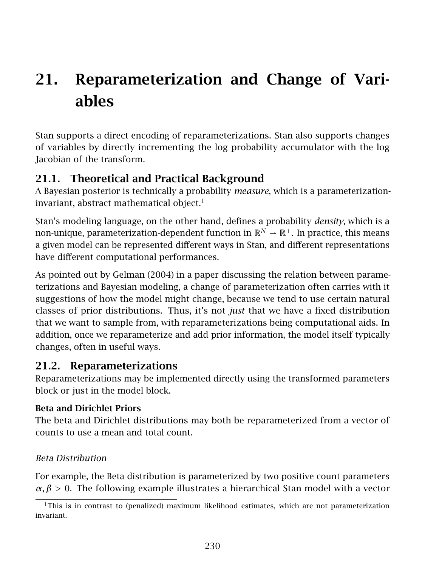# 21. Reparameterization and Change of Variables

Stan supports a direct encoding of reparameterizations. Stan also supports changes of variables by directly incrementing the log probability accumulator with the log Jacobian of the transform.

# 21.1. Theoretical and Practical Background

A Bayesian posterior is technically a probability *measure*, which is a parameterization-invariant, abstract mathematical object.<sup>[1](#page-236-0)</sup>

Stan's modeling language, on the other hand, defines a probability *density*, which is a non-unique, parameterization-dependent function in  $\mathbb{R}^N \to \mathbb{R}^+$ . In practice, this means a given model can be represented different ways in Stan, and different representations have different computational performances.

As pointed out by Gelman [\(2004\)](#page-304-2) in a paper discussing the relation between parameterizations and Bayesian modeling, a change of parameterization often carries with it suggestions of how the model might change, because we tend to use certain natural classes of prior distributions. Thus, it's not *just* that we have a fixed distribution that we want to sample from, with reparameterizations being computational aids. In addition, once we reparameterize and add prior information, the model itself typically changes, often in useful ways.

# 21.2. Reparameterizations

Reparameterizations may be implemented directly using the transformed parameters block or just in the model block.

# Beta and Dirichlet Priors

The beta and Dirichlet distributions may both be reparameterized from a vector of counts to use a mean and total count.

# Beta Distribution

For example, the Beta distribution is parameterized by two positive count parameters  $\alpha, \beta > 0$ . The following example illustrates a hierarchical Stan model with a vector

<span id="page-236-0"></span> $1$ This is in contrast to (penalized) maximum likelihood estimates, which are not parameterization invariant.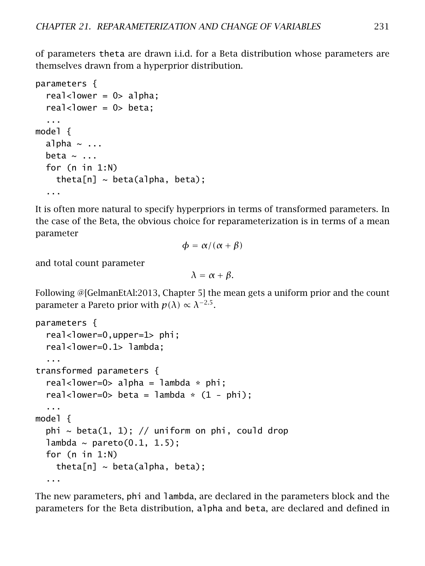of parameters theta are drawn i.i.d. for a Beta distribution whose parameters are themselves drawn from a hyperprior distribution.

```
parameters {
  real<lower = 0> alpha;
  real<lower = 0> beta;
  ...
model {
  alpha \sim ...
  beta \sim ...
  for (n in 1:N)
    theta[n] \sim beta(alpha, beta);
  ...
```
It is often more natural to specify hyperpriors in terms of transformed parameters. In the case of the Beta, the obvious choice for reparameterization is in terms of a mean parameter

$$
\phi = \alpha/(\alpha + \beta)
$$

and total count parameter

 $λ = α + β$ .

Following @[GelmanEtAl:2013, Chapter 5] the mean gets a uniform prior and the count parameter a Pareto prior with  $p(\lambda) \propto \lambda^{-2.5}$ .

```
parameters {
  real<lower=0,upper=1> phi;
  real<lower=0.1> lambda;
  ...
transformed parameters {
  real<lower=0> alpha = lambda * phi;
  real<lower=0> beta = lambda * (1 - phi);
  ...
model {
 phi \sim beta(1, 1); // uniform on phi, could drop
 lambda \sim pareto(0.1, 1.5);
 for (n in 1:N)
   theta[n] \sim beta(alpha, beta);
  ...
```
The new parameters, phi and lambda, are declared in the parameters block and the parameters for the Beta distribution, alpha and beta, are declared and defined in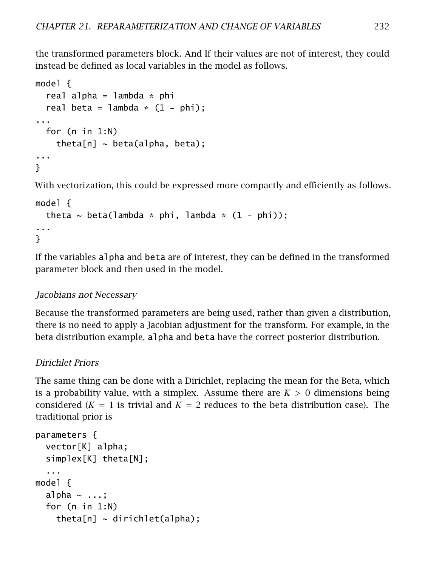the transformed parameters block. And If their values are not of interest, they could instead be defined as local variables in the model as follows.

```
model {
  real alpha = lambda * phi
  real beta = lambda \ast (1 - phi);
...
  for (n in 1:N)
    theta[n] \sim beta(alpha, beta);
...
}
```
With vectorization, this could be expressed more compactly and efficiently as follows.

```
model {
  theta \sim beta(lambda * phi, lambda * (1 - phi));
...
}
```
If the variables alpha and beta are of interest, they can be defined in the transformed parameter block and then used in the model.

#### Jacobians not Necessary

Because the transformed parameters are being used, rather than given a distribution, there is no need to apply a Jacobian adjustment for the transform. For example, in the beta distribution example, alpha and beta have the correct posterior distribution.

#### Dirichlet Priors

The same thing can be done with a Dirichlet, replacing the mean for the Beta, which is a probability value, with a simplex. Assume there are  $K > 0$  dimensions being considered  $(K = 1)$  is trivial and  $K = 2$  reduces to the beta distribution case). The traditional prior is

```
parameters {
  vector[K] alpha;
  simplex[K] theta[N];
  ...
model {
  alpha \sim ...;
  for (n in 1:N)
    theta[n] \sim dirichlet(alpha);
```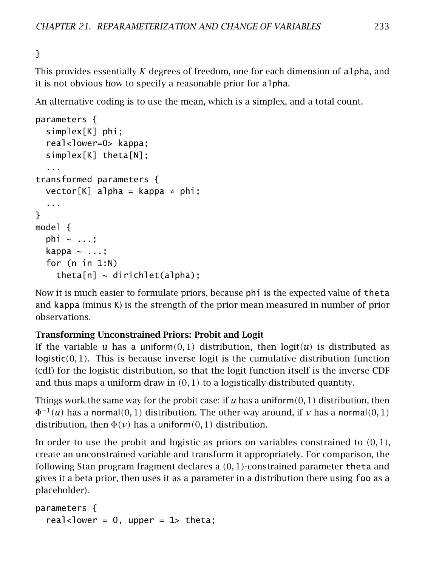## }

This provides essentially *K* degrees of freedom, one for each dimension of alpha, and it is not obvious how to specify a reasonable prior for alpha.

An alternative coding is to use the mean, which is a simplex, and a total count.

```
parameters {
  simplex[K] phi;
  real<lower=0> kappa;
  simplex[K] theta[N];
  ...
transformed parameters {
  vector[K] alpha = kappa * phi;
  ...
}
model {
  phi \sim ...;
  kappa \sim ...;
  for (n in 1:N)
    theta[n] \sim dirichlet(alpha);
```
Now it is much easier to formulate priors, because phi is the expected value of theta and kappa (minus K) is the strength of the prior mean measured in number of prior observations.

## Transforming Unconstrained Priors: Probit and Logit

If the variable *u* has a uniform $(0,1)$  distribution, then  $logit(u)$  is distributed as logistic*(*0*,* 1*)*. This is because inverse logit is the cumulative distribution function (cdf) for the logistic distribution, so that the logit function itself is the inverse CDF and thus maps a uniform draw in *(*0*,* 1*)* to a logistically-distributed quantity.

Things work the same way for the probit case: if *u* has a uniform*(*0*,* 1*)* distribution, then  $\Phi^{-1}(u)$  has a normal $(0,1)$  distribution. The other way around, if *v* has a normal $(0,1)$ distribution, then  $\Phi(\nu)$  has a uniform $(0, 1)$  distribution.

In order to use the probit and logistic as priors on variables constrained to *(*0*,* 1*)*, create an unconstrained variable and transform it appropriately. For comparison, the following Stan program fragment declares a *(*0*,* 1*)*-constrained parameter theta and gives it a beta prior, then uses it as a parameter in a distribution (here using foo as a placeholder).

```
parameters {
  real<lower = 0, upper = 1> theta;
```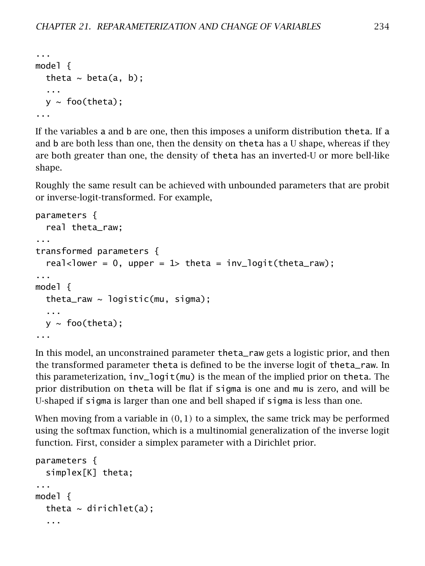```
...
model {
  theta \sim beta(a, b);
  ...
  y \sim foo(theta);
...
```
If the variables a and b are one, then this imposes a uniform distribution theta. If a and b are both less than one, then the density on theta has a U shape, whereas if they are both greater than one, the density of theta has an inverted-U or more bell-like shape.

Roughly the same result can be achieved with unbounded parameters that are probit or inverse-logit-transformed. For example,

```
parameters {
  real theta_raw;
...
transformed parameters {
  real<lower = 0, upper = 1> theta = inv\_logit(theta_{raw)};
...
model {
  theta_raw \sim logistic(mu, sigma);
  ...
  y \sim foo(theta);
...
```
In this model, an unconstrained parameter theta\_raw gets a logistic prior, and then the transformed parameter theta is defined to be the inverse logit of theta\_raw. In this parameterization, inv\_logit(mu) is the mean of the implied prior on theta. The prior distribution on theta will be flat if sigma is one and mu is zero, and will be U-shaped if sigma is larger than one and bell shaped if sigma is less than one.

When moving from a variable in *(*0*,* 1*)* to a simplex, the same trick may be performed using the softmax function, which is a multinomial generalization of the inverse logit function. First, consider a simplex parameter with a Dirichlet prior.

```
parameters {
  simplex[K] theta;
...
model {
  theta \sim dirichlet(a);
  ...
```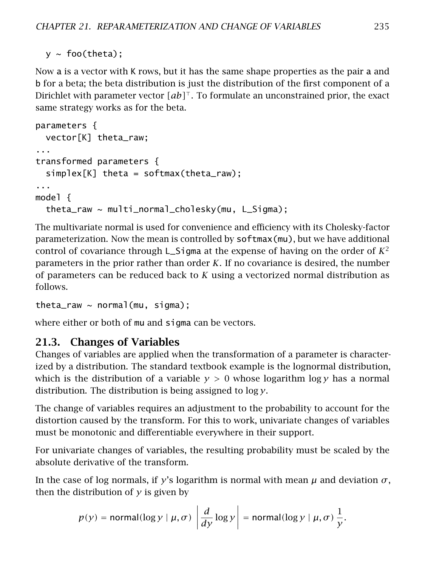$y \sim$  foo(theta);

Now a is a vector with K rows, but it has the same shape properties as the pair a and b for a beta; the beta distribution is just the distribution of the first component of a Dirichlet with parameter vector  $[a b]^\top$ . To formulate an unconstrained prior, the exact same strategy works as for the beta.

```
parameters {
 vector[K] theta_raw;
...
transformed parameters {
 simplex[K] theta = softmax(theta_raw);
...
model {
 theta_raw ~ multi_normal_cholesky(mu, L_Sigma);
```
The multivariate normal is used for convenience and efficiency with its Cholesky-factor parameterization. Now the mean is controlled by softmax(mu), but we have additional control of covariance through L\_Sigma at the expense of having on the order of  $K^2$ parameters in the prior rather than order *K*. If no covariance is desired, the number of parameters can be reduced back to *K* using a vectorized normal distribution as follows.

theta\_raw  $\sim$  normal(mu, sigma);

where either or both of mu and sigma can be vectors.

# 21.3. Changes of Variables

Changes of variables are applied when the transformation of a parameter is characterized by a distribution. The standard textbook example is the lognormal distribution, which is the distribution of a variable  $y > 0$  whose logarithm  $\log y$  has a normal distribution. The distribution is being assigned to log *y*.

The change of variables requires an adjustment to the probability to account for the distortion caused by the transform. For this to work, univariate changes of variables must be monotonic and differentiable everywhere in their support.

For univariate changes of variables, the resulting probability must be scaled by the absolute derivative of the transform.

In the case of log normals, if *y*'s logarithm is normal with mean  $\mu$  and deviation  $\sigma$ , then the distribution of *y* is given by

$$
p(y) = \text{normal}(\log y \mid \mu, \sigma) \left| \frac{d}{dy} \log y \right| = \text{normal}(\log y \mid \mu, \sigma) \frac{1}{y}.
$$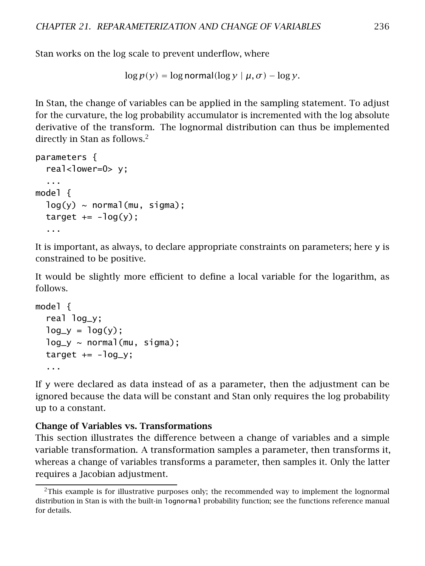Stan works on the log scale to prevent underflow, where

```
\log p(y) = \log \text{normal}(\log y \mid \mu, \sigma) - \log y.
```
In Stan, the change of variables can be applied in the sampling statement. To adjust for the curvature, the log probability accumulator is incremented with the log absolute derivative of the transform. The lognormal distribution can thus be implemented directly in Stan as follows.<sup>[2](#page-242-0)</sup>

```
parameters {
  real<lower=0> y;
  ...
model {
  log(y) \sim normal(mu, sigma);
  target += -log(y);
  ...
```
It is important, as always, to declare appropriate constraints on parameters; here y is constrained to be positive.

It would be slightly more efficient to define a local variable for the logarithm, as follows.

```
model {
  real log_y;
  log_y = log(y);
  log_y \sim normal(mu, sigma);
  target += -log_y;...
```
If y were declared as data instead of as a parameter, then the adjustment can be ignored because the data will be constant and Stan only requires the log probability up to a constant.

#### Change of Variables vs. Transformations

This section illustrates the difference between a change of variables and a simple variable transformation. A transformation samples a parameter, then transforms it, whereas a change of variables transforms a parameter, then samples it. Only the latter requires a Jacobian adjustment.

<span id="page-242-0"></span> $2$ This example is for illustrative purposes only; the recommended way to implement the lognormal distribution in Stan is with the built-in lognormal probability function; see the functions reference manual for details.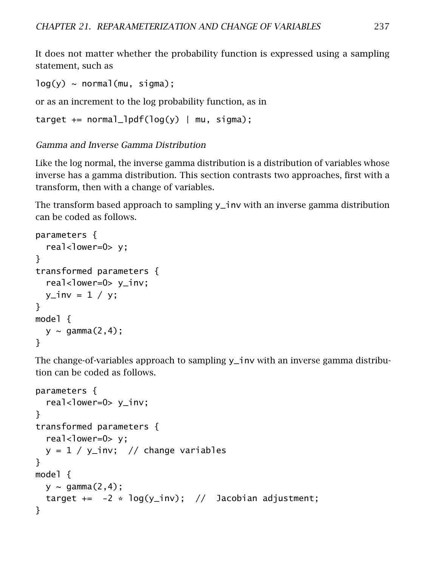It does not matter whether the probability function is expressed using a sampling statement, such as

```
log(y) \sim normal(mu, sigma);
```
or as an increment to the log probability function, as in

```
target += normal_lpdf(log(y) | mu, sigma);
```
#### Gamma and Inverse Gamma Distribution

Like the log normal, the inverse gamma distribution is a distribution of variables whose inverse has a gamma distribution. This section contrasts two approaches, first with a transform, then with a change of variables.

The transform based approach to sampling y\_inv with an inverse gamma distribution can be coded as follows.

```
parameters {
  real<lower=0> y;
}
transformed parameters {
  real<lower=0> y_inv;
  y_inv = 1 / y;
}
model {
  y \sim gamma(2, 4);
}
```
The change-of-variables approach to sampling  $y$ -inv with an inverse gamma distribution can be coded as follows.

```
parameters {
  real<lower=0> y_inv;
}
transformed parameters {
 real<lower=0> y;
 y = 1 / y_inv; // change variables
}
model {
 y \sim gamma(2, 4);
 target += -2 * log(y_inv); // Jacobian adjustment;
}
```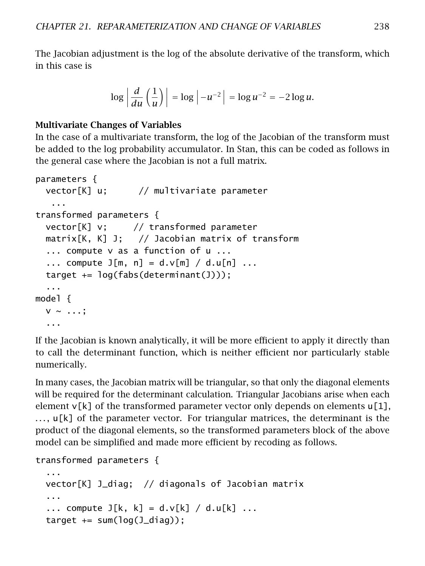The Jacobian adjustment is the log of the absolute derivative of the transform, which in this case is

$$
\log\left|\frac{d}{du}\left(\frac{1}{u}\right)\right| = \log\left|-u^{-2}\right| = \log u^{-2} = -2\log u.
$$

#### Multivariate Changes of Variables

In the case of a multivariate transform, the log of the Jacobian of the transform must be added to the log probability accumulator. In Stan, this can be coded as follows in the general case where the Jacobian is not a full matrix.

```
parameters {
 vector[K] u; // multivariate parameter
   ...
transformed parameters {
 vector[K] v; // transformed parameter
 matrix[K, K] J; // Jacobian matrix of transform
  ... compute v as a function of u ...
  ... compute J[m, n] = d.v[m] / d.u[n] ...target += log(fabs(determinant(J)));
  ...
model {
 V \sim \ldots;...
```
If the Jacobian is known analytically, it will be more efficient to apply it directly than to call the determinant function, which is neither efficient nor particularly stable numerically.

In many cases, the Jacobian matrix will be triangular, so that only the diagonal elements will be required for the determinant calculation. Triangular Jacobians arise when each element  $v[k]$  of the transformed parameter vector only depends on elements  $u[1]$ , . . . , u[k] of the parameter vector. For triangular matrices, the determinant is the product of the diagonal elements, so the transformed parameters block of the above model can be simplified and made more efficient by recoding as follows.

```
transformed parameters {
```

```
...
vector[K] J_diag; // diagonals of Jacobian matrix
...
... compute J[k, k] = d.v[k] / d.u[k] ...target += sum(log(J_diaq));
```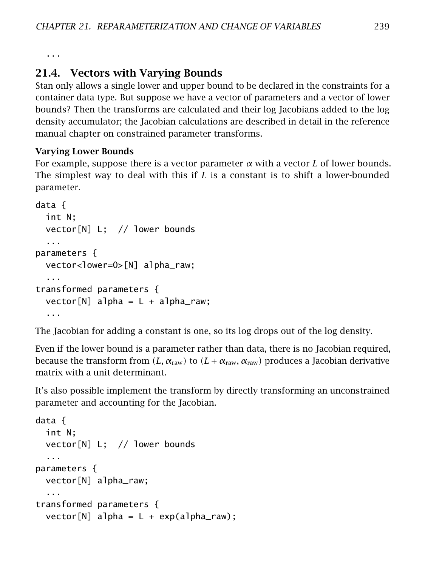...

# 21.4. Vectors with Varying Bounds

Stan only allows a single lower and upper bound to be declared in the constraints for a container data type. But suppose we have a vector of parameters and a vector of lower bounds? Then the transforms are calculated and their log Jacobians added to the log density accumulator; the Jacobian calculations are described in detail in the reference manual chapter on constrained parameter transforms.

## Varying Lower Bounds

For example, suppose there is a vector parameter *α* with a vector *L* of lower bounds. The simplest way to deal with this if *L* is a constant is to shift a lower-bounded parameter.

```
data {
 int N;
 vector[N] L; // lower bounds
  ...
parameters {
 vector<lower=0>[N] alpha_raw;
  ...
transformed parameters {
 vector[N] alpha = L + alpha_raw;
  ...
```
The Jacobian for adding a constant is one, so its log drops out of the log density.

Even if the lower bound is a parameter rather than data, there is no Jacobian required, because the transform from  $(L, \alpha_{\text{raw}})$  to  $(L + \alpha_{\text{raw}}, \alpha_{\text{raw}})$  produces a Jacobian derivative matrix with a unit determinant.

It's also possible implement the transform by directly transforming an unconstrained parameter and accounting for the Jacobian.

```
data {
 int N;
 vector[N] L; // lower bounds
  ...
parameters {
 vector[N] alpha_raw;
  ...
transformed parameters {
 vector[N] alpha = L + exp(alpha_raw);
```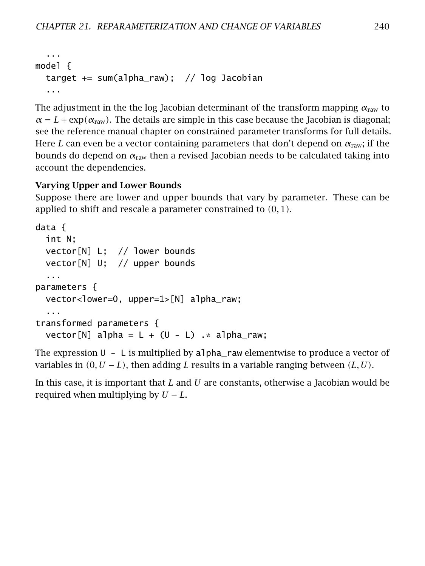```
...
model {
 target += sum(alpha_raw); // log Jacobian
  ...
```
The adjustment in the the log Jacobian determinant of the transform mapping  $\alpha_{\text{raw}}$  to  $\alpha = L + \exp(\alpha_{\text{raw}})$ . The details are simple in this case because the Jacobian is diagonal; see the reference manual chapter on constrained parameter transforms for full details. Here *L* can even be a vector containing parameters that don't depend on *α*raw; if the bounds do depend on *α*raw then a revised Jacobian needs to be calculated taking into account the dependencies.

#### Varying Upper and Lower Bounds

Suppose there are lower and upper bounds that vary by parameter. These can be applied to shift and rescale a parameter constrained to *(*0*,* 1*)*.

```
data {
 int N;
 vector[N] L; // lower bounds
 vector[N] U; // upper bounds
  ...
parameters {
 vector<lower=0, upper=1>[N] alpha_raw;
  ...
transformed parameters {
 vector[N] alpha = L + (U - L) \cdot alpha_raw;
```
The expression  $U - L$  is multiplied by alpha\_raw elementwise to produce a vector of variables in *(*0*, U* − *L)*, then adding *L* results in a variable ranging between *(L, U)*.

In this case, it is important that *L* and *U* are constants, otherwise a Jacobian would be required when multiplying by *U* − *L*.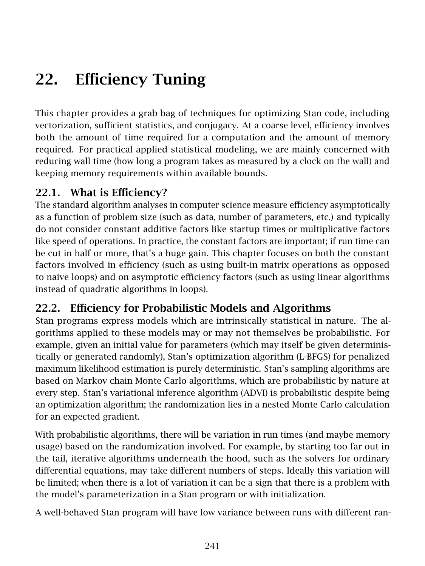# 22. Efficiency Tuning

This chapter provides a grab bag of techniques for optimizing Stan code, including vectorization, sufficient statistics, and conjugacy. At a coarse level, efficiency involves both the amount of time required for a computation and the amount of memory required. For practical applied statistical modeling, we are mainly concerned with reducing wall time (how long a program takes as measured by a clock on the wall) and keeping memory requirements within available bounds.

# 22.1. What is Efficiency?

The standard algorithm analyses in computer science measure efficiency asymptotically as a function of problem size (such as data, number of parameters, etc.) and typically do not consider constant additive factors like startup times or multiplicative factors like speed of operations. In practice, the constant factors are important; if run time can be cut in half or more, that's a huge gain. This chapter focuses on both the constant factors involved in efficiency (such as using built-in matrix operations as opposed to naive loops) and on asymptotic efficiency factors (such as using linear algorithms instead of quadratic algorithms in loops).

# 22.2. Efficiency for Probabilistic Models and Algorithms

Stan programs express models which are intrinsically statistical in nature. The algorithms applied to these models may or may not themselves be probabilistic. For example, given an initial value for parameters (which may itself be given deterministically or generated randomly), Stan's optimization algorithm (L-BFGS) for penalized maximum likelihood estimation is purely deterministic. Stan's sampling algorithms are based on Markov chain Monte Carlo algorithms, which are probabilistic by nature at every step. Stan's variational inference algorithm (ADVI) is probabilistic despite being an optimization algorithm; the randomization lies in a nested Monte Carlo calculation for an expected gradient.

With probabilistic algorithms, there will be variation in run times (and maybe memory usage) based on the randomization involved. For example, by starting too far out in the tail, iterative algorithms underneath the hood, such as the solvers for ordinary differential equations, may take different numbers of steps. Ideally this variation will be limited; when there is a lot of variation it can be a sign that there is a problem with the model's parameterization in a Stan program or with initialization.

A well-behaved Stan program will have low variance between runs with different ran-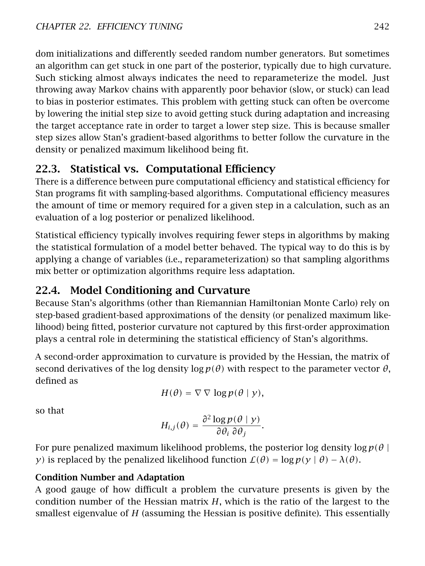dom initializations and differently seeded random number generators. But sometimes an algorithm can get stuck in one part of the posterior, typically due to high curvature. Such sticking almost always indicates the need to reparameterize the model. Just throwing away Markov chains with apparently poor behavior (slow, or stuck) can lead to bias in posterior estimates. This problem with getting stuck can often be overcome by lowering the initial step size to avoid getting stuck during adaptation and increasing the target acceptance rate in order to target a lower step size. This is because smaller step sizes allow Stan's gradient-based algorithms to better follow the curvature in the density or penalized maximum likelihood being fit.

# 22.3. Statistical vs. Computational Efficiency

There is a difference between pure computational efficiency and statistical efficiency for Stan programs fit with sampling-based algorithms. Computational efficiency measures the amount of time or memory required for a given step in a calculation, such as an evaluation of a log posterior or penalized likelihood.

Statistical efficiency typically involves requiring fewer steps in algorithms by making the statistical formulation of a model better behaved. The typical way to do this is by applying a change of variables (i.e., reparameterization) so that sampling algorithms mix better or optimization algorithms require less adaptation.

# 22.4. Model Conditioning and Curvature

Because Stan's algorithms (other than Riemannian Hamiltonian Monte Carlo) rely on step-based gradient-based approximations of the density (or penalized maximum likelihood) being fitted, posterior curvature not captured by this first-order approximation plays a central role in determining the statistical efficiency of Stan's algorithms.

A second-order approximation to curvature is provided by the Hessian, the matrix of second derivatives of the log density log *p(θ)* with respect to the parameter vector *θ*, defined as

$$
H(\theta) = \nabla \nabla \log p(\theta | y),
$$

so that

$$
H_{i,j}(\theta) = \frac{\partial^2 \log p(\theta | y)}{\partial \theta_i \partial \theta_j}.
$$

For pure penalized maximum likelihood problems, the posterior log density  $\log p(\theta)$ *y*) is replaced by the penalized likelihood function  $\mathcal{L}(\theta) = \log p(y | \theta) - \lambda(\theta)$ .

# Condition Number and Adaptation

A good gauge of how difficult a problem the curvature presents is given by the condition number of the Hessian matrix *H*, which is the ratio of the largest to the smallest eigenvalue of *H* (assuming the Hessian is positive definite). This essentially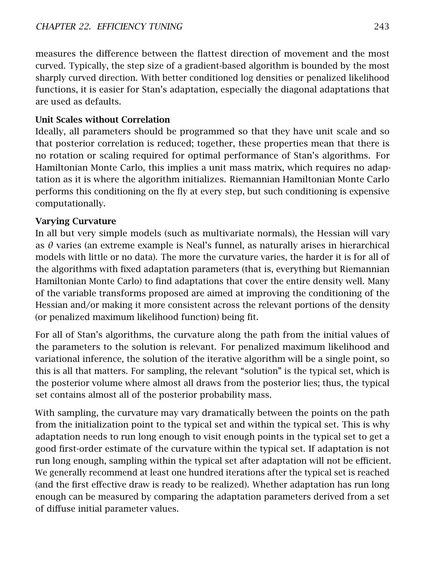measures the difference between the flattest direction of movement and the most curved. Typically, the step size of a gradient-based algorithm is bounded by the most sharply curved direction. With better conditioned log densities or penalized likelihood functions, it is easier for Stan's adaptation, especially the diagonal adaptations that are used as defaults.

# Unit Scales without Correlation

Ideally, all parameters should be programmed so that they have unit scale and so that posterior correlation is reduced; together, these properties mean that there is no rotation or scaling required for optimal performance of Stan's algorithms. For Hamiltonian Monte Carlo, this implies a unit mass matrix, which requires no adaptation as it is where the algorithm initializes. Riemannian Hamiltonian Monte Carlo performs this conditioning on the fly at every step, but such conditioning is expensive computationally.

# Varying Curvature

In all but very simple models (such as multivariate normals), the Hessian will vary as *θ* varies (an extreme example is Neal's funnel, as naturally arises in hierarchical models with little or no data). The more the curvature varies, the harder it is for all of the algorithms with fixed adaptation parameters (that is, everything but Riemannian Hamiltonian Monte Carlo) to find adaptations that cover the entire density well. Many of the variable transforms proposed are aimed at improving the conditioning of the Hessian and/or making it more consistent across the relevant portions of the density (or penalized maximum likelihood function) being fit.

For all of Stan's algorithms, the curvature along the path from the initial values of the parameters to the solution is relevant. For penalized maximum likelihood and variational inference, the solution of the iterative algorithm will be a single point, so this is all that matters. For sampling, the relevant "solution" is the typical set, which is the posterior volume where almost all draws from the posterior lies; thus, the typical set contains almost all of the posterior probability mass.

With sampling, the curvature may vary dramatically between the points on the path from the initialization point to the typical set and within the typical set. This is why adaptation needs to run long enough to visit enough points in the typical set to get a good first-order estimate of the curvature within the typical set. If adaptation is not run long enough, sampling within the typical set after adaptation will not be efficient. We generally recommend at least one hundred iterations after the typical set is reached (and the first effective draw is ready to be realized). Whether adaptation has run long enough can be measured by comparing the adaptation parameters derived from a set of diffuse initial parameter values.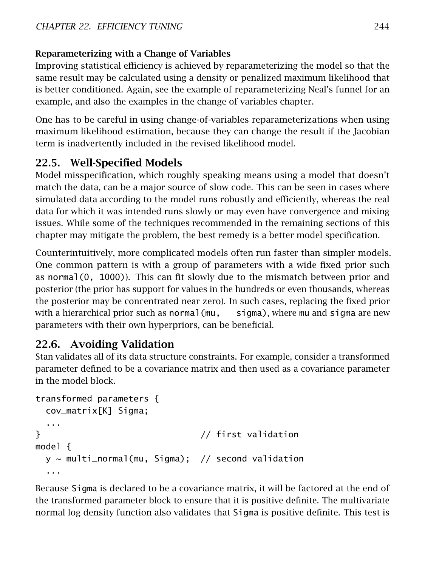# Reparameterizing with a Change of Variables

Improving statistical efficiency is achieved by reparameterizing the model so that the same result may be calculated using a density or penalized maximum likelihood that is better conditioned. Again, see the example of reparameterizing Neal's funnel for an example, and also the examples in the [change of variables chapter.](#page-235-0)

One has to be careful in using change-of-variables reparameterizations when using maximum likelihood estimation, because they can change the result if the Jacobian term is inadvertently included in the revised likelihood model.

# 22.5. Well-Specified Models

Model misspecification, which roughly speaking means using a model that doesn't match the data, can be a major source of slow code. This can be seen in cases where simulated data according to the model runs robustly and efficiently, whereas the real data for which it was intended runs slowly or may even have convergence and mixing issues. While some of the techniques recommended in the remaining sections of this chapter may mitigate the problem, the best remedy is a better model specification.

Counterintuitively, more complicated models often run faster than simpler models. One common pattern is with a group of parameters with a wide fixed prior such as normal(0, 1000)). This can fit slowly due to the mismatch between prior and posterior (the prior has support for values in the hundreds or even thousands, whereas the posterior may be concentrated near zero). In such cases, replacing the fixed prior with a hierarchical prior such as normal(mu, sigma), where mu and sigma are new parameters with their own hyperpriors, can be beneficial.

# 22.6. Avoiding Validation

Stan validates all of its data structure constraints. For example, consider a transformed parameter defined to be a covariance matrix and then used as a covariance parameter in the model block.

```
transformed parameters {
 cov_matrix[K] Sigma;
 ...
} // first validation
model {
 y \sim multi_normal(mu, Sigma); // second validation
 ...
```
Because Sigma is declared to be a covariance matrix, it will be factored at the end of the transformed parameter block to ensure that it is positive definite. The multivariate normal log density function also validates that Sigma is positive definite. This test is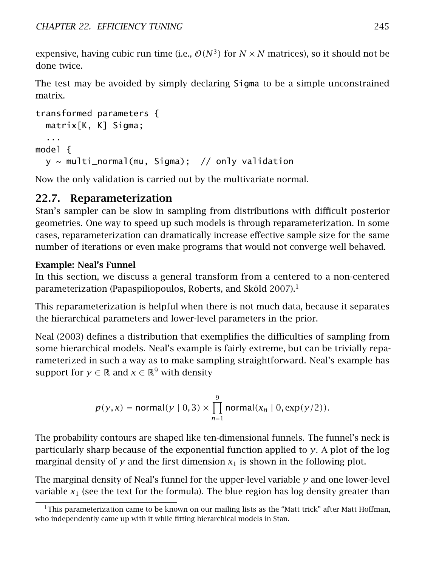expensive, having cubic run time (i.e.,  $O(N^3)$  for  $N \times N$  matrices), so it should not be done twice.

The test may be avoided by simply declaring Sigma to be a simple unconstrained matrix.

```
transformed parameters {
 matrix[K, K] Sigma;
  ...
model {
 y \sim multi_normal(mu, Sigma); // only validation
```
Now the only validation is carried out by the multivariate normal.

# 22.7. Reparameterization

Stan's sampler can be slow in sampling from distributions with difficult posterior geometries. One way to speed up such models is through reparameterization. In some cases, reparameterization can dramatically increase effective sample size for the same number of iterations or even make programs that would not converge well behaved.

# Example: Neal's Funnel

In this section, we discuss a general transform from a centered to a non-centered parameterization (Papaspiliopoulos, Roberts, and Sköld [2007\)](#page-305-1).[1](#page-251-0)

This reparameterization is helpful when there is not much data, because it separates the hierarchical parameters and lower-level parameters in the prior.

Neal [\(2003\)](#page-305-2) defines a distribution that exemplifies the difficulties of sampling from some hierarchical models. Neal's example is fairly extreme, but can be trivially reparameterized in such a way as to make sampling straightforward. Neal's example has support for  $y \in \mathbb{R}$  and  $x \in \mathbb{R}^9$  with density

$$
p(y, x) = \text{normal}(y | 0, 3) \times \prod_{n=1}^{9} \text{normal}(x_n | 0, \exp(y/2)).
$$

The probability contours are shaped like ten-dimensional funnels. The funnel's neck is particularly sharp because of the exponential function applied to *y*. A plot of the log marginal density of  $y$  and the first dimension  $x_1$  is shown in the following plot.

The marginal density of Neal's funnel for the upper-level variable *y* and one lower-level variable  $x_1$  (see the text for the formula). The blue region has log density greater than

<span id="page-251-0"></span> $1$ This parameterization came to be known on our mailing lists as the "Matt trick" after Matt Hoffman, who independently came up with it while fitting hierarchical models in Stan.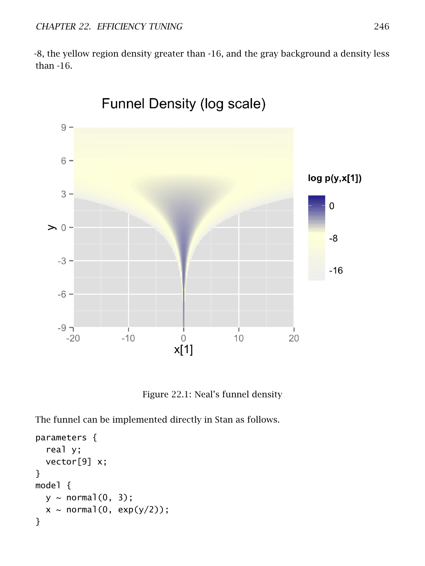-8, the yellow region density greater than -16, and the gray background a density less than -16.



Figure 22.1: Neal's funnel density

The funnel can be implemented directly in Stan as follows.

```
parameters {
  real y;
  vector[9] x;
}
model {
  y \sim \text{normal}(0, 3);
  x \sim \text{normal}(0, \text{exp}(y/2));}
```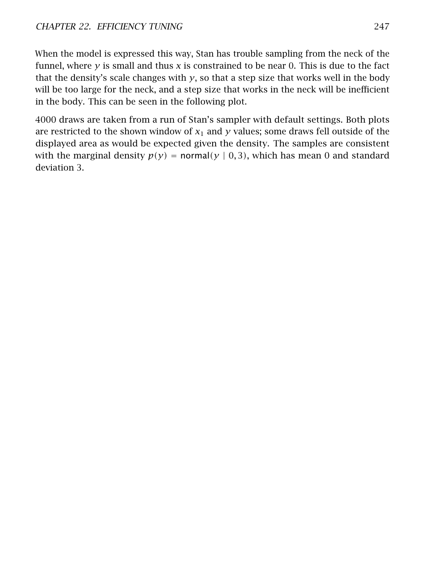When the model is expressed this way, Stan has trouble sampling from the neck of the funnel, where *y* is small and thus *x* is constrained to be near 0. This is due to the fact that the density's scale changes with  $y$ , so that a step size that works well in the body will be too large for the neck, and a step size that works in the neck will be inefficient in the body. This can be seen in the following plot.

4000 draws are taken from a run of Stan's sampler with default settings. Both plots are restricted to the shown window of  $x_1$  and  $y$  values; some draws fell outside of the displayed area as would be expected given the density. The samples are consistent with the marginal density  $p(y) = normal(y | 0, 3)$ , which has mean 0 and standard deviation 3.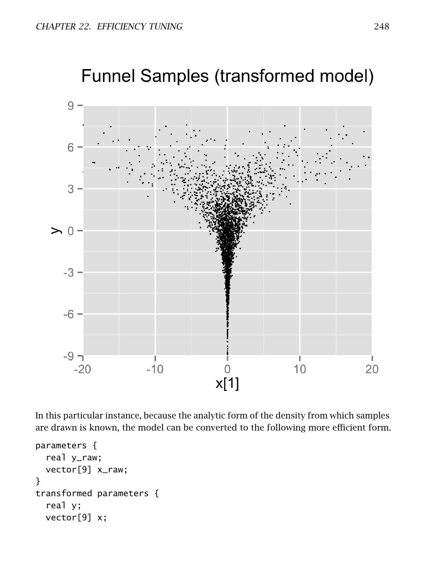

In this particular instance, because the analytic form of the density from which samples are drawn is known, the model can be converted to the following more efficient form.

```
parameters {
  real y_raw;
  vector[9] x_raw;
}
transformed parameters {
  real y;
  vector[9] x;
```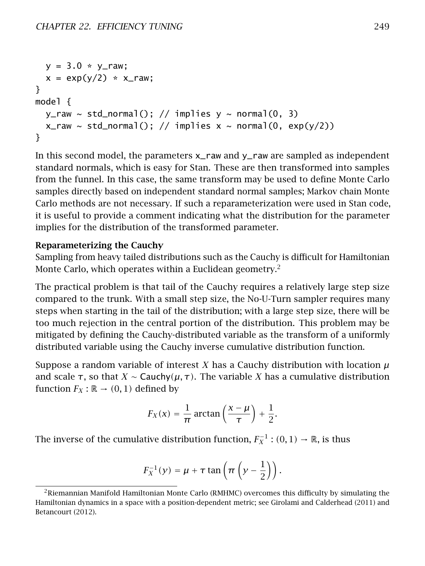```
y = 3.0 * y_{\text{raw}};
  x = \exp(y/2) * x_{\text{max}};}
model {
  y<sub>r</sub>aw ~ std_normal(); // implies y ~ normal(0, 3)
  x_raw ~ std_normal(); // implies x ~ normal(0, exp(y/2))
}
```
In this second model, the parameters x\_raw and y\_raw are sampled as independent standard normals, which is easy for Stan. These are then transformed into samples from the funnel. In this case, the same transform may be used to define Monte Carlo samples directly based on independent standard normal samples; Markov chain Monte Carlo methods are not necessary. If such a reparameterization were used in Stan code, it is useful to provide a comment indicating what the distribution for the parameter implies for the distribution of the transformed parameter.

#### Reparameterizing the Cauchy

Sampling from heavy tailed distributions such as the Cauchy is difficult for Hamiltonian Monte Carlo, which operates within a Euclidean geometry.<sup>[2](#page-255-0)</sup>

The practical problem is that tail of the Cauchy requires a relatively large step size compared to the trunk. With a small step size, the No-U-Turn sampler requires many steps when starting in the tail of the distribution; with a large step size, there will be too much rejection in the central portion of the distribution. This problem may be mitigated by defining the Cauchy-distributed variable as the transform of a uniformly distributed variable using the Cauchy inverse cumulative distribution function.

Suppose a random variable of interest *X* has a Cauchy distribution with location  $\mu$ and scale  $\tau$ , so that *X* ∼ Cauchy( $\mu$ ,  $\tau$ ). The variable *X* has a cumulative distribution function  $F_X : \mathbb{R} \to (0, 1)$  defined by

$$
F_X(x) = \frac{1}{\pi} \arctan\left(\frac{x-\mu}{\tau}\right) + \frac{1}{2}.
$$

The inverse of the cumulative distribution function,  $F_X^{-1} : (0,1) \rightarrow \mathbb{R}$ , is thus

$$
F_X^{-1}(y) = \mu + \tau \tan \left( \pi \left( y - \frac{1}{2} \right) \right).
$$

<span id="page-255-0"></span><sup>&</sup>lt;sup>2</sup>Riemannian Manifold Hamiltonian Monte Carlo (RMHMC) overcomes this difficulty by simulating the Hamiltonian dynamics in a space with a position-dependent metric; see Girolami and Calderhead [\(2011\)](#page-304-0) and Betancourt [\(2012\)](#page-303-0).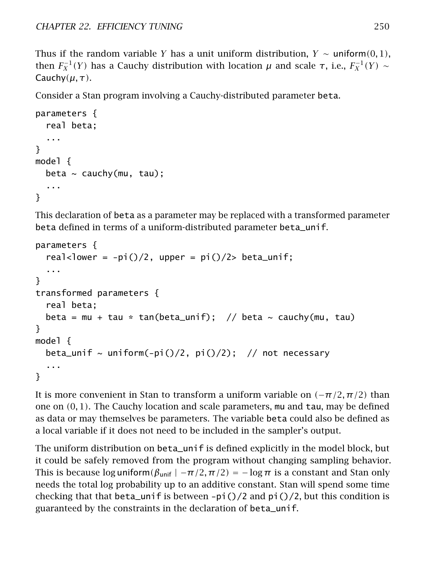Thus if the random variable *Y* has a unit uniform distribution,  $Y \sim \text{uniform}(0, 1)$ , then  $F_X^{-1}(Y)$  has a Cauchy distribution with location *μ* and scale τ, i.e.,  $F_X^{-1}(Y) \sim$ Cauchy*(µ, τ)*.

Consider a Stan program involving a Cauchy-distributed parameter beta.

```
parameters {
  real beta;
  ...
}
model {
  beta \sim cauchy(mu, tau);
  ...
}
```
This declaration of beta as a parameter may be replaced with a transformed parameter beta defined in terms of a uniform-distributed parameter beta\_unif.

```
parameters {
 real<lower = -pi()/2, upper = pi()/2> beta_unif;
  ...
}
transformed parameters {
  real beta;
 beta = mu + tau * tan(beta_unif); // beta ~ cauchy(mu, tau)
}
model {
 beta_unif ~ uniform(-pi()/2, pi()/2); // not necessary
  ...
}
```
It is more convenient in Stan to transform a uniform variable on  $(-\pi/2, \pi/2)$  than one on *(*0*,* 1*)*. The Cauchy location and scale parameters, mu and tau, may be defined as data or may themselves be parameters. The variable beta could also be defined as a local variable if it does not need to be included in the sampler's output.

The uniform distribution on beta\_unif is defined explicitly in the model block, but it could be safely removed from the program without changing sampling behavior. This is because log uniform $(\beta_{\text{unif}} \mid -\pi/2, \pi/2) = -\log \pi$  is a constant and Stan only needs the total log probability up to an additive constant. Stan will spend some time checking that that beta\_unif is between  $-pi$  ()/2 and pi()/2, but this condition is guaranteed by the constraints in the declaration of beta\_unif.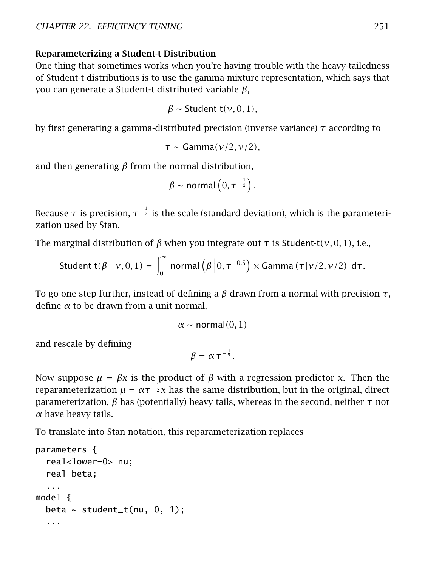#### Reparameterizing a Student-t Distribution

One thing that sometimes works when you're having trouble with the heavy-tailedness of Student-t distributions is to use the gamma-mixture representation, which says that you can generate a Student-t distributed variable *β*,

$$
\beta \sim \text{Student-t}(\nu, 0, 1),
$$

by first generating a gamma-distributed precision (inverse variance) *τ* according to

```
τ ∼ Gamma(ν/2, ν/2),
```
and then generating *β* from the normal distribution,

$$
\beta \sim \mathsf{normal}\left(0, \tau^{-\frac{1}{2}}\right).
$$

Because  $\tau$  is precision,  $\tau^{-\frac{1}{2}}$  is the scale (standard deviation), which is the parameterization used by Stan.

The marginal distribution of *β* when you integrate out *τ* is Student-t*(ν,* 0*,* 1*)*, i.e.,

Student-t
$$
(\beta | \nu, 0, 1)
$$
 =  $\int_0^\infty$  normal $(\beta | 0, \tau^{-0.5}) \times \text{Gamma}(\tau | \nu/2, \nu/2) d\tau$ .

To go one step further, instead of defining a *β* drawn from a normal with precision *τ*, define *α* to be drawn from a unit normal,

 $\alpha \sim$  normal $(0, 1)$ 

and rescale by defining

$$
\beta = \alpha \tau^{-\frac{1}{2}}.
$$

Now suppose  $\mu = \beta x$  is the product of  $\beta$  with a regression predictor *x*. Then the reparameterization  $\mu = \alpha \tau^{-\frac{1}{2}}x$  has the same distribution, but in the original, direct parameterization, *β* has (potentially) heavy tails, whereas in the second, neither *τ* nor *α* have heavy tails.

To translate into Stan notation, this reparameterization replaces

```
parameters {
  real<lower=0> nu;
  real beta;
  ...
model {
  beta \sim student_t(nu, 0, 1);
  ...
```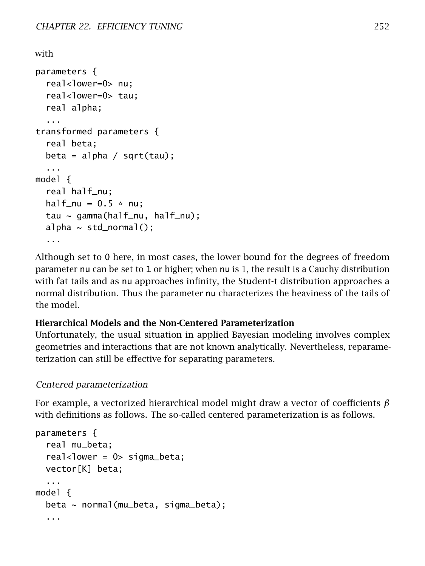```
with
parameters {
  real<lower=0> nu;
  real<lower=0> tau;
  real alpha;
  ...
transformed parameters {
  real beta;
  beta = alpha / sqrt(tau);...
model {
  real half_nu;
  half nu = 0.5 * nu:
  tau ~ gamma(half_nu, half_nu);
  alpha \sim std_normal();
  ...
```
Although set to 0 here, in most cases, the lower bound for the degrees of freedom parameter nu can be set to 1 or higher; when nu is 1, the result is a Cauchy distribution with fat tails and as nu approaches infinity, the Student-t distribution approaches a normal distribution. Thus the parameter nu characterizes the heaviness of the tails of the model.

#### Hierarchical Models and the Non-Centered Parameterization

Unfortunately, the usual situation in applied Bayesian modeling involves complex geometries and interactions that are not known analytically. Nevertheless, reparameterization can still be effective for separating parameters.

#### Centered parameterization

For example, a vectorized hierarchical model might draw a vector of coefficients *β* with definitions as follows. The so-called centered parameterization is as follows.

```
parameters {
  real mu_beta;
  real<lower = 0> sigma_beta;
 vector[K] beta;
  ...
model {
 beta ~ normal(mu_beta, sigma_beta);
  ...
```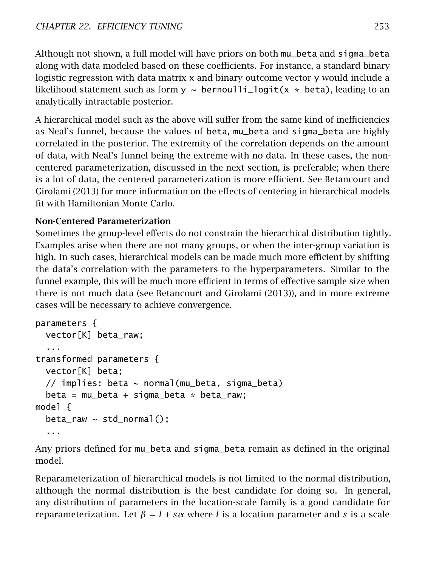Although not shown, a full model will have priors on both mu\_beta and sigma\_beta along with data modeled based on these coefficients. For instance, a standard binary logistic regression with data matrix x and binary outcome vector y would include a likelihood statement such as form  $y \sim \text{bernoulli\_logit}(x * \text{beta})$ , leading to an analytically intractable posterior.

A hierarchical model such as the above will suffer from the same kind of inefficiencies as Neal's funnel, because the values of beta, mu\_beta and sigma\_beta are highly correlated in the posterior. The extremity of the correlation depends on the amount of data, with Neal's funnel being the extreme with no data. In these cases, the noncentered parameterization, discussed in the next section, is preferable; when there is a lot of data, the centered parameterization is more efficient. See Betancourt and Girolami [\(2013\)](#page-303-1) for more information on the effects of centering in hierarchical models fit with Hamiltonian Monte Carlo.

### Non-Centered Parameterization

Sometimes the group-level effects do not constrain the hierarchical distribution tightly. Examples arise when there are not many groups, or when the inter-group variation is high. In such cases, hierarchical models can be made much more efficient by shifting the data's correlation with the parameters to the hyperparameters. Similar to the funnel example, this will be much more efficient in terms of effective sample size when there is not much data (see Betancourt and Girolami [\(2013\)](#page-303-1)), and in more extreme cases will be necessary to achieve convergence.

```
parameters {
 vector[K] beta_raw;
  ...
transformed parameters {
 vector[K] beta;
 // implies: beta ~ normal(mu_beta, sigma_beta)
 beta = mu_beta + sigma_beta * beta_raw;model {
 beta_{rx} \sim std_{normal}(;
  ...
```
Any priors defined for mu\_beta and sigma\_beta remain as defined in the original model.

Reparameterization of hierarchical models is not limited to the normal distribution, although the normal distribution is the best candidate for doing so. In general, any distribution of parameters in the location-scale family is a good candidate for reparameterization. Let  $β = l + sα$  where *l* is a location parameter and *s* is a scale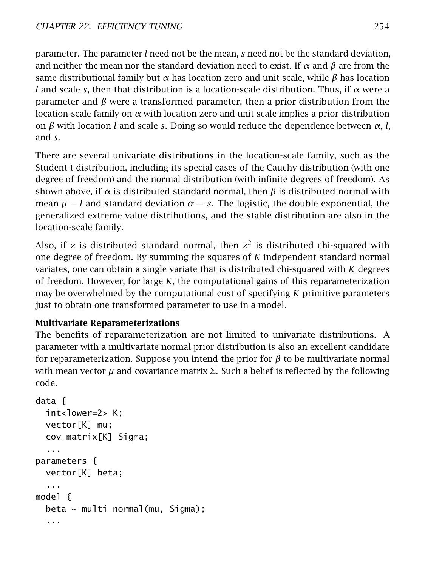parameter. The parameter *l* need not be the mean, *s* need not be the standard deviation, and neither the mean nor the standard deviation need to exist. If *α* and *β* are from the same distributional family but *α* has location zero and unit scale, while *β* has location *l* and scale *s*, then that distribution is a location-scale distribution. Thus, if *α* were a parameter and *β* were a transformed parameter, then a prior distribution from the location-scale family on *α* with location zero and unit scale implies a prior distribution on *β* with location *l* and scale *s*. Doing so would reduce the dependence between *α*, *l*, and *s*.

There are several univariate distributions in the location-scale family, such as the Student t distribution, including its special cases of the Cauchy distribution (with one degree of freedom) and the normal distribution (with infinite degrees of freedom). As shown above, if *α* is distributed standard normal, then *β* is distributed normal with mean  $\mu = l$  and standard deviation  $\sigma = s$ . The logistic, the double exponential, the generalized extreme value distributions, and the stable distribution are also in the location-scale family.

Also, if *z* is distributed standard normal, then  $z^2$  is distributed chi-squared with one degree of freedom. By summing the squares of *K* independent standard normal variates, one can obtain a single variate that is distributed chi-squared with *K* degrees of freedom. However, for large *K*, the computational gains of this reparameterization may be overwhelmed by the computational cost of specifying *K* primitive parameters just to obtain one transformed parameter to use in a model.

#### Multivariate Reparameterizations

The benefits of reparameterization are not limited to univariate distributions. A parameter with a multivariate normal prior distribution is also an excellent candidate for reparameterization. Suppose you intend the prior for *β* to be multivariate normal with mean vector  $\mu$  and covariance matrix  $\Sigma$ . Such a belief is reflected by the following code.

```
data {
 int<lower=2> K;
 vector[K] mu;
 cov_matrix[K] Sigma;
  ...
parameters {
 vector[K] beta;
  ...
model {
 beta ~ multi_normal(mu, Sigma);
  ...
```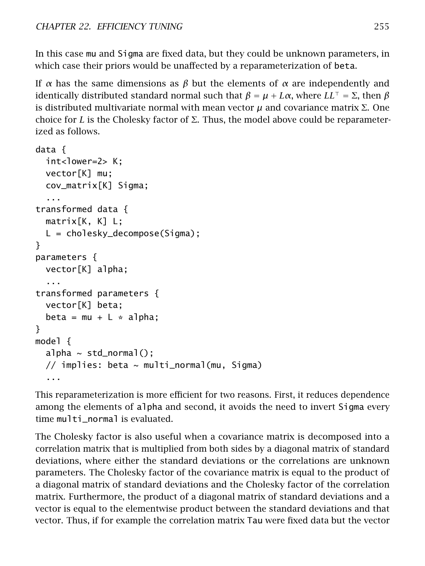In this case mu and Sigma are fixed data, but they could be unknown parameters, in which case their priors would be unaffected by a reparameterization of beta.

If *α* has the same dimensions as *β* but the elements of *α* are independently and identically distributed standard normal such that  $β = μ + Lα$ , where  $LL<sup>τ</sup> = Σ$ , then  $β$ is distributed multivariate normal with mean vector *µ* and covariance matrix Σ. One choice for *L* is the Cholesky factor of  $\Sigma$ . Thus, the model above could be reparameterized as follows.

```
data {
 int<lower=2> K;
 vector[K] mu;
 cov_matrix[K] Sigma;
  ...
transformed data {
 matrix[K, K] L;
 L = cholesky_decompose(Sigma);
}
parameters {
 vector[K] alpha;
  ...
transformed parameters {
 vector[K] beta;
 beta = mu + L * a]pha;
}
model {
 alpha \sim std_normal();
 // implies: beta ~ multi_normal(mu, Sigma)
  ...
```
This reparameterization is more efficient for two reasons. First, it reduces dependence among the elements of alpha and second, it avoids the need to invert Sigma every time multi\_normal is evaluated.

The Cholesky factor is also useful when a covariance matrix is decomposed into a correlation matrix that is multiplied from both sides by a diagonal matrix of standard deviations, where either the standard deviations or the correlations are unknown parameters. The Cholesky factor of the covariance matrix is equal to the product of a diagonal matrix of standard deviations and the Cholesky factor of the correlation matrix. Furthermore, the product of a diagonal matrix of standard deviations and a vector is equal to the elementwise product between the standard deviations and that vector. Thus, if for example the correlation matrix Tau were fixed data but the vector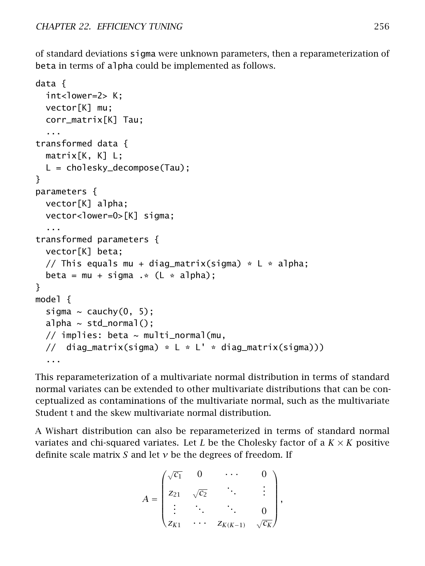of standard deviations sigma were unknown parameters, then a reparameterization of beta in terms of alpha could be implemented as follows.

```
data {
 int<lower=2> K;
 vector[K] mu;
 corr_matrix[K] Tau;
  ...
transformed data {
 matrix[K, K] L;
 L = cholesky_decompose(Tau);
}
parameters {
 vector[K] alpha;
 vector<lower=0>[K] sigma;
  ...
transformed parameters {
 vector[K] beta;
 // This equals mu + diag_matrix(sigma) * L * alpha;
 beta = mu + sigma \cdot * (L * alpha);}
model {
 sigma \sim cauchy(0, 5);
 alpha \sim std_normal();
 // implies: beta \sim multi_normal(mu,
 // diag_matrix(sigma) * L * L' * diag_matrix(sigma)))...
```
This reparameterization of a multivariate normal distribution in terms of standard normal variates can be extended to other multivariate distributions that can be conceptualized as contaminations of the multivariate normal, such as the multivariate Student t and the skew multivariate normal distribution.

A Wishart distribution can also be reparameterized in terms of standard normal variates and chi-squared variates. Let *L* be the Cholesky factor of a  $K \times K$  positive definite scale matrix *S* and let *ν* be the degrees of freedom. If

$$
A = \begin{pmatrix} \sqrt{c_1} & 0 & \cdots & 0 \\ z_{21} & \sqrt{c_2} & & \vdots \\ \vdots & \ddots & \ddots & 0 \\ z_{K1} & \cdots & z_{K(K-1)} & \sqrt{c_K} \end{pmatrix},
$$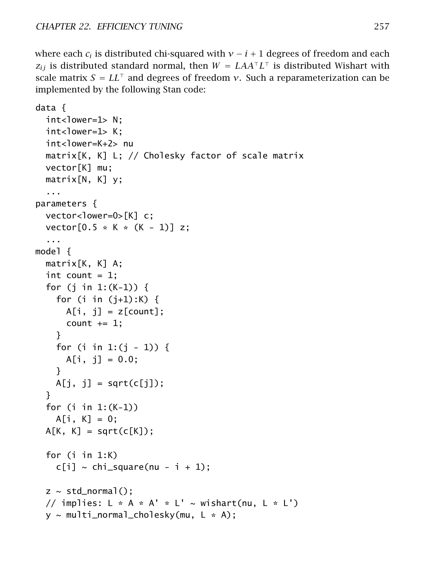where each  $c_i$  is distributed chi-squared with  $v - i + 1$  degrees of freedom and each  $z_{ij}$  is distributed standard normal, then  $W = LAA^\top L^\top$  is distributed Wishart with scale matrix  $S = LL^{\dagger}$  and degrees of freedom *ν*. Such a reparameterization can be implemented by the following Stan code:

```
data {
 int<lower=1> N;
 int <lower=1> K;
 int<lower=K+2> nu
 matrix[K, K] L; // Cholesky factor of scale matrix
 vector[K] mu;
 matrix[N, K] y;
  ...
parameters {
 vector<lower=0>[K] c;
 vector[0.5 * K * (K - 1)] z;...
model {
 matrix[K, K] A;
 int count = 1;
 for (j in 1:(K-1)) {
    for (i in (j+1):K) {
      A[i, j] = z[count];count += 1;}
    for (i in 1:(i - 1)) {
      A[i, j] = 0.0;}
   A[j, j] = sqrt(c[j]);}
 for (i in 1:(K-1))
   A[i, K] = 0;A[K, K] = sqrt(c[K]);
 for (i in 1:K)
    c[i] ~ chi_square(nu - i + 1);
 z \sim std\_normal();
 // implies: L * A * A' * L' \sim wishart(nu, L * L')y \sim multi_normal_cholesky(mu, L \times A);
```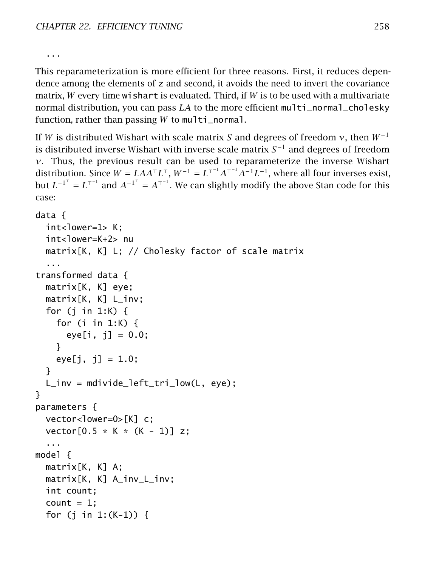...

This reparameterization is more efficient for three reasons. First, it reduces dependence among the elements of z and second, it avoids the need to invert the covariance matrix, *W* every time wishart is evaluated. Third, if *W* is to be used with a multivariate normal distribution, you can pass *LA* to the more efficient multi\_normal\_cholesky function, rather than passing *W* to multi\_normal.

If *W* is distributed Wishart with scale matrix *S* and degrees of freedom *ν*, then *W*<sup>−</sup><sup>1</sup> is distributed inverse Wishart with inverse scale matrix *S* <sup>−</sup><sup>1</sup> and degrees of freedom *ν*. Thus, the previous result can be used to reparameterize the inverse Wishart distribution. Since  $W = LAA^\top L^\top$ ,  $W^{-1} = L^{\top^{-1}}A^{\top^{-1}}A^{-1}L^{-1}$ , where all four inverses exist, but  $L^{-1^{\top}} = L^{\top^{-1}}$  and  $A^{-1^{\top}} = A^{\top^{-1}}$ . We can slightly modify the above Stan code for this case:

```
data {
 int<lower=1> K:
 int<lower=K+2> nu
 matrix[K, K] L; // Cholesky factor of scale matrix
  ...
transformed data {
 matrix[K, K] eye;
 matrix[K, K] L_inv;
 for (j in 1:K) \{for (i in 1:K) {
      eye[i, j] = 0.0;}
    eye[j, i] = 1.0;
 }
 L_inv = mdivide_left_tri_low(L, eye);
}
parameters {
 vector<lower=0>[K] c;
 vector[0.5 * K * (K - 1)] z;...
model {
 matrix[K, K] A;
 matrix[K, K] A_inv_L_inv;
 int count;
 count = 1;
 for (j in 1:(K-1)) {
```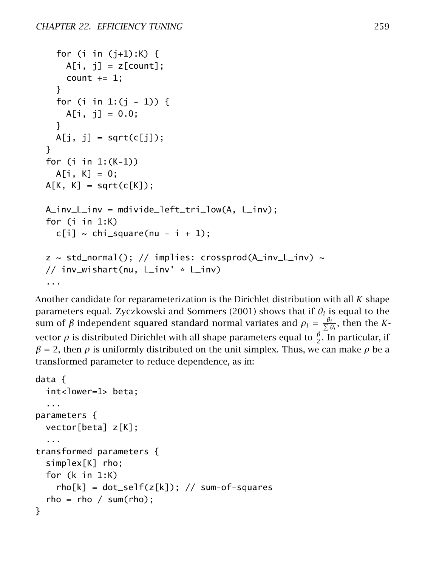```
for (i in (i+1):K) {
    A[i, i] = z[count];count += 1;}
  for (i in 1:(j - 1)) {
    A[i, j] = 0.0;}
 A[j, j] = sqrt(c[j]);
}
for (i in 1:(K-1))
 A[i, K] = 0;A[K, K] = sqrt(c[K]);
A_inv_L_inv = mdivide_left_tri_low(A, L_inv);
for (i in 1:K)
  c[i] ~ chi_square(nu - i + 1);
z \sim std\_normal(); // implies: crossprod(A\_inv\_L\_inv) \sim// inv_wishart(nu, L_inv' * L_inv)
...
```
Another candidate for reparameterization is the Dirichlet distribution with all *K* shape parameters equal. Zyczkowski and Sommers [\(2001\)](#page-306-0) shows that if  $\theta_i$  is equal to the sum of *β* independent squared standard normal variates and  $ρ_i = \frac{θ_i}{Σ θ_i}$ , then the *K*vector  $\rho$  is distributed Dirichlet with all shape parameters equal to  $\frac{\beta}{2}.$  In particular, if  $\beta$  = 2, then  $\rho$  is uniformly distributed on the unit simplex. Thus, we can make  $\rho$  be a transformed parameter to reduce dependence, as in:

```
data {
 int<lower=1> beta;
  ...
parameters {
 vector[beta] z[K];
  ...
transformed parameters {
 simplex[K] rho;
 for (k in 1:K)
    rho[k] = dot\_self(z[k]); // sum-of-squares
  rho = rho / sum(rho);
}
```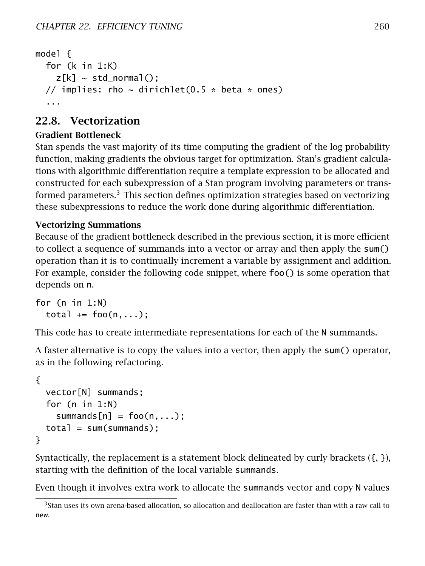```
model {
  for (k in 1:K)
    z[k] \sim std\_normal();
  // implies: rho \sim dirichlet(0.5 * beta * ones)
  ...
```
## 22.8. Vectorization

#### Gradient Bottleneck

Stan spends the vast majority of its time computing the gradient of the log probability function, making gradients the obvious target for optimization. Stan's gradient calculations with algorithmic differentiation require a template expression to be allocated and constructed for each subexpression of a Stan program involving parameters or transformed parameters. $3$  This section defines optimization strategies based on vectorizing these subexpressions to reduce the work done during algorithmic differentiation.

### Vectorizing Summations

Because of the gradient bottleneck described in the previous section, it is more efficient to collect a sequence of summands into a vector or array and then apply the sum() operation than it is to continually increment a variable by assignment and addition. For example, consider the following code snippet, where  $foo()$  is some operation that depends on n.

```
for (n in 1:N)
 total += foo(n,...);
```
This code has to create intermediate representations for each of the N summands.

A faster alternative is to copy the values into a vector, then apply the sum() operator, as in the following refactoring.

```
{
 vector[N] summands;
 for (n in 1:N)
    summands[n] = foo(n,...);total = sum(summands);
}
```
Syntactically, the replacement is a statement block delineated by curly brackets  $(\{, \},)$ , starting with the definition of the local variable summands.

Even though it involves extra work to allocate the summands vector and copy N values

<span id="page-266-0"></span> $3$ Stan uses its own arena-based allocation, so allocation and deallocation are faster than with a raw call to new.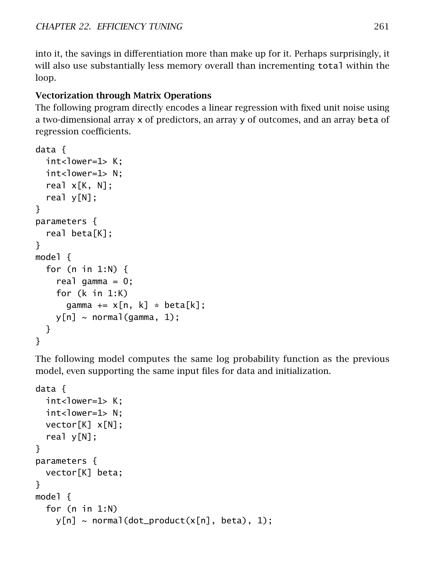into it, the savings in differentiation more than make up for it. Perhaps surprisingly, it will also use substantially less memory overall than incrementing total within the loop.

### Vectorization through Matrix Operations

The following program directly encodes a linear regression with fixed unit noise using a two-dimensional array x of predictors, an array y of outcomes, and an array beta of regression coefficients.

```
data {
  int <lower=1> K:
  int<lower=1> N;
  real x[K, N];
  real y[N];
}
parameters {
  real beta[K];
}
model {
  for (n in 1:N) {
    real gamma = 0;
    for (k in 1:K)
      gamma += x[n, k] * beta[k];y[n] \sim \text{normal}(gamma, 1);
  }
}
```
The following model computes the same log probability function as the previous model, even supporting the same input files for data and initialization.

```
data {
  int<lower=1> K:
  int<lower=1> N:
  vector[K] x[N];
  real y[N];
}
parameters {
  vector[K] beta;
}
model {
  for (n in 1:N)
    y[n] \sim \text{normal}(dot\_product(x[n], beta), 1);
```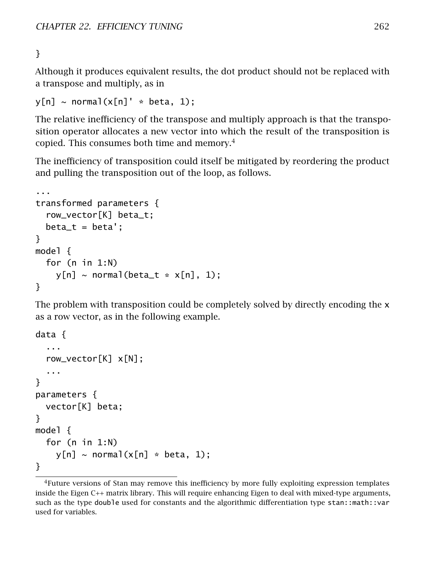}

Although it produces equivalent results, the dot product should not be replaced with a transpose and multiply, as in

```
y[n] \sim \text{normal}(x[n] \cdot * \text{beta}, 1);
```
The relative inefficiency of the transpose and multiply approach is that the transposition operator allocates a new vector into which the result of the transposition is copied. This consumes both time and memory.[4](#page-268-0)

The inefficiency of transposition could itself be mitigated by reordering the product and pulling the transposition out of the loop, as follows.

```
...
transformed parameters {
  row_vector[K] beta_t;
  beta_t = beta';}
model {
  for (n in 1:N)
    y[n] \sim \text{normal}(\text{beta}_t \cdot x[n], 1);
}
```
The problem with transposition could be completely solved by directly encoding the x as a row vector, as in the following example.

```
data {
  ...
  row_vector[K] x[N];
  ...
}
parameters {
  vector[K] beta;
}
model {
  for (n in 1:N)
    y[n] \sim \text{normal}(x[n] * \text{beta}, 1);}
```
<span id="page-268-0"></span><sup>4</sup>Future versions of Stan may remove this inefficiency by more fully exploiting expression templates inside the Eigen C++ matrix library. This will require enhancing Eigen to deal with mixed-type arguments, such as the type double used for constants and the algorithmic differentiation type stan::math::var used for variables.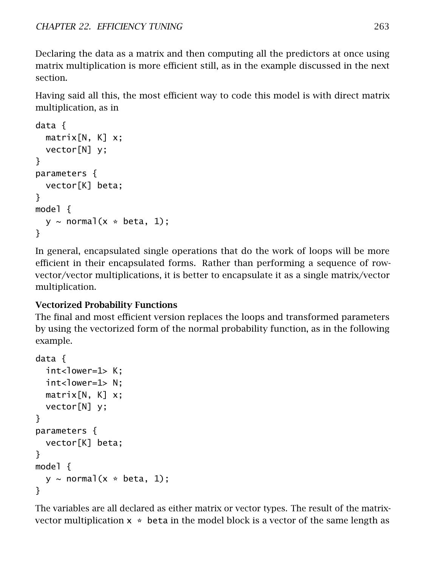Declaring the data as a matrix and then computing all the predictors at once using matrix multiplication is more efficient still, as in the example discussed in the next section.

Having said all this, the most efficient way to code this model is with direct matrix multiplication, as in

```
data {
  matrix[N, K] x;vector[N] y;
}
parameters {
  vector[K] beta;
}
model {
  y \sim normal(x * beta, 1);
}
```
In general, encapsulated single operations that do the work of loops will be more efficient in their encapsulated forms. Rather than performing a sequence of rowvector/vector multiplications, it is better to encapsulate it as a single matrix/vector multiplication.

#### Vectorized Probability Functions

The final and most efficient version replaces the loops and transformed parameters by using the vectorized form of the normal probability function, as in the following example.

```
data {
  int<lower=1> K:
  int<lower=1> N:
  matrix[N, K] x;vector[N] y;
}
parameters {
  vector[K] beta;
}
model {
  y \sim normal(x * beta, 1);
}
```
The variables are all declared as either matrix or vector types. The result of the matrixvector multiplication  $x * beta$  in the model block is a vector of the same length as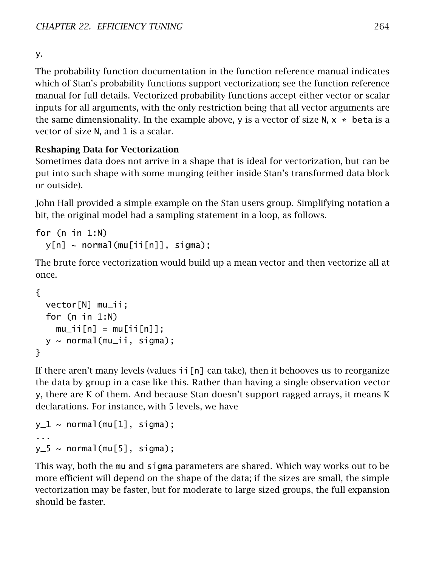y.

The probability function documentation in the function reference manual indicates which of Stan's probability functions support vectorization; see the function reference manual for full details. Vectorized probability functions accept either vector or scalar inputs for all arguments, with the only restriction being that all vector arguments are the same dimensionality. In the example above, y is a vector of size N,  $x * beta$  is a vector of size N, and 1 is a scalar.

### Reshaping Data for Vectorization

Sometimes data does not arrive in a shape that is ideal for vectorization, but can be put into such shape with some munging (either inside Stan's transformed data block or outside).

John Hall provided a simple example on the Stan users group. Simplifying notation a bit, the original model had a sampling statement in a loop, as follows.

```
for (n in 1:N)
  y[n] \sim normal(mu[i[i[n]], sigma);
```
The brute force vectorization would build up a mean vector and then vectorize all at once.

```
{
  vector[N] mu_ii;
  for (n in 1:N)
    muii[n] = mu[ii[n]];
  y \sim normal(mu_ii, sigma);
}
```
If there aren't many levels (values  $\pi$  [n] can take), then it behooves us to reorganize the data by group in a case like this. Rather than having a single observation vector y, there are K of them. And because Stan doesn't support ragged arrays, it means K declarations. For instance, with 5 levels, we have

```
y_1 \sim \text{normal}(\text{mu}[1], \text{sigma});
...
y_5 \sim normal(mu[5], sigma);
```
This way, both the mu and sigma parameters are shared. Which way works out to be more efficient will depend on the shape of the data; if the sizes are small, the simple vectorization may be faster, but for moderate to large sized groups, the full expansion should be faster.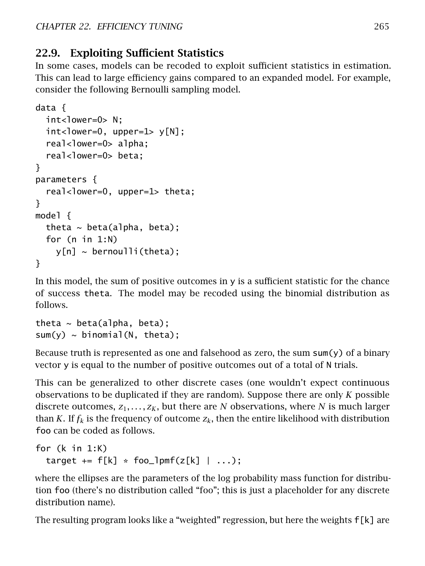## 22.9. Exploiting Sufficient Statistics

In some cases, models can be recoded to exploit sufficient statistics in estimation. This can lead to large efficiency gains compared to an expanded model. For example, consider the following Bernoulli sampling model.

```
data {
  int<lower=0> N;
  int <lower=0, upper=1> y[N];
  real<lower=0> alpha;
  real<lower=0> beta;
}
parameters {
  real<lower=0, upper=1> theta;
}
model {
  theta \sim beta(alpha, beta);
  for (n in 1:N)
    y[n] \sim bernoulli(theta);
}
```
In this model, the sum of positive outcomes in y is a sufficient statistic for the chance of success theta. The model may be recoded using the binomial distribution as follows.

```
theta \sim beta(alpha, beta);
sum(y) \sim binomial(N, theta);
```
Because truth is represented as one and falsehood as zero, the sum  $\mathsf{sum}(y)$  of a binary vector y is equal to the number of positive outcomes out of a total of N trials.

This can be generalized to other discrete cases (one wouldn't expect continuous observations to be duplicated if they are random). Suppose there are only *K* possible discrete outcomes,  $z_1, \ldots, z_K$ , but there are *N* observations, where *N* is much larger than *K*. If  $f_k$  is the frequency of outcome  $z_k$ , then the entire likelihood with distribution foo can be coded as follows.

```
for (k in 1:K)
 target += f[k] * foo_lpmf(z[k] | ...);
```
where the ellipses are the parameters of the log probability mass function for distribution foo (there's no distribution called "foo"; this is just a placeholder for any discrete distribution name).

The resulting program looks like a "weighted" regression, but here the weights f[k] are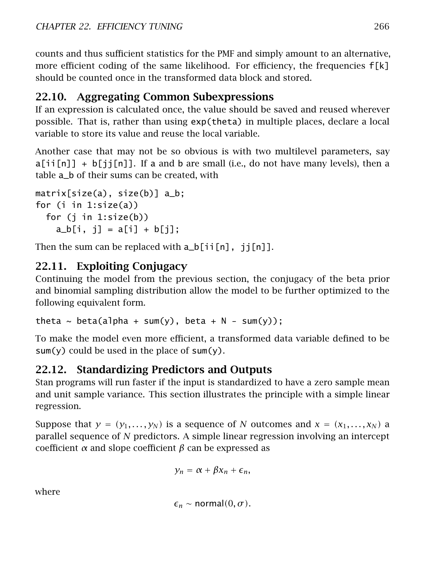counts and thus sufficient statistics for the PMF and simply amount to an alternative, more efficient coding of the same likelihood. For efficiency, the frequencies  $f[k]$ should be counted once in the transformed data block and stored.

## 22.10. Aggregating Common Subexpressions

If an expression is calculated once, the value should be saved and reused wherever possible. That is, rather than using exp(theta) in multiple places, declare a local variable to store its value and reuse the local variable.

Another case that may not be so obvious is with two multilevel parameters, say  $a[i][n]] + b[j][n]]$ . If a and b are small (i.e., do not have many levels), then a table a\_b of their sums can be created, with

```
matrix[size(a), size(b)] a_b;
for (i in 1:size(a))
 for (i in 1:size(b))a_{b}[i, j] = a[i] + b[i];
```
Then the sum can be replaced with  $a_b$ [ii[n], ji[n]].

## 22.11. Exploiting Conjugacy

Continuing the model from the previous section, the conjugacy of the beta prior and binomial sampling distribution allow the model to be further optimized to the following equivalent form.

theta  $\sim$  beta(alpha + sum(y), beta + N - sum(y));

To make the model even more efficient, a transformed data variable defined to be  $sum(y)$  could be used in the place of  $sum(y)$ .

## 22.12. Standardizing Predictors and Outputs

Stan programs will run faster if the input is standardized to have a zero sample mean and unit sample variance. This section illustrates the principle with a simple linear regression.

Suppose that  $y = (y_1, \ldots, y_N)$  is a sequence of N outcomes and  $x = (x_1, \ldots, x_N)$  a parallel sequence of *N* predictors. A simple linear regression involving an intercept coefficient *α* and slope coefficient *β* can be expressed as

 $y_n = \alpha + \beta x_n + \epsilon_n$ 

where

 $\epsilon_n \sim \text{normal}(0, \sigma)$ .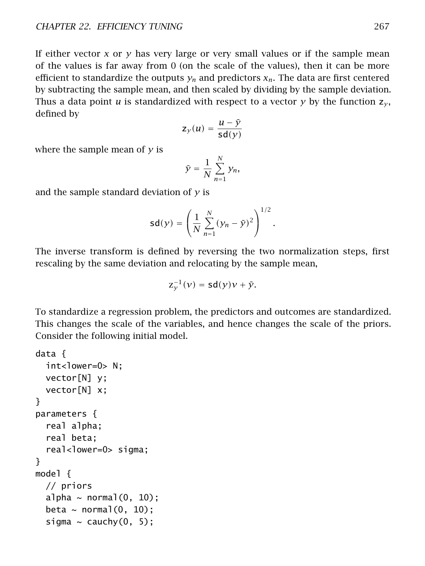If either vector *x* or *y* has very large or very small values or if the sample mean of the values is far away from 0 (on the scale of the values), then it can be more efficient to standardize the outputs  $y_n$  and predictors  $x_n$ . The data are first centered by subtracting the sample mean, and then scaled by dividing by the sample deviation. Thus a data point *u* is standardized with respect to a vector *y* by the function  $z_v$ , defined by

$$
z_{y}(u) = \frac{u - \bar{y}}{sd(y)}
$$

where the sample mean of *y* is

$$
\bar{y} = \frac{1}{N} \sum_{n=1}^{N} y_n,
$$

and the sample standard deviation of *y* is

$$
sd(y) = \left(\frac{1}{N} \sum_{n=1}^{N} (y_n - \bar{y})^2\right)^{1/2}.
$$

The inverse transform is defined by reversing the two normalization steps, first rescaling by the same deviation and relocating by the sample mean,

$$
z_{\mathcal{Y}}^{-1}(\mathcal{V}) = \mathsf{sd}(\mathcal{Y})\mathcal{V} + \bar{\mathcal{Y}}.
$$

To standardize a regression problem, the predictors and outcomes are standardized. This changes the scale of the variables, and hence changes the scale of the priors. Consider the following initial model.

```
data {
  int<lower=0> N;
  vector[N] y;
  vector[N] x;
}
parameters {
  real alpha;
  real beta;
  real<lower=0> sigma;
}
model {
  // priors
  alpha \sim normal(0, 10);
  beta \sim normal(0, 10);
  sigma \sim cauchy(0, 5);
```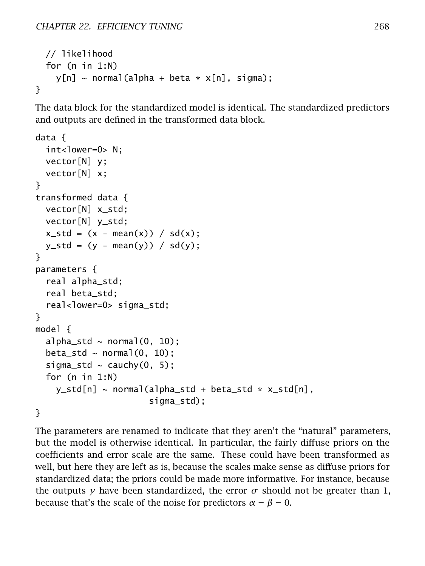```
// likelihood
  for (n in 1:N)
    y[n] \sim \text{normal}(a]pha + beta * x[n], sigma);
}
```
The data block for the standardized model is identical. The standardized predictors and outputs are defined in the transformed data block.

```
data {
  int<lower=0> N;
  vector[N] y;
  vector[N] x;
}
transformed data {
  vector[N] x_std;
  vector[N] y_std;
  x\_std = (x - mean(x)) / sd(x);y_{s}std = (y - mean(y)) / sd(y);
}
parameters {
  real alpha_std;
  real beta_std;
  real<lower=0> sigma_std;
}
model {
  alpha_std \sim normal(0, 10);
  beta_std \sim normal(0, 10);
  sigma_std \sim cauchy(0, 5);
  for (n in 1:N)
    y_{s}td[n] ~ normal(alpha_std + beta_std * x_std[n],
                       sigma_std);
}
```
The parameters are renamed to indicate that they aren't the "natural" parameters, but the model is otherwise identical. In particular, the fairly diffuse priors on the coefficients and error scale are the same. These could have been transformed as well, but here they are left as is, because the scales make sense as diffuse priors for standardized data; the priors could be made more informative. For instance, because the outputs *y* have been standardized, the error  $\sigma$  should not be greater than 1, because that's the scale of the noise for predictors  $\alpha = \beta = 0$ .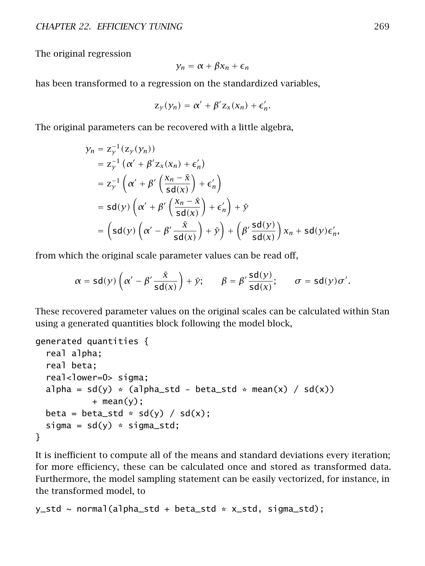The original regression

$$
y_n = \alpha + \beta x_n + \epsilon_n
$$

has been transformed to a regression on the standardized variables,

$$
z_{y}(y_{n}) = \alpha' + \beta' z_{x}(x_{n}) + \epsilon'_{n}.
$$

The original parameters can be recovered with a little algebra,

$$
y_n = z_y^{-1} (z_y(y_n))
$$
  
\n
$$
= z_y^{-1} (\alpha' + \beta' z_x(x_n) + \epsilon'_n)
$$
  
\n
$$
= z_y^{-1} (\alpha' + \beta' \left(\frac{x_n - \bar{x}}{sd(x)}\right) + \epsilon'_n)
$$
  
\n
$$
= sd(y) (\alpha' + \beta' \left(\frac{x_n - \bar{x}}{sd(x)}\right) + \epsilon'_n) + \bar{y}
$$
  
\n
$$
= (sd(y) (\alpha' - \beta' \frac{\bar{x}}{sd(x)}) + \bar{y}) + (\beta' \frac{sd(y)}{sd(x)}) x_n + sd(y) \epsilon'_n,
$$

from which the original scale parameter values can be read off,

$$
\alpha = sd(y)\left(\alpha' - \beta'\frac{\bar{x}}{sd(x)}\right) + \bar{y}; \qquad \beta = \beta'\frac{sd(y)}{sd(x)}; \qquad \sigma = sd(y)\sigma'.
$$

These recovered parameter values on the original scales can be calculated within Stan using a generated quantities block following the model block,

```
generated quantities {
 real alpha;
 real beta;
 real<lower=0> sigma;
 alpha = sd(y) * (alpha_std - beta_std * mean(x) / sd(x))
           + mean(y);
 beta = beta_std * sd(y) / sd(x);
 sigma = sd(y) * sigma\_std;}
```
It is inefficient to compute all of the means and standard deviations every iteration; for more efficiency, these can be calculated once and stored as transformed data. Furthermore, the model sampling statement can be easily vectorized, for instance, in the transformed model, to

```
y_std ~ normal(alpha_std + beta_std * x_std, sigma_std);
```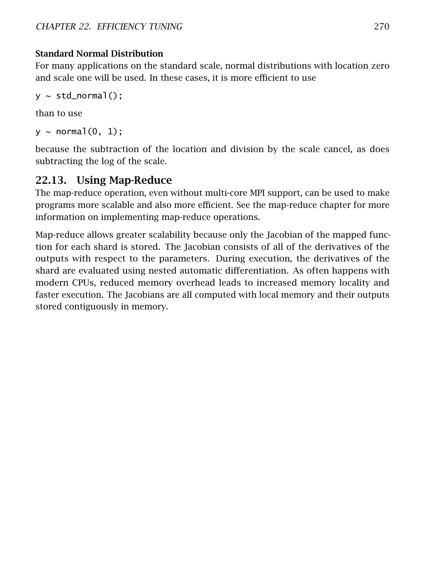#### Standard Normal Distribution

For many applications on the standard scale, normal distributions with location zero and scale one will be used. In these cases, it is more efficient to use

```
y \sim std\_normal();
```
than to use

```
y \sim normal(0, 1);
```
because the subtraction of the location and division by the scale cancel, as does subtracting the log of the scale.

## 22.13. Using Map-Reduce

The map-reduce operation, even without multi-core MPI support, can be used to make programs more scalable and also more efficient. See the [map-reduce chapter](#page-276-0) for more information on implementing map-reduce operations.

<span id="page-276-0"></span>Map-reduce allows greater scalability because only the Jacobian of the mapped function for each shard is stored. The Jacobian consists of all of the derivatives of the outputs with respect to the parameters. During execution, the derivatives of the shard are evaluated using nested automatic differentiation. As often happens with modern CPUs, reduced memory overhead leads to increased memory locality and faster execution. The Jacobians are all computed with local memory and their outputs stored contiguously in memory.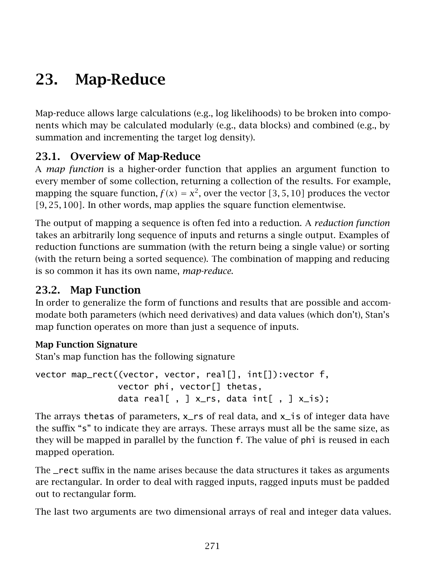# 23. Map-Reduce

Map-reduce allows large calculations (e.g., log likelihoods) to be broken into components which may be calculated modularly (e.g., data blocks) and combined (e.g., by summation and incrementing the target log density).

## 23.1. Overview of Map-Reduce

A *map function* is a higher-order function that applies an argument function to every member of some collection, returning a collection of the results. For example, mapping the square function,  $f(x) = x^2$ , over the vector [3, 5, 10] produces the vector *[*9*,* 25*,* 100*]*. In other words, map applies the square function elementwise.

The output of mapping a sequence is often fed into a reduction. A *reduction function* takes an arbitrarily long sequence of inputs and returns a single output. Examples of reduction functions are summation (with the return being a single value) or sorting (with the return being a sorted sequence). The combination of mapping and reducing is so common it has its own name, *map-reduce*.

## 23.2. Map Function

In order to generalize the form of functions and results that are possible and accommodate both parameters (which need derivatives) and data values (which don't), Stan's map function operates on more than just a sequence of inputs.

#### Map Function Signature

Stan's map function has the following signature

vector map\_rect((vector, vector, real[], int[]):vector f, vector phi, vector[] thetas, data real[,  $\frac{1}{2}$  x\_rs, data int[,  $\frac{1}{2}$  x\_is);

The arrays thetas of parameters,  $x$ <sub>rs</sub> of real data, and  $x$ <sub>j</sub> of integer data have the suffix "s" to indicate they are arrays. These arrays must all be the same size, as they will be mapped in parallel by the function f. The value of phi is reused in each mapped operation.

The \_rect suffix in the name arises because the data structures it takes as arguments are rectangular. In order to deal with ragged inputs, ragged inputs must be padded out to rectangular form.

The last two arguments are two dimensional arrays of real and integer data values.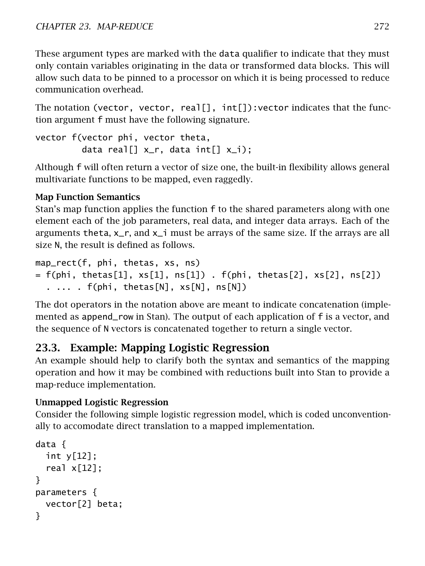These argument types are marked with the data qualifier to indicate that they must only contain variables originating in the data or transformed data blocks. This will allow such data to be pinned to a processor on which it is being processed to reduce communication overhead.

The notation (vector, vector, real[],  $int[]$ ): vector indicates that the function argument f must have the following signature.

```
vector f(vector phi, vector theta,
         data real[] x_r, data int[] x_i);
```
Although f will often return a vector of size one, the built-in flexibility allows general multivariate functions to be mapped, even raggedly.

### Map Function Semantics

Stan's map function applies the function f to the shared parameters along with one element each of the job parameters, real data, and integer data arrays. Each of the arguments theta,  $x_r$ , and  $x_i$  must be arrays of the same size. If the arrays are all size N, the result is defined as follows.

```
map_rect(f, phi, thetas, xs, ns)
= f(\text{phi}, \text{theta}[1], \text{xs}[1], \text{ns}[1]) . f(\text{phi}, \text{theta}[2], \text{xs}[2], \text{ns}[2]). ... . f(phi, thetas[N], xs[N], ns[N])
```
The dot operators in the notation above are meant to indicate concatenation (implemented as append\_row in Stan). The output of each application of f is a vector, and the sequence of N vectors is concatenated together to return a single vector.

## 23.3. Example: Mapping Logistic Regression

An example should help to clarify both the syntax and semantics of the mapping operation and how it may be combined with reductions built into Stan to provide a map-reduce implementation.

#### Unmapped Logistic Regression

Consider the following simple logistic regression model, which is coded unconventionally to accomodate direct translation to a mapped implementation.

```
data {
 int y[12];
 real x[12];
}
parameters {
 vector[2] beta;
}
```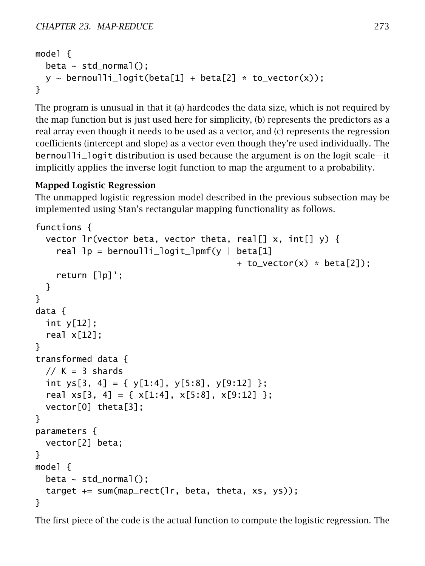```
model {
  beta \sim std_normal();
  y \sim bernoulli_logit(beta[1] + beta[2] * to_vector(x));
}
```
The program is unusual in that it (a) hardcodes the data size, which is not required by the map function but is just used here for simplicity, (b) represents the predictors as a real array even though it needs to be used as a vector, and (c) represents the regression coefficients (intercept and slope) as a vector even though they're used individually. The bernoulli\_logit distribution is used because the argument is on the logit scale—it implicitly applies the inverse logit function to map the argument to a probability.

#### Mapped Logistic Regression

The unmapped logistic regression model described in the previous subsection may be implemented using Stan's rectangular mapping functionality as follows.

```
functions {
  vector lr(vector beta, vector theta, real[] x, int[] y) {
    real lp = bernoulli_logit_lpmf(y \mid beta[1]+ to_vector(x) * beta[2]);
    return [lp]';
  }
}
data {
  int y[12];
  real x[12];
}
transformed data {
  // K = 3 shardsint ys[3, 4] = { y[1:4], y[5:8], y[9:12] };
  real xs[3, 4] = \{ x[1:4], x[5:8], x[9:12] \};vector[0] theta[3];
}
parameters {
  vector[2] beta;
}
model {
  beta \sim std_normal();
  target += sum(map_rect(lr, beta, theta, xs, ys));
}
```
The first piece of the code is the actual function to compute the logistic regression. The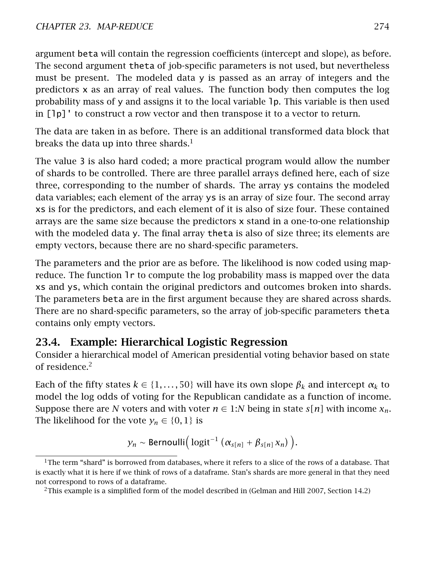argument beta will contain the regression coefficients (intercept and slope), as before. The second argument theta of job-specific parameters is not used, but nevertheless must be present. The modeled data y is passed as an array of integers and the predictors x as an array of real values. The function body then computes the log probability mass of y and assigns it to the local variable lp. This variable is then used in [lp]' to construct a row vector and then transpose it to a vector to return.

The data are taken in as before. There is an additional transformed data block that breaks the data up into three shards.<sup>[1](#page-280-0)</sup>

The value 3 is also hard coded; a more practical program would allow the number of shards to be controlled. There are three parallel arrays defined here, each of size three, corresponding to the number of shards. The array ys contains the modeled data variables; each element of the array ys is an array of size four. The second array xs is for the predictors, and each element of it is also of size four. These contained arrays are the same size because the predictors x stand in a one-to-one relationship with the modeled data y. The final array theta is also of size three; its elements are empty vectors, because there are no shard-specific parameters.

The parameters and the prior are as before. The likelihood is now coded using mapreduce. The function lr to compute the log probability mass is mapped over the data xs and ys, which contain the original predictors and outcomes broken into shards. The parameters beta are in the first argument because they are shared across shards. There are no shard-specific parameters, so the array of job-specific parameters theta contains only empty vectors.

## 23.4. Example: Hierarchical Logistic Regression

Consider a hierarchical model of American presidential voting behavior based on state of residence.[2](#page-280-1)

Each of the fifty states  $k \in \{1, \ldots, 50\}$  will have its own slope  $\beta_k$  and intercept  $\alpha_k$  to model the log odds of voting for the Republican candidate as a function of income. Suppose there are *N* voters and with voter  $n \in 1:N$  being in state  $s[n]$  with income  $x_n$ . The likelihood for the vote  $y_n \in \{0, 1\}$  is

$$
y_n \sim \text{Bernoulli}\Big(\logit^{-1}(\alpha_{s[n]} + \beta_{s[n]}x_n)\Big).
$$

<span id="page-280-0"></span> $1$ The term "shard" is borrowed from databases, where it refers to a slice of the rows of a database. That is exactly what it is here if we think of rows of a dataframe. Stan's shards are more general in that they need not correspond to rows of a dataframe.

<span id="page-280-1"></span><sup>&</sup>lt;sup>2</sup>This example is a simplified form of the model described in (Gelman and Hill [2007,](#page-304-1) Section 14.2)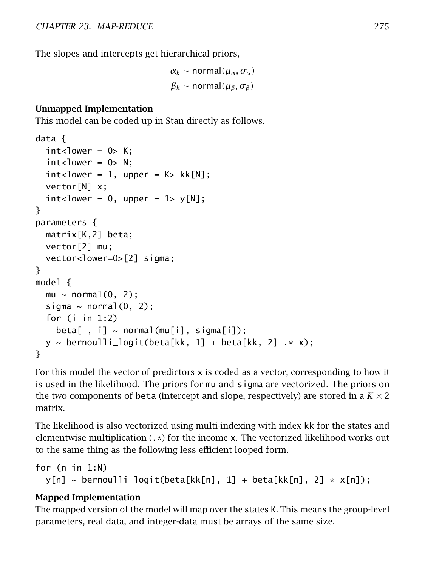The slopes and intercepts get hierarchical priors,

 $α_k$  ∼ normal $(μ_\alpha, σ_\alpha)$  $β_k$  ∼ normal $(μ_β, σ_β)$ 

#### Unmapped Implementation

This model can be coded up in Stan directly as follows.

```
data {
  int <lower = 0> K:
  int < lower = 0> N;
  int <lower = 1, upper = K> kk[N];
  vector[N] x;
  int<lower = 0, upper = 1> y[N];
}
parameters {
  matrix[K,2] beta;
  vector[2] mu;
  vector<lower=0>[2] sigma;
}
model {
  mu \sim normal(0, 2);
  sigma \sim normal(0, 2);
  for (i in 1:2)
    beta[, i \rightarrow \text{normal}(\text{mul}[i], \text{sigma}[i]);
  y \sim bernoulli_logit(beta[kk, 1] + beta[kk, 2] \cdot \cdot \cdot x);
}
```
For this model the vector of predictors x is coded as a vector, corresponding to how it is used in the likelihood. The priors for mu and sigma are vectorized. The priors on the two components of beta (intercept and slope, respectively) are stored in a  $K \times 2$ matrix.

The likelihood is also vectorized using multi-indexing with index kk for the states and elementwise multiplication  $(.*)$  for the income x. The vectorized likelihood works out to the same thing as the following less efficient looped form.

```
for (n in 1:N)
 y[n] \sim bernoulli_logit(beta[kk[n], 1] + beta[kk[n], 2] * x[n]);
```
#### Mapped Implementation

The mapped version of the model will map over the states K. This means the group-level parameters, real data, and integer-data must be arrays of the same size.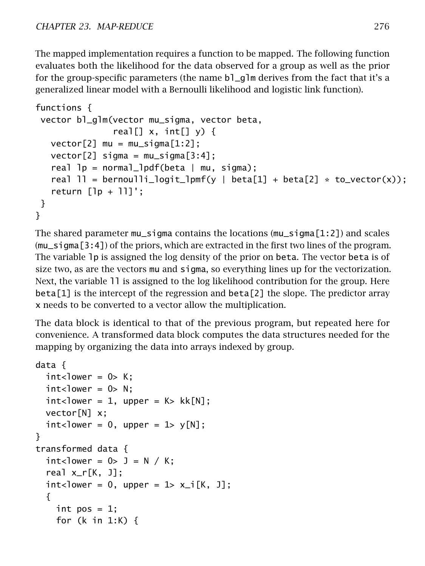The mapped implementation requires a function to be mapped. The following function evaluates both the likelihood for the data observed for a group as well as the prior for the group-specific parameters (the name bl\_glm derives from the fact that it's a generalized linear model with a Bernoulli likelihood and logistic link function).

```
functions {
vector bl_glm(vector mu_sigma, vector beta,
                real[] x, int[] y) {
   vector[2] mu = mu_sigma[1:2];
   vector[2] sigma = mu_sigma[3:4];real lp = normal_lpdf(beta | mu, sigma);real 11 = \text{bernoulli\_logit\_lpm(y)} \text{ beta[1]} + \text{beta[2]} * \text{to\_vector(x)};
   return [1p + 11]';
}
}
```
The shared parameter mu\_sigma contains the locations (mu\_sigma[1:2]) and scales (mu\_sigma[3:4]) of the priors, which are extracted in the first two lines of the program. The variable lp is assigned the log density of the prior on beta. The vector beta is of size two, as are the vectors mu and sigma, so everything lines up for the vectorization. Next, the variable ll is assigned to the log likelihood contribution for the group. Here  $beta[1]$  is the intercept of the regression and  $beta[2]$  the slope. The predictor array x needs to be converted to a vector allow the multiplication.

The data block is identical to that of the previous program, but repeated here for convenience. A transformed data block computes the data structures needed for the mapping by organizing the data into arrays indexed by group.

```
data {
 int <lower = 0> K;
 int <lower = 0> N;
 int <lower = 1, upper = K > kk[N];
 vector[N] x;
 int <lower = 0, upper = 1> y[N];
}
transformed data {
 int<lower = 0 > J = N / K;
  real x_r[K, J];
 int <lower = 0, upper = 1> x_i[K, J];
  {
    int pos = 1;
    for (k in 1:K) {
```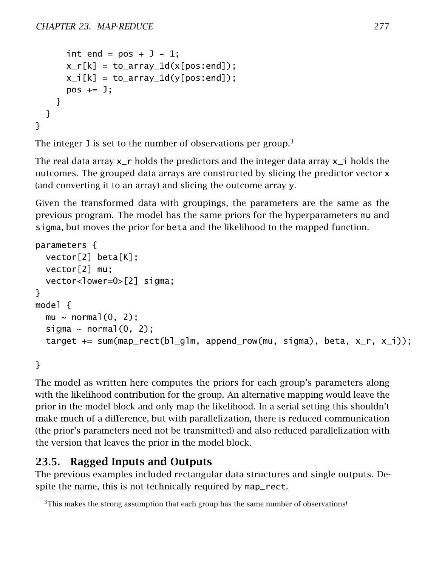```
int end = pos + J - 1;
     x_r[k] = to_array_d(x[pos:end]);
     x_i[k] = to_array_id(y[pos:end]);pos += J;}
 }
}
```
The integer J is set to the number of observations per group.<sup>[3](#page-283-0)</sup>

The real data array  $x$ <sub>r</sub> holds the predictors and the integer data array  $x$ <sup>i</sup> holds the outcomes. The grouped data arrays are constructed by slicing the predictor vector x (and converting it to an array) and slicing the outcome array y.

Given the transformed data with groupings, the parameters are the same as the previous program. The model has the same priors for the hyperparameters mu and sigma, but moves the prior for beta and the likelihood to the mapped function.

```
parameters {
  vector[2] beta[K];
  vector[2] mu;
  vector<lower=0>[2] sigma;
}
model {
  mu \sim normal(0, 2);
  sigma \sim normal(0, 2);
  target += sum(map_rect(bl_glm, append_row(mu, sigma), beta, x_r, x_i));
```
}

The model as written here computes the priors for each group's parameters along with the likelihood contribution for the group. An alternative mapping would leave the prior in the model block and only map the likelihood. In a serial setting this shouldn't make much of a difference, but with parallelization, there is reduced communication (the prior's parameters need not be transmitted) and also reduced parallelization with the version that leaves the prior in the model block.

## 23.5. Ragged Inputs and Outputs

The previous examples included rectangular data structures and single outputs. Despite the name, this is not technically required by map\_rect.

<span id="page-283-0"></span> $3$ This makes the strong assumption that each group has the same number of observations!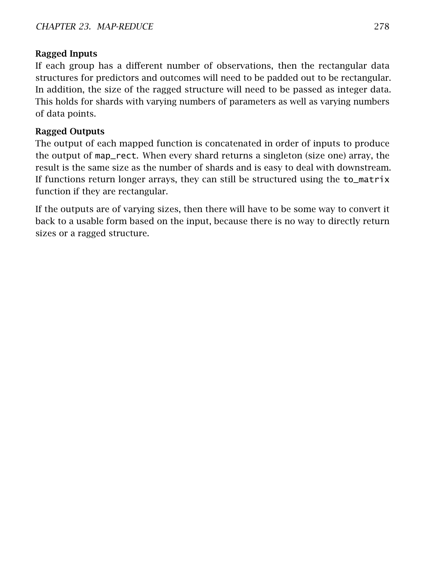#### Ragged Inputs

If each group has a different number of observations, then the rectangular data structures for predictors and outcomes will need to be padded out to be rectangular. In addition, the size of the ragged structure will need to be passed as integer data. This holds for shards with varying numbers of parameters as well as varying numbers of data points.

#### Ragged Outputs

The output of each mapped function is concatenated in order of inputs to produce the output of map\_rect. When every shard returns a singleton (size one) array, the result is the same size as the number of shards and is easy to deal with downstream. If functions return longer arrays, they can still be structured using the to\_matrix function if they are rectangular.

If the outputs are of varying sizes, then there will have to be some way to convert it back to a usable form based on the input, because there is no way to directly return sizes or a ragged structure.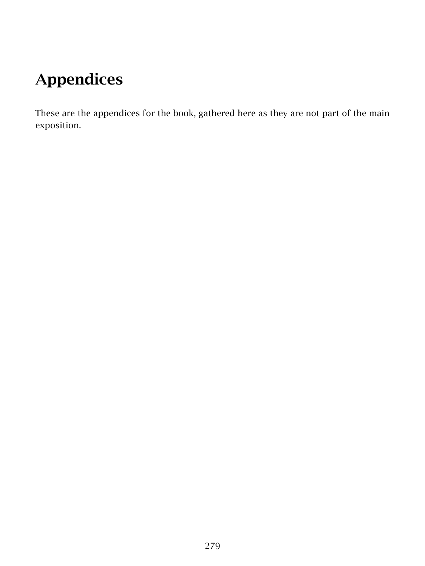# Appendices

These are the appendices for the book, gathered here as they are not part of the main exposition.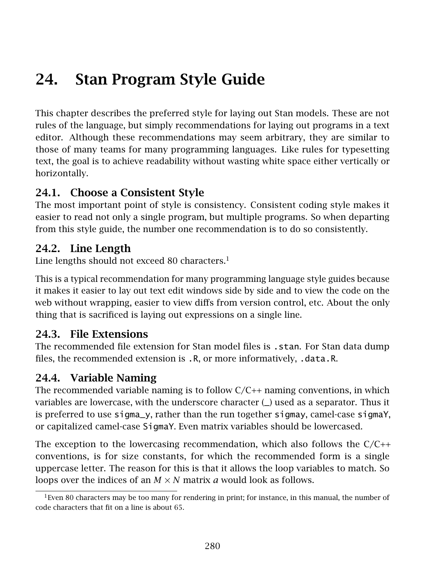# 24. Stan Program Style Guide

This chapter describes the preferred style for laying out Stan models. These are not rules of the language, but simply recommendations for laying out programs in a text editor. Although these recommendations may seem arbitrary, they are similar to those of many teams for many programming languages. Like rules for typesetting text, the goal is to achieve readability without wasting white space either vertically or horizontally.

## 24.1. Choose a Consistent Style

The most important point of style is consistency. Consistent coding style makes it easier to read not only a single program, but multiple programs. So when departing from this style guide, the number one recommendation is to do so consistently.

## 24.2. Line Length

Line lengths should not exceed 80 characters. $1$ 

This is a typical recommendation for many programming language style guides because it makes it easier to lay out text edit windows side by side and to view the code on the web without wrapping, easier to view diffs from version control, etc. About the only thing that is sacrificed is laying out expressions on a single line.

## 24.3. File Extensions

The recommended file extension for Stan model files is . stan. For Stan data dump files, the recommended extension is .R, or more informatively, .data.R.

## 24.4. Variable Naming

The recommended variable naming is to follow  $C/C++$  naming conventions, in which variables are lowercase, with the underscore character (\_) used as a separator. Thus it is preferred to use sigma\_y, rather than the run together sigmay, camel-case sigmaY, or capitalized camel-case SigmaY. Even matrix variables should be lowercased.

The exception to the lowercasing recommendation, which also follows the  $C/C++$ conventions, is for size constants, for which the recommended form is a single uppercase letter. The reason for this is that it allows the loop variables to match. So loops over the indices of an  $M \times N$  matrix *a* would look as follows.

<span id="page-286-0"></span> $1$ Even 80 characters may be too many for rendering in print; for instance, in this manual, the number of code characters that fit on a line is about 65.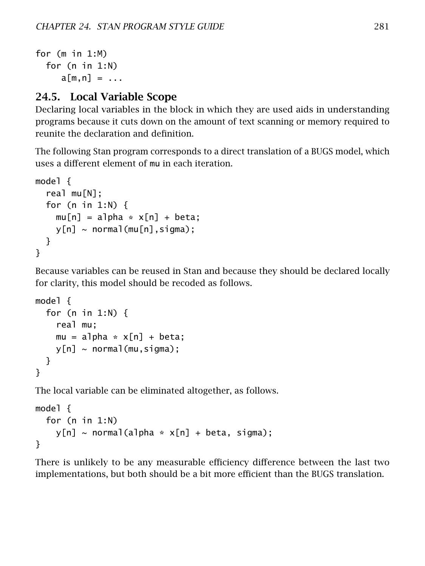```
for (m in 1:M)
  for (n in 1:N)
     a[m,n] = \ldots
```
## 24.5. Local Variable Scope

Declaring local variables in the block in which they are used aids in understanding programs because it cuts down on the amount of text scanning or memory required to reunite the declaration and definition.

The following Stan program corresponds to a direct translation of a BUGS model, which uses a different element of mu in each iteration.

```
model {
  real mu[N];
  for (n in 1:N) {
    mu[n] = alpha * x[n] + beta;y[n] \sim normal(mu[n], sigma);}
}
```
Because variables can be reused in Stan and because they should be declared locally for clarity, this model should be recoded as follows.

```
model {
  for (n in 1:N) {
    real mu;
    mu = alpha * x[n] + beta;y[n] \sim normal(mu,sigma);
  }
}
```
The local variable can be eliminated altogether, as follows.

```
model {
  for (n in 1:N)
     y[n] \sim \text{normal}(a]pha * x[n] + \text{beta}, sigma);
}
```
There is unlikely to be any measurable efficiency difference between the last two implementations, but both should be a bit more efficient than the BUGS translation.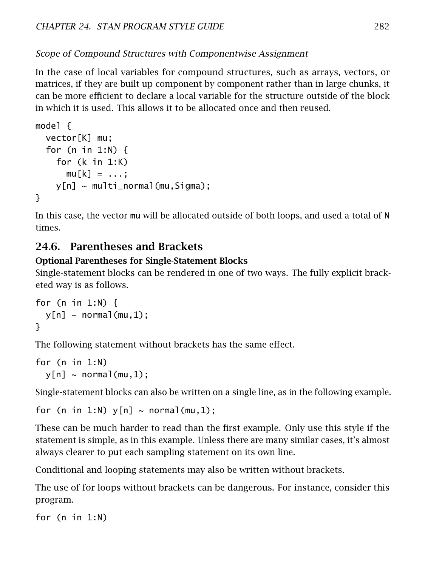### Scope of Compound Structures with Componentwise Assignment

In the case of local variables for compound structures, such as arrays, vectors, or matrices, if they are built up component by component rather than in large chunks, it can be more efficient to declare a local variable for the structure outside of the block in which it is used. This allows it to be allocated once and then reused.

```
model {
  vector[K] mu;
  for (n in 1:N) {
    for (k in 1:K)
      mu[k] = \ldots;y[n] ~ multi_normal(mu,Sigma);
}
```
In this case, the vector mu will be allocated outside of both loops, and used a total of N times.

## 24.6. Parentheses and Brackets

### Optional Parentheses for Single-Statement Blocks

Single-statement blocks can be rendered in one of two ways. The fully explicit bracketed way is as follows.

```
for (n in 1:N) {
  y[n] \sim normal(mu, 1):
}
```
The following statement without brackets has the same effect.

```
for (n in 1:N)
  y[n] \sim normal(mu, 1);
```
Single-statement blocks can also be written on a single line, as in the following example.

```
for (n in 1:N) y[n] \sim \text{normal}(mu, 1);
```
These can be much harder to read than the first example. Only use this style if the statement is simple, as in this example. Unless there are many similar cases, it's almost always clearer to put each sampling statement on its own line.

Conditional and looping statements may also be written without brackets.

The use of for loops without brackets can be dangerous. For instance, consider this program.

for (n in 1:N)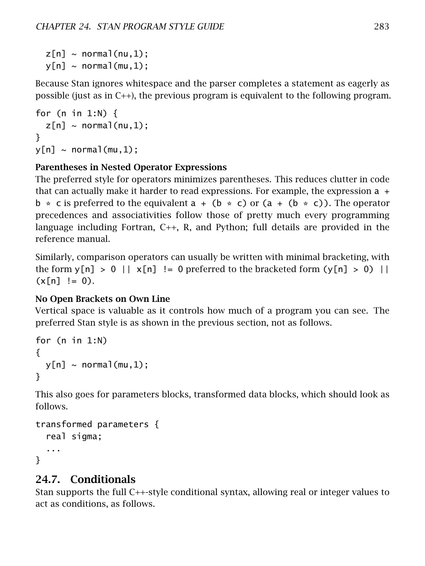$z[n]$  ~ normal(nu,1);  $y[n] \sim normal(mu, 1)$ ;

Because Stan ignores whitespace and the parser completes a statement as eagerly as possible (just as in C++), the previous program is equivalent to the following program.

```
for (n in 1:N) {
  z[n] \sim normal(nu,1);
}
y[n] \sim \text{normal}(\text{mu}, 1);
```
### Parentheses in Nested Operator Expressions

The preferred style for operators minimizes parentheses. This reduces clutter in code that can actually make it harder to read expressions. For example, the expression  $a +$  $b * c$  is preferred to the equivalent  $a + (b * c)$  or  $(a + (b * c))$ . The operator precedences and associativities follow those of pretty much every programming language including Fortran, C++, R, and Python; full details are provided in the reference manual.

Similarly, comparison operators can usually be written with minimal bracketing, with the form  $y[n] > 0$  ||  $x[n]$  != 0 preferred to the bracketed form  $(y[n] > 0)$  ||  $(x[n] := 0)$ .

### No Open Brackets on Own Line

Vertical space is valuable as it controls how much of a program you can see. The preferred Stan style is as shown in the previous section, not as follows.

```
for (n in 1:N)
{
  y[n] \sim \text{normal}(mu, 1);
}
```
This also goes for parameters blocks, transformed data blocks, which should look as follows.

```
transformed parameters {
  real sigma;
  ...
}
```
### 24.7. Conditionals

Stan supports the full C++-style conditional syntax, allowing real or integer values to act as conditions, as follows.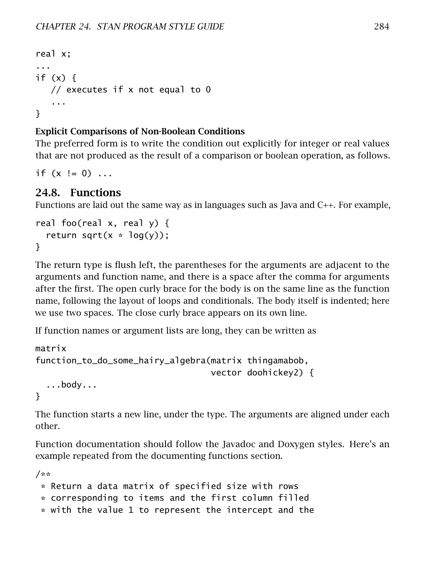```
real x;
...
if (x) {
  // executes if x not equal to 0
   ...
}
```
### Explicit Comparisons of Non-Boolean Conditions

The preferred form is to write the condition out explicitly for integer or real values that are not produced as the result of a comparison or boolean operation, as follows.

if  $(x := 0)$  ...

## 24.8. Functions

Functions are laid out the same way as in languages such as Java and C++. For example,

```
real foo(real x, real y) {
  return sqrt(x * log(y));
}
```
The return type is flush left, the parentheses for the arguments are adjacent to the arguments and function name, and there is a space after the comma for arguments after the first. The open curly brace for the body is on the same line as the function name, following the layout of loops and conditionals. The body itself is indented; here we use two spaces. The close curly brace appears on its own line.

If function names or argument lists are long, they can be written as

```
matrix
function_to_do_some_hairy_algebra(matrix thingamabob,
                                  vector doohickey2) {
  ...body...
```
}

The function starts a new line, under the type. The arguments are aligned under each other.

Function documentation should follow the Javadoc and Doxygen styles. Here's an example repeated from the [documenting functions section.](#page-210-0)

```
/**
 * Return a data matrix of specified size with rows
 * corresponding to items and the first column filled
 * with the value 1 to represent the intercept and the
```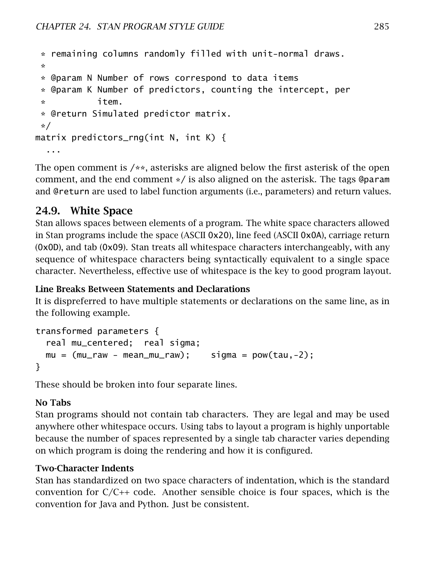```
* remaining columns randomly filled with unit-normal draws.
*
* @param N Number of rows correspond to data items
* @param K Number of predictors, counting the intercept, per
* item.
* @return Simulated predictor matrix.
*/
matrix predictors_rng(int N, int K) {
  ...
```
The open comment is  $/**$ , asterisks are aligned below the first asterisk of the open comment, and the end comment \*/ is also aligned on the asterisk. The tags @param and @return are used to label function arguments (i.e., parameters) and return values.

## 24.9. White Space

Stan allows spaces between elements of a program. The white space characters allowed in Stan programs include the space (ASCII 0x20), line feed (ASCII 0x0A), carriage return (0x0D), and tab (0x09). Stan treats all whitespace characters interchangeably, with any sequence of whitespace characters being syntactically equivalent to a single space character. Nevertheless, effective use of whitespace is the key to good program layout.

### Line Breaks Between Statements and Declarations

It is dispreferred to have multiple statements or declarations on the same line, as in the following example.

```
transformed parameters {
  real mu_centered; real sigma;
 mu = (mu_{raw - mean_mu_{raw}); sigma = pow(tau,-2);
}
```
These should be broken into four separate lines.

### No Tabs

Stan programs should not contain tab characters. They are legal and may be used anywhere other whitespace occurs. Using tabs to layout a program is highly unportable because the number of spaces represented by a single tab character varies depending on which program is doing the rendering and how it is configured.

### Two-Character Indents

Stan has standardized on two space characters of indentation, which is the standard convention for  $C/C++$  code. Another sensible choice is four spaces, which is the convention for Java and Python. Just be consistent.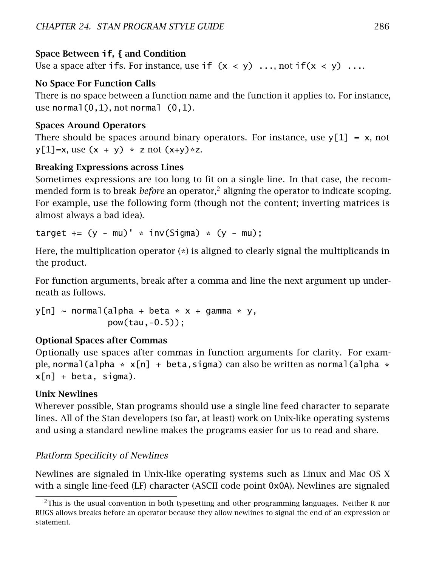### Space Between **if**, **{** and Condition

Use a space after ifs. For instance, use if  $(x < y)$  ..., not if  $(x < y)$  ...

### No Space For Function Calls

There is no space between a function name and the function it applies to. For instance, use normal $(0,1)$ , not normal  $(0,1)$ .

### Spaces Around Operators

There should be spaces around binary operators. For instance, use  $y[1] = x$ , not  $y[1]=x$ , use  $(x + y) * z$  not  $(x+y)*z$ .

### Breaking Expressions across Lines

Sometimes expressions are too long to fit on a single line. In that case, the recommended form is to break *before* an operator,[2](#page-292-0) aligning the operator to indicate scoping. For example, use the following form (though not the content; inverting matrices is almost always a bad idea).

target  $+= (y - mu)^{1} * inv(Sigma) * (y - mu);$ 

Here, the multiplication operator (\*) is aligned to clearly signal the multiplicands in the product.

For function arguments, break after a comma and line the next argument up underneath as follows.

 $y[n] \sim \text{normal}(a]$ pha + beta \* x + gamma \* y, pow(tau,-0.5));

### Optional Spaces after Commas

Optionally use spaces after commas in function arguments for clarity. For example, normal(alpha  $* x[n] + \text{beta}, \text{sigma}$ ) can also be written as normal(alpha  $*$ x[n] + beta, sigma).

### Unix Newlines

Wherever possible, Stan programs should use a single line feed character to separate lines. All of the Stan developers (so far, at least) work on Unix-like operating systems and using a standard newline makes the programs easier for us to read and share.

### Platform Specificity of Newlines

Newlines are signaled in Unix-like operating systems such as Linux and Mac OS X with a single line-feed (LF) character (ASCII code point 0x0A). Newlines are signaled

<span id="page-292-0"></span> $^{2}$ This is the usual convention in both typesetting and other programming languages. Neither R nor BUGS allows breaks before an operator because they allow newlines to signal the end of an expression or statement.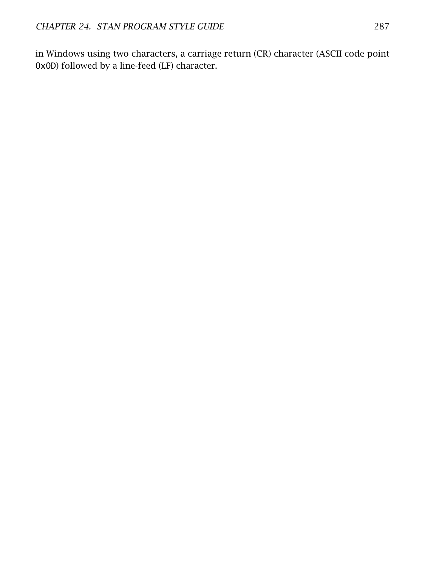in Windows using two characters, a carriage return (CR) character (ASCII code point 0x0D) followed by a line-feed (LF) character.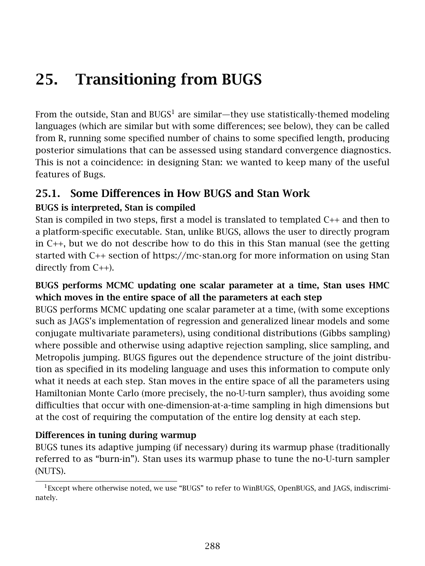# 25. Transitioning from BUGS

From the outside, Stan and BUGS<sup>[1](#page-294-0)</sup> are similar—they use statistically-themed modeling languages (which are similar but with some differences; see below), they can be called from R, running some specified number of chains to some specified length, producing posterior simulations that can be assessed using standard convergence diagnostics. This is not a coincidence: in designing Stan: we wanted to keep many of the useful features of Bugs.

## 25.1. Some Differences in How BUGS and Stan Work

### BUGS is interpreted, Stan is compiled

Stan is compiled in two steps, first a model is translated to templated C++ and then to a platform-specific executable. Stan, unlike BUGS, allows the user to directly program in C++, but we do not describe how to do this in this Stan manual (see the getting started with C++ section of<https://mc-stan.org> for more information on using Stan directly from C++).

### BUGS performs MCMC updating one scalar parameter at a time, Stan uses HMC which moves in the entire space of all the parameters at each step

BUGS performs MCMC updating one scalar parameter at a time, (with some exceptions such as JAGS's implementation of regression and generalized linear models and some conjugate multivariate parameters), using conditional distributions (Gibbs sampling) where possible and otherwise using adaptive rejection sampling, slice sampling, and Metropolis jumping. BUGS figures out the dependence structure of the joint distribution as specified in its modeling language and uses this information to compute only what it needs at each step. Stan moves in the entire space of all the parameters using Hamiltonian Monte Carlo (more precisely, the no-U-turn sampler), thus avoiding some difficulties that occur with one-dimension-at-a-time sampling in high dimensions but at the cost of requiring the computation of the entire log density at each step.

### Differences in tuning during warmup

BUGS tunes its adaptive jumping (if necessary) during its warmup phase (traditionally referred to as "burn-in"). Stan uses its warmup phase to tune the no-U-turn sampler (NUTS).

<span id="page-294-0"></span><sup>&</sup>lt;sup>1</sup>Except where otherwise noted, we use "BUGS" to refer to WinBUGS, OpenBUGS, and JAGS, indiscriminately.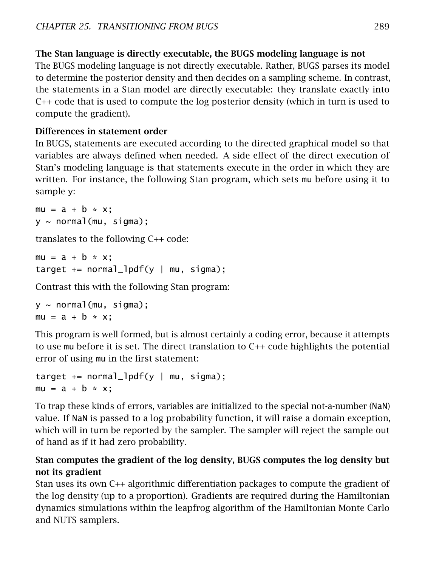### The Stan language is directly executable, the BUGS modeling language is not

The BUGS modeling language is not directly executable. Rather, BUGS parses its model to determine the posterior density and then decides on a sampling scheme. In contrast, the statements in a Stan model are directly executable: they translate exactly into C++ code that is used to compute the log posterior density (which in turn is used to compute the gradient).

### Differences in statement order

In BUGS, statements are executed according to the directed graphical model so that variables are always defined when needed. A side effect of the direct execution of Stan's modeling language is that statements execute in the order in which they are written. For instance, the following Stan program, which sets mu before using it to sample y:

```
mu = a + b * x;y \sim normal(mu, sigma);
```
translates to the following C++ code:

```
mu = a + b * x:
target += normal_lpdf(y | mu, sigma);
```
Contrast this with the following Stan program:

```
y ~ normal(mu, sigma);
mu = a + b * x;
```
This program is well formed, but is almost certainly a coding error, because it attempts to use mu before it is set. The direct translation to C++ code highlights the potential error of using mu in the first statement:

```
target += normal_lpdf(y | mu, sigma);
mu = a + b \cdot x:
```
To trap these kinds of errors, variables are initialized to the special not-a-number (NaN) value. If NaN is passed to a log probability function, it will raise a domain exception, which will in turn be reported by the sampler. The sampler will reject the sample out of hand as if it had zero probability.

### Stan computes the gradient of the log density, BUGS computes the log density but not its gradient

Stan uses its own C++ algorithmic differentiation packages to compute the gradient of the log density (up to a proportion). Gradients are required during the Hamiltonian dynamics simulations within the leapfrog algorithm of the Hamiltonian Monte Carlo and NUTS samplers.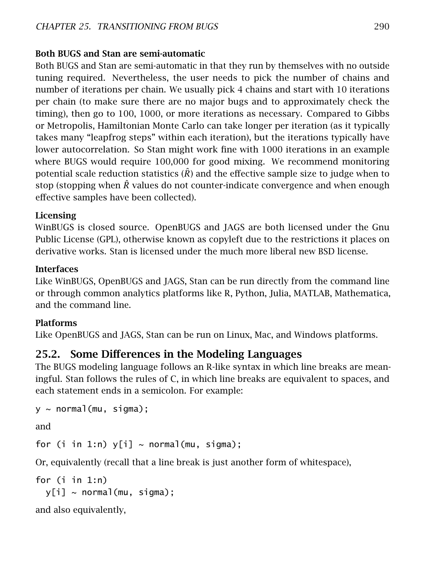### Both BUGS and Stan are semi-automatic

Both BUGS and Stan are semi-automatic in that they run by themselves with no outside tuning required. Nevertheless, the user needs to pick the number of chains and number of iterations per chain. We usually pick 4 chains and start with 10 iterations per chain (to make sure there are no major bugs and to approximately check the timing), then go to 100, 1000, or more iterations as necessary. Compared to Gibbs or Metropolis, Hamiltonian Monte Carlo can take longer per iteration (as it typically takes many "leapfrog steps" within each iteration), but the iterations typically have lower autocorrelation. So Stan might work fine with 1000 iterations in an example where BUGS would require 100,000 for good mixing. We recommend monitoring potential scale reduction statistics  $(\hat{R})$  and the effective sample size to judge when to stop (stopping when  $\overline{R}$  values do not counter-indicate convergence and when enough effective samples have been collected).

### Licensing

WinBUGS is closed source. OpenBUGS and JAGS are both licensed under the Gnu Public License (GPL), otherwise known as copyleft due to the restrictions it places on derivative works. Stan is licensed under the much more liberal new BSD license.

### **Interfaces**

Like WinBUGS, OpenBUGS and JAGS, Stan can be run directly from the command line or through common analytics platforms like R, Python, Julia, MATLAB, Mathematica, and the command line.

### Platforms

Like OpenBUGS and JAGS, Stan can be run on Linux, Mac, and Windows platforms.

## 25.2. Some Differences in the Modeling Languages

The BUGS modeling language follows an R-like syntax in which line breaks are meaningful. Stan follows the rules of C, in which line breaks are equivalent to spaces, and each statement ends in a semicolon. For example:

```
y ~ normal(mu, sigma);
```
and

for (i in 1:n)  $y[i] \sim normal(mu, sigma);$ 

Or, equivalently (recall that a line break is just another form of whitespace),

```
for (i in 1:n)
 y[i] ~ normal(mu, sigma);
```
and also equivalently,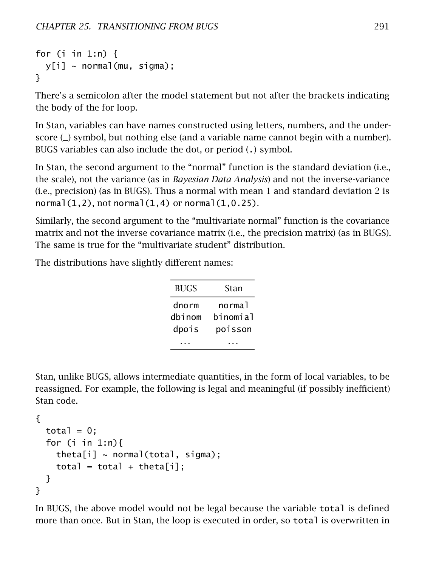```
for (i in 1:n) {
 y[i] ~ normal(mu, sigma):
}
```
There's a semicolon after the model statement but not after the brackets indicating the body of the for loop.

In Stan, variables can have names constructed using letters, numbers, and the underscore (\_) symbol, but nothing else (and a variable name cannot begin with a number). BUGS variables can also include the dot, or period (.) symbol.

In Stan, the second argument to the "normal" function is the standard deviation (i.e., the scale), not the variance (as in *Bayesian Data Analysis*) and not the inverse-variance (i.e., precision) (as in BUGS). Thus a normal with mean 1 and standard deviation 2 is  $normal(1,2)$ , not normal $(1,4)$  or normal $(1,0.25)$ .

Similarly, the second argument to the "multivariate normal" function is the covariance matrix and not the inverse covariance matrix (i.e., the precision matrix) (as in BUGS). The same is true for the "multivariate student" distribution.

The distributions have slightly different names:

| <b>BUGS</b> | Stan     |
|-------------|----------|
| dnorm       | normal   |
| dbinom      | binomial |
| dpois       | poisson  |
|             |          |

Stan, unlike BUGS, allows intermediate quantities, in the form of local variables, to be reassigned. For example, the following is legal and meaningful (if possibly inefficient) Stan code.

```
{
  total = 0:
  for (i in 1:n){
    theta[i] \sim normal(total, sigma);
    total = total + theta[i];}
}
```
In BUGS, the above model would not be legal because the variable total is defined more than once. But in Stan, the loop is executed in order, so total is overwritten in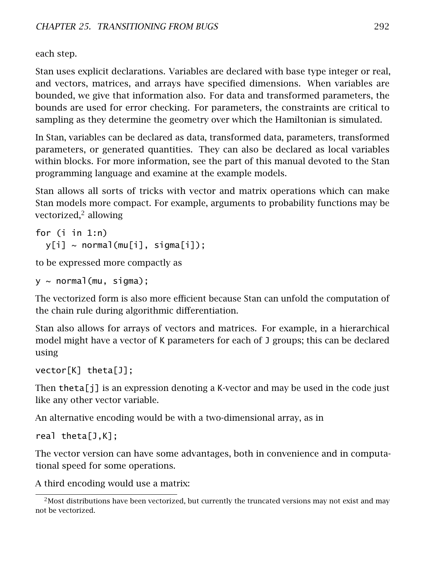each step.

Stan uses explicit declarations. Variables are declared with base type integer or real, and vectors, matrices, and arrays have specified dimensions. When variables are bounded, we give that information also. For data and transformed parameters, the bounds are used for error checking. For parameters, the constraints are critical to sampling as they determine the geometry over which the Hamiltonian is simulated.

In Stan, variables can be declared as data, transformed data, parameters, transformed parameters, or generated quantities. They can also be declared as local variables within blocks. For more information, see the part of this manual devoted to the Stan programming language and examine at the example models.

Stan allows all sorts of tricks with vector and matrix operations which can make Stan models more compact. For example, arguments to probability functions may be vectorized,<sup>[2](#page-298-0)</sup> allowing

```
for (i in 1:n)
 y[i] ~ normal(mu[i], sigma[i]);
```
to be expressed more compactly as

 $v \sim$  normal(mu, sigma):

The vectorized form is also more efficient because Stan can unfold the computation of the chain rule during algorithmic differentiation.

Stan also allows for arrays of vectors and matrices. For example, in a hierarchical model might have a vector of K parameters for each of J groups; this can be declared using

```
vector[K] theta[J];
```
Then theta[j] is an expression denoting a K-vector and may be used in the code just like any other vector variable.

An alternative encoding would be with a two-dimensional array, as in

real theta[J,K];

The vector version can have some advantages, both in convenience and in computational speed for some operations.

A third encoding would use a matrix:

<span id="page-298-0"></span><sup>&</sup>lt;sup>2</sup>Most distributions have been vectorized, but currently the truncated versions may not exist and may not be vectorized.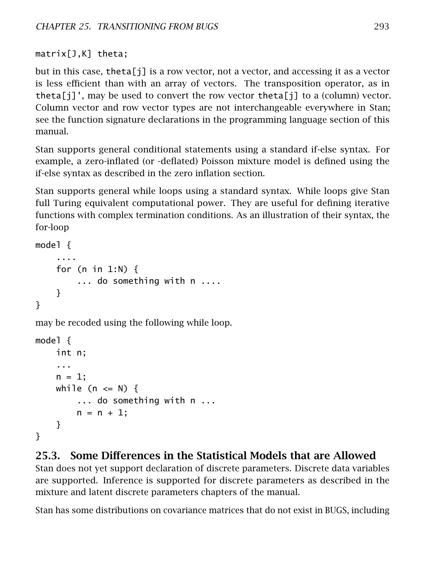matrix[J,K] theta;

but in this case, theta[j] is a row vector, not a vector, and accessing it as a vector is less efficient than with an array of vectors. The transposition operator, as in theta[j]', may be used to convert the row vector theta[j] to a (column) vector. Column vector and row vector types are not interchangeable everywhere in Stan; see the function signature declarations in the programming language section of this manual.

Stan supports general conditional statements using a standard if-else syntax. For example, a zero-inflated (or -deflated) Poisson mixture model is defined using the if-else syntax as described in the [zero inflation section.](#page-84-0)

Stan supports general while loops using a standard syntax. While loops give Stan full Turing equivalent computational power. They are useful for defining iterative functions with complex termination conditions. As an illustration of their syntax, the for-loop

```
model {
    ....
    for (n in 1:N) {
        ... do something with n ....
    }
}
```
may be recoded using the following while loop.

```
model {
    int n;
    ...
    n = 1:
    while (n \leq N) {
         ... do something with n ...
        n = n + 1;
    }
}
```
## 25.3. Some Differences in the Statistical Models that are Allowed

Stan does not yet support declaration of discrete parameters. Discrete data variables are supported. Inference is supported for discrete parameters as described in the mixture and latent discrete parameters chapters of the manual.

Stan has some distributions on covariance matrices that do not exist in BUGS, including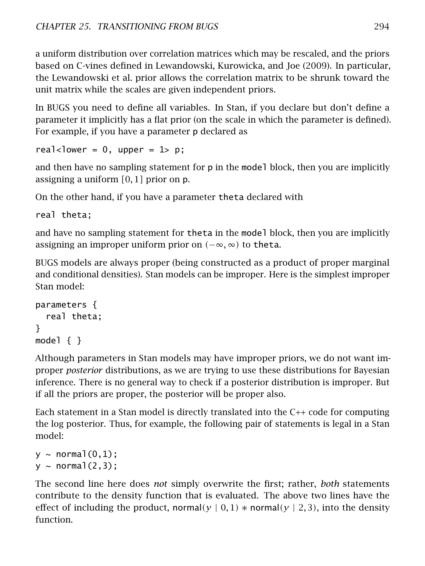a uniform distribution over correlation matrices which may be rescaled, and the priors based on C-vines defined in Lewandowski, Kurowicka, and Joe [\(2009\)](#page-305-0). In particular, the Lewandowski et al. prior allows the correlation matrix to be shrunk toward the unit matrix while the scales are given independent priors.

In BUGS you need to define all variables. In Stan, if you declare but don't define a parameter it implicitly has a flat prior (on the scale in which the parameter is defined). For example, if you have a parameter p declared as

real<lower = 0, upper =  $1$ > p;

and then have no sampling statement for p in the model block, then you are implicitly assigning a uniform *[*0*,* 1*]* prior on p.

On the other hand, if you have a parameter theta declared with

real theta;

and have no sampling statement for theta in the model block, then you are implicitly assigning an improper uniform prior on *(*−∞*,* ∞*)* to theta.

BUGS models are always proper (being constructed as a product of proper marginal and conditional densities). Stan models can be improper. Here is the simplest improper Stan model:

```
parameters {
  real theta;
}
model \{ \}
```
Although parameters in Stan models may have improper priors, we do not want improper *posterior* distributions, as we are trying to use these distributions for Bayesian inference. There is no general way to check if a posterior distribution is improper. But if all the priors are proper, the posterior will be proper also.

Each statement in a Stan model is directly translated into the C++ code for computing the log posterior. Thus, for example, the following pair of statements is legal in a Stan model:

```
y \sim normal(0,1);
y \sim normal(2,3);
```
The second line here does *not* simply overwrite the first; rather, *both* statements contribute to the density function that is evaluated. The above two lines have the effect of including the product, normal $(y | 0, 1)$  \* normal $(y | 2, 3)$ , into the density function.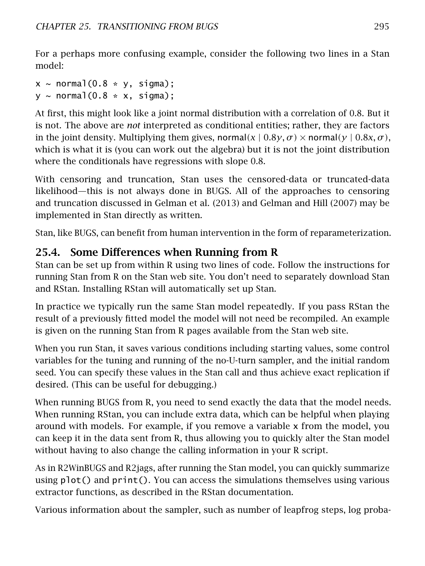For a perhaps more confusing example, consider the following two lines in a Stan model:

 $x \sim$  normal(0.8  $*$  y, sigma);  $y \sim$  normal(0.8  $*$  x, sigma);

At first, this might look like a joint normal distribution with a correlation of 0.8. But it is not. The above are *not* interpreted as conditional entities; rather, they are factors in the joint density. Multiplying them gives, normal $(x | 0.8y, \sigma) \times$  normal $(y | 0.8x, \sigma)$ , which is what it is (you can work out the algebra) but it is not the joint distribution where the conditionals have regressions with slope 0.8.

With censoring and truncation, Stan uses the censored-data or truncated-data likelihood—this is not always done in BUGS. All of the approaches to censoring and truncation discussed in Gelman et al. [\(2013\)](#page-304-0) and Gelman and Hill [\(2007\)](#page-304-1) may be implemented in Stan directly as written.

Stan, like BUGS, can benefit from human intervention in the form of reparameterization.

## 25.4. Some Differences when Running from R

Stan can be set up from within R using two lines of code. Follow the instructions for running Stan from R on the [Stan web site.](https://mc-stan.org) You don't need to separately download Stan and RStan. Installing RStan will automatically set up Stan.

In practice we typically run the same Stan model repeatedly. If you pass RStan the result of a previously fitted model the model will not need be recompiled. An example is given on the running Stan from R pages available from the [Stan web site.](https://mc-stan.org)

When you run Stan, it saves various conditions including starting values, some control variables for the tuning and running of the no-U-turn sampler, and the initial random seed. You can specify these values in the Stan call and thus achieve exact replication if desired. (This can be useful for debugging.)

When running BUGS from R, you need to send exactly the data that the model needs. When running RStan, you can include extra data, which can be helpful when playing around with models. For example, if you remove a variable x from the model, you can keep it in the data sent from R, thus allowing you to quickly alter the Stan model without having to also change the calling information in your R script.

As in R2WinBUGS and R2jags, after running the Stan model, you can quickly summarize using plot() and print(). You can access the simulations themselves using various extractor functions, as described in the RStan documentation.

Various information about the sampler, such as number of leapfrog steps, log proba-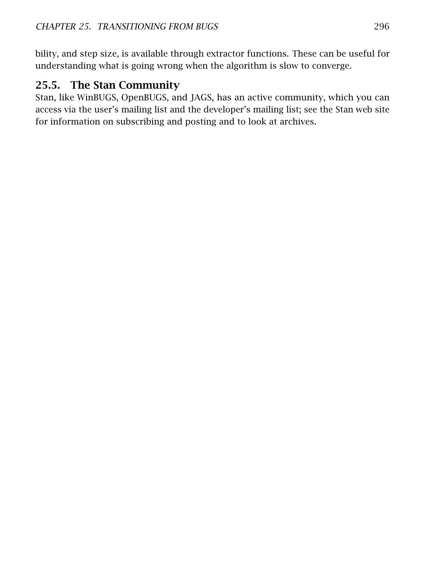bility, and step size, is available through extractor functions. These can be useful for understanding what is going wrong when the algorithm is slow to converge.

## 25.5. The Stan Community

Stan, like WinBUGS, OpenBUGS, and JAGS, has an active community, which you can access via the user's mailing list and the developer's mailing list; see the [Stan web site](https://mc-stan.org) for information on subscribing and posting and to look at archives.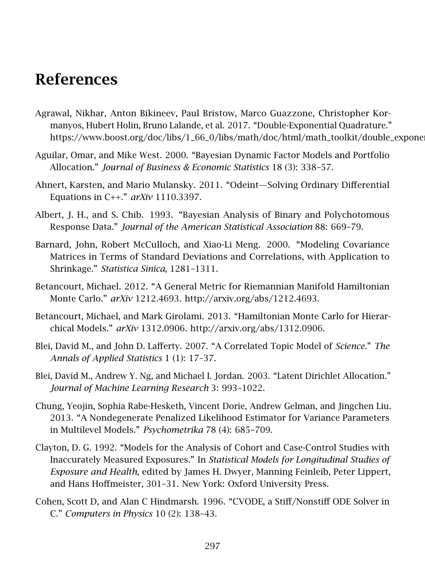## References

- Agrawal, Nikhar, Anton Bikineev, Paul Bristow, Marco Guazzone, Christopher Kormanyos, Hubert Holin, Bruno Lalande, et al. 2017. "Double-Exponential Quadrature." https://www.boost.org/doc/libs/1\_66\_0/libs/math/doc/html/math\_toolkit/double\_expone
- Aguilar, Omar, and Mike West. 2000. "Bayesian Dynamic Factor Models and Portfolio Allocation." *Journal of Business & Economic Statistics* 18 (3): 338–57.
- Ahnert, Karsten, and Mario Mulansky. 2011. "Odeint—Solving Ordinary Differential Equations in C++." *arXiv* 1110.3397.
- Albert, J. H., and S. Chib. 1993. "Bayesian Analysis of Binary and Polychotomous Response Data." *Journal of the American Statistical Association* 88: 669–79.
- Barnard, John, Robert McCulloch, and Xiao-Li Meng. 2000. "Modeling Covariance Matrices in Terms of Standard Deviations and Correlations, with Application to Shrinkage." *Statistica Sinica*, 1281–1311.
- Betancourt, Michael. 2012. "A General Metric for Riemannian Manifold Hamiltonian Monte Carlo." *arXiv* 1212.4693. [http://arxiv.org/abs/1212.4693.](http://arxiv.org/abs/1212.4693)
- Betancourt, Michael, and Mark Girolami. 2013. "Hamiltonian Monte Carlo for Hierarchical Models." *arXiv* 1312.0906. [http://arxiv.org/abs/1312.0906.](http://arxiv.org/abs/1312.0906)
- Blei, David M., and John D. Lafferty. 2007. "A Correlated Topic Model of *Science*." *The Annals of Applied Statistics* 1 (1): 17–37.
- Blei, David M., Andrew Y. Ng, and Michael I. Jordan. 2003. "Latent Dirichlet Allocation." *Journal of Machine Learning Research* 3: 993–1022.
- Chung, Yeojin, Sophia Rabe-Hesketh, Vincent Dorie, Andrew Gelman, and Jingchen Liu. 2013. "A Nondegenerate Penalized Likelihood Estimator for Variance Parameters in Multilevel Models." *Psychometrika* 78 (4): 685–709.
- Clayton, D. G. 1992. "Models for the Analysis of Cohort and Case-Control Studies with Inaccurately Measured Exposures." In *Statistical Models for Longitudinal Studies of Exposure and Health*, edited by James H. Dwyer, Manning Feinleib, Peter Lippert, and Hans Hoffmeister, 301–31. New York: Oxford University Press.
- Cohen, Scott D, and Alan C Hindmarsh. 1996. "CVODE, a Stiff/Nonstiff ODE Solver in C." *Computers in Physics* 10 (2): 138–43.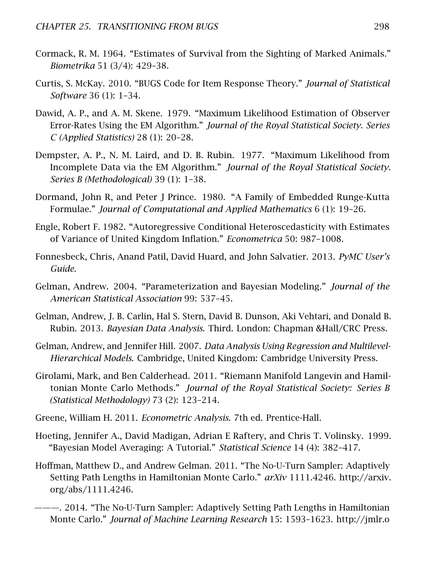- Cormack, R. M. 1964. "Estimates of Survival from the Sighting of Marked Animals." *Biometrika* 51 (3/4): 429–38.
- Curtis, S. McKay. 2010. "BUGS Code for Item Response Theory." *Journal of Statistical Software* 36 (1): 1–34.
- Dawid, A. P., and A. M. Skene. 1979. "Maximum Likelihood Estimation of Observer Error-Rates Using the EM Algorithm." *Journal of the Royal Statistical Society. Series C (Applied Statistics)* 28 (1): 20–28.
- Dempster, A. P., N. M. Laird, and D. B. Rubin. 1977. "Maximum Likelihood from Incomplete Data via the EM Algorithm." *Journal of the Royal Statistical Society. Series B (Methodological)* 39 (1): 1–38.
- Dormand, John R, and Peter J Prince. 1980. "A Family of Embedded Runge-Kutta Formulae." *Journal of Computational and Applied Mathematics* 6 (1): 19–26.
- Engle, Robert F. 1982. "Autoregressive Conditional Heteroscedasticity with Estimates of Variance of United Kingdom Inflation." *Econometrica* 50: 987–1008.
- Fonnesbeck, Chris, Anand Patil, David Huard, and John Salvatier. 2013. *PyMC User's Guide*.
- Gelman, Andrew. 2004. "Parameterization and Bayesian Modeling." *Journal of the American Statistical Association* 99: 537–45.
- <span id="page-304-0"></span>Gelman, Andrew, J. B. Carlin, Hal S. Stern, David B. Dunson, Aki Vehtari, and Donald B. Rubin. 2013. *Bayesian Data Analysis*. Third. London: Chapman &Hall/CRC Press.
- <span id="page-304-1"></span>Gelman, Andrew, and Jennifer Hill. 2007. *Data Analysis Using Regression and Multilevel-Hierarchical Models*. Cambridge, United Kingdom: Cambridge University Press.
- Girolami, Mark, and Ben Calderhead. 2011. "Riemann Manifold Langevin and Hamiltonian Monte Carlo Methods." *Journal of the Royal Statistical Society: Series B (Statistical Methodology)* 73 (2): 123–214.
- Greene, William H. 2011. *Econometric Analysis*. 7th ed. Prentice-Hall.
- Hoeting, Jennifer A., David Madigan, Adrian E Raftery, and Chris T. Volinsky. 1999. "Bayesian Model Averaging: A Tutorial." *Statistical Science* 14 (4): 382–417.
- Hoffman, Matthew D., and Andrew Gelman. 2011. "The No-U-Turn Sampler: Adaptively Setting Path Lengths in Hamiltonian Monte Carlo." *arXiv* 1111.4246. [http://arxiv.](http://arxiv.org/abs/1111.4246) [org/abs/1111.4246.](http://arxiv.org/abs/1111.4246)
- ———. 2014. "The No-U-Turn Sampler: Adaptively Setting Path Lengths in Hamiltonian Monte Carlo." *Journal of Machine Learning Research* 15: 1593–1623. [http://jmlr.o](http://jmlr.org/papers/v15/hoffman14a.html)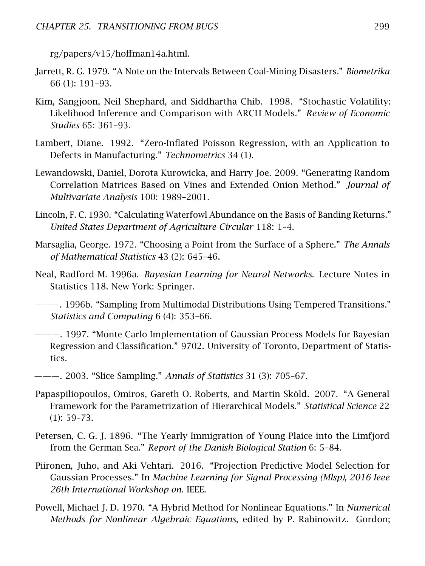[rg/papers/v15/hoffman14a.html.](http://jmlr.org/papers/v15/hoffman14a.html)

- Jarrett, R. G. 1979. "A Note on the Intervals Between Coal-Mining Disasters." *Biometrika* 66 (1): 191–93.
- Kim, Sangjoon, Neil Shephard, and Siddhartha Chib. 1998. "Stochastic Volatility: Likelihood Inference and Comparison with ARCH Models." *Review of Economic Studies* 65: 361–93.
- Lambert, Diane. 1992. "Zero-Inflated Poisson Regression, with an Application to Defects in Manufacturing." *Technometrics* 34 (1).
- <span id="page-305-0"></span>Lewandowski, Daniel, Dorota Kurowicka, and Harry Joe. 2009. "Generating Random Correlation Matrices Based on Vines and Extended Onion Method." *Journal of Multivariate Analysis* 100: 1989–2001.
- Lincoln, F. C. 1930. "Calculating Waterfowl Abundance on the Basis of Banding Returns." *United States Department of Agriculture Circular* 118: 1–4.
- Marsaglia, George. 1972. "Choosing a Point from the Surface of a Sphere." *The Annals of Mathematical Statistics* 43 (2): 645–46.
- Neal, Radford M. 1996a. *Bayesian Learning for Neural Networks*. Lecture Notes in Statistics 118. New York: Springer.
- ———. 1996b. "Sampling from Multimodal Distributions Using Tempered Transitions." *Statistics and Computing* 6 (4): 353–66.
- ———. 1997. "Monte Carlo Implementation of Gaussian Process Models for Bayesian Regression and Classification." 9702. University of Toronto, Department of Statistics.
- ———. 2003. "Slice Sampling." *Annals of Statistics* 31 (3): 705–67.
- Papaspiliopoulos, Omiros, Gareth O. Roberts, and Martin Sköld. 2007. "A General Framework for the Parametrization of Hierarchical Models." *Statistical Science* 22 (1): 59–73.
- Petersen, C. G. J. 1896. "The Yearly Immigration of Young Plaice into the Limfjord from the German Sea." *Report of the Danish Biological Station* 6: 5–84.
- Piironen, Juho, and Aki Vehtari. 2016. "Projection Predictive Model Selection for Gaussian Processes." In *Machine Learning for Signal Processing (Mlsp), 2016 Ieee 26th International Workshop on*. IEEE.
- Powell, Michael J. D. 1970. "A Hybrid Method for Nonlinear Equations." In *Numerical Methods for Nonlinear Algebraic Equations*, edited by P. Rabinowitz. Gordon;